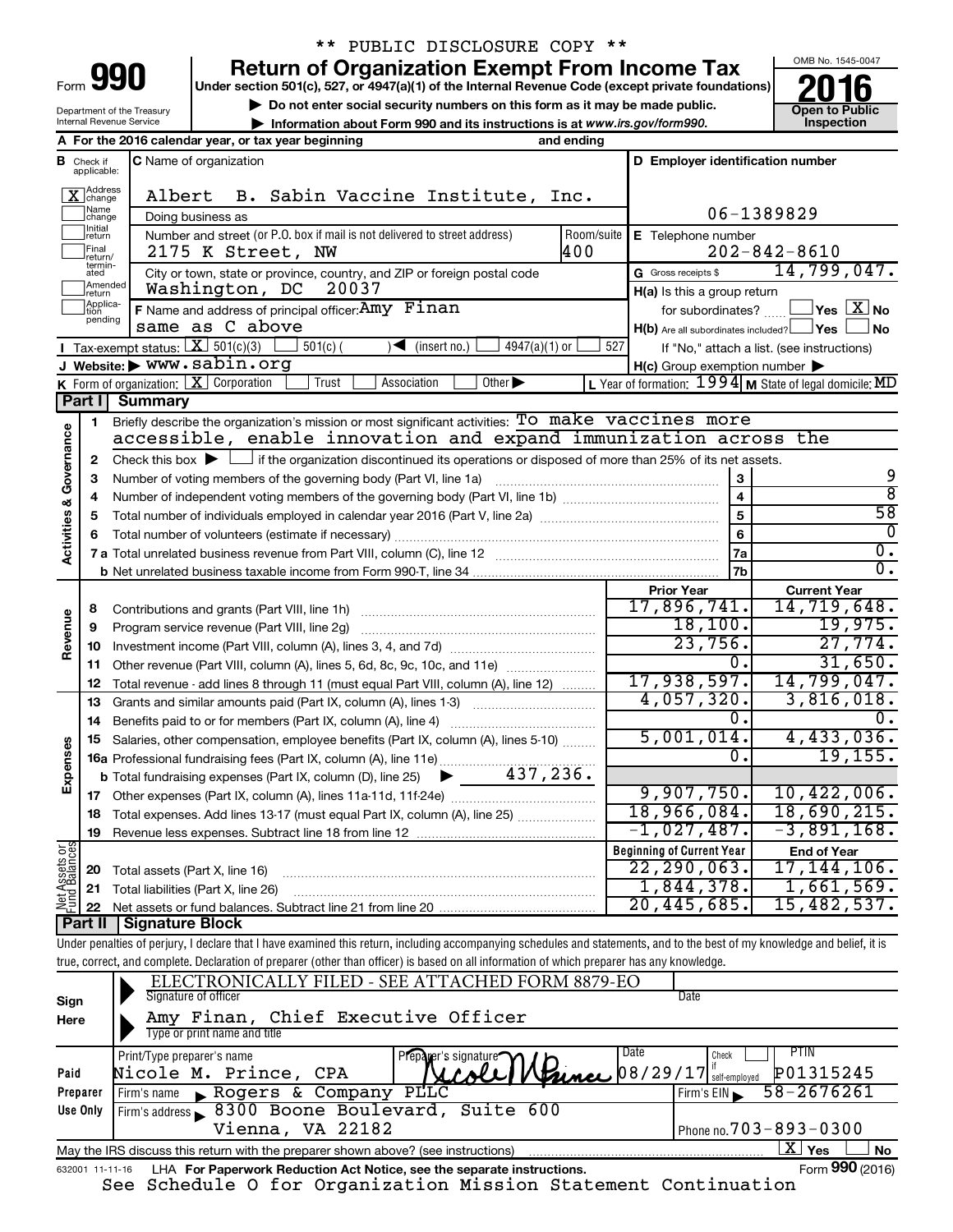|      | L |  |
|------|---|--|
|      |   |  |
| Form |   |  |

# \*\* PUBLIC DISCLOSURE COPY \*\*

**Under section 501(c), 527, or 4947(a)(1) of the Internal Revenue Code (except private foundations) Return of Organization Exempt From Income Tax**<br>Under section 501(c), 527, or 4947(a)(1) of the Internal Revenue Code (except private foundations)<br> **2016** 

**a** Do not enter social security numbers on this form as it may be made public.<br>
■ Information about Form 990 and its instructions is at *www.irs.gov/form990.* Inspection

**• Information about Form 990 and its instructions is at www.irs.gov/form990. and inspection** 



Department of the Treasury Internal Revenue Service

|                            |                               | A For the 2016 calendar year, or tax year beginning<br>and ending                                                                                                          |      |                                                         |                                                                   |
|----------------------------|-------------------------------|----------------------------------------------------------------------------------------------------------------------------------------------------------------------------|------|---------------------------------------------------------|-------------------------------------------------------------------|
|                            | <b>B</b> Check if applicable: | C Name of organization                                                                                                                                                     |      | D Employer identification number                        |                                                                   |
|                            |                               |                                                                                                                                                                            |      |                                                         |                                                                   |
|                            | X Address                     | B. Sabin Vaccine Institute, Inc.<br>Albert                                                                                                                                 |      |                                                         |                                                                   |
|                            | Name<br>change                | Doing business as                                                                                                                                                          |      |                                                         | 06-1389829                                                        |
|                            | Initial<br>return             | Number and street (or P.O. box if mail is not delivered to street address)<br>Room/suite                                                                                   |      | E Telephone number                                      |                                                                   |
|                            | Final<br>return/              | 400<br>2175 K Street, NW                                                                                                                                                   |      |                                                         | $202 - 842 - 8610$                                                |
|                            | termin-<br>ated               | City or town, state or province, country, and ZIP or foreign postal code                                                                                                   |      | G Gross receipts \$                                     | 14,799,047.                                                       |
|                            | Amended<br>return             | Washington, DC<br>20037                                                                                                                                                    |      | H(a) Is this a group return                             |                                                                   |
|                            | Applica-<br>tion              | F Name and address of principal officer: Amy Finan                                                                                                                         |      |                                                         | for subordinates? $\frac{\Box}{\Box}$ Yes $\boxed{\mathbf{X}}$ No |
|                            | pending                       | same as C above                                                                                                                                                            |      | $H(b)$ Are all subordinates included? $\Box$ Yes $\Box$ | ⊿ No                                                              |
|                            |                               | <b>I</b> Tax-exempt status: $X \mid 501(c)(3)$<br>$501(c)$ (<br>$\rightarrow$ (insert no.) [<br>4947(a)(1) or                                                              | 527  |                                                         | If "No," attach a list. (see instructions)                        |
|                            |                               | J Website: > WWW.sabin.org                                                                                                                                                 |      | $H(c)$ Group exemption number $\blacktriangleright$     |                                                                   |
|                            |                               | K Form of organization: $X$ Corporation<br>Trust<br>Association<br>Other $\blacktriangleright$                                                                             |      |                                                         | L Year of formation: $1994$ M State of legal domicile: MD         |
|                            | Part I                        | <b>Summary</b>                                                                                                                                                             |      |                                                         |                                                                   |
|                            |                               |                                                                                                                                                                            |      |                                                         |                                                                   |
|                            | 1                             | Briefly describe the organization's mission or most significant activities: To make vaccines more<br>accessible, enable innovation and expand immunization across the      |      |                                                         |                                                                   |
|                            |                               |                                                                                                                                                                            |      |                                                         |                                                                   |
| & Governance               | 2                             | Check this box $\blacktriangleright$ $\Box$ if the organization discontinued its operations or disposed of more than 25% of its net assets.                                |      |                                                         |                                                                   |
|                            | з                             | Number of voting members of the governing body (Part VI, line 1a)                                                                                                          |      |                                                         | 9<br>$\overline{8}$                                               |
|                            | 4                             |                                                                                                                                                                            |      | $\overline{4}$                                          |                                                                   |
|                            | 5                             |                                                                                                                                                                            |      | $\overline{5}$                                          | $\overline{58}$                                                   |
| Activities                 | 6                             |                                                                                                                                                                            |      | $6\phantom{a}$                                          | $\overline{0}$                                                    |
|                            |                               |                                                                                                                                                                            |      | 7a                                                      | $\overline{0}$ .                                                  |
|                            |                               |                                                                                                                                                                            |      | 7b                                                      | $\overline{0}$ .                                                  |
|                            |                               |                                                                                                                                                                            |      | <b>Prior Year</b>                                       | <b>Current Year</b>                                               |
|                            | 8                             | Contributions and grants (Part VIII, line 1h)                                                                                                                              |      | 17,896,741.                                             | 14,719,648.                                                       |
|                            | 9                             | Program service revenue (Part VIII, line 2g)                                                                                                                               |      | 18, 100.                                                | 19,975.                                                           |
| Revenue                    | 10                            |                                                                                                                                                                            |      | 23,756.                                                 | 27,774.                                                           |
|                            | 11                            | Other revenue (Part VIII, column (A), lines 5, 6d, 8c, 9c, 10c, and 11e)                                                                                                   |      | 0.                                                      | 31,650.                                                           |
|                            | 12                            | Total revenue - add lines 8 through 11 (must equal Part VIII, column (A), line 12)                                                                                         |      | 17,938,597.                                             | 14,799,047.                                                       |
|                            | 13                            | Grants and similar amounts paid (Part IX, column (A), lines 1-3) <i></i>                                                                                                   |      | 4,057,320.                                              | 3,816,018.                                                        |
|                            | 14                            | Benefits paid to or for members (Part IX, column (A), line 4)                                                                                                              |      | 0.                                                      | $\mathbf{0}$ .                                                    |
|                            | 15                            | Salaries, other compensation, employee benefits (Part IX, column (A), lines 5-10)                                                                                          |      | 5,001,014.                                              | 4,433,036.                                                        |
| Expenses                   |                               | 16a Professional fundraising fees (Part IX, column (A), line 11e)                                                                                                          |      | $\overline{0}$ .                                        | 19, 155.                                                          |
|                            |                               | <b>b</b> Total fundraising expenses (Part IX, column (D), line 25) $\bullet$ 437, 236.                                                                                     |      |                                                         |                                                                   |
|                            |                               |                                                                                                                                                                            |      | 9,907,750.                                              | 10,422,006.                                                       |
|                            |                               | 18 Total expenses. Add lines 13-17 (must equal Part IX, column (A), line 25)                                                                                               |      | 18,966,084.                                             | 18,690,215.                                                       |
|                            | 19                            | Revenue less expenses. Subtract line 18 from line 12                                                                                                                       |      | $-1,027,487.$                                           | $-3,891,168.$                                                     |
|                            |                               |                                                                                                                                                                            |      | <b>Beginning of Current Year</b>                        | <b>End of Year</b>                                                |
| t Assets or<br>nd Balances | 20                            | Total assets (Part X, line 16)                                                                                                                                             |      | 22, 290, 063.                                           | $17,144,106$ .                                                    |
|                            | 21                            | Total liabilities (Part X, line 26)                                                                                                                                        |      | 1,844,378.                                              | 1,661,569.                                                        |
| 틞                          |                               | Net assets or fund balances. Subtract line 21 from line 20                                                                                                                 |      | 20,445,685.                                             | 15,482,537.                                                       |
|                            | 22<br>Part II                 | Signature Block                                                                                                                                                            |      |                                                         |                                                                   |
|                            |                               | Under penalties of perjury, I declare that I have examined this return, including accompanying schedules and statements, and to the best of my knowledge and belief, it is |      |                                                         |                                                                   |
|                            |                               | true, correct, and complete. Declaration of preparer (other than officer) is based on all information of which preparer has any knowledge.                                 |      |                                                         |                                                                   |
|                            |                               |                                                                                                                                                                            |      |                                                         |                                                                   |
|                            |                               | ELECTRONICALLY FILED - SEE ATTACHED FORM 8879-EO<br>Signature of officer                                                                                                   |      | Date                                                    |                                                                   |
| Sign                       |                               | Amy Finan, Chief Executive Officer                                                                                                                                         |      |                                                         |                                                                   |
| Here                       |                               | Type or print name and title                                                                                                                                               |      |                                                         |                                                                   |
|                            |                               |                                                                                                                                                                            | Date |                                                         |                                                                   |
|                            |                               | Preparer's signature<br>Print/Type preparer's name                                                                                                                         |      | Check                                                   | PTIN                                                              |
| Paid                       |                               | Nicole M. Prince, CPA                                                                                                                                                      |      | 08/29/<br>self-employed                                 | P01315245                                                         |
|                            | Preparer                      | PLLC<br>Rogers & Company<br>Firm's name                                                                                                                                    |      | Firm's EIN ▶                                            | 58-2676261                                                        |
|                            | Use Only                      | Firm's address 8300 Boone Boulevard, Suite 600                                                                                                                             |      |                                                         |                                                                   |
|                            |                               | Vienna, VA 22182                                                                                                                                                           |      |                                                         | Phone no. 703-893-0300                                            |
|                            |                               | May the IRS discuss this return with the preparer shown above? (see instructions)                                                                                          |      |                                                         | $\underline{X}$   Yes<br>No                                       |
|                            | 632001 11-11-16               | LHA For Paperwork Reduction Act Notice, see the separate instructions.                                                                                                     |      |                                                         | Form 990 (2016)                                                   |

See Schedule O for Organization Mission Statement Continuation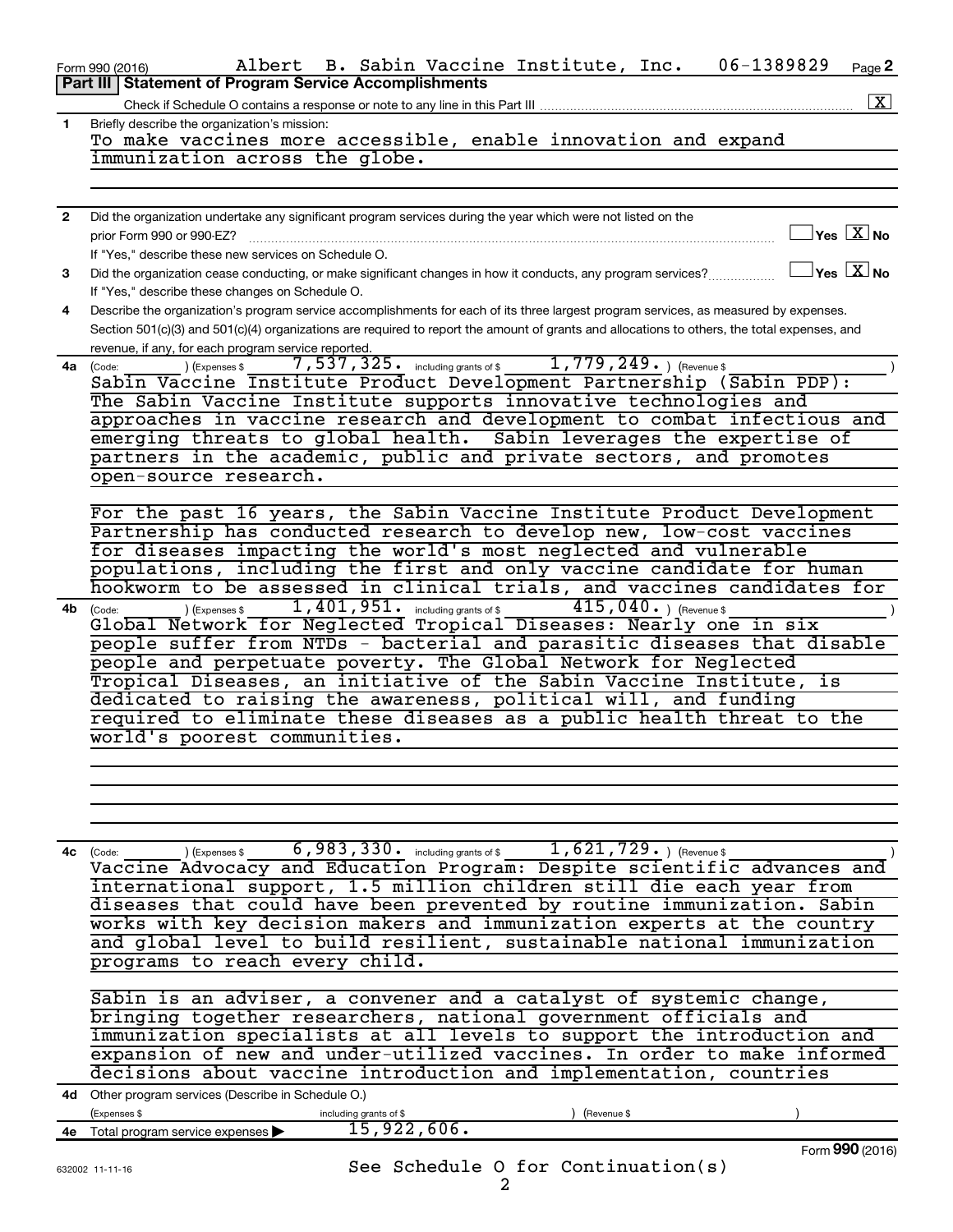|              | 06-1389829<br>Albert B. Sabin Vaccine Institute, Inc.<br>Page 2<br>Form 990 (2016)                                                                      |
|--------------|---------------------------------------------------------------------------------------------------------------------------------------------------------|
|              | <b>Part III   Statement of Program Service Accomplishments</b>                                                                                          |
|              | $\boxed{\text{X}}$<br>Check if Schedule O contains a response or note to any line in this Part III                                                      |
| $\mathbf{1}$ | Briefly describe the organization's mission:<br>To make vaccines more accessible, enable innovation and expand                                          |
|              | immunization across the globe.                                                                                                                          |
|              |                                                                                                                                                         |
|              |                                                                                                                                                         |
| $\mathbf{2}$ | Did the organization undertake any significant program services during the year which were not listed on the                                            |
|              | $\exists$ Yes $\boxed{\text{X}}$ No<br>prior Form 990 or 990-EZ?                                                                                        |
|              | If "Yes," describe these new services on Schedule O.                                                                                                    |
| 3            | $\Box$ Yes $[\overline{\mathrm{X}}]$ No<br>Did the organization cease conducting, or make significant changes in how it conducts, any program services? |
|              | If "Yes," describe these changes on Schedule O.                                                                                                         |
| 4            | Describe the organization's program service accomplishments for each of its three largest program services, as measured by expenses.                    |
|              | Section 501(c)(3) and 501(c)(4) organizations are required to report the amount of grants and allocations to others, the total expenses, and            |
| 4a           | revenue, if any, for each program service reported.<br>7, 537, 325. including grants of \$1, 779, 249. ) (Revenue \$<br>(Expenses \$<br>(Code:          |
|              | Sabin Vaccine Institute Product Development Partnership (Sabin PDP):                                                                                    |
|              | The Sabin Vaccine Institute supports innovative technologies and                                                                                        |
|              | approaches in vaccine research and development to combat infectious and                                                                                 |
|              | emerging threats to global health. Sabin leverages the expertise of                                                                                     |
|              | partners in the academic, public and private sectors, and promotes                                                                                      |
|              | open-source research.                                                                                                                                   |
|              |                                                                                                                                                         |
|              | For the past 16 years, the Sabin Vaccine Institute Product Development<br>Partnership has conducted research to develop new, low-cost vaccines          |
|              | for diseases impacting the world's most neglected and vulnerable                                                                                        |
|              | populations, including the first and only vaccine candidate for human                                                                                   |
|              | hookworm to be assessed in clinical trials, and vaccines candidates for                                                                                 |
| 4b           | 1, 401, 951. including grants of \$415, 040. ) (Revenue \$<br>) (Expenses \$<br>(Code:                                                                  |
|              | Global Network for Neglected Tropical Diseases: Nearly one in six                                                                                       |
|              | people suffer from NTDs - bacterial and parasitic diseases that disable                                                                                 |
|              | people and perpetuate poverty. The Global Network for Neglected                                                                                         |
|              | Tropical Diseases, an initiative of the Sabin Vaccine Institute, is                                                                                     |
|              | dedicated to raising the awareness, political will, and funding<br>required to eliminate these diseases as a public health threat to the                |
|              | world's poorest communities.                                                                                                                            |
|              |                                                                                                                                                         |
|              |                                                                                                                                                         |
|              |                                                                                                                                                         |
|              |                                                                                                                                                         |
|              |                                                                                                                                                         |
| 4с           | $6$ , $983$ , $330$ $\cdot$ $\,$ including grants of $\,$ $3$ $\,$ $\,$ $1$ , $621$ , $729$ $\cdot$ $\,$ $\,$ (Revenue $\,$<br>(Express \$<br>(Code:    |
|              | Vaccine Advocacy and Education Program: Despite scientific advances and<br>international support, 1.5 million children still die each year from         |
|              | diseases that could have been prevented by routine immunization. Sabin                                                                                  |
|              | works with key decision makers and immunization experts at the country                                                                                  |
|              | and global level to build resilient, sustainable national immunization                                                                                  |
|              | programs to reach every child.                                                                                                                          |
|              |                                                                                                                                                         |
|              | Sabin is an adviser, a convener and a catalyst of systemic change,                                                                                      |
|              | bringing together researchers, national government officials and                                                                                        |
|              | immunization specialists at all levels to support the introduction and                                                                                  |
|              | expansion of new and under-utilized vaccines. In order to make informed                                                                                 |
|              | decisions about vaccine introduction and implementation, countries                                                                                      |
|              | 4d Other program services (Describe in Schedule O.)                                                                                                     |
|              | (Expenses \$<br>(Revenue \$<br>including grants of \$<br>15,922,606.<br>4e Total program service expenses                                               |
|              | Form 990 (2016)                                                                                                                                         |
|              | See Schedule O for Continuation(s)<br>632002 11-11-16                                                                                                   |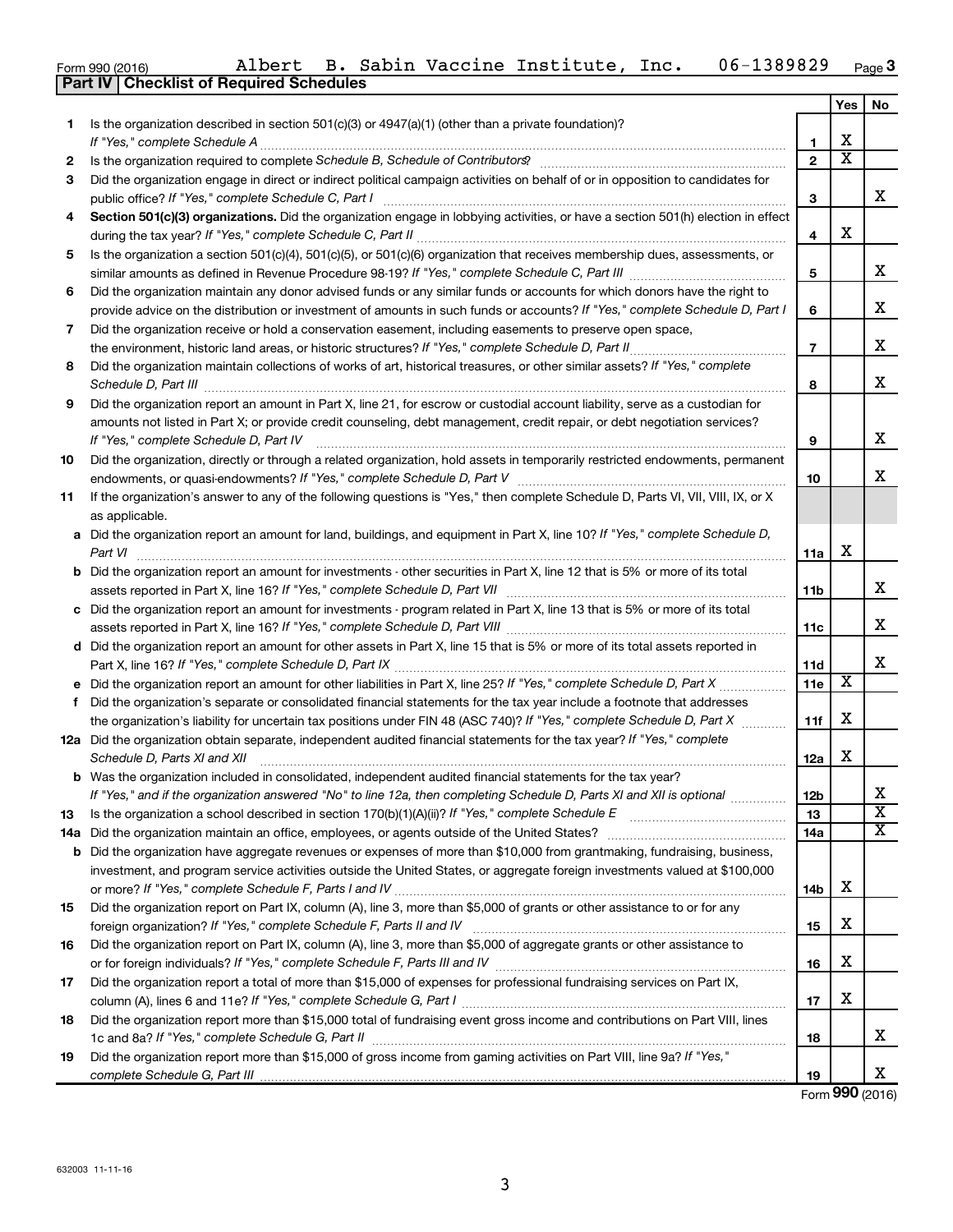|  | Form 990 (2016) |  |
|--|-----------------|--|

|     |                                                                                                                                      |                | Yes                     | No                                                 |
|-----|--------------------------------------------------------------------------------------------------------------------------------------|----------------|-------------------------|----------------------------------------------------|
| 1   | Is the organization described in section 501(c)(3) or 4947(a)(1) (other than a private foundation)?                                  |                |                         |                                                    |
|     |                                                                                                                                      | 1              | X                       |                                                    |
| 2   |                                                                                                                                      | $\overline{2}$ | $\overline{\text{x}}$   |                                                    |
| 3   | Did the organization engage in direct or indirect political campaign activities on behalf of or in opposition to candidates for      | 3              |                         | X                                                  |
| 4   | Section 501(c)(3) organizations. Did the organization engage in lobbying activities, or have a section 501(h) election in effect     |                |                         |                                                    |
|     |                                                                                                                                      | 4              | X                       |                                                    |
| 5   | Is the organization a section 501(c)(4), 501(c)(5), or 501(c)(6) organization that receives membership dues, assessments, or         |                |                         |                                                    |
|     |                                                                                                                                      | 5              |                         | x                                                  |
| 6   | Did the organization maintain any donor advised funds or any similar funds or accounts for which donors have the right to            |                |                         |                                                    |
|     | provide advice on the distribution or investment of amounts in such funds or accounts? If "Yes," complete Schedule D, Part I         | 6              |                         | X                                                  |
| 7   | Did the organization receive or hold a conservation easement, including easements to preserve open space,                            |                |                         |                                                    |
|     |                                                                                                                                      | $\overline{7}$ |                         | х                                                  |
| 8   | Did the organization maintain collections of works of art, historical treasures, or other similar assets? If "Yes," complete         | 8              |                         | X                                                  |
| 9   | Did the organization report an amount in Part X, line 21, for escrow or custodial account liability, serve as a custodian for        |                |                         |                                                    |
|     | amounts not listed in Part X; or provide credit counseling, debt management, credit repair, or debt negotiation services?            |                |                         |                                                    |
|     | If "Yes," complete Schedule D, Part IV                                                                                               | 9              |                         | X                                                  |
| 10  | Did the organization, directly or through a related organization, hold assets in temporarily restricted endowments, permanent        |                |                         |                                                    |
|     |                                                                                                                                      | 10             |                         | х                                                  |
| 11  | If the organization's answer to any of the following questions is "Yes," then complete Schedule D, Parts VI, VII, VIII, IX, or X     |                |                         |                                                    |
|     | as applicable.                                                                                                                       |                |                         |                                                    |
|     | a Did the organization report an amount for land, buildings, and equipment in Part X, line 10? If "Yes," complete Schedule D,        |                | X                       |                                                    |
|     | Part VI                                                                                                                              | 11a            |                         |                                                    |
|     | <b>b</b> Did the organization report an amount for investments - other securities in Part X, line 12 that is 5% or more of its total | 11b            |                         | x                                                  |
|     | c Did the organization report an amount for investments - program related in Part X, line 13 that is 5% or more of its total         |                |                         |                                                    |
|     |                                                                                                                                      | 11c            |                         | x                                                  |
|     | d Did the organization report an amount for other assets in Part X, line 15 that is 5% or more of its total assets reported in       |                |                         |                                                    |
|     |                                                                                                                                      | 11d            |                         | х                                                  |
|     |                                                                                                                                      | 11e            | $\overline{\textbf{x}}$ |                                                    |
| f   | Did the organization's separate or consolidated financial statements for the tax year include a footnote that addresses              |                |                         |                                                    |
|     | the organization's liability for uncertain tax positions under FIN 48 (ASC 740)? If "Yes," complete Schedule D, Part X               | 11f            | X                       |                                                    |
|     | 12a Did the organization obtain separate, independent audited financial statements for the tax year? If "Yes," complete              |                |                         |                                                    |
|     | Schedule D, Parts XI and XII                                                                                                         | 12a            | X                       |                                                    |
|     | <b>b</b> Was the organization included in consolidated, independent audited financial statements for the tax year?                   |                |                         |                                                    |
|     | If "Yes," and if the organization answered "No" to line 12a, then completing Schedule D, Parts XI and XII is optional                | 12b            |                         | Δ,                                                 |
| 13  |                                                                                                                                      | 13             |                         | $\overline{\textbf{x}}$<br>$\overline{\mathbf{X}}$ |
| 14a | Did the organization maintain an office, employees, or agents outside of the United States?                                          | 14a            |                         |                                                    |
| b   | Did the organization have aggregate revenues or expenses of more than \$10,000 from grantmaking, fundraising, business,              |                |                         |                                                    |
|     | investment, and program service activities outside the United States, or aggregate foreign investments valued at \$100,000           | 14b            | X                       |                                                    |
| 15  | Did the organization report on Part IX, column (A), line 3, more than \$5,000 of grants or other assistance to or for any            |                |                         |                                                    |
|     |                                                                                                                                      | 15             | X                       |                                                    |
| 16  | Did the organization report on Part IX, column (A), line 3, more than \$5,000 of aggregate grants or other assistance to             |                |                         |                                                    |
|     |                                                                                                                                      | 16             | X                       |                                                    |
| 17  | Did the organization report a total of more than \$15,000 of expenses for professional fundraising services on Part IX,              |                |                         |                                                    |
|     |                                                                                                                                      | 17             | X                       |                                                    |
| 18  | Did the organization report more than \$15,000 total of fundraising event gross income and contributions on Part VIII, lines         |                |                         |                                                    |
|     |                                                                                                                                      | 18             |                         | x                                                  |
| 19  | Did the organization report more than \$15,000 of gross income from gaming activities on Part VIII, line 9a? If "Yes,"               |                |                         |                                                    |
|     |                                                                                                                                      | 19             |                         | x                                                  |

Form (2016) **990**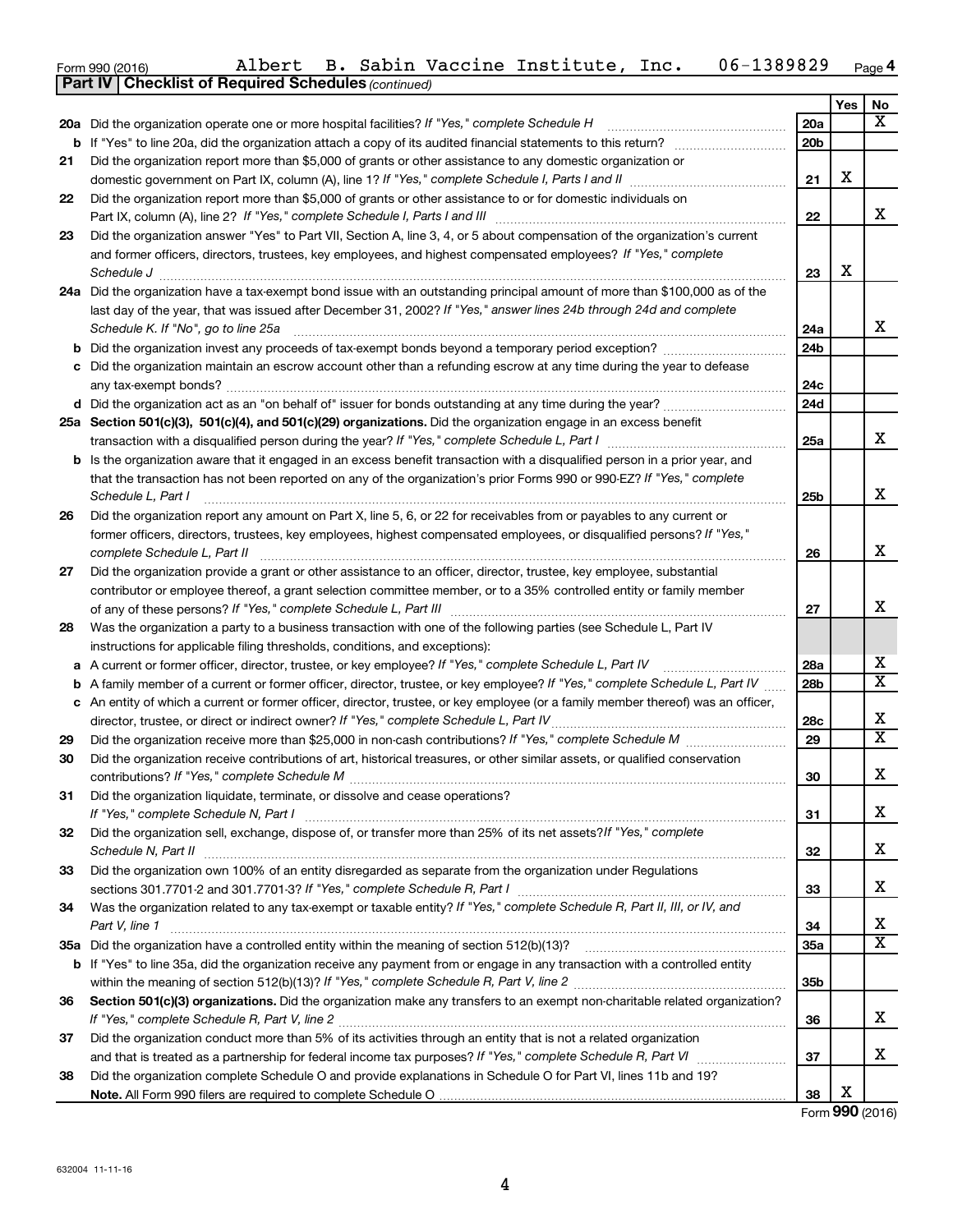| Form 990 (2016) | Albert | <b>B.</b> | Sabin | Vaccine | Institute, | Inc. | 1389829<br>$06 -$ | Page 4 |
|-----------------|--------|-----------|-------|---------|------------|------|-------------------|--------|
|-----------------|--------|-----------|-------|---------|------------|------|-------------------|--------|

|    | <b>Part IV   Checklist of Required Schedules (continued)</b>                                                                                                                                                                       |                 |     |                         |
|----|------------------------------------------------------------------------------------------------------------------------------------------------------------------------------------------------------------------------------------|-----------------|-----|-------------------------|
|    |                                                                                                                                                                                                                                    |                 | Yes | No                      |
|    | 20a Did the organization operate one or more hospital facilities? If "Yes," complete Schedule H                                                                                                                                    | <b>20a</b>      |     | $\overline{\mathbf{X}}$ |
| b  |                                                                                                                                                                                                                                    | 20 <sub>b</sub> |     |                         |
| 21 | Did the organization report more than \$5,000 of grants or other assistance to any domestic organization or                                                                                                                        |                 |     |                         |
|    |                                                                                                                                                                                                                                    | 21              | X   |                         |
| 22 | Did the organization report more than \$5,000 of grants or other assistance to or for domestic individuals on                                                                                                                      |                 |     |                         |
|    |                                                                                                                                                                                                                                    | 22              |     | X                       |
| 23 | Did the organization answer "Yes" to Part VII, Section A, line 3, 4, or 5 about compensation of the organization's current                                                                                                         |                 |     |                         |
|    | and former officers, directors, trustees, key employees, and highest compensated employees? If "Yes," complete                                                                                                                     |                 |     |                         |
|    | Schedule J <b>Execute J Execute Contract Contract Contract Contract Contract Contract Contract Contract Contract Contract Contract Contract Contract Contract Contract Contract Contract Contract Contract Contract Contract C</b> | 23              | X   |                         |
|    | 24a Did the organization have a tax-exempt bond issue with an outstanding principal amount of more than \$100,000 as of the                                                                                                        |                 |     |                         |
|    | last day of the year, that was issued after December 31, 2002? If "Yes," answer lines 24b through 24d and complete                                                                                                                 |                 |     |                         |
|    | Schedule K. If "No", go to line 25a                                                                                                                                                                                                | 24a             |     | x                       |
| b  |                                                                                                                                                                                                                                    | 24 <sub>b</sub> |     |                         |
| c  | Did the organization maintain an escrow account other than a refunding escrow at any time during the year to defease                                                                                                               |                 |     |                         |
|    |                                                                                                                                                                                                                                    | 24c             |     |                         |
|    |                                                                                                                                                                                                                                    | 24d             |     |                         |
|    | 25a Section 501(c)(3), 501(c)(4), and 501(c)(29) organizations. Did the organization engage in an excess benefit                                                                                                                   |                 |     |                         |
|    |                                                                                                                                                                                                                                    | 25a             |     | x                       |
|    | <b>b</b> Is the organization aware that it engaged in an excess benefit transaction with a disqualified person in a prior year, and                                                                                                |                 |     |                         |
|    | that the transaction has not been reported on any of the organization's prior Forms 990 or 990-EZ? If "Yes," complete                                                                                                              |                 |     |                         |
|    | Schedule L, Part I                                                                                                                                                                                                                 | 25b             |     | X                       |
| 26 | Did the organization report any amount on Part X, line 5, 6, or 22 for receivables from or payables to any current or                                                                                                              |                 |     |                         |
|    | former officers, directors, trustees, key employees, highest compensated employees, or disqualified persons? If "Yes,"                                                                                                             |                 |     |                         |
|    | complete Schedule L, Part II                                                                                                                                                                                                       | 26              |     | X                       |
| 27 | Did the organization provide a grant or other assistance to an officer, director, trustee, key employee, substantial                                                                                                               |                 |     |                         |
|    | contributor or employee thereof, a grant selection committee member, or to a 35% controlled entity or family member                                                                                                                |                 |     |                         |
|    |                                                                                                                                                                                                                                    | 27              |     | X                       |
| 28 | Was the organization a party to a business transaction with one of the following parties (see Schedule L, Part IV                                                                                                                  |                 |     |                         |
|    | instructions for applicable filing thresholds, conditions, and exceptions):                                                                                                                                                        |                 |     |                         |
| а  | A current or former officer, director, trustee, or key employee? If "Yes," complete Schedule L, Part IV                                                                                                                            | 28a             |     | х                       |
| b  | A family member of a current or former officer, director, trustee, or key employee? If "Yes," complete Schedule L, Part IV                                                                                                         | 28 <sub>b</sub> |     | $\overline{\mathtt{x}}$ |
|    | c An entity of which a current or former officer, director, trustee, or key employee (or a family member thereof) was an officer,                                                                                                  |                 |     |                         |
|    | director, trustee, or direct or indirect owner? If "Yes," complete Schedule L, Part IV                                                                                                                                             | 28c             |     | х                       |
| 29 |                                                                                                                                                                                                                                    | 29              |     | $\overline{\mathtt{x}}$ |
| 30 | Did the organization receive contributions of art, historical treasures, or other similar assets, or qualified conservation                                                                                                        |                 |     |                         |
|    |                                                                                                                                                                                                                                    | 30              |     | Χ                       |
| 31 | Did the organization liquidate, terminate, or dissolve and cease operations?                                                                                                                                                       |                 |     |                         |
|    |                                                                                                                                                                                                                                    | 31              |     | x                       |
| 32 | Did the organization sell, exchange, dispose of, or transfer more than 25% of its net assets? If "Yes," complete                                                                                                                   |                 |     |                         |
|    |                                                                                                                                                                                                                                    | 32              |     | x                       |
| 33 | Did the organization own 100% of an entity disregarded as separate from the organization under Regulations                                                                                                                         |                 |     |                         |
|    |                                                                                                                                                                                                                                    | 33              |     | x                       |
| 34 | Was the organization related to any tax-exempt or taxable entity? If "Yes," complete Schedule R, Part II, III, or IV, and                                                                                                          |                 |     |                         |
|    | Part V, line 1                                                                                                                                                                                                                     | 34              |     | х                       |
|    |                                                                                                                                                                                                                                    | 35a             |     | $\overline{\mathtt{x}}$ |
| b  | If "Yes" to line 35a, did the organization receive any payment from or engage in any transaction with a controlled entity                                                                                                          |                 |     |                         |
|    |                                                                                                                                                                                                                                    | 35 <sub>b</sub> |     |                         |
| 36 | Section 501(c)(3) organizations. Did the organization make any transfers to an exempt non-charitable related organization?                                                                                                         |                 |     |                         |
|    |                                                                                                                                                                                                                                    | 36              |     | x                       |
| 37 | Did the organization conduct more than 5% of its activities through an entity that is not a related organization                                                                                                                   |                 |     |                         |
|    |                                                                                                                                                                                                                                    | 37              |     | x                       |
| 38 | Did the organization complete Schedule O and provide explanations in Schedule O for Part VI, lines 11b and 19?                                                                                                                     |                 |     |                         |
|    |                                                                                                                                                                                                                                    | 38              | X   |                         |

Form (2016) **990**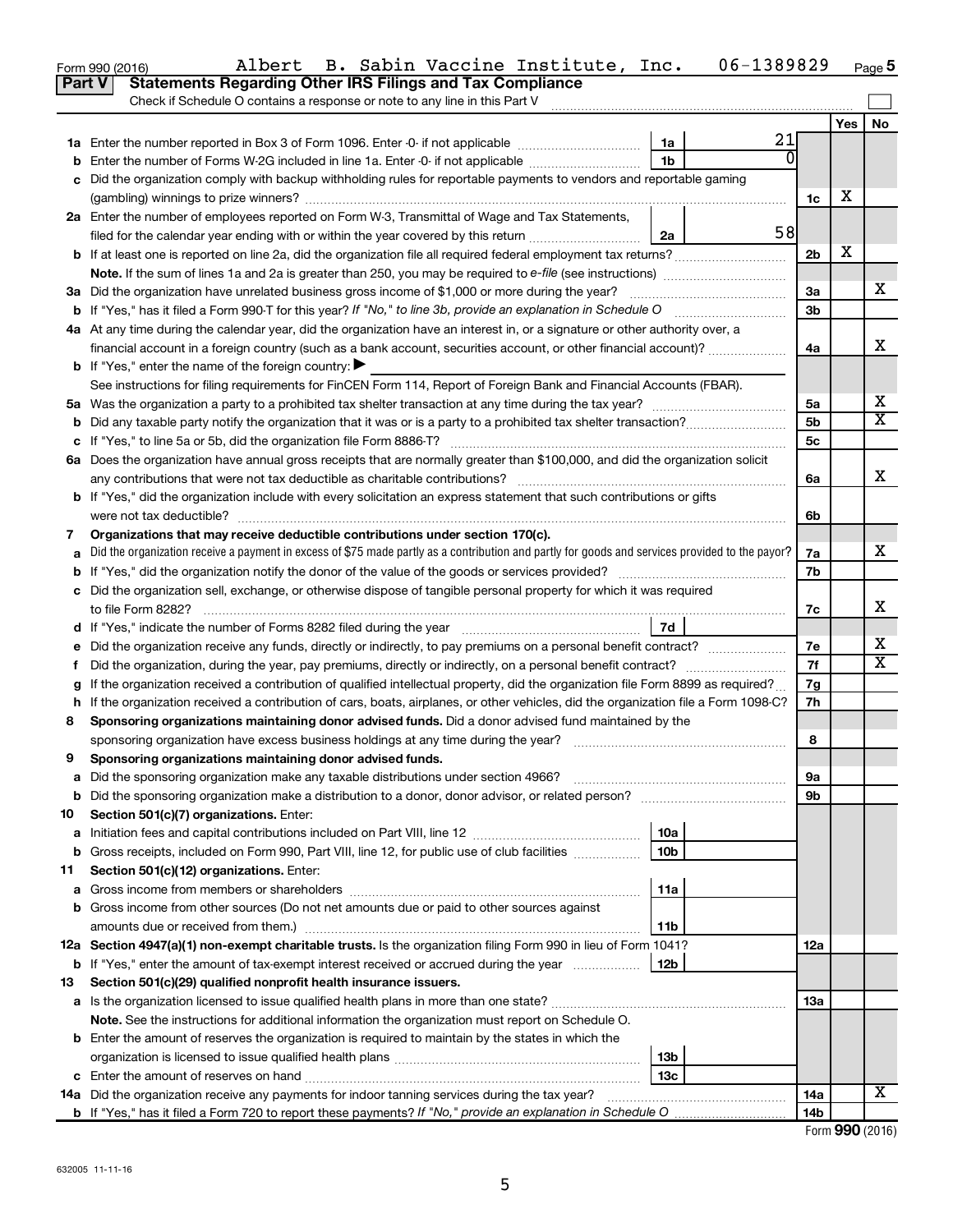|    | 06-1389829<br>Albert B. Sabin Vaccine Institute, Inc.<br>Form 990 (2016)                                                                                 |     |     | Page 5                  |  |  |  |
|----|----------------------------------------------------------------------------------------------------------------------------------------------------------|-----|-----|-------------------------|--|--|--|
|    | <b>Statements Regarding Other IRS Filings and Tax Compliance</b><br>Part V<br>Check if Schedule O contains a response or note to any line in this Part V |     |     |                         |  |  |  |
|    |                                                                                                                                                          |     |     |                         |  |  |  |
|    |                                                                                                                                                          |     | Yes | No                      |  |  |  |
|    | 21<br>1a Enter the number reported in Box 3 of Form 1096. Enter -0- if not applicable<br>1a<br>0                                                         |     |     |                         |  |  |  |
| b  | Enter the number of Forms W-2G included in line 1a. Enter -0- if not applicable<br>1b                                                                    |     |     |                         |  |  |  |
|    | c Did the organization comply with backup withholding rules for reportable payments to vendors and reportable gaming                                     |     |     |                         |  |  |  |
|    |                                                                                                                                                          | 1c  | х   |                         |  |  |  |
|    | 2a Enter the number of employees reported on Form W-3, Transmittal of Wage and Tax Statements,<br>58                                                     |     |     |                         |  |  |  |
|    | filed for the calendar year ending with or within the year covered by this return <i>[[[[[[[[[[[[[]]]]</i><br>2a                                         |     |     |                         |  |  |  |
|    | <b>b</b> If at least one is reported on line 2a, did the organization file all required federal employment tax returns?                                  | 2b  | х   |                         |  |  |  |
|    |                                                                                                                                                          |     |     |                         |  |  |  |
|    | 3a Did the organization have unrelated business gross income of \$1,000 or more during the year?                                                         | За  |     | х                       |  |  |  |
|    | <b>b</b> If "Yes," has it filed a Form 990-T for this year? If "No," to line 3b, provide an explanation in Schedule O                                    | 3b  |     |                         |  |  |  |
|    | 4a At any time during the calendar year, did the organization have an interest in, or a signature or other authority over, a                             |     |     |                         |  |  |  |
|    | financial account in a foreign country (such as a bank account, securities account, or other financial account)?                                         | 4a  |     | x                       |  |  |  |
|    | <b>b</b> If "Yes," enter the name of the foreign country: $\blacktriangleright$                                                                          |     |     |                         |  |  |  |
|    | See instructions for filing requirements for FinCEN Form 114, Report of Foreign Bank and Financial Accounts (FBAR).                                      |     |     |                         |  |  |  |
|    |                                                                                                                                                          | 5a  |     | х                       |  |  |  |
|    |                                                                                                                                                          | 5b  |     | $\overline{\texttt{X}}$ |  |  |  |
|    | c If "Yes," to line 5a or 5b, did the organization file Form 8886-T?                                                                                     | 5c  |     |                         |  |  |  |
|    | 6a Does the organization have annual gross receipts that are normally greater than \$100,000, and did the organization solicit                           |     |     |                         |  |  |  |
|    | any contributions that were not tax deductible as charitable contributions?                                                                              | 6a  |     | x                       |  |  |  |
|    | <b>b</b> If "Yes," did the organization include with every solicitation an express statement that such contributions or gifts                            |     |     |                         |  |  |  |
|    | were not tax deductible?                                                                                                                                 | 6b  |     |                         |  |  |  |
| 7  | Organizations that may receive deductible contributions under section 170(c).                                                                            |     |     | x                       |  |  |  |
|    | Did the organization receive a payment in excess of \$75 made partly as a contribution and partly for goods and services provided to the payor?<br>a     |     |     |                         |  |  |  |
|    | <b>b</b> If "Yes," did the organization notify the donor of the value of the goods or services provided?                                                 | 7b  |     |                         |  |  |  |
|    | c Did the organization sell, exchange, or otherwise dispose of tangible personal property for which it was required                                      |     |     |                         |  |  |  |
|    | to file Form 8282?                                                                                                                                       | 7c  |     | х                       |  |  |  |
|    | 7d<br>d If "Yes," indicate the number of Forms 8282 filed during the year                                                                                |     |     |                         |  |  |  |
| е  | Did the organization receive any funds, directly or indirectly, to pay premiums on a personal benefit contract?                                          | 7е  |     | x                       |  |  |  |
| f. | Did the organization, during the year, pay premiums, directly or indirectly, on a personal benefit contract?                                             | 7f  |     | $\overline{\texttt{X}}$ |  |  |  |
| g  | If the organization received a contribution of qualified intellectual property, did the organization file Form 8899 as required?                         | 7g  |     |                         |  |  |  |
|    | h If the organization received a contribution of cars, boats, airplanes, or other vehicles, did the organization file a Form 1098-C?                     | 7h  |     |                         |  |  |  |
| 8  | Sponsoring organizations maintaining donor advised funds. Did a donor advised fund maintained by the                                                     |     |     |                         |  |  |  |
|    | sponsoring organization have excess business holdings at any time during the year?                                                                       | 8   |     |                         |  |  |  |
| 9  | Sponsoring organizations maintaining donor advised funds.                                                                                                |     |     |                         |  |  |  |
| а  | Did the sponsoring organization make any taxable distributions under section 4966?                                                                       | 9а  |     |                         |  |  |  |
| b  |                                                                                                                                                          | 9b  |     |                         |  |  |  |
| 10 | Section 501(c)(7) organizations. Enter:                                                                                                                  |     |     |                         |  |  |  |
| a  | 10a<br>Initiation fees and capital contributions included on Part VIII, line 12                                                                          |     |     |                         |  |  |  |
| b  | 10 <sub>b</sub><br>Gross receipts, included on Form 990, Part VIII, line 12, for public use of club facilities                                           |     |     |                         |  |  |  |
| 11 | Section 501(c)(12) organizations. Enter:                                                                                                                 |     |     |                         |  |  |  |
| а  | 11a                                                                                                                                                      |     |     |                         |  |  |  |
| b  | Gross income from other sources (Do not net amounts due or paid to other sources against                                                                 |     |     |                         |  |  |  |
|    | 11b                                                                                                                                                      |     |     |                         |  |  |  |
|    | 12a Section 4947(a)(1) non-exempt charitable trusts. Is the organization filing Form 990 in lieu of Form 1041?                                           | 12a |     |                         |  |  |  |
|    | 12 <sub>b</sub><br><b>b</b> If "Yes," enter the amount of tax-exempt interest received or accrued during the year                                        |     |     |                         |  |  |  |
| 13 | Section 501(c)(29) qualified nonprofit health insurance issuers.                                                                                         |     |     |                         |  |  |  |
| а  | Is the organization licensed to issue qualified health plans in more than one state?                                                                     | 13a |     |                         |  |  |  |
|    | Note. See the instructions for additional information the organization must report on Schedule O.                                                        |     |     |                         |  |  |  |
| b  | Enter the amount of reserves the organization is required to maintain by the states in which the                                                         |     |     |                         |  |  |  |
|    | 13 <sub>b</sub>                                                                                                                                          |     |     |                         |  |  |  |
|    | 13с                                                                                                                                                      |     |     |                         |  |  |  |
|    | <b>14a</b> Did the organization receive any payments for indoor tanning services during the tax year?                                                    | 14a |     | х                       |  |  |  |
|    |                                                                                                                                                          | 14b |     |                         |  |  |  |
|    |                                                                                                                                                          |     |     | Form 990 (2016)         |  |  |  |

| Form 990 (2016) |  |
|-----------------|--|
|-----------------|--|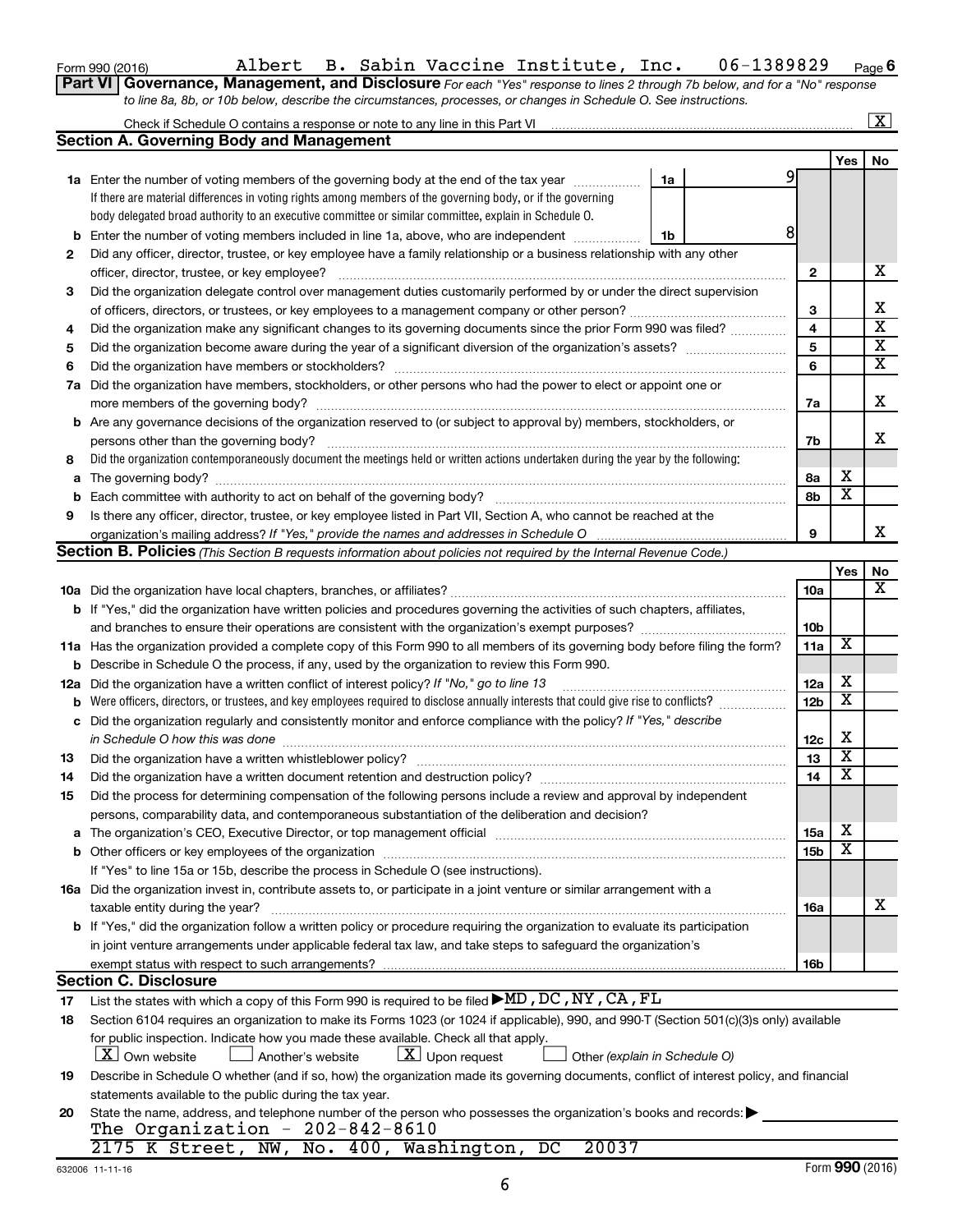| Form 990 (2016) |  |
|-----------------|--|
|-----------------|--|

## Form 990 (2016) Page Albert B. Sabin Vaccine Institute, Inc. 06-1389829

**6**

**Part VI** Governance, Management, and Disclosure For each "Yes" response to lines 2 through 7b below, and for a "No" response *to line 8a, 8b, or 10b below, describe the circumstances, processes, or changes in Schedule O. See instructions.*

|     | Check if Schedule O contains a response or note to any line in this Part VI                                                                                                                                                    |                 |                         | $\overline{\textbf{x}}$ |
|-----|--------------------------------------------------------------------------------------------------------------------------------------------------------------------------------------------------------------------------------|-----------------|-------------------------|-------------------------|
|     | <b>Section A. Governing Body and Management</b>                                                                                                                                                                                |                 |                         |                         |
|     |                                                                                                                                                                                                                                |                 | Yes                     | No                      |
|     | 1a Enter the number of voting members of the governing body at the end of the tax year<br>1a                                                                                                                                   |                 |                         |                         |
|     | If there are material differences in voting rights among members of the governing body, or if the governing                                                                                                                    |                 |                         |                         |
|     | body delegated broad authority to an executive committee or similar committee, explain in Schedule O.                                                                                                                          |                 |                         |                         |
| b   | Enter the number of voting members included in line 1a, above, who are independent<br>1b                                                                                                                                       | 8               |                         |                         |
| 2   | Did any officer, director, trustee, or key employee have a family relationship or a business relationship with any other                                                                                                       |                 |                         |                         |
|     | officer, director, trustee, or key employee?                                                                                                                                                                                   | $\mathbf{2}$    |                         | х                       |
| 3   | Did the organization delegate control over management duties customarily performed by or under the direct supervision                                                                                                          |                 |                         |                         |
|     | of officers, directors, or trustees, or key employees to a management company or other person?                                                                                                                                 | 3               |                         | х                       |
| 4   | Did the organization make any significant changes to its governing documents since the prior Form 990 was filed?                                                                                                               | 4               |                         | $\overline{\textbf{x}}$ |
| 5   |                                                                                                                                                                                                                                | 5               |                         | х                       |
| 6   |                                                                                                                                                                                                                                | 6               |                         | $\overline{\textbf{x}}$ |
| 7a  | Did the organization have members, stockholders, or other persons who had the power to elect or appoint one or                                                                                                                 |                 |                         |                         |
|     |                                                                                                                                                                                                                                | 7a              |                         | х                       |
| b   | Are any governance decisions of the organization reserved to (or subject to approval by) members, stockholders, or                                                                                                             |                 |                         |                         |
|     | persons other than the governing body?                                                                                                                                                                                         | 7b              |                         | x                       |
| 8   | Did the organization contemporaneously document the meetings held or written actions undertaken during the year by the following:                                                                                              |                 |                         |                         |
| a   |                                                                                                                                                                                                                                | 8а              | х                       |                         |
| b   |                                                                                                                                                                                                                                | 8b              | $\overline{\mathbf{x}}$ |                         |
| 9   | Is there any officer, director, trustee, or key employee listed in Part VII, Section A, who cannot be reached at the                                                                                                           |                 |                         |                         |
|     | organization's mailing address? If "Yes," provide the names and addresses in Schedule O                                                                                                                                        | 9               |                         | x                       |
|     | Section B. Policies (This Section B requests information about policies not required by the Internal Revenue Code.)                                                                                                            |                 |                         |                         |
|     |                                                                                                                                                                                                                                |                 | Yes                     | No                      |
|     |                                                                                                                                                                                                                                | 10a             |                         | х                       |
|     | <b>b</b> If "Yes," did the organization have written policies and procedures governing the activities of such chapters, affiliates,                                                                                            |                 |                         |                         |
|     |                                                                                                                                                                                                                                | 10 <sub>b</sub> |                         |                         |
|     | 11a Has the organization provided a complete copy of this Form 990 to all members of its governing body before filing the form?                                                                                                | 11a             | $\overline{\textbf{x}}$ |                         |
| b   | Describe in Schedule O the process, if any, used by the organization to review this Form 990.                                                                                                                                  |                 |                         |                         |
| 12a | Did the organization have a written conflict of interest policy? If "No," go to line 13                                                                                                                                        | 12a             | X                       |                         |
| b   | Were officers, directors, or trustees, and key employees required to disclose annually interests that could give rise to conflicts?                                                                                            | 12 <sub>b</sub> | $\overline{\textbf{x}}$ |                         |
| с   | Did the organization regularly and consistently monitor and enforce compliance with the policy? If "Yes," describe                                                                                                             |                 |                         |                         |
|     | in Schedule O how this was done                                                                                                                                                                                                | 12c             | X                       |                         |
| 13  | Did the organization have a written whistleblower policy?                                                                                                                                                                      | 13              | $\overline{\textbf{x}}$ |                         |
| 14  |                                                                                                                                                                                                                                | 14              | $\overline{\textbf{x}}$ |                         |
| 15  | Did the process for determining compensation of the following persons include a review and approval by independent                                                                                                             |                 |                         |                         |
|     | persons, comparability data, and contemporaneous substantiation of the deliberation and decision?                                                                                                                              |                 |                         |                         |
|     | The organization's CEO, Executive Director, or top management official manufactured content of the organization's CEO, Executive Director, or top management official manufactured content of the organization's CEO, Executiv | <b>15a</b>      | х                       |                         |
|     |                                                                                                                                                                                                                                | 15 <sub>b</sub> | х                       |                         |
|     | If "Yes" to line 15a or 15b, describe the process in Schedule O (see instructions).                                                                                                                                            |                 |                         |                         |
|     | 16a Did the organization invest in, contribute assets to, or participate in a joint venture or similar arrangement with a                                                                                                      |                 |                         |                         |
|     | taxable entity during the year?                                                                                                                                                                                                | <b>16a</b>      |                         | х                       |
|     | b If "Yes," did the organization follow a written policy or procedure requiring the organization to evaluate its participation                                                                                                 |                 |                         |                         |
|     | in joint venture arrangements under applicable federal tax law, and take steps to safeguard the organization's                                                                                                                 |                 |                         |                         |
|     | exempt status with respect to such arrangements?                                                                                                                                                                               | 16b             |                         |                         |
|     | <b>Section C. Disclosure</b>                                                                                                                                                                                                   |                 |                         |                         |
| 17  | List the states with which a copy of this Form 990 is required to be filed $\blacktriangleright$ MD, DC, NY, CA, FL                                                                                                            |                 |                         |                         |
| 18  | Section 6104 requires an organization to make its Forms 1023 (or 1024 if applicable), 990, and 990-T (Section 501(c)(3)s only) available                                                                                       |                 |                         |                         |
|     | for public inspection. Indicate how you made these available. Check all that apply.                                                                                                                                            |                 |                         |                         |
|     | $ \mathbf{X} $ Own website<br>$\lfloor x \rfloor$ Upon request<br>Another's website<br>Other (explain in Schedule O)                                                                                                           |                 |                         |                         |
| 19  | Describe in Schedule O whether (and if so, how) the organization made its governing documents, conflict of interest policy, and financial                                                                                      |                 |                         |                         |
|     | statements available to the public during the tax year.                                                                                                                                                                        |                 |                         |                         |
| 20  | State the name, address, and telephone number of the person who possesses the organization's books and records:<br>The Organization - $202-842-8610$                                                                           |                 |                         |                         |
|     | 2175 K Street, NW, No. 400, Washington, DC<br>20037                                                                                                                                                                            |                 |                         |                         |
|     |                                                                                                                                                                                                                                |                 |                         |                         |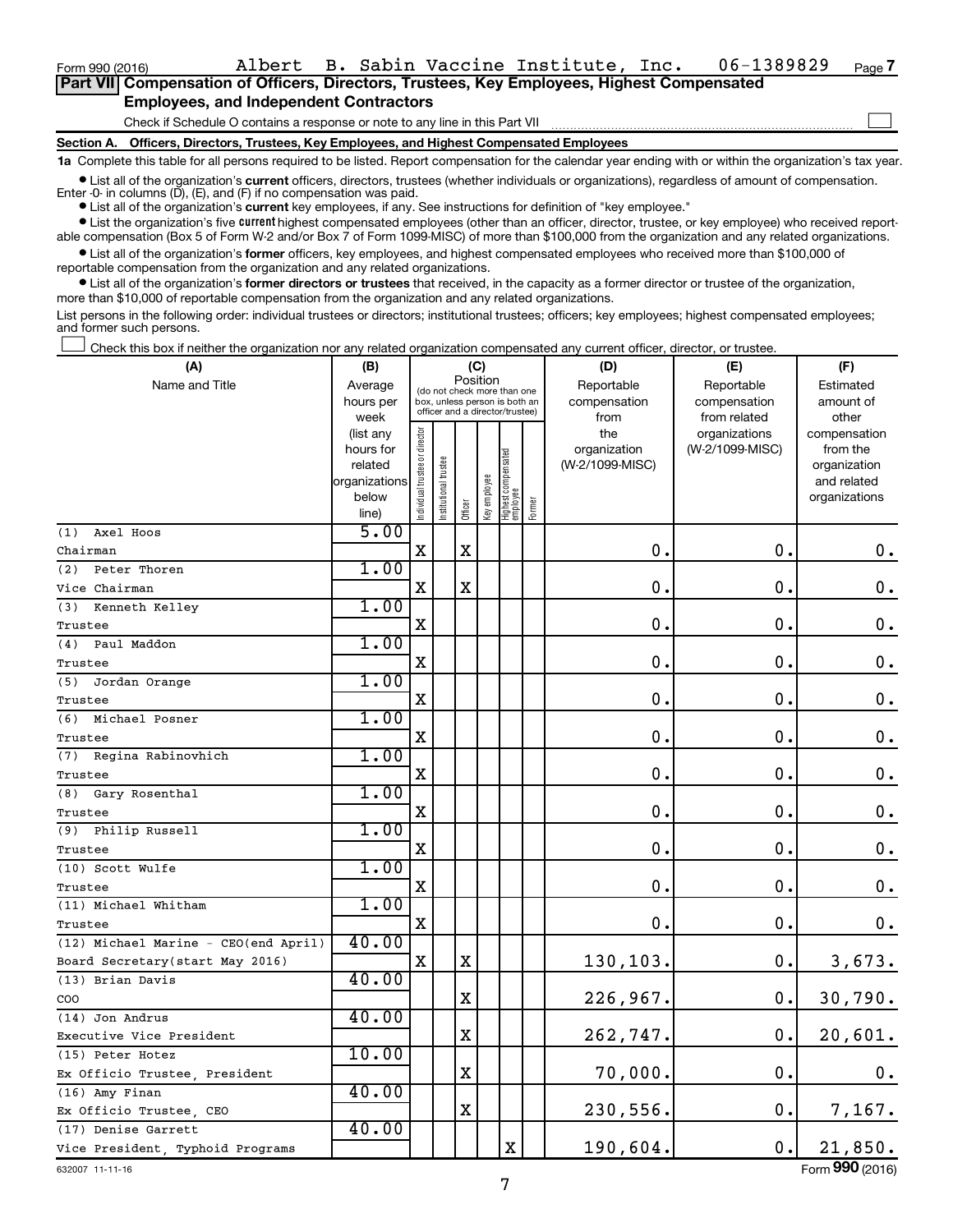Form 990 (2016) Page Albert B. Sabin Vaccine Institute, Inc. 06-1389829

| Part VII Compensation of Officers, Directors, Trustees, Key Employees, Highest Compensated |  |
|--------------------------------------------------------------------------------------------|--|
| <b>Employees, and Independent Contractors</b>                                              |  |

Check if Schedule O contains a response or note to any line in this Part VII

**Section A. Officers, Directors, Trustees, Key Employees, and Highest Compensated Employees**

**1a**  Complete this table for all persons required to be listed. Report compensation for the calendar year ending with or within the organization's tax year.

**•** List all of the organization's current officers, directors, trustees (whether individuals or organizations), regardless of amount of compensation. Enter -0- in columns  $(D)$ ,  $(E)$ , and  $(F)$  if no compensation was paid.

**•** List all of the organization's **current** key employees, if any. See instructions for definition of "key employee."

**•** List the organization's five current highest compensated employees (other than an officer, director, trustee, or key employee) who received reportable compensation (Box 5 of Form W-2 and/or Box 7 of Form 1099-MISC) of more than \$100,000 from the organization and any related organizations.

**•** List all of the organization's former officers, key employees, and highest compensated employees who received more than \$100,000 of reportable compensation from the organization and any related organizations.

**•** List all of the organization's former directors or trustees that received, in the capacity as a former director or trustee of the organization, more than \$10,000 of reportable compensation from the organization and any related organizations.

List persons in the following order: individual trustees or directors; institutional trustees; officers; key employees; highest compensated employees; and former such persons.

Check this box if neither the organization nor any related organization compensated any current officer, director, or trustee. †

| Position<br>Name and Title<br>Reportable<br>Reportable<br>Estimated<br>Average<br>(do not check more than one<br>hours per<br>compensation<br>compensation<br>amount of<br>box, unless person is both an<br>officer and a director/trustee)<br>week<br>from<br>from related<br>other<br>Individual trustee or director<br>(list any<br>the<br>organizations<br>compensation<br>organization<br>(W-2/1099-MISC)<br>hours for<br>from the<br>Highest compensated<br>employee<br>trustee<br>(W-2/1099-MISC)<br>related<br>organization<br>Key employee<br>organizations<br>and related<br>Institutional t<br>below<br>organizations<br>Former<br>Officer<br>line)<br>5.00<br>Axel Hoos<br>(1)<br>X<br>0.<br>X<br>0.<br>$0\cdot$<br>Chairman<br>1.00<br>(2)<br>Peter Thoren<br>0.<br>X<br>$\mathbf X$<br>$\mathbf 0$<br>$\mathbf 0$ . | (A)           |
|-----------------------------------------------------------------------------------------------------------------------------------------------------------------------------------------------------------------------------------------------------------------------------------------------------------------------------------------------------------------------------------------------------------------------------------------------------------------------------------------------------------------------------------------------------------------------------------------------------------------------------------------------------------------------------------------------------------------------------------------------------------------------------------------------------------------------------------|---------------|
|                                                                                                                                                                                                                                                                                                                                                                                                                                                                                                                                                                                                                                                                                                                                                                                                                                   |               |
|                                                                                                                                                                                                                                                                                                                                                                                                                                                                                                                                                                                                                                                                                                                                                                                                                                   |               |
|                                                                                                                                                                                                                                                                                                                                                                                                                                                                                                                                                                                                                                                                                                                                                                                                                                   |               |
|                                                                                                                                                                                                                                                                                                                                                                                                                                                                                                                                                                                                                                                                                                                                                                                                                                   |               |
|                                                                                                                                                                                                                                                                                                                                                                                                                                                                                                                                                                                                                                                                                                                                                                                                                                   |               |
|                                                                                                                                                                                                                                                                                                                                                                                                                                                                                                                                                                                                                                                                                                                                                                                                                                   |               |
|                                                                                                                                                                                                                                                                                                                                                                                                                                                                                                                                                                                                                                                                                                                                                                                                                                   |               |
|                                                                                                                                                                                                                                                                                                                                                                                                                                                                                                                                                                                                                                                                                                                                                                                                                                   |               |
|                                                                                                                                                                                                                                                                                                                                                                                                                                                                                                                                                                                                                                                                                                                                                                                                                                   |               |
|                                                                                                                                                                                                                                                                                                                                                                                                                                                                                                                                                                                                                                                                                                                                                                                                                                   |               |
|                                                                                                                                                                                                                                                                                                                                                                                                                                                                                                                                                                                                                                                                                                                                                                                                                                   |               |
|                                                                                                                                                                                                                                                                                                                                                                                                                                                                                                                                                                                                                                                                                                                                                                                                                                   | Vice Chairman |
| 1.00<br>Kenneth Kelley<br>(3)                                                                                                                                                                                                                                                                                                                                                                                                                                                                                                                                                                                                                                                                                                                                                                                                     |               |
| 0.<br>X<br>$\mathbf 0$ .<br>$\boldsymbol{0}$ .<br>Trustee                                                                                                                                                                                                                                                                                                                                                                                                                                                                                                                                                                                                                                                                                                                                                                         |               |
| 1.00<br>Paul Maddon<br>(4)                                                                                                                                                                                                                                                                                                                                                                                                                                                                                                                                                                                                                                                                                                                                                                                                        |               |
| $\mathbf X$<br>0.<br>$\mathbf 0$<br>0.<br>Trustee                                                                                                                                                                                                                                                                                                                                                                                                                                                                                                                                                                                                                                                                                                                                                                                 |               |
| 1.00<br>(5) Jordan Orange                                                                                                                                                                                                                                                                                                                                                                                                                                                                                                                                                                                                                                                                                                                                                                                                         |               |
| $\mathbf 0$ .<br>X<br>$\mathbf 0$<br>0.<br>Trustee                                                                                                                                                                                                                                                                                                                                                                                                                                                                                                                                                                                                                                                                                                                                                                                |               |
| 1.00<br>(6)<br>Michael Posner                                                                                                                                                                                                                                                                                                                                                                                                                                                                                                                                                                                                                                                                                                                                                                                                     |               |
| X<br>0<br>$\mathbf 0$ .<br>0.<br>Trustee                                                                                                                                                                                                                                                                                                                                                                                                                                                                                                                                                                                                                                                                                                                                                                                          |               |
| 1.00<br>Regina Rabinovhich<br>(7)                                                                                                                                                                                                                                                                                                                                                                                                                                                                                                                                                                                                                                                                                                                                                                                                 |               |
| $\mathbf 0$<br>$\mathbf 0$ .<br>X<br>0.<br>Trustee                                                                                                                                                                                                                                                                                                                                                                                                                                                                                                                                                                                                                                                                                                                                                                                |               |
| 1.00<br>Gary Rosenthal<br>(8)                                                                                                                                                                                                                                                                                                                                                                                                                                                                                                                                                                                                                                                                                                                                                                                                     |               |
| $\mathbf 0$ .<br>$\mathbf 0$ .<br>X<br>0.<br>Trustee                                                                                                                                                                                                                                                                                                                                                                                                                                                                                                                                                                                                                                                                                                                                                                              |               |
| 1.00<br>Philip Russell<br>(9)                                                                                                                                                                                                                                                                                                                                                                                                                                                                                                                                                                                                                                                                                                                                                                                                     |               |
| X<br>$\mathbf 0$ .<br>0.<br>0.<br>Trustee                                                                                                                                                                                                                                                                                                                                                                                                                                                                                                                                                                                                                                                                                                                                                                                         |               |
| 1.00<br>(10) Scott Wulfe                                                                                                                                                                                                                                                                                                                                                                                                                                                                                                                                                                                                                                                                                                                                                                                                          |               |
| X<br>$\mathbf 0$<br>$\mathbf 0$<br>0.<br>Trustee                                                                                                                                                                                                                                                                                                                                                                                                                                                                                                                                                                                                                                                                                                                                                                                  |               |
| 1.00<br>(11) Michael Whitham                                                                                                                                                                                                                                                                                                                                                                                                                                                                                                                                                                                                                                                                                                                                                                                                      |               |
| $\mathbf 0$ .<br>$\mathbf 0$ .<br>X<br>$0$ .<br>Trustee                                                                                                                                                                                                                                                                                                                                                                                                                                                                                                                                                                                                                                                                                                                                                                           |               |
| 40.00<br>(12) Michael Marine - CEO(end April)                                                                                                                                                                                                                                                                                                                                                                                                                                                                                                                                                                                                                                                                                                                                                                                     |               |
| $\mathbf 0$ .<br>3,673.<br>$\mathbf X$<br>130,103.<br>х<br>Board Secretary(start May 2016)                                                                                                                                                                                                                                                                                                                                                                                                                                                                                                                                                                                                                                                                                                                                        |               |
| 40.00<br>(13) Brian Davis                                                                                                                                                                                                                                                                                                                                                                                                                                                                                                                                                                                                                                                                                                                                                                                                         |               |
| $\mathbf X$<br>226,967.<br>$\mathbf 0$ .<br>30,790.<br>COO                                                                                                                                                                                                                                                                                                                                                                                                                                                                                                                                                                                                                                                                                                                                                                        |               |
| 40.00<br>(14) Jon Andrus                                                                                                                                                                                                                                                                                                                                                                                                                                                                                                                                                                                                                                                                                                                                                                                                          |               |
| $\mathbf X$<br>262,747.<br>$\mathbf 0$ .<br>20,601.<br>Executive Vice President                                                                                                                                                                                                                                                                                                                                                                                                                                                                                                                                                                                                                                                                                                                                                   |               |
| 10.00<br>(15) Peter Hotez                                                                                                                                                                                                                                                                                                                                                                                                                                                                                                                                                                                                                                                                                                                                                                                                         |               |
| $\mathbf X$<br>70,000.<br>$\mathbf 0$ .<br>0.<br>Ex Officio Trustee, President                                                                                                                                                                                                                                                                                                                                                                                                                                                                                                                                                                                                                                                                                                                                                    |               |
| 40.00<br>(16) Amy Finan                                                                                                                                                                                                                                                                                                                                                                                                                                                                                                                                                                                                                                                                                                                                                                                                           |               |
| 0.<br>7,167.<br>$\mathbf X$<br>230,556.<br>Ex Officio Trustee, CEO                                                                                                                                                                                                                                                                                                                                                                                                                                                                                                                                                                                                                                                                                                                                                                |               |
| 40.00<br>(17) Denise Garrett                                                                                                                                                                                                                                                                                                                                                                                                                                                                                                                                                                                                                                                                                                                                                                                                      |               |
| X<br>0.<br>21,850.<br>190,604.<br>Vice President, Typhoid Programs                                                                                                                                                                                                                                                                                                                                                                                                                                                                                                                                                                                                                                                                                                                                                                |               |

Form (2016) **990**

**7**

 $\Box$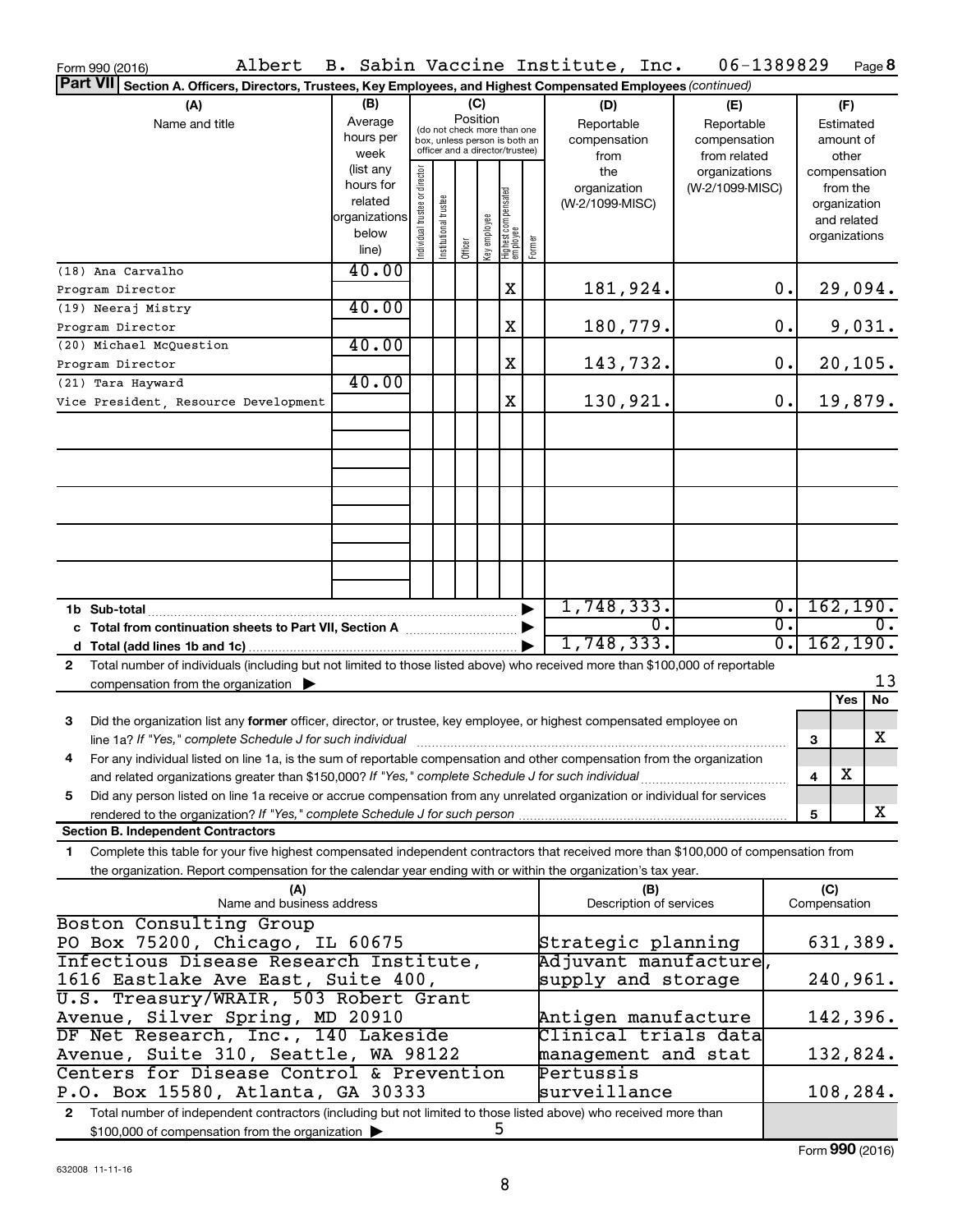| Albert<br>Form 990 (2016)                                                                                                                 |                |                                |                       |                                                              |              |                                             | B. Sabin Vaccine Institute, Inc. |                         | 06-1389829       |              |               | Page 8           |  |
|-------------------------------------------------------------------------------------------------------------------------------------------|----------------|--------------------------------|-----------------------|--------------------------------------------------------------|--------------|---------------------------------------------|----------------------------------|-------------------------|------------------|--------------|---------------|------------------|--|
| <b>Part VII</b><br>Section A. Officers, Directors, Trustees, Key Employees, and Highest Compensated Employees (continued)                 |                |                                |                       |                                                              |              |                                             |                                  |                         |                  |              |               |                  |  |
| (A)                                                                                                                                       | (B)            |                                |                       | (C)                                                          |              |                                             | (D)                              | (E)                     |                  |              | (F)           |                  |  |
| Name and title                                                                                                                            | Average        |                                |                       | Position                                                     |              |                                             | Reportable                       | Reportable              |                  |              | Estimated     |                  |  |
|                                                                                                                                           | hours per      |                                |                       | (do not check more than one<br>box, unless person is both an |              |                                             | compensation                     | compensation            |                  |              | amount of     |                  |  |
|                                                                                                                                           | week           |                                |                       | officer and a director/trustee)                              |              |                                             | from                             | from related            |                  |              | other         |                  |  |
|                                                                                                                                           | (list any      |                                |                       |                                                              |              |                                             | the                              | organizations           |                  |              | compensation  |                  |  |
|                                                                                                                                           | hours for      |                                |                       |                                                              |              |                                             | organization                     | (W-2/1099-MISC)         |                  |              | from the      |                  |  |
|                                                                                                                                           | related        |                                |                       |                                                              |              |                                             | (W-2/1099-MISC)                  |                         |                  |              | organization  |                  |  |
|                                                                                                                                           | organizations  |                                |                       |                                                              |              |                                             |                                  |                         |                  |              | and related   |                  |  |
|                                                                                                                                           | below<br>line) | Individual trustee or director | Institutional trustee | Officer                                                      | Key employee | Highest compensated<br>  employee<br>Former |                                  |                         |                  |              | organizations |                  |  |
|                                                                                                                                           |                |                                |                       |                                                              |              |                                             |                                  |                         |                  |              |               |                  |  |
| (18) Ana Carvalho                                                                                                                         | 40.00          |                                |                       |                                                              |              |                                             |                                  |                         |                  |              |               |                  |  |
| Program Director                                                                                                                          |                |                                |                       |                                                              |              | X                                           | 181,924.                         |                         | 0.               |              | 29,094.       |                  |  |
| (19) Neeraj Mistry                                                                                                                        | 40.00          |                                |                       |                                                              |              |                                             |                                  |                         |                  |              |               |                  |  |
| Program Director                                                                                                                          |                |                                |                       |                                                              |              | X                                           | 180,779.                         |                         | 0.               |              | 9,031.        |                  |  |
| (20) Michael McQuestion                                                                                                                   | 40.00          |                                |                       |                                                              |              |                                             |                                  |                         |                  |              |               |                  |  |
| Program Director                                                                                                                          |                |                                |                       |                                                              |              | X                                           | 143,732.                         |                         | 0.               |              | 20, 105.      |                  |  |
| (21) Tara Hayward                                                                                                                         | 40.00          |                                |                       |                                                              |              |                                             |                                  |                         |                  |              |               |                  |  |
| Vice President, Resource Development                                                                                                      |                |                                |                       |                                                              |              | X                                           | 130,921.                         |                         | 0.               |              | 19,879.       |                  |  |
|                                                                                                                                           |                |                                |                       |                                                              |              |                                             |                                  |                         |                  |              |               |                  |  |
|                                                                                                                                           |                |                                |                       |                                                              |              |                                             |                                  |                         |                  |              |               |                  |  |
|                                                                                                                                           |                |                                |                       |                                                              |              |                                             |                                  |                         |                  |              |               |                  |  |
|                                                                                                                                           |                |                                |                       |                                                              |              |                                             |                                  |                         |                  |              |               |                  |  |
|                                                                                                                                           |                |                                |                       |                                                              |              |                                             |                                  |                         |                  |              |               |                  |  |
|                                                                                                                                           |                |                                |                       |                                                              |              |                                             |                                  |                         |                  |              |               |                  |  |
|                                                                                                                                           |                |                                |                       |                                                              |              |                                             |                                  |                         |                  |              |               |                  |  |
|                                                                                                                                           |                |                                |                       |                                                              |              |                                             |                                  |                         |                  |              |               |                  |  |
|                                                                                                                                           |                |                                |                       |                                                              |              |                                             |                                  |                         |                  |              |               |                  |  |
|                                                                                                                                           |                |                                |                       |                                                              |              |                                             |                                  |                         |                  |              |               |                  |  |
|                                                                                                                                           |                |                                |                       |                                                              |              |                                             |                                  |                         |                  |              |               |                  |  |
| 1b Sub-total                                                                                                                              |                |                                |                       |                                                              |              |                                             | 1,748,333.                       |                         | σ.               |              | 162, 190.     |                  |  |
|                                                                                                                                           |                |                                |                       |                                                              |              |                                             |                                  | $\overline{0}$ .        | σ.               |              |               | $\overline{0}$ . |  |
|                                                                                                                                           |                |                                |                       |                                                              |              |                                             | 1,748,333.                       |                         | $\overline{0}$ . |              | 162, 190.     |                  |  |
| Total number of individuals (including but not limited to those listed above) who received more than \$100,000 of reportable<br>2         |                |                                |                       |                                                              |              |                                             |                                  |                         |                  |              |               |                  |  |
| compensation from the organization $\blacktriangleright$                                                                                  |                |                                |                       |                                                              |              |                                             |                                  |                         |                  |              |               | 13               |  |
|                                                                                                                                           |                |                                |                       |                                                              |              |                                             |                                  |                         |                  |              | Yes           | No               |  |
| 3<br>Did the organization list any former officer, director, or trustee, key employee, or highest compensated employee on                 |                |                                |                       |                                                              |              |                                             |                                  |                         |                  |              |               |                  |  |
| line 1a? If "Yes," complete Schedule J for such individual [11] manufacture manufacture in the set of the set o                           |                |                                |                       |                                                              |              |                                             |                                  |                         |                  | 3            |               | x                |  |
| For any individual listed on line 1a, is the sum of reportable compensation and other compensation from the organization                  |                |                                |                       |                                                              |              |                                             |                                  |                         |                  |              |               |                  |  |
| and related organizations greater than \$150,000? If "Yes," complete Schedule J for such individual                                       |                |                                |                       |                                                              |              |                                             |                                  |                         |                  | 4            | х             |                  |  |
|                                                                                                                                           |                |                                |                       |                                                              |              |                                             |                                  |                         |                  |              |               |                  |  |
| Did any person listed on line 1a receive or accrue compensation from any unrelated organization or individual for services<br>5           |                |                                |                       |                                                              |              |                                             |                                  |                         |                  |              |               | X                |  |
| rendered to the organization? If "Yes," complete Schedule J for such person<br><b>Section B. Independent Contractors</b>                  |                |                                |                       |                                                              |              |                                             |                                  |                         |                  | 5            |               |                  |  |
|                                                                                                                                           |                |                                |                       |                                                              |              |                                             |                                  |                         |                  |              |               |                  |  |
| Complete this table for your five highest compensated independent contractors that received more than \$100,000 of compensation from<br>1 |                |                                |                       |                                                              |              |                                             |                                  |                         |                  |              |               |                  |  |
| the organization. Report compensation for the calendar year ending with or within the organization's tax year.                            |                |                                |                       |                                                              |              |                                             |                                  |                         |                  |              |               |                  |  |
| (A)                                                                                                                                       |                |                                |                       |                                                              |              |                                             |                                  | (B)                     |                  | (C)          |               |                  |  |
| Name and business address                                                                                                                 |                |                                |                       |                                                              |              |                                             |                                  | Description of services |                  | Compensation |               |                  |  |
| Boston Consulting Group                                                                                                                   |                |                                |                       |                                                              |              |                                             |                                  |                         |                  |              |               |                  |  |
| PO Box 75200, Chicago, IL 60675                                                                                                           |                |                                |                       |                                                              |              |                                             | Strategic planning               |                         | 631,389.         |              |               |                  |  |
| Infectious Disease Research Institute,                                                                                                    |                |                                |                       |                                                              |              |                                             | Adjuvant manufacture,            |                         |                  |              |               |                  |  |
| 1616 Eastlake Ave East, Suite 400,                                                                                                        |                |                                |                       |                                                              |              |                                             | supply and storage               |                         | 240,961.         |              |               |                  |  |
| U.S. Treasury/WRAIR, 503 Robert Grant                                                                                                     |                |                                |                       |                                                              |              |                                             |                                  |                         |                  |              |               |                  |  |
| Avenue, Silver Spring, MD 20910                                                                                                           |                |                                |                       |                                                              |              |                                             | Antigen manufacture              |                         | 142,396.         |              |               |                  |  |
| DF Net Research, Inc., 140 Lakeside                                                                                                       |                |                                |                       |                                                              |              |                                             |                                  | Clinical trials data    |                  |              |               |                  |  |
| Avenue, Suite 310, Seattle, WA 98122                                                                                                      |                |                                |                       |                                                              |              |                                             | management and stat              |                         |                  |              | 132,824.      |                  |  |
| Centers for Disease Control & Prevention                                                                                                  |                |                                |                       |                                                              |              |                                             | Pertussis                        |                         |                  |              |               |                  |  |
| P.O. Box 15580, Atlanta, GA 30333                                                                                                         |                |                                |                       |                                                              |              |                                             | surveillance                     |                         |                  |              | 108,284.      |                  |  |
|                                                                                                                                           |                |                                |                       |                                                              |              |                                             |                                  |                         |                  |              |               |                  |  |
| 2 Total number of independent contractors (including but not limited to those listed above) who received more than                        |                |                                |                       |                                                              |              |                                             |                                  |                         |                  |              |               |                  |  |
| \$100,000 of compensation from the organization                                                                                           |                |                                |                       |                                                              | 5            |                                             |                                  |                         |                  |              |               |                  |  |

Form (2016) **990**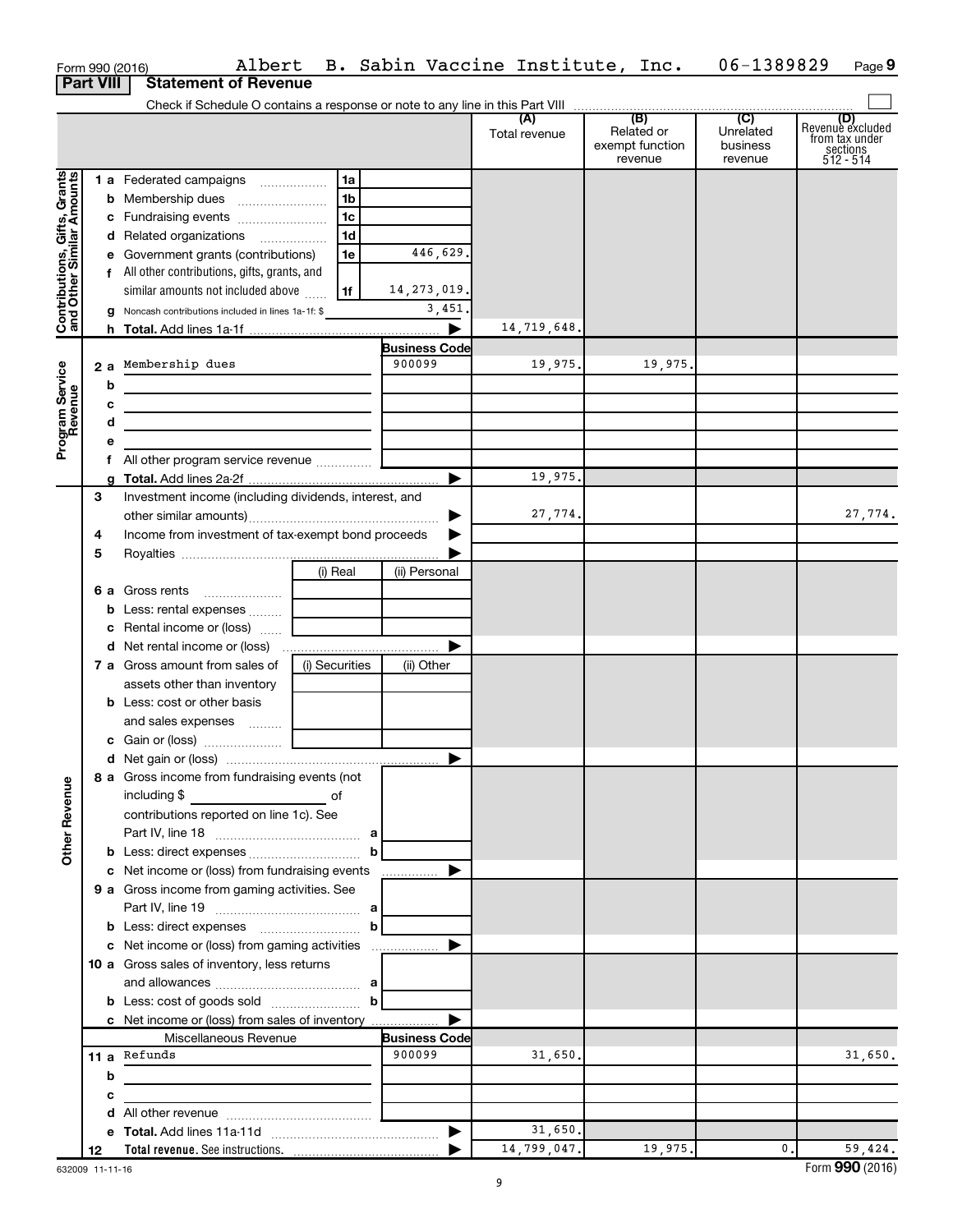|                                                           |                  |        | Albert<br>Form 990 (2016)                                                                                             |                                                  |                                | B. Sabin Vaccine Institute, Inc. |                                                 | 06-1389829                              | Page 9                                                             |
|-----------------------------------------------------------|------------------|--------|-----------------------------------------------------------------------------------------------------------------------|--------------------------------------------------|--------------------------------|----------------------------------|-------------------------------------------------|-----------------------------------------|--------------------------------------------------------------------|
|                                                           | <b>Part VIII</b> |        | <b>Statement of Revenue</b>                                                                                           |                                                  |                                |                                  |                                                 |                                         |                                                                    |
|                                                           |                  |        |                                                                                                                       |                                                  |                                |                                  |                                                 |                                         |                                                                    |
|                                                           |                  |        |                                                                                                                       |                                                  |                                | (A)<br>Total revenue             | (B)<br>Related or<br>exempt function<br>revenue | (C)<br>Unrelated<br>business<br>revenue | (D)<br>Revenue excluded<br>from tax under<br>sections<br>512 - 514 |
|                                                           |                  |        | 1 a Federated campaigns                                                                                               | 1a                                               |                                |                                  |                                                 |                                         |                                                                    |
|                                                           |                  |        |                                                                                                                       | 1b                                               |                                |                                  |                                                 |                                         |                                                                    |
| Contributions, Gifts, Grants<br>and Other Similar Amounts |                  |        |                                                                                                                       | 1c                                               |                                |                                  |                                                 |                                         |                                                                    |
|                                                           |                  |        | d Related organizations                                                                                               | 1 <sub>d</sub>                                   |                                |                                  |                                                 |                                         |                                                                    |
|                                                           |                  |        | e Government grants (contributions)                                                                                   | 1e                                               | 446,629.                       |                                  |                                                 |                                         |                                                                    |
|                                                           |                  |        | f All other contributions, gifts, grants, and                                                                         |                                                  |                                |                                  |                                                 |                                         |                                                                    |
|                                                           |                  |        | similar amounts not included above                                                                                    | 1f                                               | 14, 273, 019.                  |                                  |                                                 |                                         |                                                                    |
|                                                           |                  |        | <b>g</b> Noncash contributions included in lines 1a-1f: \$                                                            |                                                  | 3,451,                         |                                  |                                                 |                                         |                                                                    |
|                                                           |                  |        |                                                                                                                       |                                                  |                                | 14,719,648.                      |                                                 |                                         |                                                                    |
|                                                           |                  |        | 2 a Membership dues                                                                                                   |                                                  | <b>Business Code</b><br>900099 | 19,975.                          |                                                 |                                         |                                                                    |
|                                                           |                  |        |                                                                                                                       |                                                  |                                |                                  | 19,975.                                         |                                         |                                                                    |
|                                                           |                  | b      |                                                                                                                       |                                                  |                                |                                  |                                                 |                                         |                                                                    |
|                                                           |                  | с<br>d | <u> 1989 - Johann Barbara, martin amerikan basal dan berasal dalam basal dalam basal dalam basal dalam basal dala</u> |                                                  |                                |                                  |                                                 |                                         |                                                                    |
| Program Service<br>Revenue                                |                  | е      | <u> 1989 - Johann Barbara, martxa alemaniar a</u>                                                                     |                                                  |                                |                                  |                                                 |                                         |                                                                    |
|                                                           |                  |        | All other program service revenue                                                                                     |                                                  |                                |                                  |                                                 |                                         |                                                                    |
|                                                           |                  |        |                                                                                                                       |                                                  | ▶                              | 19,975.                          |                                                 |                                         |                                                                    |
|                                                           | 3                |        | Investment income (including dividends, interest, and                                                                 |                                                  |                                |                                  |                                                 |                                         |                                                                    |
|                                                           |                  |        |                                                                                                                       |                                                  | ▶                              | 27,774.                          |                                                 |                                         | 27,774.                                                            |
|                                                           | 4                |        | Income from investment of tax-exempt bond proceeds                                                                    |                                                  |                                |                                  |                                                 |                                         |                                                                    |
|                                                           | 5                |        |                                                                                                                       |                                                  |                                |                                  |                                                 |                                         |                                                                    |
|                                                           |                  |        |                                                                                                                       | (i) Real                                         | (ii) Personal                  |                                  |                                                 |                                         |                                                                    |
|                                                           |                  |        | <b>6 a</b> Gross rents                                                                                                |                                                  |                                |                                  |                                                 |                                         |                                                                    |
|                                                           |                  |        | <b>b</b> Less: rental expenses  [                                                                                     |                                                  |                                |                                  |                                                 |                                         |                                                                    |
|                                                           |                  |        | c Rental income or (loss)                                                                                             |                                                  |                                |                                  |                                                 |                                         |                                                                    |
|                                                           |                  |        |                                                                                                                       |                                                  | ▶                              |                                  |                                                 |                                         |                                                                    |
|                                                           |                  |        | <b>7 a</b> Gross amount from sales of                                                                                 | (i) Securities                                   | (ii) Other                     |                                  |                                                 |                                         |                                                                    |
|                                                           |                  |        | assets other than inventory                                                                                           |                                                  |                                |                                  |                                                 |                                         |                                                                    |
|                                                           |                  |        | <b>b</b> Less: cost or other basis                                                                                    |                                                  |                                |                                  |                                                 |                                         |                                                                    |
|                                                           |                  |        | and sales expenses  [                                                                                                 |                                                  |                                |                                  |                                                 |                                         |                                                                    |
|                                                           |                  |        |                                                                                                                       |                                                  |                                |                                  |                                                 |                                         |                                                                    |
|                                                           |                  |        | 8 a Gross income from fundraising events (not                                                                         |                                                  |                                |                                  |                                                 |                                         |                                                                    |
| <b>Other Revenue</b>                                      |                  |        | including \$                                                                                                          |                                                  |                                |                                  |                                                 |                                         |                                                                    |
|                                                           |                  |        | contributions reported on line 1c). See                                                                               |                                                  |                                |                                  |                                                 |                                         |                                                                    |
|                                                           |                  |        |                                                                                                                       |                                                  |                                |                                  |                                                 |                                         |                                                                    |
|                                                           |                  |        |                                                                                                                       |                                                  | b                              |                                  |                                                 |                                         |                                                                    |
|                                                           |                  |        | c Net income or (loss) from fundraising events                                                                        |                                                  | ▶                              |                                  |                                                 |                                         |                                                                    |
|                                                           |                  |        | 9 a Gross income from gaming activities. See                                                                          |                                                  |                                |                                  |                                                 |                                         |                                                                    |
|                                                           |                  |        |                                                                                                                       |                                                  |                                |                                  |                                                 |                                         |                                                                    |
|                                                           |                  |        |                                                                                                                       |                                                  | $\mathbf b$                    |                                  |                                                 |                                         |                                                                    |
|                                                           |                  |        | c Net income or (loss) from gaming activities                                                                         |                                                  | ▶                              |                                  |                                                 |                                         |                                                                    |
|                                                           |                  |        | 10 a Gross sales of inventory, less returns                                                                           |                                                  |                                |                                  |                                                 |                                         |                                                                    |
|                                                           |                  |        |                                                                                                                       |                                                  |                                |                                  |                                                 |                                         |                                                                    |
|                                                           |                  |        |                                                                                                                       |                                                  |                                |                                  |                                                 |                                         |                                                                    |
|                                                           |                  |        | c Net income or (loss) from sales of inventory                                                                        |                                                  | ▶                              |                                  |                                                 |                                         |                                                                    |
|                                                           |                  |        | Miscellaneous Revenue<br>11 a Refunds                                                                                 |                                                  | <b>Business Code</b><br>900099 | 31,650.                          |                                                 |                                         | 31,650.                                                            |
|                                                           |                  | b      |                                                                                                                       |                                                  |                                |                                  |                                                 |                                         |                                                                    |
|                                                           |                  | с      | <u> 1980 - Jan Barbara Barbara, manazarta da </u>                                                                     |                                                  |                                |                                  |                                                 |                                         |                                                                    |
|                                                           |                  |        |                                                                                                                       | the control of the control of the control of the |                                |                                  |                                                 |                                         |                                                                    |
|                                                           |                  |        |                                                                                                                       |                                                  |                                | 31,650.                          |                                                 |                                         |                                                                    |
|                                                           | 12               |        |                                                                                                                       |                                                  |                                | 14,799,047.                      | 19,975.                                         | $\mathbf{0}$ .                          | 59,424.                                                            |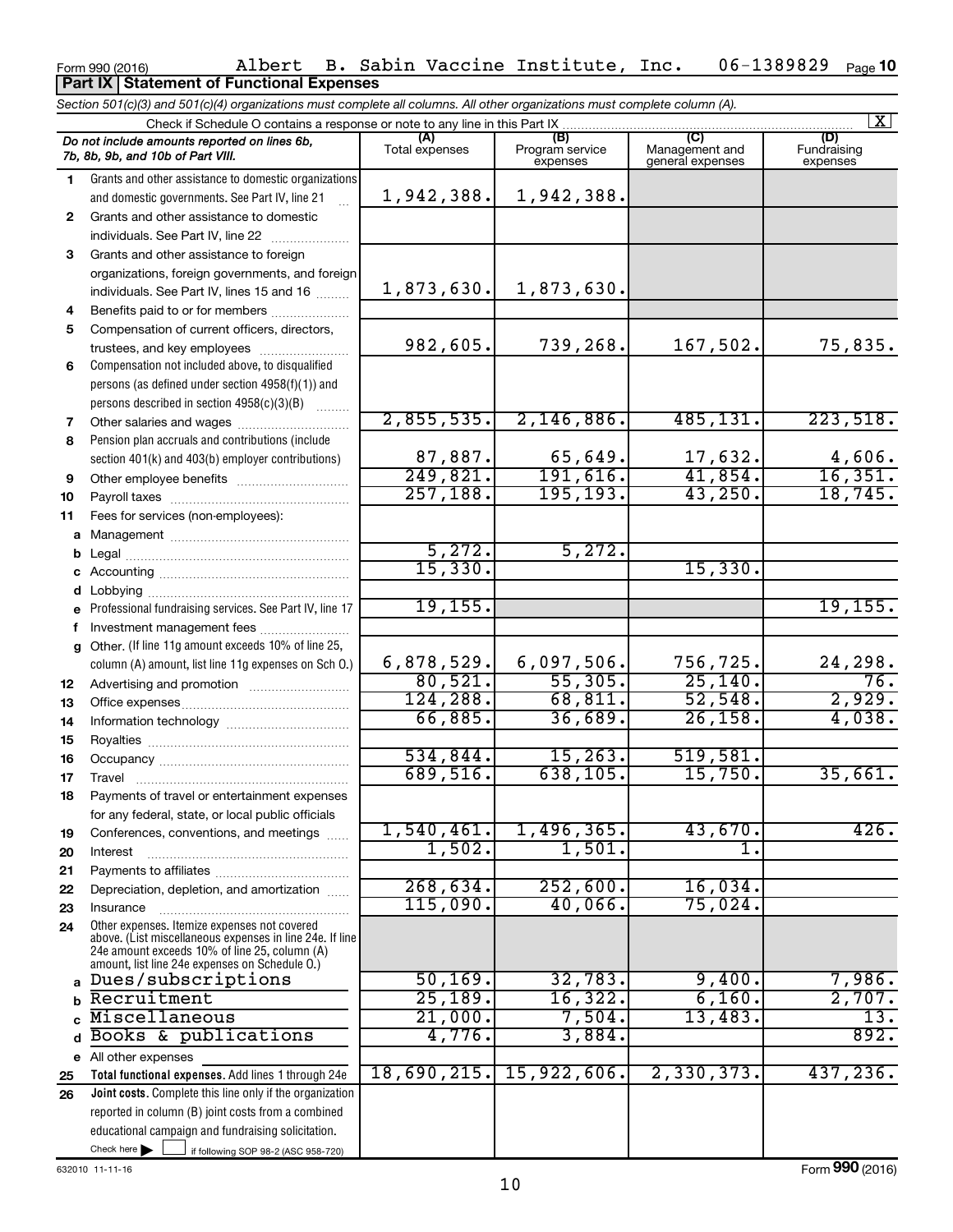#### Form 990 (2016) Albert B. Sabin Vaccine Institute, Inc. 06-1389829 Page 06-1389829 Page 10 **Part IX Statement of Functional Expenses**

*Section 501(c)(3) and 501(c)(4) organizations must complete all columns. All other organizations must complete column (A).*

|          | Check if Schedule O contains a response or note to any line in this Part IX                                                                                                                                 |                       |                                    |                                    | $\overline{\mathbf{x}}$ |
|----------|-------------------------------------------------------------------------------------------------------------------------------------------------------------------------------------------------------------|-----------------------|------------------------------------|------------------------------------|-------------------------|
|          | Do not include amounts reported on lines 6b,<br>7b, 8b, 9b, and 10b of Part VIII.                                                                                                                           | (A)<br>Total expenses | (B)<br>Program service<br>expenses | Management and<br>general expenses | Fundraising<br>expenses |
| 1.       | Grants and other assistance to domestic organizations                                                                                                                                                       |                       |                                    |                                    |                         |
|          | and domestic governments. See Part IV, line 21                                                                                                                                                              | 1,942,388.            | 1,942,388.                         |                                    |                         |
| 2        | Grants and other assistance to domestic                                                                                                                                                                     |                       |                                    |                                    |                         |
|          | individuals. See Part IV, line 22                                                                                                                                                                           |                       |                                    |                                    |                         |
| 3        | Grants and other assistance to foreign                                                                                                                                                                      |                       |                                    |                                    |                         |
|          | organizations, foreign governments, and foreign                                                                                                                                                             |                       |                                    |                                    |                         |
|          | individuals. See Part IV, lines 15 and 16                                                                                                                                                                   | 1,873,630.            | 1,873,630.                         |                                    |                         |
| 4        | Benefits paid to or for members                                                                                                                                                                             |                       |                                    |                                    |                         |
| 5        | Compensation of current officers, directors,                                                                                                                                                                | 982,605.              |                                    |                                    |                         |
|          | trustees, and key employees                                                                                                                                                                                 |                       | 739,268.                           | 167,502.                           | 75,835.                 |
| 6        | Compensation not included above, to disqualified                                                                                                                                                            |                       |                                    |                                    |                         |
|          | persons (as defined under section 4958(f)(1)) and<br>persons described in section 4958(c)(3)(B)                                                                                                             |                       |                                    |                                    |                         |
| 7        |                                                                                                                                                                                                             | 2,855,535.            | 2,146,886.                         | 485, 131.                          | 223,518.                |
| 8        | Pension plan accruals and contributions (include                                                                                                                                                            |                       |                                    |                                    |                         |
|          | section 401(k) and 403(b) employer contributions)                                                                                                                                                           | 87,887.               | 65,649.                            | 17,632.                            | 4,606.                  |
| 9        |                                                                                                                                                                                                             | 249,821.              | 191,616.                           | 41,854.                            | 16,351.                 |
| 10       |                                                                                                                                                                                                             | 257, 188.             | 195, 193.                          | 43, 250.                           | 18, 745.                |
| 11       | Fees for services (non-employees):                                                                                                                                                                          |                       |                                    |                                    |                         |
|          |                                                                                                                                                                                                             |                       |                                    |                                    |                         |
| b        |                                                                                                                                                                                                             | 5,272.                | 5,272.                             |                                    |                         |
|          |                                                                                                                                                                                                             | 15,330.               |                                    | 15,330.                            |                         |
| d        |                                                                                                                                                                                                             |                       |                                    |                                    |                         |
|          | e Professional fundraising services. See Part IV, line 17                                                                                                                                                   | 19, 155.              |                                    |                                    | 19, 155.                |
| f        |                                                                                                                                                                                                             |                       |                                    |                                    |                         |
|          | g Other. (If line 11g amount exceeds 10% of line 25,                                                                                                                                                        |                       |                                    |                                    |                         |
|          | column (A) amount, list line 11g expenses on Sch O.)                                                                                                                                                        | 6,878,529.            | 6,097,506.                         | 756,725.                           | 24,298.                 |
| 12       |                                                                                                                                                                                                             | 80,521.<br>124, 288.  | 55,305.                            | 25, 140.                           | 76.<br>2,929.           |
| 13       |                                                                                                                                                                                                             | 66,885.               | 68,811.<br>36,689.                 | 52,548.<br>26, 158.                | 4,038.                  |
| 14       |                                                                                                                                                                                                             |                       |                                    |                                    |                         |
| 15       |                                                                                                                                                                                                             | 534,844.              | 15, 263.                           | 519,581.                           |                         |
| 16<br>17 | Travel                                                                                                                                                                                                      | 689,516.              | 638, 105.                          | 15,750.                            | 35,661.                 |
| 18       | Payments of travel or entertainment expenses                                                                                                                                                                |                       |                                    |                                    |                         |
|          | for any federal, state, or local public officials                                                                                                                                                           |                       |                                    |                                    |                         |
| 19       | Conferences, conventions, and meetings                                                                                                                                                                      | 1,540,461.            | 1,496,365.                         | 43,670.                            | 426.                    |
| 20       | Interest                                                                                                                                                                                                    | 1,502.                | 1,501.                             | 1.                                 |                         |
| 21       |                                                                                                                                                                                                             |                       |                                    |                                    |                         |
| 22       | Depreciation, depletion, and amortization                                                                                                                                                                   | 268,634.              | 252,600.                           | 16,034.                            |                         |
| 23       | Insurance                                                                                                                                                                                                   | 115,090.              | $40,066$ .                         | 75,024.                            |                         |
| 24       | Other expenses. Itemize expenses not covered<br>above. (List miscellaneous expenses in line 24e. If line<br>24e amount exceeds 10% of line 25, column (A)<br>amount, list line 24e expenses on Schedule O.) |                       |                                    |                                    |                         |
| a        | Dues/subscriptions                                                                                                                                                                                          | 50, 169.              | 32,783.                            | 9,400.                             | 7,986.                  |
|          | Recruitment                                                                                                                                                                                                 | 25, 189.              | 16,322.                            | 6,160.                             | 2,707.                  |
|          | Miscellaneous                                                                                                                                                                                               | 21,000.               | 7,504.                             | 13,483.                            | 13.                     |
|          | Books & publications                                                                                                                                                                                        | 4,776.                | 3,884.                             |                                    | 892.                    |
| е        | All other expenses                                                                                                                                                                                          |                       |                                    |                                    |                         |
| 25       | Total functional expenses. Add lines 1 through 24e                                                                                                                                                          | 18,690,215.           | 15,922,606.                        | 2, 330, 373.                       | 437, 236.               |
| 26       | Joint costs. Complete this line only if the organization                                                                                                                                                    |                       |                                    |                                    |                         |
|          | reported in column (B) joint costs from a combined                                                                                                                                                          |                       |                                    |                                    |                         |
|          | educational campaign and fundraising solicitation.                                                                                                                                                          |                       |                                    |                                    |                         |
|          | Check here $\blacktriangleright$<br>if following SOP 98-2 (ASC 958-720)                                                                                                                                     |                       |                                    |                                    |                         |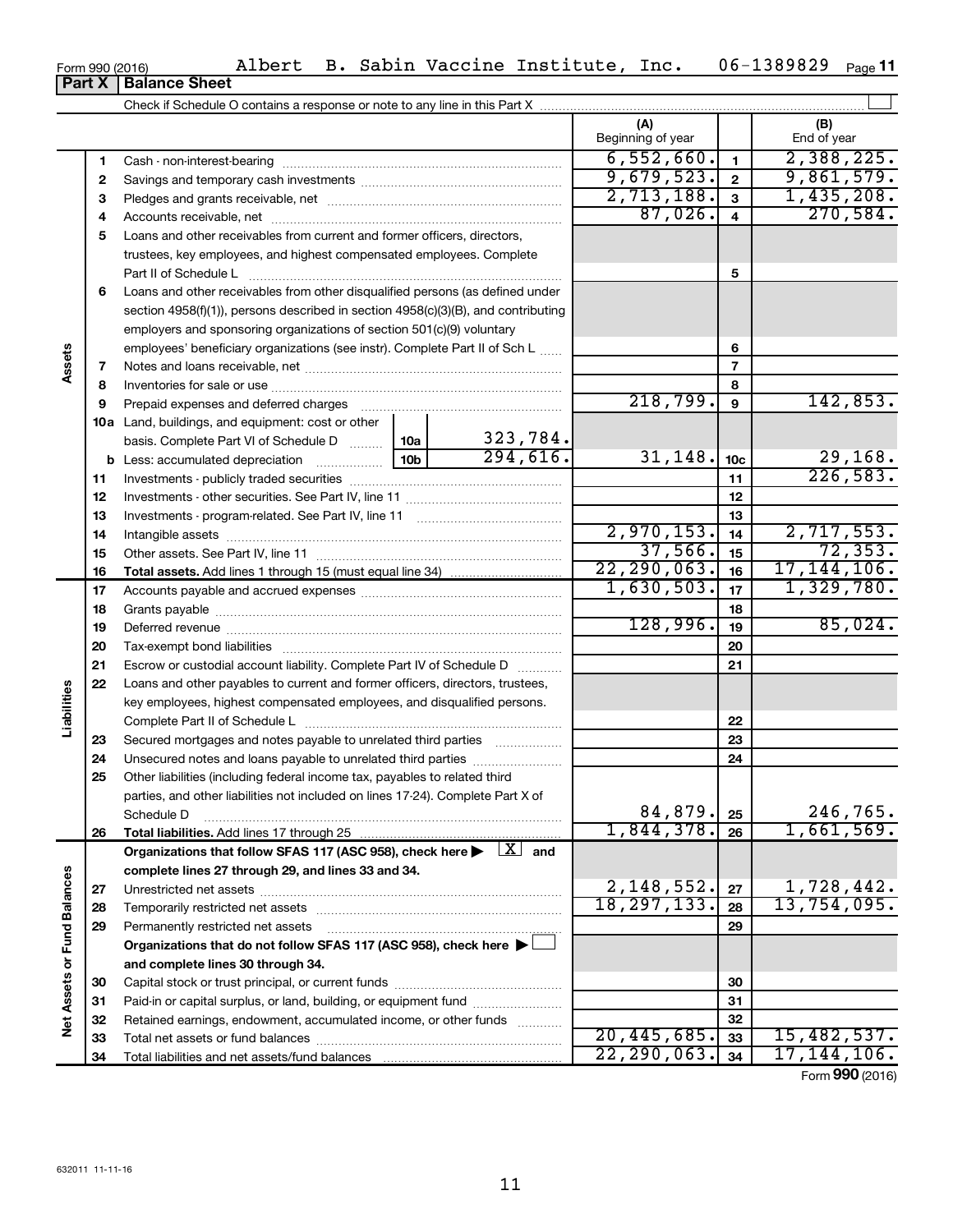$\overline{\phantom{0}}$ 

 $\overline{\phantom{0}}$ 

| Check if Schedule |
|-------------------|
|                   |

 $\overline{\phantom{a}}$ 

| Form 990 (2016) |                               |  |  | Albert B. Sabin Vaccine Institute, Inc. | 06-1389829 |
|-----------------|-------------------------------|--|--|-----------------------------------------|------------|
|                 | <b>Part X   Balance Sheet</b> |  |  |                                         |            |

|                             |          |                                                                                                                                |                 |          | (A)<br>Beginning of year  |                 | (B)<br>End of year |
|-----------------------------|----------|--------------------------------------------------------------------------------------------------------------------------------|-----------------|----------|---------------------------|-----------------|--------------------|
|                             | 1        |                                                                                                                                |                 |          | 6,552,660.                | $\mathbf{1}$    | 2,388,225.         |
|                             | 2        |                                                                                                                                |                 |          | 9,679,523.                | $\mathbf{2}$    | 9,861,579.         |
|                             | З        |                                                                                                                                |                 |          | 2,713,188.                | $\mathbf{3}$    | 1,435,208.         |
|                             | 4        |                                                                                                                                |                 | 87,026.  | $\overline{\mathbf{4}}$   | 270,584.        |                    |
|                             | 5        | Loans and other receivables from current and former officers, directors,                                                       |                 |          |                           |                 |                    |
|                             |          | trustees, key employees, and highest compensated employees. Complete                                                           |                 |          |                           |                 |                    |
|                             |          |                                                                                                                                |                 |          |                           | 5               |                    |
|                             | 6        | Loans and other receivables from other disqualified persons (as defined under                                                  |                 |          |                           |                 |                    |
|                             |          | section 4958(f)(1)), persons described in section 4958(c)(3)(B), and contributing                                              |                 |          |                           |                 |                    |
|                             |          | employers and sponsoring organizations of section 501(c)(9) voluntary                                                          |                 |          |                           |                 |                    |
|                             |          | employees' beneficiary organizations (see instr). Complete Part II of Sch L                                                    |                 |          |                           | 6               |                    |
| Assets                      | 7        |                                                                                                                                |                 |          |                           | $\overline{7}$  |                    |
|                             | 8        |                                                                                                                                |                 |          |                           | 8               |                    |
|                             | 9        | Prepaid expenses and deferred charges                                                                                          |                 |          | 218,799.                  | 9               | 142,853.           |
|                             |          | <b>10a</b> Land, buildings, and equipment: cost or other                                                                       |                 |          |                           |                 |                    |
|                             |          | basis. Complete Part VI of Schedule D                                                                                          | 10a             | 323,784. |                           |                 |                    |
|                             |          | <b>b</b> Less: accumulated depreciation <i></i>                                                                                | 10 <sub>b</sub> | 294,616. | 31, 148.                  | 10 <sub>c</sub> | 29,168.            |
|                             | 11       |                                                                                                                                |                 |          |                           | 11              | 226,583.           |
|                             | 12       |                                                                                                                                |                 |          |                           | 12              |                    |
|                             | 13       |                                                                                                                                |                 |          |                           | 13              |                    |
|                             | 14       |                                                                                                                                |                 |          | 2,970,153.                | 14              | 2,717,553.         |
|                             | 15       |                                                                                                                                |                 |          | 37,566.                   | 15              | 72, 353.           |
|                             | 16       |                                                                                                                                |                 |          | $\overline{22,290,063}$ . | 16              | 17, 144, 106.      |
|                             | 17       |                                                                                                                                |                 |          | 1,630,503.                | 17              | 1,329,780.         |
|                             | 18       |                                                                                                                                |                 |          | 128,996.                  | 18              |                    |
|                             | 19       |                                                                                                                                |                 |          |                           | 19              | 85,024.            |
|                             | 20       |                                                                                                                                |                 |          |                           | 20              |                    |
|                             | 21       | Escrow or custodial account liability. Complete Part IV of Schedule D                                                          |                 |          |                           | 21              |                    |
| Liabilities                 | 22       | Loans and other payables to current and former officers, directors, trustees,                                                  |                 |          |                           |                 |                    |
|                             |          | key employees, highest compensated employees, and disqualified persons.                                                        |                 |          |                           |                 |                    |
|                             |          |                                                                                                                                |                 |          |                           | 22<br>23        |                    |
|                             | 23<br>24 | Secured mortgages and notes payable to unrelated third parties<br>Unsecured notes and loans payable to unrelated third parties |                 |          |                           | 24              |                    |
|                             | 25       | Other liabilities (including federal income tax, payables to related third                                                     |                 |          |                           |                 |                    |
|                             |          | parties, and other liabilities not included on lines 17-24). Complete Part X of                                                |                 |          |                           |                 |                    |
|                             |          | Schedule D                                                                                                                     |                 |          | 84,879.                   | 25              | 246,765.           |
|                             | 26       | Total liabilities. Add lines 17 through 25                                                                                     |                 |          | 1,844,378.                | 26              | 1,661,569.         |
|                             |          | Organizations that follow SFAS 117 (ASC 958), check here $\blacktriangleright \begin{array}{c} \boxed{X} \\ \end{array}$ and   |                 |          |                           |                 |                    |
|                             |          | complete lines 27 through 29, and lines 33 and 34.                                                                             |                 |          |                           |                 |                    |
|                             | 27       |                                                                                                                                |                 |          | 2, 148, 552.              | 27              | 1,728,442.         |
|                             | 28       | Temporarily restricted net assets                                                                                              |                 |          | 18, 297, 133.             | 28              | 13,754,095.        |
|                             | 29       | Permanently restricted net assets                                                                                              |                 |          | 29                        |                 |                    |
| Net Assets or Fund Balances |          | Organizations that do not follow SFAS 117 (ASC 958), check here ▶                                                              |                 |          |                           |                 |                    |
|                             |          | and complete lines 30 through 34.                                                                                              |                 |          |                           |                 |                    |
|                             | 30       |                                                                                                                                |                 |          |                           | 30              |                    |
|                             | 31       | Paid-in or capital surplus, or land, building, or equipment fund                                                               |                 |          |                           | 31              |                    |
|                             | 32       | Retained earnings, endowment, accumulated income, or other funds                                                               |                 |          |                           | 32              |                    |
|                             | 33       |                                                                                                                                |                 |          | 20,445,685.               | 33              | 15,482,537.        |
|                             | 34       |                                                                                                                                |                 |          | 22, 290, 063.             | 34              | 17, 144, 106.      |

Form (2016) **990**

| 06-1389829 $_{\text{Paqe}}$ 11 |  |
|--------------------------------|--|
|--------------------------------|--|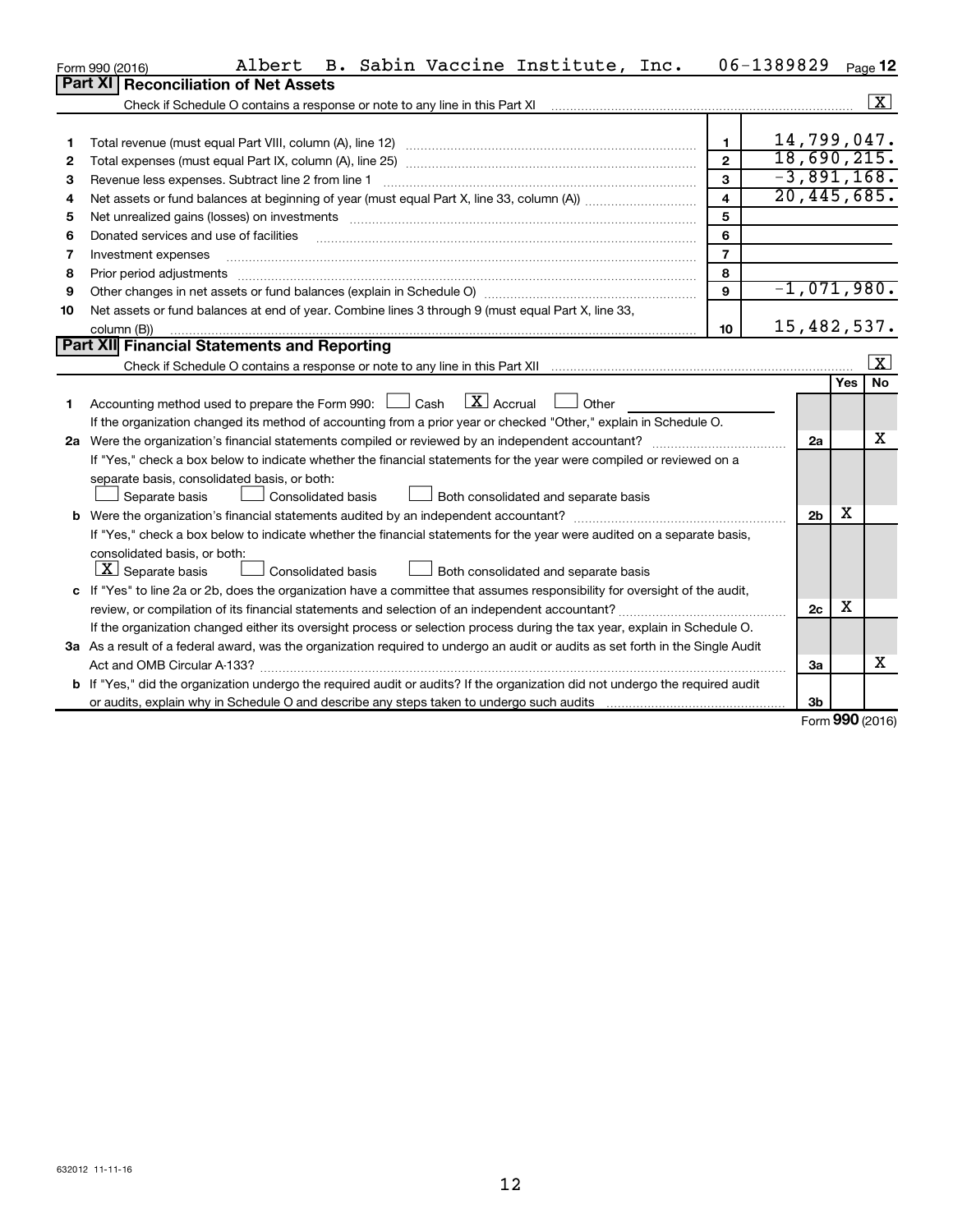|    | B. Sabin Vaccine Institute, Inc.<br>Albert<br>Form 990 (2016)                                                                   |                         | 06-1389829     |        | Page 12                 |
|----|---------------------------------------------------------------------------------------------------------------------------------|-------------------------|----------------|--------|-------------------------|
|    | Part XI<br><b>Reconciliation of Net Assets</b>                                                                                  |                         |                |        |                         |
|    | Check if Schedule O contains a response or note to any line in this Part XI                                                     |                         |                |        | $\mathbf{X}$            |
|    |                                                                                                                                 |                         |                |        |                         |
| 1  | Total revenue (must equal Part VIII, column (A), line 12)                                                                       | $\blacksquare$          | 14,799,047.    |        |                         |
| 2  |                                                                                                                                 | $\mathbf{2}$            | 18,690,215.    |        |                         |
| з  | Revenue less expenses. Subtract line 2 from line 1                                                                              | 3                       | $-3,891,168.$  |        |                         |
| 4  |                                                                                                                                 | $\overline{\mathbf{4}}$ | 20,445,685.    |        |                         |
| 5  |                                                                                                                                 | 5                       |                |        |                         |
| 6  | Donated services and use of facilities                                                                                          | 6                       |                |        |                         |
| 7  | Investment expenses                                                                                                             | $\overline{7}$          |                |        |                         |
| 8  | Prior period adjustments                                                                                                        | 8                       |                |        |                         |
| 9  |                                                                                                                                 | 9                       | $-1,071,980.$  |        |                         |
| 10 | Net assets or fund balances at end of year. Combine lines 3 through 9 (must equal Part X, line 33,                              |                         |                |        |                         |
|    | column (B))                                                                                                                     | 10                      | 15,482,537.    |        |                         |
|    | Part XII Financial Statements and Reporting                                                                                     |                         |                |        |                         |
|    |                                                                                                                                 |                         |                |        | $\overline{\mathbf{X}}$ |
|    |                                                                                                                                 |                         |                | Yes    | <b>No</b>               |
| 1  | $\boxed{\text{X}}$ Accrual<br>Accounting method used to prepare the Form 990: [130] Cash<br><b>Durier</b>                       |                         |                |        |                         |
|    | If the organization changed its method of accounting from a prior year or checked "Other," explain in Schedule O.               |                         |                |        |                         |
|    |                                                                                                                                 |                         | 2a             |        | х                       |
|    | If "Yes," check a box below to indicate whether the financial statements for the year were compiled or reviewed on a            |                         |                |        |                         |
|    | separate basis, consolidated basis, or both:                                                                                    |                         |                |        |                         |
|    | Separate basis<br>Consolidated basis<br>Both consolidated and separate basis                                                    |                         |                |        |                         |
|    |                                                                                                                                 |                         | 2 <sub>b</sub> | х      |                         |
|    | If "Yes," check a box below to indicate whether the financial statements for the year were audited on a separate basis,         |                         |                |        |                         |
|    | consolidated basis, or both:                                                                                                    |                         |                |        |                         |
|    | $\lfloor \underline{X} \rfloor$ Separate basis<br><b>Consolidated basis</b><br>Both consolidated and separate basis             |                         |                |        |                         |
|    | c If "Yes" to line 2a or 2b, does the organization have a committee that assumes responsibility for oversight of the audit,     |                         |                |        |                         |
|    |                                                                                                                                 |                         | 2c             | х      |                         |
|    | If the organization changed either its oversight process or selection process during the tax year, explain in Schedule O.       |                         |                |        |                         |
|    | 3a As a result of a federal award, was the organization required to undergo an audit or audits as set forth in the Single Audit |                         |                |        |                         |
|    | Act and OMB Circular A-133?                                                                                                     |                         | За             |        | x                       |
|    | b If "Yes," did the organization undergo the required audit or audits? If the organization did not undergo the required audit   |                         |                |        |                         |
|    | or audits, explain why in Schedule O and describe any steps taken to undergo such audits matures and the matur                  |                         | 3b             | $\sim$ |                         |

Form (2016) **990**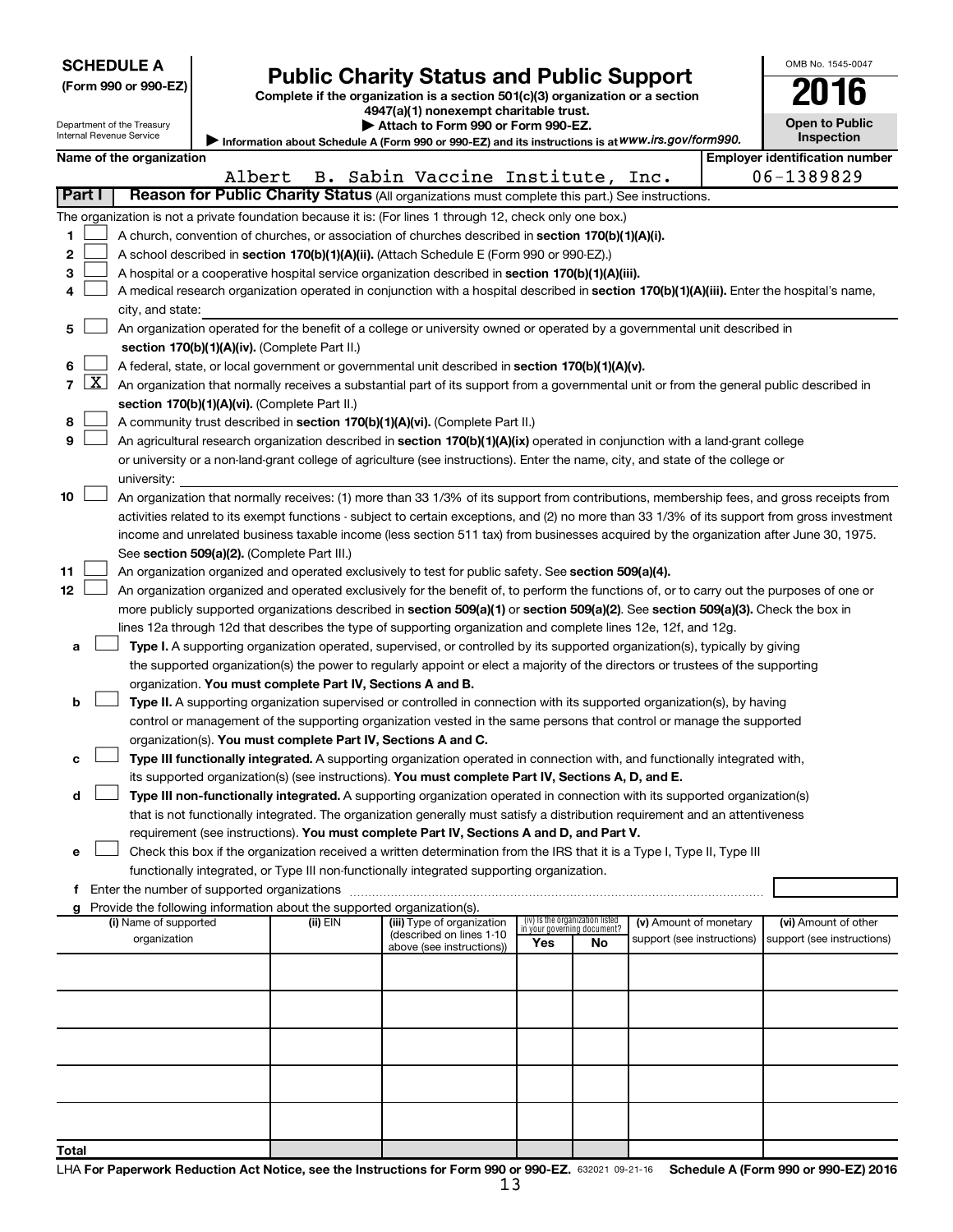| <b>SCHEDULE A</b> |  |
|-------------------|--|
|-------------------|--|

Department of the Treasury

| (Form 990 or 990-EZ |  |  |  |  |
|---------------------|--|--|--|--|
|---------------------|--|--|--|--|

# Form 990 or 990-EZ) **Public Charity Status and Public Support**<br>
Complete if the organization is a section 501(c)(3) organization or a section<br> **2016**

**4947(a)(1) nonexempt charitable trust. | Attach to Form 990 or Form 990-EZ.** 

| I                                   |
|-------------------------------------|
| <b>Open to Public</b><br>Inspection |

OMB No. 1545-0047

|                |            | Internal Revenue Service |        | Information about Schedule A (Form 990 or 990-EZ) and its instructions is at WWW.irs.gov/form990.                                                                                     |                                                        |     |                                                                |                            | Inspection                                                                                                                                    |
|----------------|------------|--------------------------|--------|---------------------------------------------------------------------------------------------------------------------------------------------------------------------------------------|--------------------------------------------------------|-----|----------------------------------------------------------------|----------------------------|-----------------------------------------------------------------------------------------------------------------------------------------------|
|                |            | Name of the organization |        |                                                                                                                                                                                       |                                                        |     |                                                                |                            | <b>Employer identification number</b>                                                                                                         |
|                |            |                          | Albert |                                                                                                                                                                                       | B. Sabin Vaccine Institute, Inc.                       |     |                                                                |                            | 06-1389829                                                                                                                                    |
|                | Part I     |                          |        | Reason for Public Charity Status (All organizations must complete this part.) See instructions.                                                                                       |                                                        |     |                                                                |                            |                                                                                                                                               |
|                |            |                          |        | The organization is not a private foundation because it is: (For lines 1 through 12, check only one box.)                                                                             |                                                        |     |                                                                |                            |                                                                                                                                               |
| 1              |            |                          |        | A church, convention of churches, or association of churches described in section 170(b)(1)(A)(i).                                                                                    |                                                        |     |                                                                |                            |                                                                                                                                               |
| 2              |            |                          |        | A school described in section 170(b)(1)(A)(ii). (Attach Schedule E (Form 990 or 990-EZ).)                                                                                             |                                                        |     |                                                                |                            |                                                                                                                                               |
| з              |            |                          |        | A hospital or a cooperative hospital service organization described in section 170(b)(1)(A)(iii).                                                                                     |                                                        |     |                                                                |                            |                                                                                                                                               |
| 4              |            |                          |        |                                                                                                                                                                                       |                                                        |     |                                                                |                            | A medical research organization operated in conjunction with a hospital described in section 170(b)(1)(A)(iii). Enter the hospital's name,    |
|                |            | city, and state:         |        |                                                                                                                                                                                       |                                                        |     |                                                                |                            |                                                                                                                                               |
| 5              |            |                          |        | An organization operated for the benefit of a college or university owned or operated by a governmental unit described in                                                             |                                                        |     |                                                                |                            |                                                                                                                                               |
|                |            |                          |        | section 170(b)(1)(A)(iv). (Complete Part II.)                                                                                                                                         |                                                        |     |                                                                |                            |                                                                                                                                               |
| 6              |            |                          |        | A federal, state, or local government or governmental unit described in section 170(b)(1)(A)(v).                                                                                      |                                                        |     |                                                                |                            |                                                                                                                                               |
| $\overline{7}$ | <u>X  </u> |                          |        |                                                                                                                                                                                       |                                                        |     |                                                                |                            | An organization that normally receives a substantial part of its support from a governmental unit or from the general public described in     |
|                |            |                          |        | section 170(b)(1)(A)(vi). (Complete Part II.)                                                                                                                                         |                                                        |     |                                                                |                            |                                                                                                                                               |
| 8              |            |                          |        | A community trust described in section 170(b)(1)(A)(vi). (Complete Part II.)                                                                                                          |                                                        |     |                                                                |                            |                                                                                                                                               |
| 9              |            |                          |        | An agricultural research organization described in section 170(b)(1)(A)(ix) operated in conjunction with a land-grant college                                                         |                                                        |     |                                                                |                            |                                                                                                                                               |
|                |            |                          |        | or university or a non-land-grant college of agriculture (see instructions). Enter the name, city, and state of the college or                                                        |                                                        |     |                                                                |                            |                                                                                                                                               |
|                |            | university:              |        |                                                                                                                                                                                       |                                                        |     |                                                                |                            |                                                                                                                                               |
| 10             |            |                          |        |                                                                                                                                                                                       |                                                        |     |                                                                |                            | An organization that normally receives: (1) more than 33 1/3% of its support from contributions, membership fees, and gross receipts from     |
|                |            |                          |        |                                                                                                                                                                                       |                                                        |     |                                                                |                            | activities related to its exempt functions - subject to certain exceptions, and (2) no more than 33 1/3% of its support from gross investment |
|                |            |                          |        |                                                                                                                                                                                       |                                                        |     |                                                                |                            | income and unrelated business taxable income (less section 511 tax) from businesses acquired by the organization after June 30, 1975.         |
|                |            |                          |        | See section 509(a)(2). (Complete Part III.)                                                                                                                                           |                                                        |     |                                                                |                            |                                                                                                                                               |
| 11             |            |                          |        | An organization organized and operated exclusively to test for public safety. See section 509(a)(4).                                                                                  |                                                        |     |                                                                |                            |                                                                                                                                               |
| 12             |            |                          |        |                                                                                                                                                                                       |                                                        |     |                                                                |                            | An organization organized and operated exclusively for the benefit of, to perform the functions of, or to carry out the purposes of one or    |
|                |            |                          |        | more publicly supported organizations described in section 509(a)(1) or section 509(a)(2). See section 509(a)(3). Check the box in                                                    |                                                        |     |                                                                |                            |                                                                                                                                               |
|                |            |                          |        | lines 12a through 12d that describes the type of supporting organization and complete lines 12e, 12f, and 12g.                                                                        |                                                        |     |                                                                |                            |                                                                                                                                               |
| а              |            |                          |        | Type I. A supporting organization operated, supervised, or controlled by its supported organization(s), typically by giving                                                           |                                                        |     |                                                                |                            |                                                                                                                                               |
|                |            |                          |        | the supported organization(s) the power to regularly appoint or elect a majority of the directors or trustees of the supporting                                                       |                                                        |     |                                                                |                            |                                                                                                                                               |
| b              |            |                          |        | organization. You must complete Part IV, Sections A and B.<br>Type II. A supporting organization supervised or controlled in connection with its supported organization(s), by having |                                                        |     |                                                                |                            |                                                                                                                                               |
|                |            |                          |        | control or management of the supporting organization vested in the same persons that control or manage the supported                                                                  |                                                        |     |                                                                |                            |                                                                                                                                               |
|                |            |                          |        | organization(s). You must complete Part IV, Sections A and C.                                                                                                                         |                                                        |     |                                                                |                            |                                                                                                                                               |
| с              |            |                          |        | Type III functionally integrated. A supporting organization operated in connection with, and functionally integrated with,                                                            |                                                        |     |                                                                |                            |                                                                                                                                               |
|                |            |                          |        | its supported organization(s) (see instructions). You must complete Part IV, Sections A, D, and E.                                                                                    |                                                        |     |                                                                |                            |                                                                                                                                               |
| d              |            |                          |        | Type III non-functionally integrated. A supporting organization operated in connection with its supported organization(s)                                                             |                                                        |     |                                                                |                            |                                                                                                                                               |
|                |            |                          |        | that is not functionally integrated. The organization generally must satisfy a distribution requirement and an attentiveness                                                          |                                                        |     |                                                                |                            |                                                                                                                                               |
|                |            |                          |        | requirement (see instructions). You must complete Part IV, Sections A and D, and Part V.                                                                                              |                                                        |     |                                                                |                            |                                                                                                                                               |
| е              |            |                          |        | Check this box if the organization received a written determination from the IRS that it is a Type I, Type II, Type III                                                               |                                                        |     |                                                                |                            |                                                                                                                                               |
|                |            |                          |        | functionally integrated, or Type III non-functionally integrated supporting organization.                                                                                             |                                                        |     |                                                                |                            |                                                                                                                                               |
| f              |            |                          |        |                                                                                                                                                                                       |                                                        |     |                                                                |                            |                                                                                                                                               |
| g              |            |                          |        | Provide the following information about the supported organization(s).                                                                                                                |                                                        |     |                                                                |                            |                                                                                                                                               |
|                |            | (i) Name of supported    |        | (ii) EIN                                                                                                                                                                              | (iii) Type of organization<br>(described on lines 1-10 |     | (iv) Is the organization listed<br>in your governing document? | (v) Amount of monetary     | (vi) Amount of other                                                                                                                          |
|                |            | organization             |        |                                                                                                                                                                                       | above (see instructions))                              | Yes | No                                                             | support (see instructions) | support (see instructions)                                                                                                                    |
|                |            |                          |        |                                                                                                                                                                                       |                                                        |     |                                                                |                            |                                                                                                                                               |
|                |            |                          |        |                                                                                                                                                                                       |                                                        |     |                                                                |                            |                                                                                                                                               |
|                |            |                          |        |                                                                                                                                                                                       |                                                        |     |                                                                |                            |                                                                                                                                               |
|                |            |                          |        |                                                                                                                                                                                       |                                                        |     |                                                                |                            |                                                                                                                                               |
|                |            |                          |        |                                                                                                                                                                                       |                                                        |     |                                                                |                            |                                                                                                                                               |
|                |            |                          |        |                                                                                                                                                                                       |                                                        |     |                                                                |                            |                                                                                                                                               |
|                |            |                          |        |                                                                                                                                                                                       |                                                        |     |                                                                |                            |                                                                                                                                               |
|                |            |                          |        |                                                                                                                                                                                       |                                                        |     |                                                                |                            |                                                                                                                                               |
|                |            |                          |        |                                                                                                                                                                                       |                                                        |     |                                                                |                            |                                                                                                                                               |
| Total          |            |                          |        |                                                                                                                                                                                       |                                                        |     |                                                                |                            |                                                                                                                                               |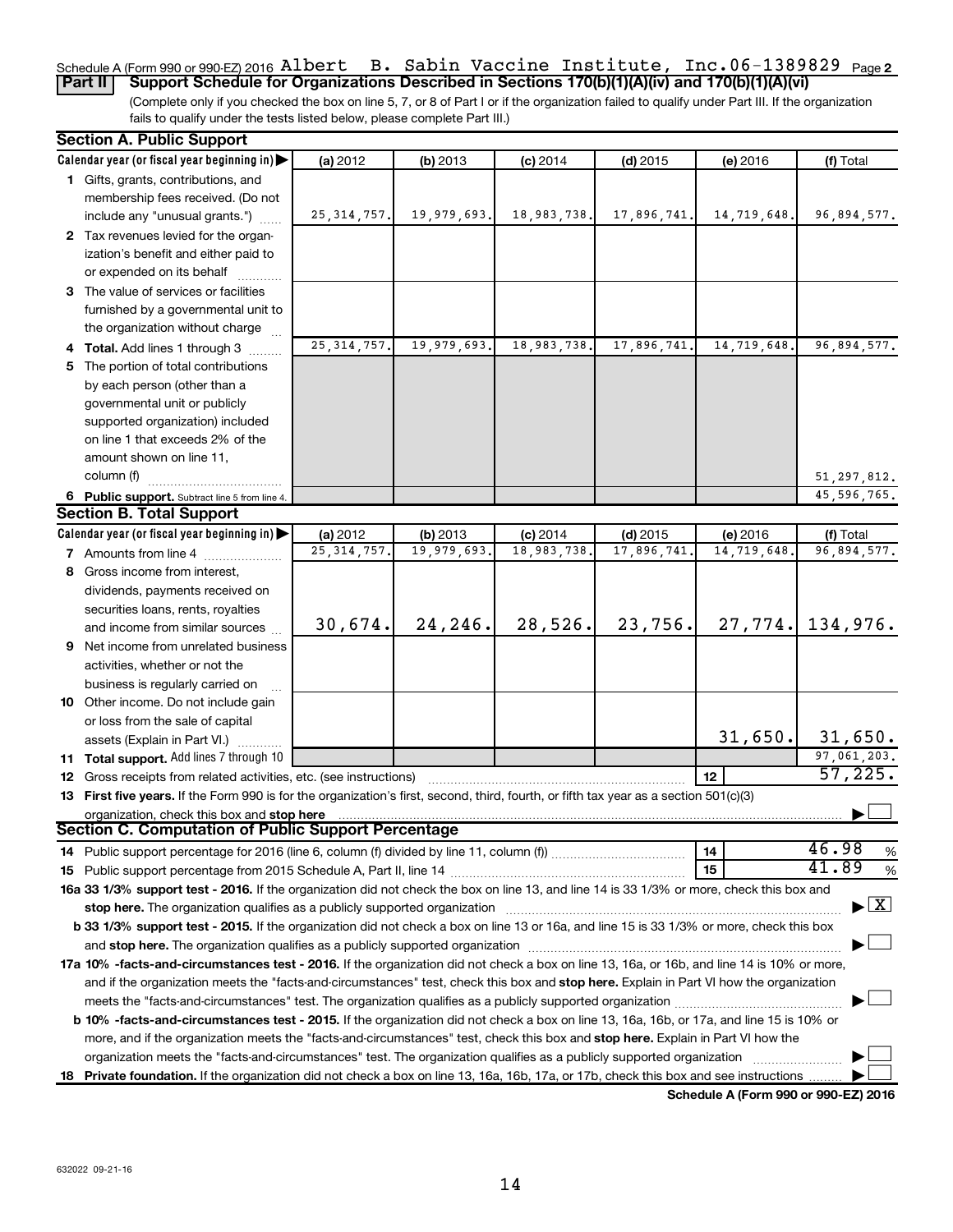#### Schedule A (Form 990 or 990-EZ) 2016 AL**Dert B. Sabin Vaccine Institute, Inc.**06-1389829 <sub>Page</sub> 2 **Part II Support Schedule for Organizations Described in Sections 170(b)(1)(A)(iv) and 170(b)(1)(A)(vi)** Albert B. Sabin Vaccine Institute, Inc.06-1389829

(Complete only if you checked the box on line 5, 7, or 8 of Part I or if the organization failed to qualify under Part III. If the organization fails to qualify under the tests listed below, please complete Part III.)

| <b>Section A. Public Support</b>                                                                                                                                                                                           |                           |             |             |             |             |                                    |
|----------------------------------------------------------------------------------------------------------------------------------------------------------------------------------------------------------------------------|---------------------------|-------------|-------------|-------------|-------------|------------------------------------|
| Calendar year (or fiscal year beginning in)                                                                                                                                                                                | (a) 2012                  | (b) 2013    | $(c)$ 2014  | $(d)$ 2015  | (e) 2016    | (f) Total                          |
| 1 Gifts, grants, contributions, and                                                                                                                                                                                        |                           |             |             |             |             |                                    |
| membership fees received. (Do not                                                                                                                                                                                          |                           |             |             |             |             |                                    |
| include any "unusual grants.")                                                                                                                                                                                             | 25, 314, 757.             | 19,979,693. | 18,983,738. | 17,896,741. | 14,719,648. | 96,894,577.                        |
| 2 Tax revenues levied for the organ-                                                                                                                                                                                       |                           |             |             |             |             |                                    |
| ization's benefit and either paid to                                                                                                                                                                                       |                           |             |             |             |             |                                    |
| or expended on its behalf                                                                                                                                                                                                  |                           |             |             |             |             |                                    |
| 3 The value of services or facilities                                                                                                                                                                                      |                           |             |             |             |             |                                    |
| furnished by a governmental unit to                                                                                                                                                                                        |                           |             |             |             |             |                                    |
| the organization without charge                                                                                                                                                                                            |                           |             |             |             |             |                                    |
| 4 Total. Add lines 1 through 3                                                                                                                                                                                             | 25, 314, 757.             | 19,979,693. | 18,983,738. | 17,896,741  | 14,719,648. | 96,894,577.                        |
| 5 The portion of total contributions                                                                                                                                                                                       |                           |             |             |             |             |                                    |
| by each person (other than a                                                                                                                                                                                               |                           |             |             |             |             |                                    |
| governmental unit or publicly                                                                                                                                                                                              |                           |             |             |             |             |                                    |
| supported organization) included                                                                                                                                                                                           |                           |             |             |             |             |                                    |
| on line 1 that exceeds 2% of the                                                                                                                                                                                           |                           |             |             |             |             |                                    |
| amount shown on line 11,                                                                                                                                                                                                   |                           |             |             |             |             |                                    |
| column (f)                                                                                                                                                                                                                 |                           |             |             |             |             |                                    |
|                                                                                                                                                                                                                            |                           |             |             |             |             | 51, 297, 812.                      |
| 6 Public support. Subtract line 5 from line 4.<br><b>Section B. Total Support</b>                                                                                                                                          |                           |             |             |             |             | 45, 596, 765.                      |
|                                                                                                                                                                                                                            |                           |             |             |             |             |                                    |
| Calendar year (or fiscal year beginning in)                                                                                                                                                                                | (a) 2012<br>25, 314, 757. | (b) 2013    | $(c)$ 2014  | $(d)$ 2015  | (e) 2016    | (f) Total                          |
| <b>7</b> Amounts from line 4                                                                                                                                                                                               |                           | 19,979,693  | 18,983,738  | 17,896,741  | 14,719,648  | 96,894,577.                        |
| 8 Gross income from interest,                                                                                                                                                                                              |                           |             |             |             |             |                                    |
| dividends, payments received on                                                                                                                                                                                            |                           |             |             |             |             |                                    |
| securities loans, rents, royalties                                                                                                                                                                                         |                           |             |             |             |             |                                    |
| and income from similar sources                                                                                                                                                                                            | 30,674.                   | 24,246.     | 28,526.     | 23,756.     | 27,774.     | 134,976.                           |
| 9 Net income from unrelated business                                                                                                                                                                                       |                           |             |             |             |             |                                    |
| activities, whether or not the                                                                                                                                                                                             |                           |             |             |             |             |                                    |
| business is regularly carried on                                                                                                                                                                                           |                           |             |             |             |             |                                    |
| 10 Other income. Do not include gain                                                                                                                                                                                       |                           |             |             |             |             |                                    |
| or loss from the sale of capital                                                                                                                                                                                           |                           |             |             |             |             |                                    |
| assets (Explain in Part VI.)                                                                                                                                                                                               |                           |             |             |             | 31,650.     | 31,650.                            |
| 11 Total support. Add lines 7 through 10                                                                                                                                                                                   |                           |             |             |             |             | 97,061,203.                        |
| 12 Gross receipts from related activities, etc. (see instructions)                                                                                                                                                         |                           |             |             |             | 12          | 57,225.                            |
| 13 First five years. If the Form 990 is for the organization's first, second, third, fourth, or fifth tax year as a section 501(c)(3)                                                                                      |                           |             |             |             |             |                                    |
| organization, check this box and stop here                                                                                                                                                                                 |                           |             |             |             |             |                                    |
| <b>Section C. Computation of Public Support Percentage</b>                                                                                                                                                                 |                           |             |             |             |             |                                    |
|                                                                                                                                                                                                                            |                           |             |             |             | 14          | 46.98<br>%                         |
|                                                                                                                                                                                                                            |                           |             |             |             | 15          | 41.89<br>%                         |
| 16a 33 1/3% support test - 2016. If the organization did not check the box on line 13, and line 14 is 33 1/3% or more, check this box and                                                                                  |                           |             |             |             |             |                                    |
| stop here. The organization qualifies as a publicly supported organization manufactured content and the organization                                                                                                       |                           |             |             |             |             | $\blacktriangleright$ $\mathbf{X}$ |
| b 33 1/3% support test - 2015. If the organization did not check a box on line 13 or 16a, and line 15 is 33 1/3% or more, check this box                                                                                   |                           |             |             |             |             |                                    |
| and stop here. The organization qualifies as a publicly supported organization [11] manuscription manuscription manuscription manuscription and stop here. The organization qualifies as a publicly supported organization |                           |             |             |             |             |                                    |
| 17a 10% -facts-and-circumstances test - 2016. If the organization did not check a box on line 13, 16a, or 16b, and line 14 is 10% or more,                                                                                 |                           |             |             |             |             |                                    |
| and if the organization meets the "facts-and-circumstances" test, check this box and stop here. Explain in Part VI how the organization                                                                                    |                           |             |             |             |             |                                    |
|                                                                                                                                                                                                                            |                           |             |             |             |             |                                    |
| b 10% -facts-and-circumstances test - 2015. If the organization did not check a box on line 13, 16a, 16b, or 17a, and line 15 is 10% or                                                                                    |                           |             |             |             |             |                                    |
| more, and if the organization meets the "facts-and-circumstances" test, check this box and stop here. Explain in Part VI how the                                                                                           |                           |             |             |             |             |                                    |
| organization meets the "facts-and-circumstances" test. The organization qualifies as a publicly supported organization                                                                                                     |                           |             |             |             |             |                                    |
| 18 Private foundation. If the organization did not check a box on line 13, 16a, 16b, 17a, or 17b, check this box and see instructions                                                                                      |                           |             |             |             |             |                                    |
|                                                                                                                                                                                                                            |                           |             |             |             |             |                                    |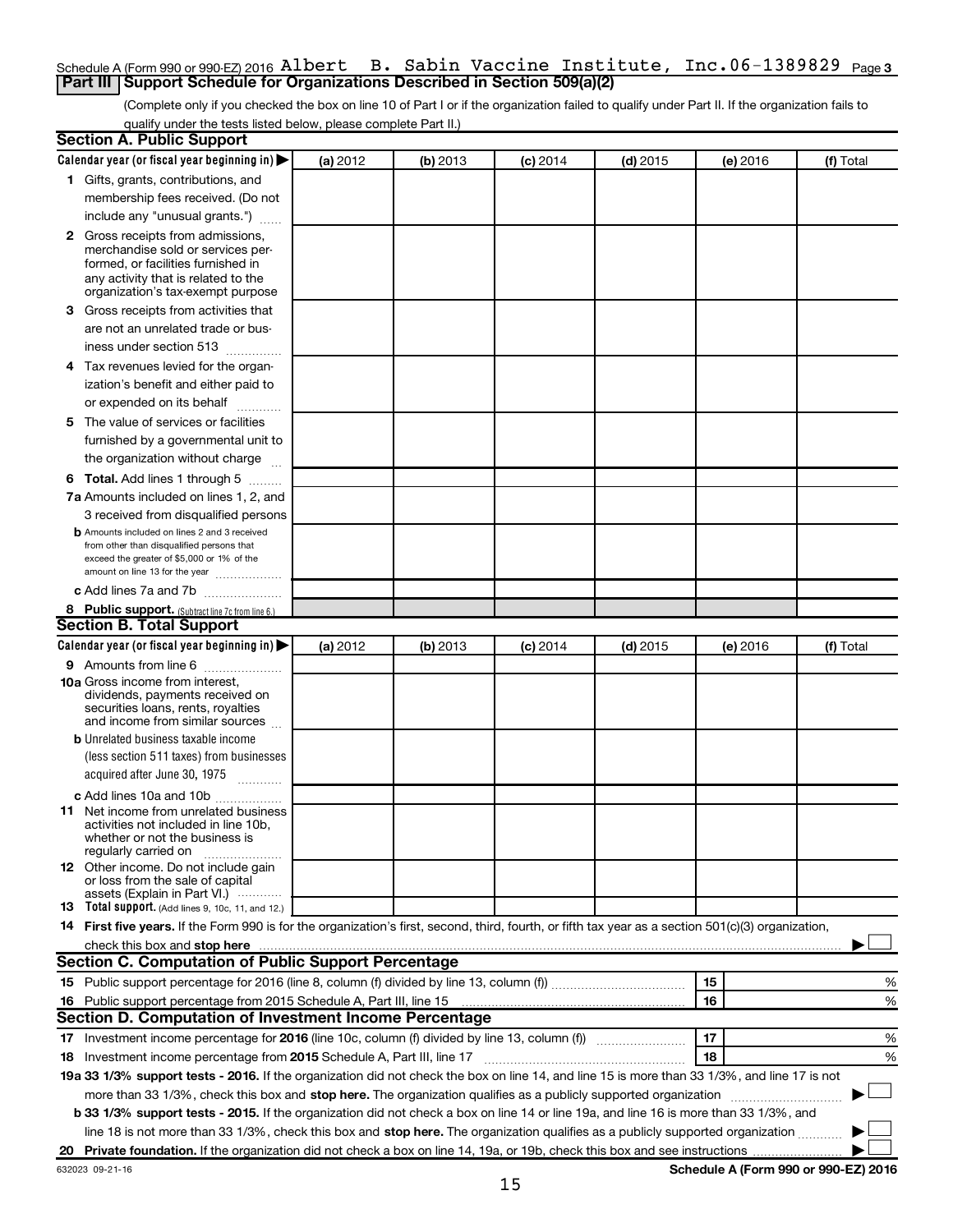### Schedule A (Form 990 or 990-EZ) 2016 <code>Albert B.</code> Sabin Vaccine Institute, Inc.06-1389829 <code>page</code>3 **Part III Support Schedule for Organizations Described in Section 509(a)(2)**

(Complete only if you checked the box on line 10 of Part I or if the organization failed to qualify under Part II. If the organization fails to qualify under the tests listed below, please complete Part II.)

| <b>Section A. Public Support</b>                                                                                                                                                                                               |          |          |                 |            |          |           |
|--------------------------------------------------------------------------------------------------------------------------------------------------------------------------------------------------------------------------------|----------|----------|-----------------|------------|----------|-----------|
| Calendar year (or fiscal year beginning in)                                                                                                                                                                                    | (a) 2012 | (b) 2013 | $(c)$ 2014      | $(d)$ 2015 | (e) 2016 | (f) Total |
| 1 Gifts, grants, contributions, and                                                                                                                                                                                            |          |          |                 |            |          |           |
| membership fees received. (Do not                                                                                                                                                                                              |          |          |                 |            |          |           |
| include any "unusual grants.")                                                                                                                                                                                                 |          |          |                 |            |          |           |
| 2 Gross receipts from admissions,                                                                                                                                                                                              |          |          |                 |            |          |           |
| merchandise sold or services per-                                                                                                                                                                                              |          |          |                 |            |          |           |
| formed, or facilities furnished in                                                                                                                                                                                             |          |          |                 |            |          |           |
| any activity that is related to the<br>organization's tax-exempt purpose                                                                                                                                                       |          |          |                 |            |          |           |
| 3 Gross receipts from activities that                                                                                                                                                                                          |          |          |                 |            |          |           |
| are not an unrelated trade or bus-                                                                                                                                                                                             |          |          |                 |            |          |           |
| iness under section 513                                                                                                                                                                                                        |          |          |                 |            |          |           |
| 4 Tax revenues levied for the organ-                                                                                                                                                                                           |          |          |                 |            |          |           |
| ization's benefit and either paid to                                                                                                                                                                                           |          |          |                 |            |          |           |
| or expended on its behalf                                                                                                                                                                                                      |          |          |                 |            |          |           |
| 5 The value of services or facilities                                                                                                                                                                                          |          |          |                 |            |          |           |
| furnished by a governmental unit to                                                                                                                                                                                            |          |          |                 |            |          |           |
| the organization without charge                                                                                                                                                                                                |          |          |                 |            |          |           |
|                                                                                                                                                                                                                                |          |          |                 |            |          |           |
| <b>6 Total.</b> Add lines 1 through 5<br>7a Amounts included on lines 1, 2, and                                                                                                                                                |          |          |                 |            |          |           |
| 3 received from disqualified persons                                                                                                                                                                                           |          |          |                 |            |          |           |
| <b>b</b> Amounts included on lines 2 and 3 received                                                                                                                                                                            |          |          |                 |            |          |           |
| from other than disqualified persons that                                                                                                                                                                                      |          |          |                 |            |          |           |
| exceed the greater of \$5,000 or 1% of the                                                                                                                                                                                     |          |          |                 |            |          |           |
| amount on line 13 for the year                                                                                                                                                                                                 |          |          |                 |            |          |           |
| c Add lines 7a and 7b                                                                                                                                                                                                          |          |          |                 |            |          |           |
| 8 Public support. (Subtract line 7c from line 6.)<br><b>Section B. Total Support</b>                                                                                                                                           |          |          |                 |            |          |           |
|                                                                                                                                                                                                                                |          |          |                 |            |          |           |
| Calendar year (or fiscal year beginning in)                                                                                                                                                                                    | (a) 2012 | (b) 2013 | <b>(c)</b> 2014 | $(d)$ 2015 | (e) 2016 | (f) Total |
| 9 Amounts from line 6                                                                                                                                                                                                          |          |          |                 |            |          |           |
| <b>10a</b> Gross income from interest,<br>dividends, payments received on                                                                                                                                                      |          |          |                 |            |          |           |
| securities loans, rents, royalties                                                                                                                                                                                             |          |          |                 |            |          |           |
| and income from similar sources                                                                                                                                                                                                |          |          |                 |            |          |           |
| <b>b</b> Unrelated business taxable income                                                                                                                                                                                     |          |          |                 |            |          |           |
| (less section 511 taxes) from businesses                                                                                                                                                                                       |          |          |                 |            |          |           |
| acquired after June 30, 1975<br>$\frac{1}{2}$                                                                                                                                                                                  |          |          |                 |            |          |           |
| c Add lines 10a and 10b                                                                                                                                                                                                        |          |          |                 |            |          |           |
| 11 Net income from unrelated business                                                                                                                                                                                          |          |          |                 |            |          |           |
| activities not included in line 10b.<br>whether or not the business is                                                                                                                                                         |          |          |                 |            |          |           |
| regularly carried on                                                                                                                                                                                                           |          |          |                 |            |          |           |
| <b>12</b> Other income. Do not include gain                                                                                                                                                                                    |          |          |                 |            |          |           |
| or loss from the sale of capital<br>assets (Explain in Part VI.)                                                                                                                                                               |          |          |                 |            |          |           |
| <b>13</b> Total support. (Add lines 9, 10c, 11, and 12.)                                                                                                                                                                       |          |          |                 |            |          |           |
| 14 First five years. If the Form 990 is for the organization's first, second, third, fourth, or fifth tax year as a section 501(c)(3) organization,                                                                            |          |          |                 |            |          |           |
| check this box and stop here manufactured and stop here and stop here are manufactured and stop here and stop here and stop here and stop here and stop here and stop here and stop here are all the stop of the stop of the s |          |          |                 |            |          |           |
| Section C. Computation of Public Support Percentage                                                                                                                                                                            |          |          |                 |            |          |           |
|                                                                                                                                                                                                                                |          |          |                 |            | 15       | %         |
| 16 Public support percentage from 2015 Schedule A, Part III, line 15                                                                                                                                                           |          |          |                 |            | 16       | %         |
| Section D. Computation of Investment Income Percentage                                                                                                                                                                         |          |          |                 |            |          |           |
| 17 Investment income percentage for 2016 (line 10c, column (f) divided by line 13, column (f))                                                                                                                                 |          |          |                 |            | 17       | %         |
| 18 Investment income percentage from 2015 Schedule A, Part III, line 17                                                                                                                                                        |          |          |                 |            | 18       | %         |
| 19a 33 1/3% support tests - 2016. If the organization did not check the box on line 14, and line 15 is more than 33 1/3%, and line 17 is not                                                                                   |          |          |                 |            |          |           |
| more than 33 1/3%, check this box and stop here. The organization qualifies as a publicly supported organization                                                                                                               |          |          |                 |            |          |           |
| b 33 1/3% support tests - 2015. If the organization did not check a box on line 14 or line 19a, and line 16 is more than 33 1/3%, and                                                                                          |          |          |                 |            |          |           |
| line 18 is not more than 33 1/3%, check this box and stop here. The organization qualifies as a publicly supported organization                                                                                                |          |          |                 |            |          |           |
|                                                                                                                                                                                                                                |          |          |                 |            |          |           |
|                                                                                                                                                                                                                                |          |          |                 |            |          |           |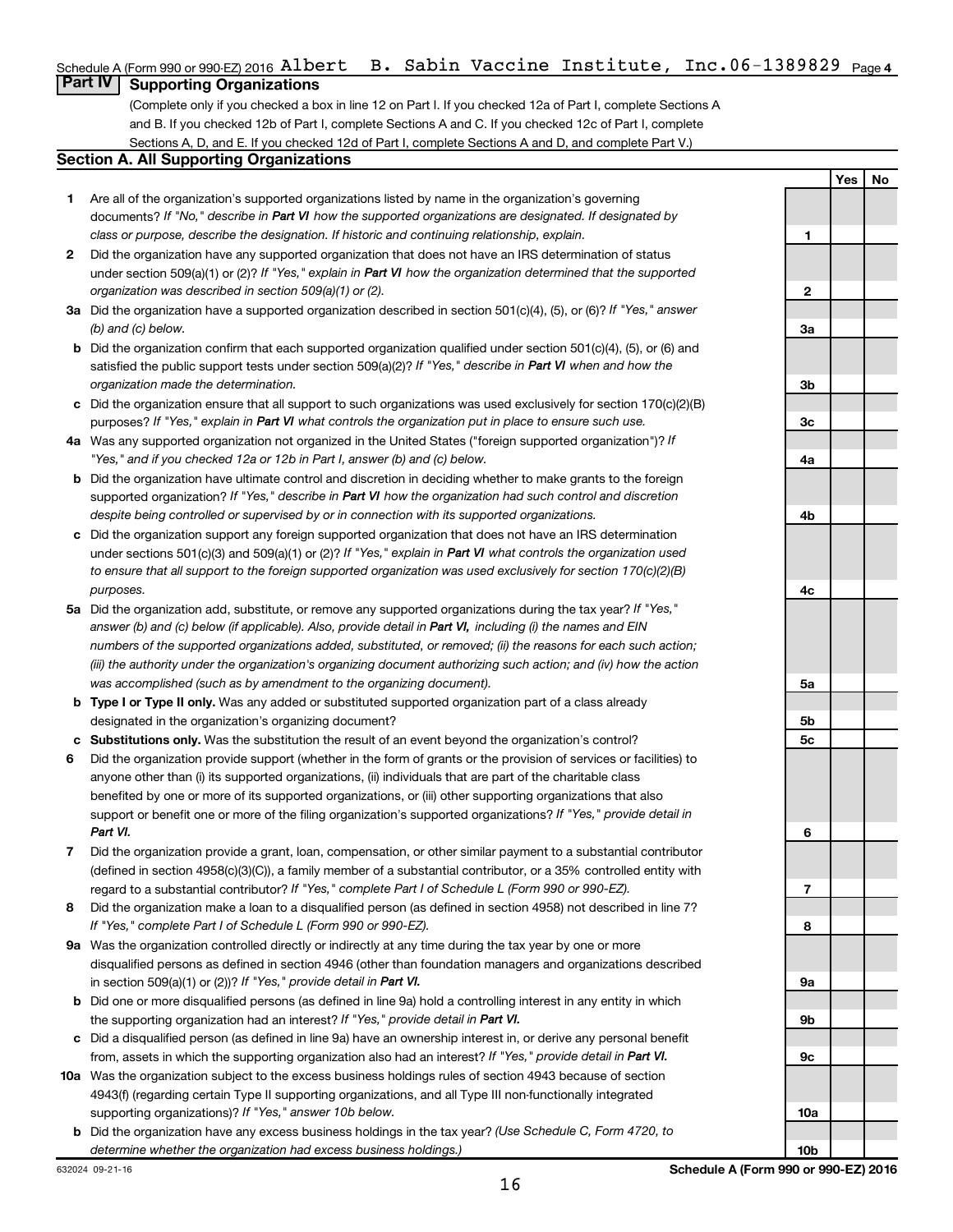## Schedule A (Form 990 or 990-EZ) 2016 <code>Albert B.</code> Sabin Vaccine Institute, Inc.06-1389829 <code>page4</code>

## **Part IV Supporting Organizations**

(Complete only if you checked a box in line 12 on Part I. If you checked 12a of Part I, complete Sections A and B. If you checked 12b of Part I, complete Sections A and C. If you checked 12c of Part I, complete Sections A, D, and E. If you checked 12d of Part I, complete Sections A and D, and complete Part V.)

### **Section A. All Supporting Organizations**

- **1** Are all of the organization's supported organizations listed by name in the organization's governing documents? If "No," describe in Part VI how the supported organizations are designated. If designated by *class or purpose, describe the designation. If historic and continuing relationship, explain.*
- **2** Did the organization have any supported organization that does not have an IRS determination of status under section 509(a)(1) or (2)? If "Yes," explain in Part VI how the organization determined that the supported *organization was described in section 509(a)(1) or (2).*
- **3a** Did the organization have a supported organization described in section 501(c)(4), (5), or (6)? If "Yes," answer *(b) and (c) below.*
- **b** Did the organization confirm that each supported organization qualified under section 501(c)(4), (5), or (6) and satisfied the public support tests under section 509(a)(2)? If "Yes," describe in Part VI when and how the *organization made the determination.*
- **c** Did the organization ensure that all support to such organizations was used exclusively for section 170(c)(2)(B) purposes? If "Yes," explain in Part VI what controls the organization put in place to ensure such use.
- **4 a** *If* Was any supported organization not organized in the United States ("foreign supported organization")? *"Yes," and if you checked 12a or 12b in Part I, answer (b) and (c) below.*
- **b** Did the organization have ultimate control and discretion in deciding whether to make grants to the foreign supported organization? If "Yes," describe in Part VI how the organization had such control and discretion *despite being controlled or supervised by or in connection with its supported organizations.*
- **c** Did the organization support any foreign supported organization that does not have an IRS determination under sections 501(c)(3) and 509(a)(1) or (2)? If "Yes," explain in Part VI what controls the organization used *to ensure that all support to the foreign supported organization was used exclusively for section 170(c)(2)(B) purposes.*
- **5a** Did the organization add, substitute, or remove any supported organizations during the tax year? If "Yes," answer (b) and (c) below (if applicable). Also, provide detail in Part VI, including (i) the names and EIN *numbers of the supported organizations added, substituted, or removed; (ii) the reasons for each such action; (iii) the authority under the organization's organizing document authorizing such action; and (iv) how the action was accomplished (such as by amendment to the organizing document).*
- **b** Type I or Type II only. Was any added or substituted supported organization part of a class already designated in the organization's organizing document?
- **c Substitutions only.**  Was the substitution the result of an event beyond the organization's control?
- **6** Did the organization provide support (whether in the form of grants or the provision of services or facilities) to support or benefit one or more of the filing organization's supported organizations? If "Yes," provide detail in anyone other than (i) its supported organizations, (ii) individuals that are part of the charitable class benefited by one or more of its supported organizations, or (iii) other supporting organizations that also *Part VI.*
- **7** Did the organization provide a grant, loan, compensation, or other similar payment to a substantial contributor regard to a substantial contributor? If "Yes," complete Part I of Schedule L (Form 990 or 990-EZ). (defined in section 4958(c)(3)(C)), a family member of a substantial contributor, or a 35% controlled entity with
- **8** Did the organization make a loan to a disqualified person (as defined in section 4958) not described in line 7? *If "Yes," complete Part I of Schedule L (Form 990 or 990-EZ).*
- **9 a** Was the organization controlled directly or indirectly at any time during the tax year by one or more in section 509(a)(1) or (2))? If "Yes," provide detail in Part VI. disqualified persons as defined in section 4946 (other than foundation managers and organizations described
- **b** Did one or more disqualified persons (as defined in line 9a) hold a controlling interest in any entity in which the supporting organization had an interest? If "Yes," provide detail in Part VI.
- **c** Did a disqualified person (as defined in line 9a) have an ownership interest in, or derive any personal benefit from, assets in which the supporting organization also had an interest? If "Yes," provide detail in Part VI.
- **10 a** Was the organization subject to the excess business holdings rules of section 4943 because of section supporting organizations)? If "Yes," answer 10b below. 4943(f) (regarding certain Type II supporting organizations, and all Type III non-functionally integrated
	- **b** Did the organization have any excess business holdings in the tax year? (Use Schedule C, Form 4720, to *determine whether the organization had excess business holdings.)*

**Yes No 1 2 3a 3b 3c 4a 4b 4c 5a 5b 5c 6 7 8 9a 9b 9c 10a**

**10b**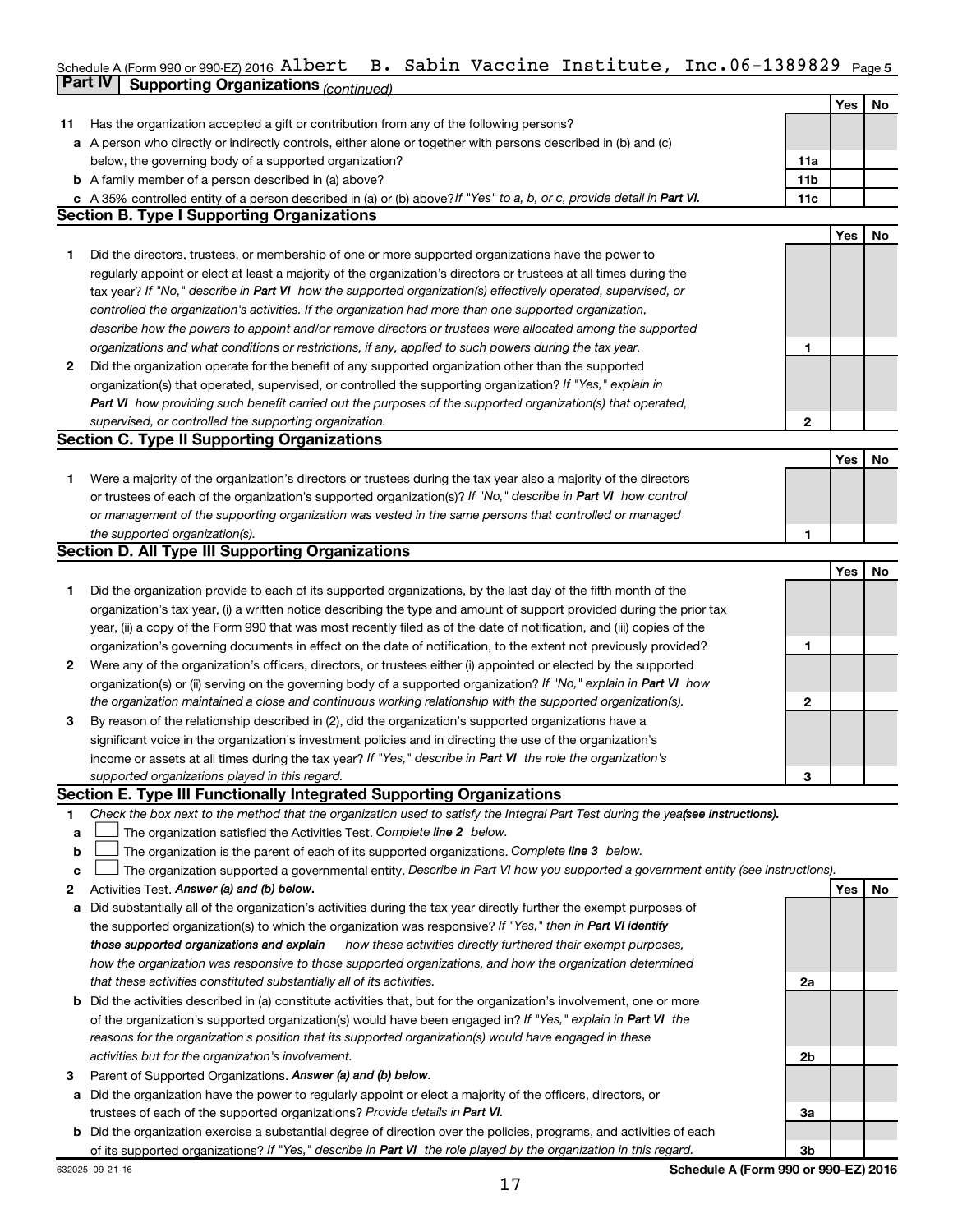#### Schedule A (Form 990 or 990-EZ) 2016 <code>AlDert B.</code> Sabin Vaccine Institute, Inc.06-1389829  $_{\text{Page 5}}$ **Part IV Supporting Organizations** *(continued)* Albert B. Sabin Vaccine Institute, Inc.06-1389829

|    |                                                                                                                                 |     | Yes | No |
|----|---------------------------------------------------------------------------------------------------------------------------------|-----|-----|----|
| 11 | Has the organization accepted a gift or contribution from any of the following persons?                                         |     |     |    |
|    | a A person who directly or indirectly controls, either alone or together with persons described in (b) and (c)                  |     |     |    |
|    | below, the governing body of a supported organization?                                                                          | 11a |     |    |
|    | <b>b</b> A family member of a person described in (a) above?                                                                    | 11b |     |    |
|    | c A 35% controlled entity of a person described in (a) or (b) above? If "Yes" to a, b, or c, provide detail in Part VI.         | 11c |     |    |
|    | <b>Section B. Type I Supporting Organizations</b>                                                                               |     |     |    |
|    |                                                                                                                                 |     | Yes | No |
| 1  | Did the directors, trustees, or membership of one or more supported organizations have the power to                             |     |     |    |
|    | regularly appoint or elect at least a majority of the organization's directors or trustees at all times during the              |     |     |    |
|    | tax year? If "No," describe in Part VI how the supported organization(s) effectively operated, supervised, or                   |     |     |    |
|    | controlled the organization's activities. If the organization had more than one supported organization,                         |     |     |    |
|    | describe how the powers to appoint and/or remove directors or trustees were allocated among the supported                       |     |     |    |
|    | organizations and what conditions or restrictions, if any, applied to such powers during the tax year.                          | 1   |     |    |
| 2  | Did the organization operate for the benefit of any supported organization other than the supported                             |     |     |    |
|    | organization(s) that operated, supervised, or controlled the supporting organization? If "Yes," explain in                      |     |     |    |
|    | Part VI how providing such benefit carried out the purposes of the supported organization(s) that operated,                     |     |     |    |
|    | supervised, or controlled the supporting organization.                                                                          | 2   |     |    |
|    | <b>Section C. Type II Supporting Organizations</b>                                                                              |     |     |    |
|    |                                                                                                                                 |     | Yes | No |
| 1. | Were a majority of the organization's directors or trustees during the tax year also a majority of the directors                |     |     |    |
|    | or trustees of each of the organization's supported organization(s)? If "No," describe in Part VI how control                   |     |     |    |
|    | or management of the supporting organization was vested in the same persons that controlled or managed                          |     |     |    |
|    | the supported organization(s).                                                                                                  | 1   |     |    |
|    | <b>Section D. All Type III Supporting Organizations</b>                                                                         |     |     |    |
|    |                                                                                                                                 |     | Yes | No |
| 1  | Did the organization provide to each of its supported organizations, by the last day of the fifth month of the                  |     |     |    |
|    | organization's tax year, (i) a written notice describing the type and amount of support provided during the prior tax           |     |     |    |
|    | year, (ii) a copy of the Form 990 that was most recently filed as of the date of notification, and (iii) copies of the          |     |     |    |
|    | organization's governing documents in effect on the date of notification, to the extent not previously provided?                | 1   |     |    |
| 2  | Were any of the organization's officers, directors, or trustees either (i) appointed or elected by the supported                |     |     |    |
|    | organization(s) or (ii) serving on the governing body of a supported organization? If "No," explain in Part VI how              |     |     |    |
|    | the organization maintained a close and continuous working relationship with the supported organization(s).                     | 2   |     |    |
| 3  | By reason of the relationship described in (2), did the organization's supported organizations have a                           |     |     |    |
|    | significant voice in the organization's investment policies and in directing the use of the organization's                      |     |     |    |
|    | income or assets at all times during the tax year? If "Yes," describe in Part VI the role the organization's                    |     |     |    |
|    | supported organizations played in this regard.                                                                                  | З   |     |    |
|    | Section E. Type III Functionally Integrated Supporting Organizations                                                            |     |     |    |
| 1  | Check the box next to the method that the organization used to satisfy the Integral Part Test during the yealsee instructions). |     |     |    |
| а  | The organization satisfied the Activities Test. Complete line 2 below.                                                          |     |     |    |
| b  | The organization is the parent of each of its supported organizations. Complete line 3 below.                                   |     |     |    |
| с  | The organization supported a governmental entity. Describe in Part VI how you supported a government entity (see instructions). |     |     |    |
| 2  | Activities Test. Answer (a) and (b) below.                                                                                      |     | Yes | No |
| а  | Did substantially all of the organization's activities during the tax year directly further the exempt purposes of              |     |     |    |
|    | the supported organization(s) to which the organization was responsive? If "Yes," then in Part VI identify                      |     |     |    |
|    | how these activities directly furthered their exempt purposes,<br>those supported organizations and explain                     |     |     |    |
|    | how the organization was responsive to those supported organizations, and how the organization determined                       |     |     |    |
|    | that these activities constituted substantially all of its activities.                                                          | 2a  |     |    |
|    | <b>b</b> Did the activities described in (a) constitute activities that, but for the organization's involvement, one or more    |     |     |    |
|    | of the organization's supported organization(s) would have been engaged in? If "Yes," explain in Part VI the                    |     |     |    |
|    | reasons for the organization's position that its supported organization(s) would have engaged in these                          |     |     |    |
|    | activities but for the organization's involvement.                                                                              | 2b  |     |    |
| з  | Parent of Supported Organizations. Answer (a) and (b) below.                                                                    |     |     |    |
|    | a Did the organization have the power to regularly appoint or elect a majority of the officers, directors, or                   |     |     |    |
|    | trustees of each of the supported organizations? Provide details in Part VI.                                                    | За  |     |    |
|    | <b>b</b> Did the organization exercise a substantial degree of direction over the policies, programs, and activities of each    |     |     |    |
|    | of its supported organizations? If "Yes," describe in Part VI the role played by the organization in this regard.               | Зb  |     |    |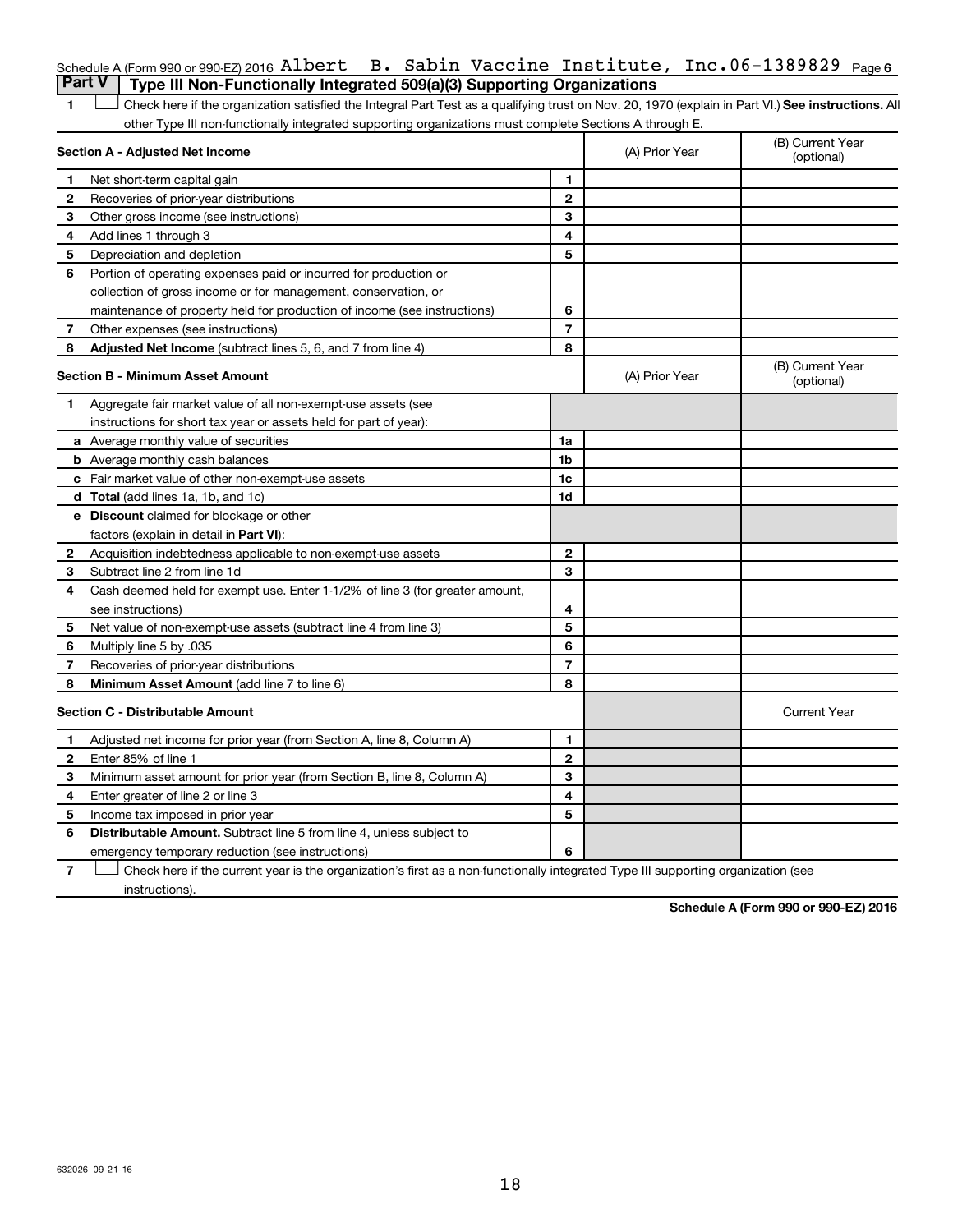|                                                                                         |  |  | Schedule A (Form 990 or 990-EZ) 2016 Albert B. Sabin Vaccine Institute, Inc. $06-1389829$ Page 6 |  |
|-----------------------------------------------------------------------------------------|--|--|--------------------------------------------------------------------------------------------------|--|
| <b>Part V</b>   Type III Non-Functionally Integrated 509(a)(3) Supporting Organizations |  |  |                                                                                                  |  |

1 **Letter See instructions.** All Check here if the organization satisfied the Integral Part Test as a qualifying trust on Nov. 20, 1970 (explain in Part VI.) See instructions. All other Type III non-functionally integrated supporting organizations must complete Sections A through E.

|   | Section A - Adjusted Net Income                                              | (A) Prior Year | (B) Current Year<br>(optional) |                                |
|---|------------------------------------------------------------------------------|----------------|--------------------------------|--------------------------------|
| 1 | Net short-term capital gain                                                  | 1              |                                |                                |
| 2 | Recoveries of prior-year distributions                                       | $\mathbf{2}$   |                                |                                |
| 3 | Other gross income (see instructions)                                        | 3              |                                |                                |
| 4 | Add lines 1 through 3                                                        | 4              |                                |                                |
| 5 | Depreciation and depletion                                                   | 5              |                                |                                |
| 6 | Portion of operating expenses paid or incurred for production or             |                |                                |                                |
|   | collection of gross income or for management, conservation, or               |                |                                |                                |
|   | maintenance of property held for production of income (see instructions)     | 6              |                                |                                |
| 7 | Other expenses (see instructions)                                            | $\overline{7}$ |                                |                                |
| 8 | Adjusted Net Income (subtract lines 5, 6, and 7 from line 4)                 | 8              |                                |                                |
|   | <b>Section B - Minimum Asset Amount</b>                                      |                | (A) Prior Year                 | (B) Current Year<br>(optional) |
| 1 | Aggregate fair market value of all non-exempt-use assets (see                |                |                                |                                |
|   | instructions for short tax year or assets held for part of year):            |                |                                |                                |
|   | a Average monthly value of securities                                        | 1a             |                                |                                |
|   | <b>b</b> Average monthly cash balances                                       | 1b             |                                |                                |
|   | <b>c</b> Fair market value of other non-exempt-use assets                    | 1c             |                                |                                |
|   | d Total (add lines 1a, 1b, and 1c)                                           | 1d             |                                |                                |
|   | e Discount claimed for blockage or other                                     |                |                                |                                |
|   | factors (explain in detail in <b>Part VI</b> ):                              |                |                                |                                |
| 2 | Acquisition indebtedness applicable to non-exempt-use assets                 | $\mathbf{2}$   |                                |                                |
| 3 | Subtract line 2 from line 1d                                                 | 3              |                                |                                |
| 4 | Cash deemed held for exempt use. Enter 1-1/2% of line 3 (for greater amount, |                |                                |                                |
|   | see instructions)                                                            | 4              |                                |                                |
| 5 | Net value of non-exempt-use assets (subtract line 4 from line 3)             | 5              |                                |                                |
| 6 | Multiply line 5 by .035                                                      | 6              |                                |                                |
| 7 | Recoveries of prior-year distributions                                       | $\overline{7}$ |                                |                                |
| 8 | <b>Minimum Asset Amount (add line 7 to line 6)</b>                           | 8              |                                |                                |
|   | <b>Section C - Distributable Amount</b>                                      |                |                                | <b>Current Year</b>            |
| 1 | Adjusted net income for prior year (from Section A, line 8, Column A)        | 1              |                                |                                |
| 2 | Enter 85% of line 1                                                          | $\overline{2}$ |                                |                                |
| 3 | Minimum asset amount for prior year (from Section B, line 8, Column A)       | 3              |                                |                                |
| 4 | Enter greater of line 2 or line 3                                            | 4              |                                |                                |
| 5 | Income tax imposed in prior year                                             | 5              |                                |                                |
| 6 | Distributable Amount. Subtract line 5 from line 4, unless subject to         |                |                                |                                |
|   | emergency temporary reduction (see instructions)                             | 6              |                                |                                |
|   |                                                                              |                |                                |                                |

**7** Let Check here if the current year is the organization's first as a non-functionally integrated Type III supporting organization (see instructions).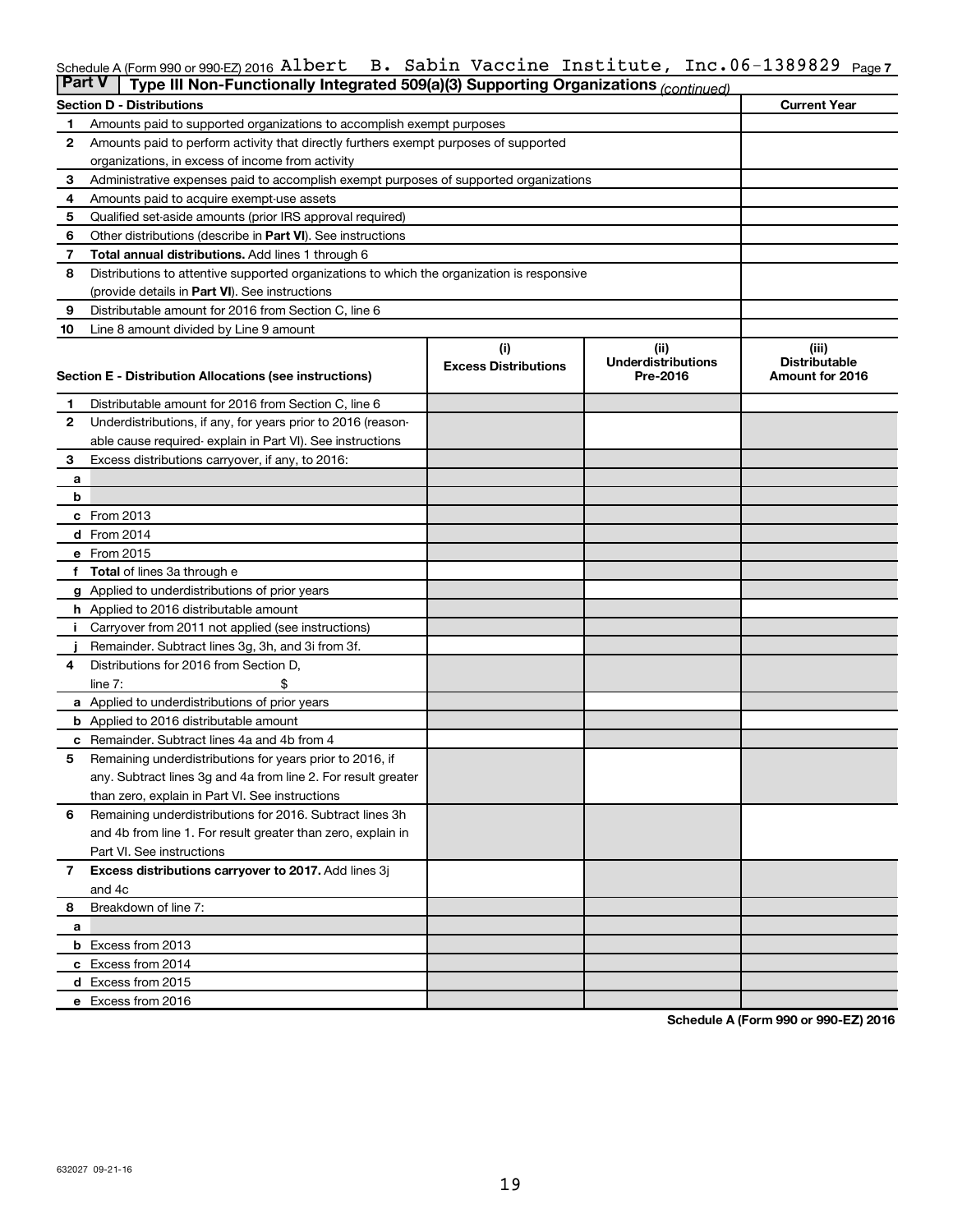#### Schedule A (Form 990 or 990-EZ) 2016 <code>Albert B.</code> Sabin Vaccine Institute, Inc.06-1389829 <code>page 7</code> **Part V Type III Non-Functional Part III Non-Function**<br> **Part V Type III Non-Function**

| <b>Fail V</b> | Type III Non-Functionally Integrated 509(a)(3) Supporting Organizations <sub>(continued)</sub> |                             |                           |                      |
|---------------|------------------------------------------------------------------------------------------------|-----------------------------|---------------------------|----------------------|
|               | <b>Section D - Distributions</b>                                                               |                             |                           | <b>Current Year</b>  |
| 1.            | Amounts paid to supported organizations to accomplish exempt purposes                          |                             |                           |                      |
| 2             | Amounts paid to perform activity that directly furthers exempt purposes of supported           |                             |                           |                      |
|               | organizations, in excess of income from activity                                               |                             |                           |                      |
| 3             | Administrative expenses paid to accomplish exempt purposes of supported organizations          |                             |                           |                      |
| 4             | Amounts paid to acquire exempt-use assets                                                      |                             |                           |                      |
| 5             | Qualified set-aside amounts (prior IRS approval required)                                      |                             |                           |                      |
| 6             | Other distributions (describe in Part VI). See instructions                                    |                             |                           |                      |
| 7             | <b>Total annual distributions.</b> Add lines 1 through 6                                       |                             |                           |                      |
| 8             | Distributions to attentive supported organizations to which the organization is responsive     |                             |                           |                      |
|               | (provide details in Part VI). See instructions                                                 |                             |                           |                      |
| 9             | Distributable amount for 2016 from Section C, line 6                                           |                             |                           |                      |
| 10            | Line 8 amount divided by Line 9 amount                                                         |                             |                           |                      |
|               |                                                                                                | (i)                         | (ii)                      | (iii)                |
|               |                                                                                                | <b>Excess Distributions</b> | <b>Underdistributions</b> | <b>Distributable</b> |
|               | Section E - Distribution Allocations (see instructions)                                        |                             | Pre-2016                  | Amount for 2016      |
| 1.            | Distributable amount for 2016 from Section C, line 6                                           |                             |                           |                      |
| 2             | Underdistributions, if any, for years prior to 2016 (reason-                                   |                             |                           |                      |
|               | able cause required- explain in Part VI). See instructions                                     |                             |                           |                      |
| 3             | Excess distributions carryover, if any, to 2016:                                               |                             |                           |                      |
| а             |                                                                                                |                             |                           |                      |
| b             |                                                                                                |                             |                           |                      |
|               | c From 2013                                                                                    |                             |                           |                      |
|               | <b>d</b> From 2014                                                                             |                             |                           |                      |
|               | e From 2015                                                                                    |                             |                           |                      |
|               | f Total of lines 3a through e                                                                  |                             |                           |                      |
|               | <b>g</b> Applied to underdistributions of prior years                                          |                             |                           |                      |
|               | h Applied to 2016 distributable amount                                                         |                             |                           |                      |
| Ť.            | Carryover from 2011 not applied (see instructions)                                             |                             |                           |                      |
|               | Remainder. Subtract lines 3g, 3h, and 3i from 3f.                                              |                             |                           |                      |
| 4             | Distributions for 2016 from Section D,                                                         |                             |                           |                      |
|               | line $7:$<br>\$                                                                                |                             |                           |                      |
|               | a Applied to underdistributions of prior years                                                 |                             |                           |                      |
|               | <b>b</b> Applied to 2016 distributable amount                                                  |                             |                           |                      |
|               | c Remainder. Subtract lines 4a and 4b from 4                                                   |                             |                           |                      |
| 5             | Remaining underdistributions for years prior to 2016, if                                       |                             |                           |                      |
|               | any. Subtract lines 3g and 4a from line 2. For result greater                                  |                             |                           |                      |
|               | than zero, explain in Part VI. See instructions                                                |                             |                           |                      |
| 6             | Remaining underdistributions for 2016. Subtract lines 3h                                       |                             |                           |                      |
|               | and 4b from line 1. For result greater than zero, explain in                                   |                             |                           |                      |
|               | Part VI. See instructions                                                                      |                             |                           |                      |
| 7             | Excess distributions carryover to 2017. Add lines 3j                                           |                             |                           |                      |
|               | and 4c                                                                                         |                             |                           |                      |
| 8             | Breakdown of line 7:                                                                           |                             |                           |                      |
| a             |                                                                                                |                             |                           |                      |
|               | <b>b</b> Excess from 2013                                                                      |                             |                           |                      |
|               | c Excess from 2014                                                                             |                             |                           |                      |
|               | d Excess from 2015                                                                             |                             |                           |                      |
|               | e Excess from 2016                                                                             |                             |                           |                      |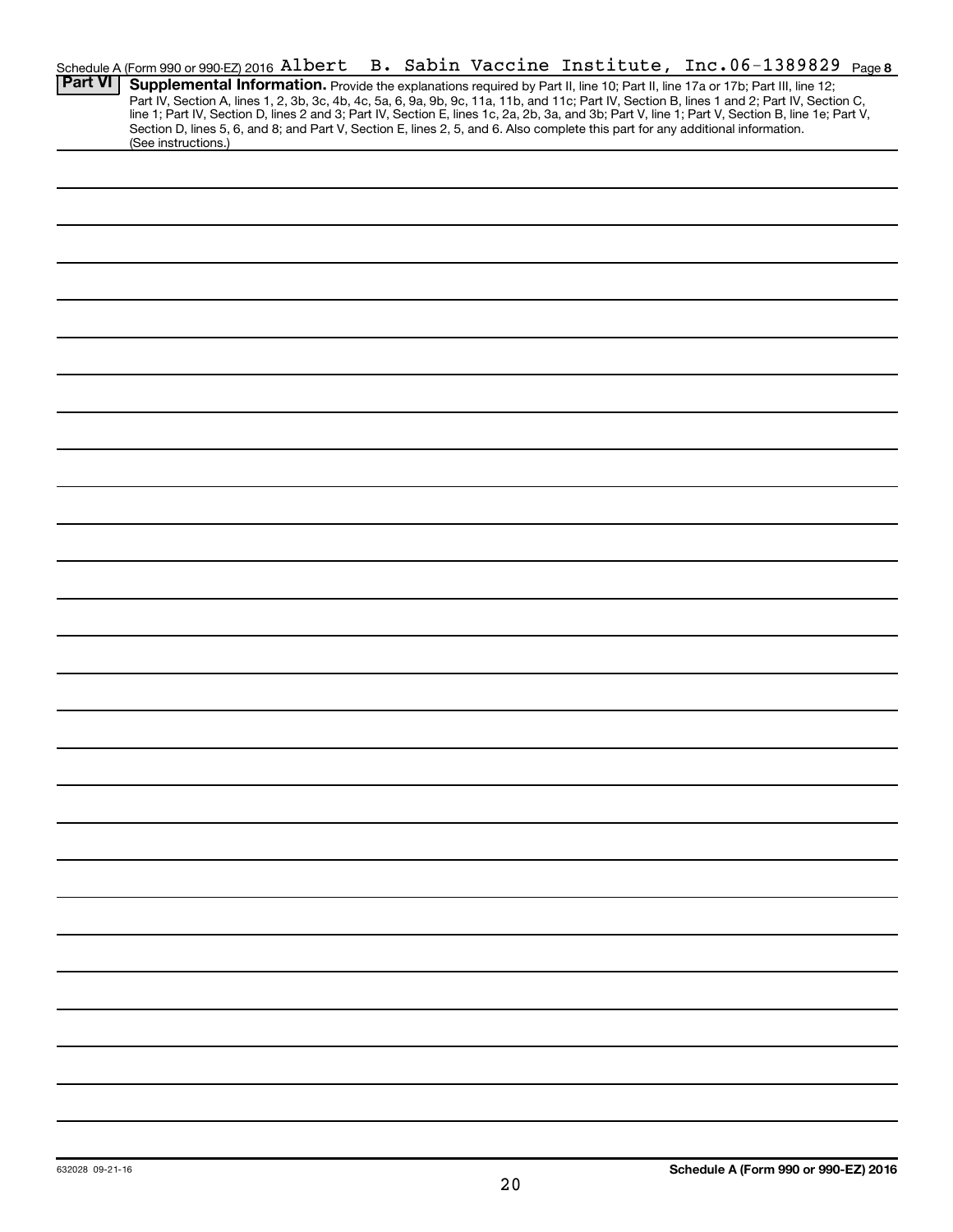|                | Schedule A (Form 990 or 990-EZ) 2016 Albert |  |  |  | B. Sabin Vaccine Institute, Inc.06-1389829 Page8                                                                                                                                                                                                                                                 |  |
|----------------|---------------------------------------------|--|--|--|--------------------------------------------------------------------------------------------------------------------------------------------------------------------------------------------------------------------------------------------------------------------------------------------------|--|
| <b>Part VI</b> |                                             |  |  |  | Supplemental Information. Provide the explanations required by Part II, line 10; Part II, line 17a or 17b; Part III, line 12;                                                                                                                                                                    |  |
|                |                                             |  |  |  | Part IV, Section A, lines 1, 2, 3b, 3c, 4b, 4c, 5a, 6, 9a, 9b, 9c, 11a, 11b, and 11c; Part IV, Section B, lines 1 and 2; Part IV, Section C,<br>line 1; Part IV, Section D, lines 2 and 3; Part IV, Section E, lines 1c, 2a, 2b, 3a, and 3b; Part V, line 1; Part V, Section B, line 1e; Part V, |  |
|                |                                             |  |  |  | Section D, lines 5, 6, and 8; and Part V, Section E, lines 2, 5, and 6. Also complete this part for any additional information.                                                                                                                                                                  |  |
|                | (See instructions.)                         |  |  |  |                                                                                                                                                                                                                                                                                                  |  |
|                |                                             |  |  |  |                                                                                                                                                                                                                                                                                                  |  |
|                |                                             |  |  |  |                                                                                                                                                                                                                                                                                                  |  |
|                |                                             |  |  |  |                                                                                                                                                                                                                                                                                                  |  |
|                |                                             |  |  |  |                                                                                                                                                                                                                                                                                                  |  |
|                |                                             |  |  |  |                                                                                                                                                                                                                                                                                                  |  |
|                |                                             |  |  |  |                                                                                                                                                                                                                                                                                                  |  |
|                |                                             |  |  |  |                                                                                                                                                                                                                                                                                                  |  |
|                |                                             |  |  |  |                                                                                                                                                                                                                                                                                                  |  |
|                |                                             |  |  |  |                                                                                                                                                                                                                                                                                                  |  |
|                |                                             |  |  |  |                                                                                                                                                                                                                                                                                                  |  |
|                |                                             |  |  |  |                                                                                                                                                                                                                                                                                                  |  |
|                |                                             |  |  |  |                                                                                                                                                                                                                                                                                                  |  |
|                |                                             |  |  |  |                                                                                                                                                                                                                                                                                                  |  |
|                |                                             |  |  |  |                                                                                                                                                                                                                                                                                                  |  |
|                |                                             |  |  |  |                                                                                                                                                                                                                                                                                                  |  |
|                |                                             |  |  |  |                                                                                                                                                                                                                                                                                                  |  |
|                |                                             |  |  |  |                                                                                                                                                                                                                                                                                                  |  |
|                |                                             |  |  |  |                                                                                                                                                                                                                                                                                                  |  |
|                |                                             |  |  |  |                                                                                                                                                                                                                                                                                                  |  |
|                |                                             |  |  |  |                                                                                                                                                                                                                                                                                                  |  |
|                |                                             |  |  |  |                                                                                                                                                                                                                                                                                                  |  |
|                |                                             |  |  |  |                                                                                                                                                                                                                                                                                                  |  |
|                |                                             |  |  |  |                                                                                                                                                                                                                                                                                                  |  |
|                |                                             |  |  |  |                                                                                                                                                                                                                                                                                                  |  |
|                |                                             |  |  |  |                                                                                                                                                                                                                                                                                                  |  |
|                |                                             |  |  |  |                                                                                                                                                                                                                                                                                                  |  |
|                |                                             |  |  |  |                                                                                                                                                                                                                                                                                                  |  |
|                |                                             |  |  |  |                                                                                                                                                                                                                                                                                                  |  |
|                |                                             |  |  |  |                                                                                                                                                                                                                                                                                                  |  |
|                |                                             |  |  |  |                                                                                                                                                                                                                                                                                                  |  |
|                |                                             |  |  |  |                                                                                                                                                                                                                                                                                                  |  |
|                |                                             |  |  |  |                                                                                                                                                                                                                                                                                                  |  |
|                |                                             |  |  |  |                                                                                                                                                                                                                                                                                                  |  |
|                |                                             |  |  |  |                                                                                                                                                                                                                                                                                                  |  |
|                |                                             |  |  |  |                                                                                                                                                                                                                                                                                                  |  |
|                |                                             |  |  |  |                                                                                                                                                                                                                                                                                                  |  |
|                |                                             |  |  |  |                                                                                                                                                                                                                                                                                                  |  |
|                |                                             |  |  |  |                                                                                                                                                                                                                                                                                                  |  |
|                |                                             |  |  |  |                                                                                                                                                                                                                                                                                                  |  |
|                |                                             |  |  |  |                                                                                                                                                                                                                                                                                                  |  |
|                |                                             |  |  |  |                                                                                                                                                                                                                                                                                                  |  |
|                |                                             |  |  |  |                                                                                                                                                                                                                                                                                                  |  |
|                |                                             |  |  |  |                                                                                                                                                                                                                                                                                                  |  |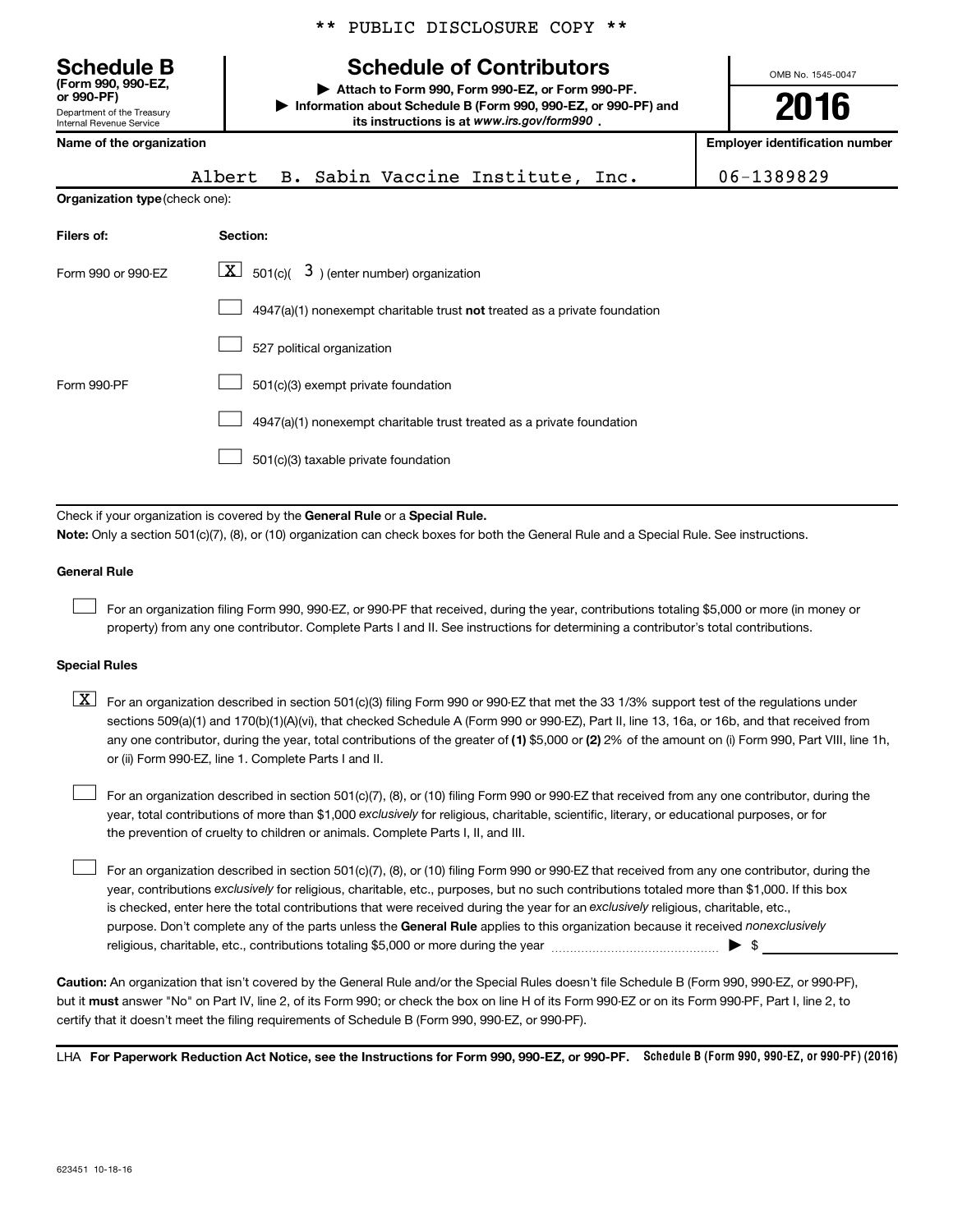\*\* PUBLIC DISCLOSURE COPY \*\*

# Department of the Treasury Internal Revenue Service **(Form 990, 990-EZ,**

# **Schedule B Schedule of Contributors**

**or 990-PF) | Attach to Form 990, Form 990-EZ, or Form 990-PF. | Information about Schedule B (Form 990, 990-EZ, or 990-PF) and** its instructions is at www.irs.gov/form990.

OMB No. 1545-0047 **2016**

**Name of the organization Employer identification number**

|                                       | Albert B. Sabin Vaccine Institute, Inc.                                                                                                   | 06-1389829 |  |  |  |  |  |  |
|---------------------------------------|-------------------------------------------------------------------------------------------------------------------------------------------|------------|--|--|--|--|--|--|
| <b>Organization type (check one):</b> |                                                                                                                                           |            |  |  |  |  |  |  |
| Filers of:                            | Section:                                                                                                                                  |            |  |  |  |  |  |  |
| Form 990 or 990-EZ                    | $\underline{X}$ 501(c)( 3) (enter number) organization                                                                                    |            |  |  |  |  |  |  |
|                                       | $4947(a)(1)$ nonexempt charitable trust not treated as a private foundation                                                               |            |  |  |  |  |  |  |
|                                       | 527 political organization                                                                                                                |            |  |  |  |  |  |  |
| Form 990-PF                           | 501(c)(3) exempt private foundation                                                                                                       |            |  |  |  |  |  |  |
|                                       | 4947(a)(1) nonexempt charitable trust treated as a private foundation                                                                     |            |  |  |  |  |  |  |
|                                       | 501(c)(3) taxable private foundation                                                                                                      |            |  |  |  |  |  |  |
|                                       |                                                                                                                                           |            |  |  |  |  |  |  |
|                                       | Check if your organization is covered by the General Rule or a Special Rule.                                                              |            |  |  |  |  |  |  |
|                                       | Note: Only a section 501(c)(7), (8), or (10) organization can check boxes for both the General Rule and a Special Rule. See instructions. |            |  |  |  |  |  |  |

#### **General Rule**

 $\Box$ 

For an organization filing Form 990, 990-EZ, or 990-PF that received, during the year, contributions totaling \$5,000 or more (in money or property) from any one contributor. Complete Parts I and II. See instructions for determining a contributor's total contributions.

#### **Special Rules**

any one contributor, during the year, total contributions of the greater of **(1)** \$5,000 or **(2)** 2% of the amount on (i) Form 990, Part VIII, line 1h,  $\boxed{\text{X}}$  For an organization described in section 501(c)(3) filing Form 990 or 990-EZ that met the 33 1/3% support test of the regulations under sections 509(a)(1) and 170(b)(1)(A)(vi), that checked Schedule A (Form 990 or 990-EZ), Part II, line 13, 16a, or 16b, and that received from or (ii) Form 990-EZ, line 1. Complete Parts I and II.

year, total contributions of more than \$1,000 *exclusively* for religious, charitable, scientific, literary, or educational purposes, or for For an organization described in section 501(c)(7), (8), or (10) filing Form 990 or 990-EZ that received from any one contributor, during the the prevention of cruelty to children or animals. Complete Parts I, II, and III.  $\Box$ 

purpose. Don't complete any of the parts unless the General Rule applies to this organization because it received nonexclusively year, contributions exclusively for religious, charitable, etc., purposes, but no such contributions totaled more than \$1,000. If this box is checked, enter here the total contributions that were received during the year for an exclusively religious, charitable, etc., For an organization described in section 501(c)(7), (8), or (10) filing Form 990 or 990-EZ that received from any one contributor, during the religious, charitable, etc., contributions totaling \$5,000 or more during the year  $\ldots$  $\ldots$  $\ldots$  $\ldots$  $\ldots$  $\ldots$  $\Box$ 

**Caution:**  An organization that isn't covered by the General Rule and/or the Special Rules doesn't file Schedule B (Form 990, 990-EZ, or 990-PF),  **must** but it answer "No" on Part IV, line 2, of its Form 990; or check the box on line H of its Form 990-EZ or on its Form 990-PF, Part I, line 2, to certify that it doesn't meet the filing requirements of Schedule B (Form 990, 990-EZ, or 990-PF).

LHA For Paperwork Reduction Act Notice, see the Instructions for Form 990, 990-EZ, or 990-PF. Schedule B (Form 990, 990-EZ, or 990-PF) (2016)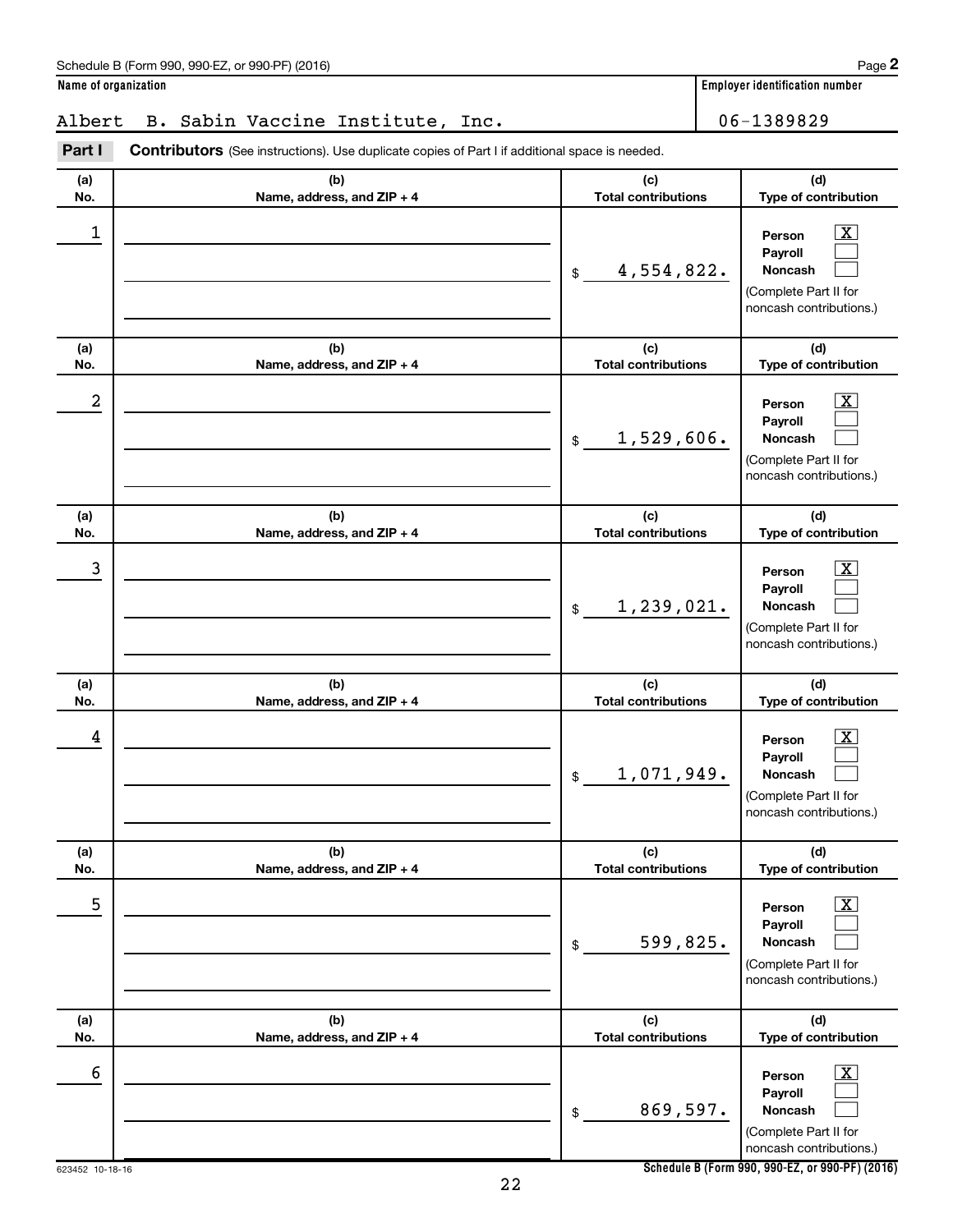| (a)              | (b)                        |                |         |
|------------------|----------------------------|----------------|---------|
| No.              | Name, address, and ZIP + 4 |                | Total c |
|                  |                            |                |         |
| $\mathbf{1}$     |                            |                |         |
|                  |                            |                |         |
|                  |                            | $$\mathbb{S}$$ | 4,      |
|                  |                            |                |         |
|                  |                            |                |         |
|                  |                            |                |         |
| (a)              | (b)                        |                |         |
| No.              | Name, address, and ZIP + 4 |                | Total c |
|                  |                            |                |         |
| $\boldsymbol{2}$ |                            |                |         |
|                  |                            |                |         |
|                  |                            | \$             | 1,      |
|                  |                            |                |         |
|                  |                            |                |         |
|                  |                            |                |         |
| (a)              | (b)                        |                |         |
| N <sub>1</sub>   | Nome oddross and ZID J.A.  |                | Total o |

**Part I** Contributors (See instructions). Use duplicate copies of Part I if additional space is needed.

**Name of organization Employer identification number**

**(d)**

Albert B. Sabin Vaccine Institute, Inc. 1989829

**(c)**

| No.        | Name, address, and ZIP + 4        | <b>Total contributions</b>        | Type of contribution                                                                                               |
|------------|-----------------------------------|-----------------------------------|--------------------------------------------------------------------------------------------------------------------|
| 1          |                                   | 4,554,822.<br>$$\mathbb{S}$$      | $\overline{\text{X}}$<br>Person<br>Payroll<br><b>Noncash</b><br>(Complete Part II for<br>noncash contributions.)   |
| (a)<br>No. | (b)<br>Name, address, and ZIP + 4 | (c)<br><b>Total contributions</b> | (d)<br>Type of contribution                                                                                        |
| 2          |                                   | 1,529,606.<br>$$\mathbb{S}$$      | $\overline{\mathbf{X}}$<br>Person<br>Payroll<br><b>Noncash</b><br>(Complete Part II for<br>noncash contributions.) |
| (a)<br>No. | (b)<br>Name, address, and ZIP + 4 | (c)<br><b>Total contributions</b> | (d)<br>Type of contribution                                                                                        |
| 3          |                                   | 1,239,021.<br>\$                  | $\overline{\text{X}}$<br>Person<br>Payroll<br><b>Noncash</b><br>(Complete Part II for<br>noncash contributions.)   |
| (a)<br>No. | (b)<br>Name, address, and ZIP + 4 | (c)<br><b>Total contributions</b> | (d)<br>Type of contribution                                                                                        |
| 4          |                                   | 1,071,949.<br>$\mathfrak{S}$      | $\overline{\textbf{X}}$<br>Person<br>Payroll<br><b>Noncash</b><br>(Complete Part II for<br>noncash contributions.) |
| (a)<br>No. | (b)<br>Name, address, and ZIP + 4 | (c)<br><b>Total contributions</b> | (d)<br>Type of contribution                                                                                        |
| 5          |                                   | 599,825.<br>\$                    | $\overline{\mathbf{X}}$<br>Person<br>Payroll<br><b>Noncash</b><br>(Complete Part II for<br>noncash contributions.) |
| (a)<br>No. | (b)<br>Name, address, and ZIP + 4 | (c)<br><b>Total contributions</b> | (d)<br>Type of contribution                                                                                        |
| 6          |                                   | 869,597.<br>\$                    | $\overline{\mathbf{X}}$<br>Person<br>Payroll<br>Noncash<br>(Complete Part II for<br>noncash contributions.)        |

**Schedule B (Form 990, 990-EZ, or 990-PF) (2016)**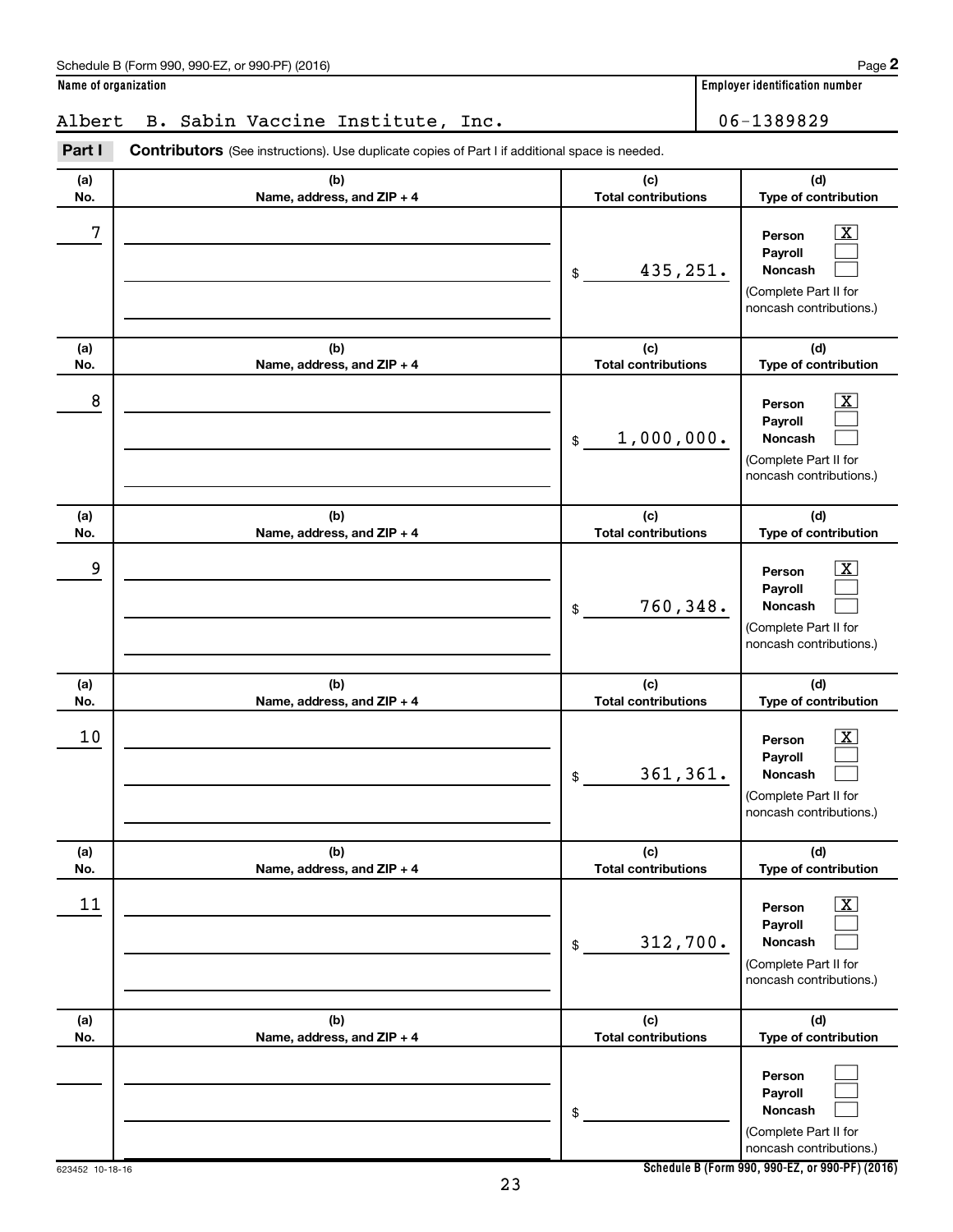| Schedule<br>. 990-F <sup><math>-</math></sup><br>(2016)<br>n 990<br>or 990-PF<br>$-0rm$ | Page |
|-----------------------------------------------------------------------------------------|------|
|                                                                                         |      |

**Name of organization Employer identification number**

Albert B. Sabin Vaccine Institute, Inc. 1989829

| Part I     | <b>Contributors</b> (See instructions). Use duplicate copies of Part I if additional space is needed. |                                                                                                                                                                           |
|------------|-------------------------------------------------------------------------------------------------------|---------------------------------------------------------------------------------------------------------------------------------------------------------------------------|
| (a)<br>No. | (b)<br>Name, address, and ZIP + 4                                                                     | (d)<br>(c)<br><b>Total contributions</b><br>Type of contribution                                                                                                          |
| $\sqrt{ }$ |                                                                                                       | $\boxed{\textbf{X}}$<br>Person<br>Payroll<br>435,251.<br>Noncash<br>\$<br>(Complete Part II for<br>noncash contributions.)                                                |
| (a)<br>No. | (b)<br>Name, address, and ZIP + 4                                                                     | (c)<br>(d)<br>Type of contribution<br><b>Total contributions</b>                                                                                                          |
| 8          |                                                                                                       | $\boxed{\text{X}}$<br>Person<br>Payroll<br>1,000,000.<br>Noncash<br>\$<br>(Complete Part II for<br>noncash contributions.)                                                |
| (a)<br>No. | (b)<br>Name, address, and ZIP + 4                                                                     | (c)<br>(d)<br><b>Total contributions</b><br>Type of contribution                                                                                                          |
| 9          |                                                                                                       | $\boxed{\textbf{X}}$<br>Person<br>Payroll<br>760,348.<br>Noncash<br>\$<br>(Complete Part II for<br>noncash contributions.)                                                |
| (a)        | (b)                                                                                                   | (c)<br>(d)                                                                                                                                                                |
| No.<br>10  | Name, address, and ZIP + 4                                                                            | <b>Total contributions</b><br>Type of contribution<br>$\mathbf{X}$<br>Person<br>Payroll<br>361, 361.<br>Noncash<br>\$<br>(Complete Part II for<br>noncash contributions.) |
| (a)<br>No. | (b)<br>Name, address, and ZIP + 4                                                                     | (d)<br>(c)<br>Type of contribution<br><b>Total contributions</b>                                                                                                          |
| 11         |                                                                                                       | $\boxed{\textbf{X}}$<br>Person<br>Payroll<br>312,700.<br><b>Noncash</b><br>\$<br>(Complete Part II for<br>noncash contributions.)                                         |
| (a)<br>No. | (b)<br>Name, address, and ZIP + 4                                                                     | (c)<br>(d)<br><b>Total contributions</b><br>Type of contribution                                                                                                          |
|            |                                                                                                       | Person<br>Payroll<br>Noncash<br>\$<br>(Complete Part II for<br>noncash contributions.)                                                                                    |

**Schedule B (Form 990, 990-EZ, or 990-PF) (2016)**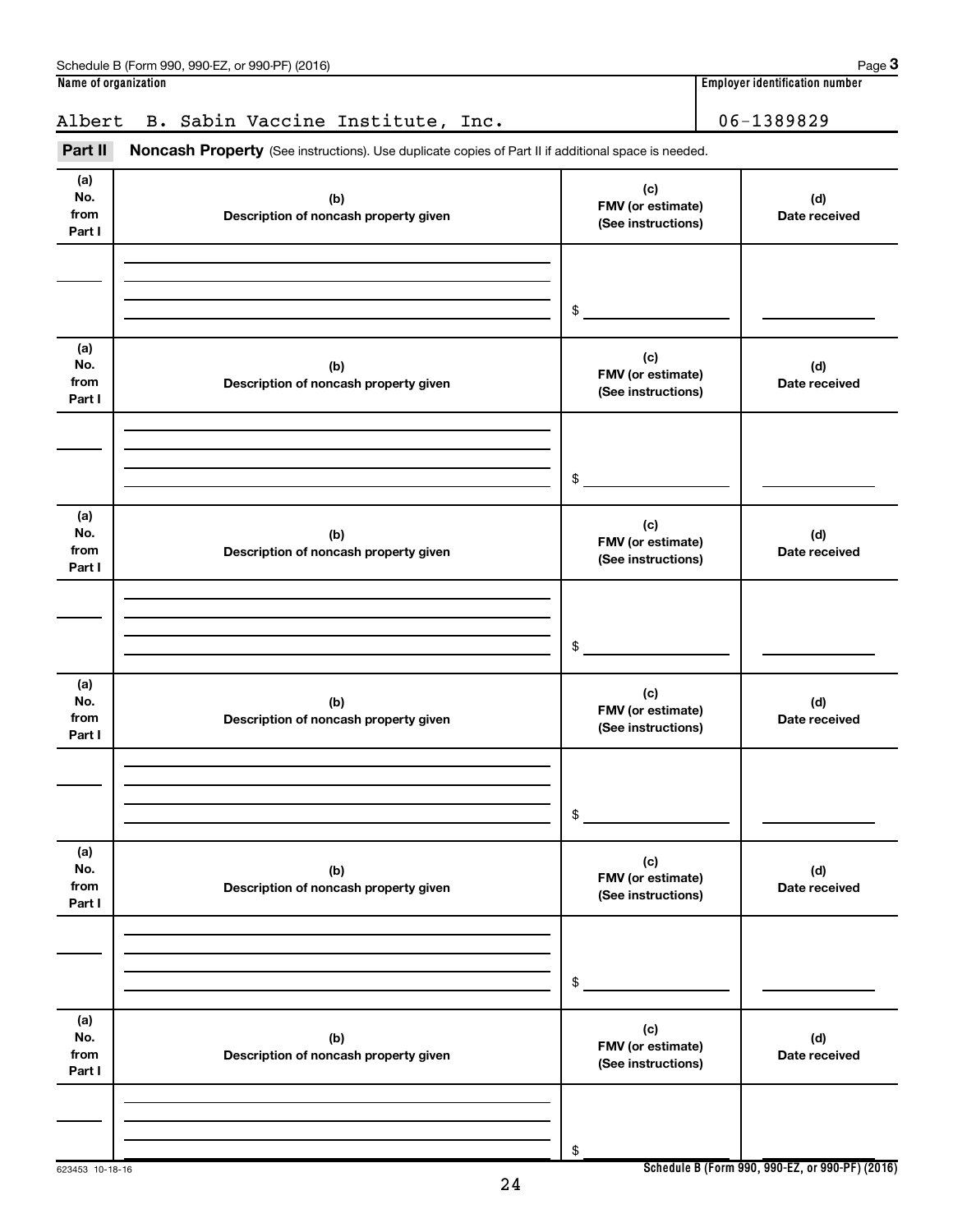| NO.<br>from<br>Part I        | (D)<br>Description of noncash property given | FMV (or estimate)<br>(See instructions)        | (d)<br>Date received                            |
|------------------------------|----------------------------------------------|------------------------------------------------|-------------------------------------------------|
|                              |                                              | \$                                             |                                                 |
| (a)<br>No.<br>from<br>Part I | (b)<br>Description of noncash property given | (c)<br>FMV (or estimate)<br>(See instructions) | (d)<br>Date received                            |
|                              |                                              | \$                                             |                                                 |
| (a)<br>No.<br>from<br>Part I | (b)<br>Description of noncash property given | (c)<br>FMV (or estimate)<br>(See instructions) | (d)<br>Date received                            |
|                              |                                              | \$                                             |                                                 |
| (a)<br>No.<br>from<br>Part I | (b)<br>Description of noncash property given | (c)<br>FMV (or estimate)<br>(See instructions) | (d)<br>Date received                            |
|                              |                                              | \$                                             |                                                 |
| (a)<br>No.<br>from<br>Part I | (b)<br>Description of noncash property given | (c)<br>FMV (or estimate)<br>(See instructions) | (d)<br>Date received                            |
|                              |                                              | \$                                             |                                                 |
| (a)<br>No.<br>from<br>Part I | (b)<br>Description of noncash property given | (c)<br>FMV (or estimate)<br>(See instructions) | (d)<br>Date received                            |
| 623453 10-18-16              | $2\Lambda$                                   | \$                                             | Schedule B (Form 990, 990-EZ, or 990-PF) (2016) |

**3**

**(d)**

**(c)**

Albert B. Sabin Vaccine Institute, Inc. 1989829

Part II Noncash Property (See instructions). Use duplicate copies of Part II if additional space is needed.

**(b)**

**(a) No.**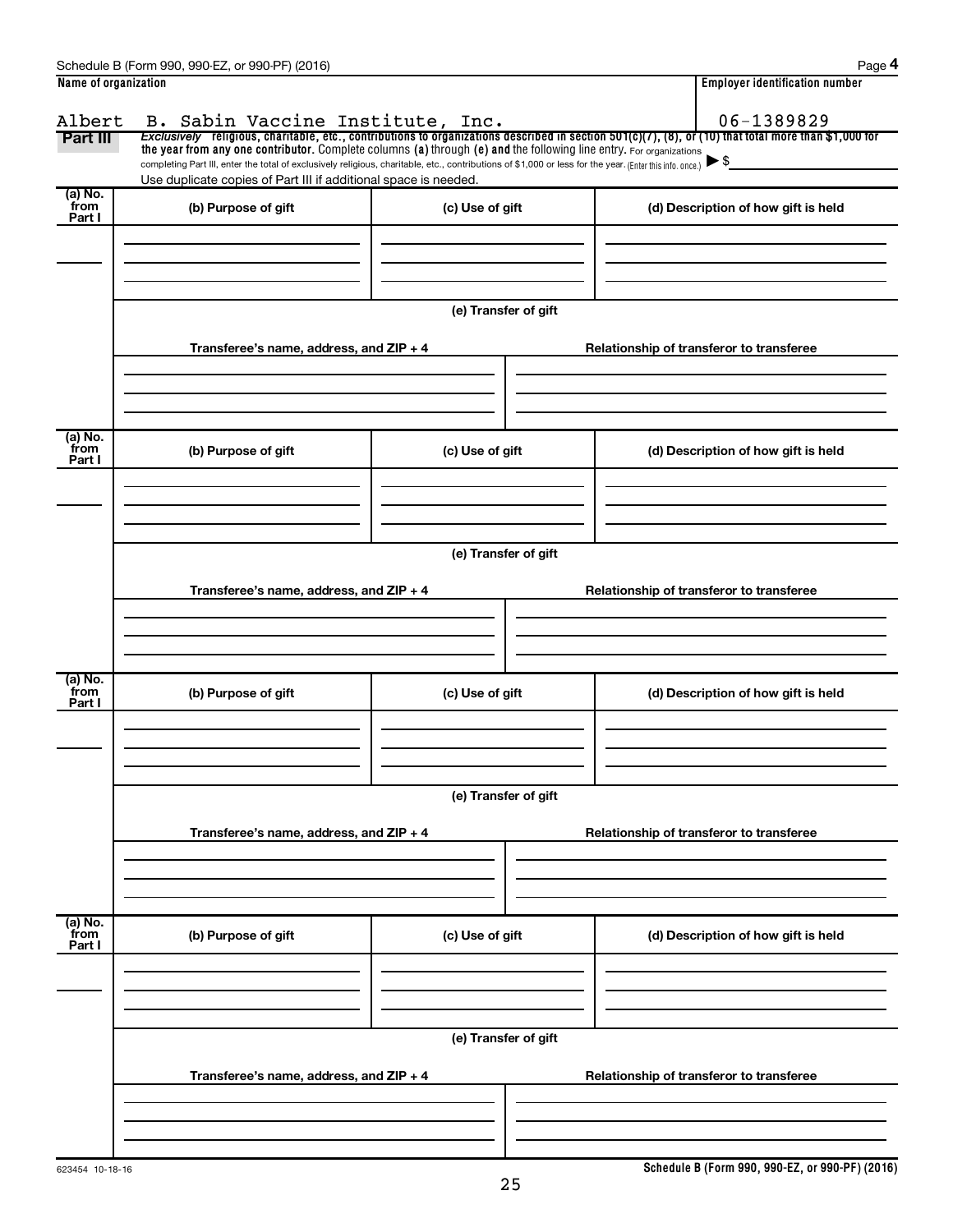| Name of organization |                                                                                                                                                          |                      | <b>Employer identification number</b>                                                                                                                    |
|----------------------|----------------------------------------------------------------------------------------------------------------------------------------------------------|----------------------|----------------------------------------------------------------------------------------------------------------------------------------------------------|
| Albert               | B. Sabin Vaccine Institute, Inc.                                                                                                                         |                      | 06-1389829                                                                                                                                               |
| Part III             | the year from any one contributor. Complete columns (a) through (e) and the following line entry. For organizations                                      |                      | Exclusively religious, charitable, etc., contributions to organizations described in section $501(c)(7)$ , (8), or (10) that total more than \$1,000 for |
|                      | completing Part III, enter the total of exclusively religious, charitable, etc., contributions of \$1,000 or less for the year. (Enter this info. once.) |                      |                                                                                                                                                          |
| (a) No.              | Use duplicate copies of Part III if additional space is needed.                                                                                          |                      |                                                                                                                                                          |
| from<br>Part I       | (b) Purpose of gift                                                                                                                                      | (c) Use of gift      | (d) Description of how gift is held                                                                                                                      |
|                      |                                                                                                                                                          |                      |                                                                                                                                                          |
|                      |                                                                                                                                                          |                      |                                                                                                                                                          |
|                      |                                                                                                                                                          |                      |                                                                                                                                                          |
|                      |                                                                                                                                                          |                      |                                                                                                                                                          |
|                      |                                                                                                                                                          | (e) Transfer of gift |                                                                                                                                                          |
|                      | Transferee's name, address, and ZIP + 4                                                                                                                  |                      | Relationship of transferor to transferee                                                                                                                 |
|                      |                                                                                                                                                          |                      |                                                                                                                                                          |
|                      |                                                                                                                                                          |                      |                                                                                                                                                          |
|                      |                                                                                                                                                          |                      |                                                                                                                                                          |
| (a) No.              |                                                                                                                                                          |                      |                                                                                                                                                          |
| from<br>Part I       | (b) Purpose of gift                                                                                                                                      | (c) Use of gift      | (d) Description of how gift is held                                                                                                                      |
|                      |                                                                                                                                                          |                      |                                                                                                                                                          |
|                      |                                                                                                                                                          |                      |                                                                                                                                                          |
|                      |                                                                                                                                                          |                      |                                                                                                                                                          |
|                      |                                                                                                                                                          |                      |                                                                                                                                                          |
|                      |                                                                                                                                                          | (e) Transfer of gift |                                                                                                                                                          |
|                      | Transferee's name, address, and ZIP + 4                                                                                                                  |                      | Relationship of transferor to transferee                                                                                                                 |
|                      |                                                                                                                                                          |                      |                                                                                                                                                          |
|                      |                                                                                                                                                          |                      |                                                                                                                                                          |
|                      |                                                                                                                                                          |                      |                                                                                                                                                          |
| (a) No.              |                                                                                                                                                          |                      |                                                                                                                                                          |
| from<br>Part I       | (b) Purpose of gift                                                                                                                                      | (c) Use of gift      | (d) Description of how gift is held                                                                                                                      |
|                      |                                                                                                                                                          |                      |                                                                                                                                                          |
|                      |                                                                                                                                                          |                      |                                                                                                                                                          |
|                      |                                                                                                                                                          |                      |                                                                                                                                                          |
|                      |                                                                                                                                                          | (e) Transfer of gift |                                                                                                                                                          |
|                      |                                                                                                                                                          |                      |                                                                                                                                                          |
|                      | Transferee's name, address, and ZIP + 4                                                                                                                  |                      | Relationship of transferor to transferee                                                                                                                 |
|                      |                                                                                                                                                          |                      |                                                                                                                                                          |
|                      |                                                                                                                                                          |                      |                                                                                                                                                          |
|                      |                                                                                                                                                          |                      |                                                                                                                                                          |
| (a) No.<br>from      | (b) Purpose of gift                                                                                                                                      | (c) Use of gift      | (d) Description of how gift is held                                                                                                                      |
| Part I               |                                                                                                                                                          |                      |                                                                                                                                                          |
|                      |                                                                                                                                                          |                      |                                                                                                                                                          |
|                      |                                                                                                                                                          |                      |                                                                                                                                                          |
|                      |                                                                                                                                                          |                      |                                                                                                                                                          |
|                      |                                                                                                                                                          | (e) Transfer of gift |                                                                                                                                                          |
|                      |                                                                                                                                                          |                      |                                                                                                                                                          |
|                      | Transferee's name, address, and ZIP + 4                                                                                                                  |                      | Relationship of transferor to transferee                                                                                                                 |
|                      |                                                                                                                                                          |                      |                                                                                                                                                          |
|                      |                                                                                                                                                          |                      |                                                                                                                                                          |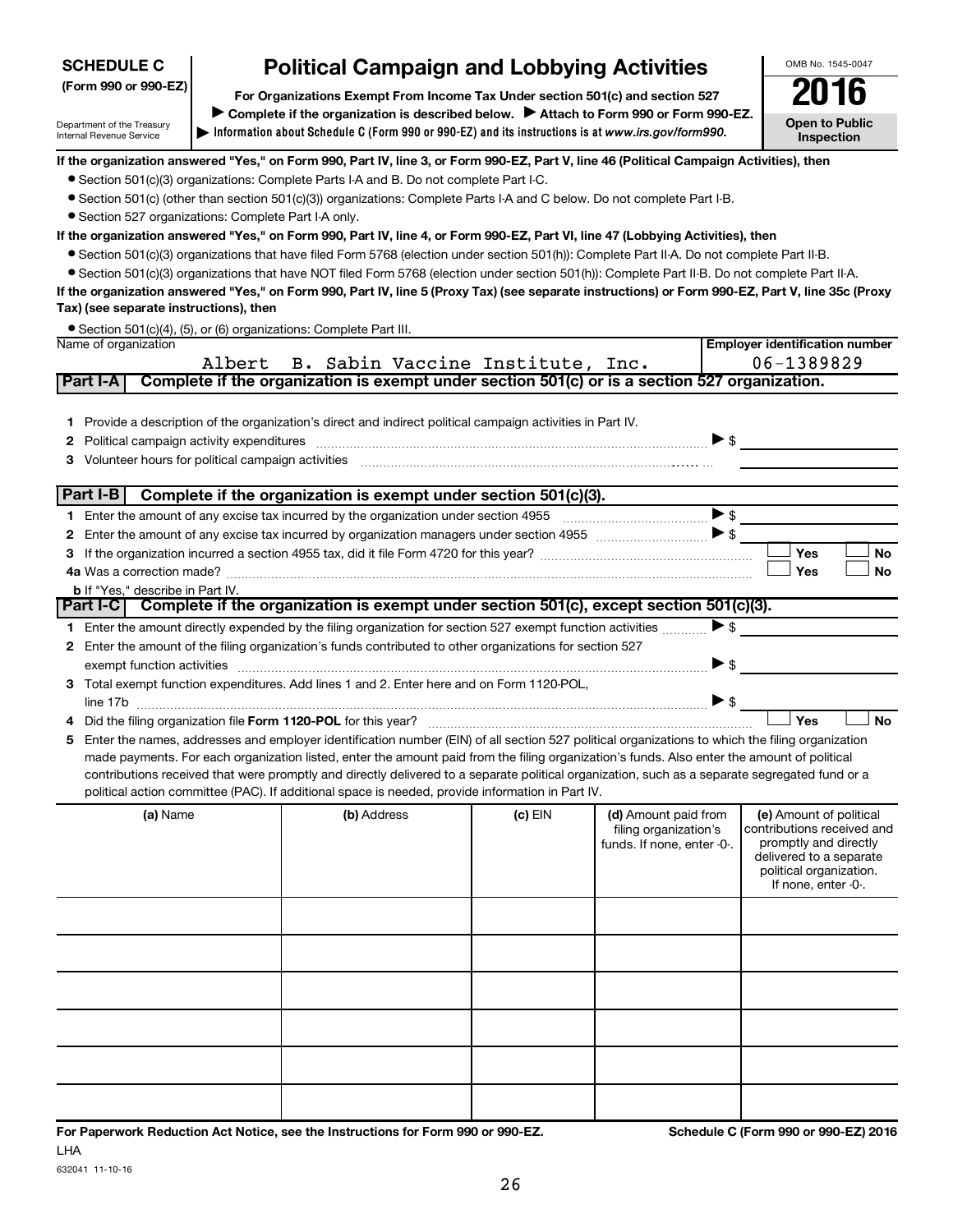# **SCHEDULE C**

Department of the Treasury Internal Revenue Service

# **Political Campaign and Lobbying Activities**<br> **Drganizations Exempt From Income Tax Under section 501(c) and section 527**

**Information about Schedule C (Form 990 or 990-EZ) and its instructions is at |**  *www.irs.gov/form990.* **(Form 990 or 990-EZ) For Organizations Exempt From Income Tax Under section 501(c) and section 527** Complete if the organization is described below. > Attach to Form 990 or Form 990-EZ. OMB No. 1545-0047 **Open to Public**

**Inspection**

**Employer identification number**

**If the organization answered "Yes," on Form 990, Part IV, line 3, or Form 990-EZ, Part V, line 46 (Political Campaign Activities), then**

- Section 501(c)(3) organizations: Complete Parts I-A and B. Do not complete Part I-C.
- Section 501(c) (other than section 501(c)(3)) organizations: Complete Parts I-A and C below. Do not complete Part I-B.
- Section 527 organizations: Complete Part I-A only.

#### **If the organization answered "Yes," on Form 990, Part IV, line 4, or Form 990-EZ, Part VI, line 47 (Lobbying Activities), then**

- Section 501(c)(3) organizations that have filed Form 5768 (election under section 501(h)): Complete Part II-A. Do not complete Part II-B.
- Section 501(c)(3) organizations that have NOT filed Form 5768 (election under section 501(h)): Complete Part II-B. Do not complete Part II-A.

**If the organization answered "Yes," on Form 990, Part IV, line 5 (Proxy Tax) (see separate instructions) or Form 990-EZ, Part V, line 35c (Proxy Tax) (see separate instructions), then**

|                      | ● Section 501(c)(4), (5), or (6) organizations: Complete Part III. |
|----------------------|--------------------------------------------------------------------|
| Name of organization |                                                                    |

|    |                                         | Albert B. Sabin Vaccine Institute, Inc.                                                                                                         |           |                       | 06-1389829                  |
|----|-----------------------------------------|-------------------------------------------------------------------------------------------------------------------------------------------------|-----------|-----------------------|-----------------------------|
|    | <b>Part I-A</b>                         | Complete if the organization is exempt under section 501(c) or is a section 527 organization.                                                   |           |                       |                             |
|    |                                         | Provide a description of the organization's direct and indirect political campaign activities in Part IV.                                       |           |                       |                             |
|    | Part I-B                                | Complete if the organization is exempt under section 501(c)(3).                                                                                 |           |                       |                             |
| 1. |                                         |                                                                                                                                                 |           |                       |                             |
| 2  |                                         |                                                                                                                                                 |           |                       |                             |
|    |                                         |                                                                                                                                                 |           |                       | Yes<br><b>No</b>            |
|    |                                         |                                                                                                                                                 |           |                       | Yes<br><b>No</b>            |
|    | <b>b</b> If "Yes." describe in Part IV. |                                                                                                                                                 |           |                       |                             |
|    | <b>Part I-CI</b>                        | Complete if the organization is exempt under section 501(c), except section 501(c)(3).                                                          |           |                       |                             |
|    |                                         | Enter the amount directly expended by the filing organization for section 527 exempt function activities                                        |           | $\triangleright$ s    |                             |
| 2  |                                         | Enter the amount of the filing organization's funds contributed to other organizations for section 527                                          |           |                       |                             |
|    |                                         |                                                                                                                                                 |           | ▶ \$                  |                             |
|    |                                         | 3 Total exempt function expenditures. Add lines 1 and 2. Enter here and on Form 1120-POL,                                                       |           |                       |                             |
|    |                                         |                                                                                                                                                 |           |                       | >                           |
|    |                                         |                                                                                                                                                 |           |                       | Yes<br><b>No</b>            |
| 5  |                                         | Enter the names, addresses and employer identification number (EIN) of all section 527 political organizations to which the filing organization |           |                       |                             |
|    |                                         | made payments. For each organization listed, enter the amount paid from the filing organization's funds. Also enter the amount of political     |           |                       |                             |
|    |                                         | contributions received that were promptly and directly delivered to a separate political organization, such as a separate segregated fund or a  |           |                       |                             |
|    |                                         | political action committee (PAC). If additional space is needed, provide information in Part IV.                                                |           |                       |                             |
|    | (a) Name                                | (b) Address                                                                                                                                     | $(c)$ EIN | (d) Amount paid from  | (e) Amount of political     |
|    |                                         |                                                                                                                                                 |           | filing organization's | Lcontributions received and |

| (a) Name | (b) Address | (c) EIN | (d) Amount paid from<br>filing organization's<br>funds. If none, enter -0-. | (e) Amount of political<br>contributions received and<br>promptly and directly<br>delivered to a separate<br>political organization.<br>If none, enter -0-. |
|----------|-------------|---------|-----------------------------------------------------------------------------|-------------------------------------------------------------------------------------------------------------------------------------------------------------|
|          |             |         |                                                                             |                                                                                                                                                             |
|          |             |         |                                                                             |                                                                                                                                                             |
|          |             |         |                                                                             |                                                                                                                                                             |
|          |             |         |                                                                             |                                                                                                                                                             |
|          |             |         |                                                                             |                                                                                                                                                             |
|          |             |         |                                                                             |                                                                                                                                                             |

632041 11-10-16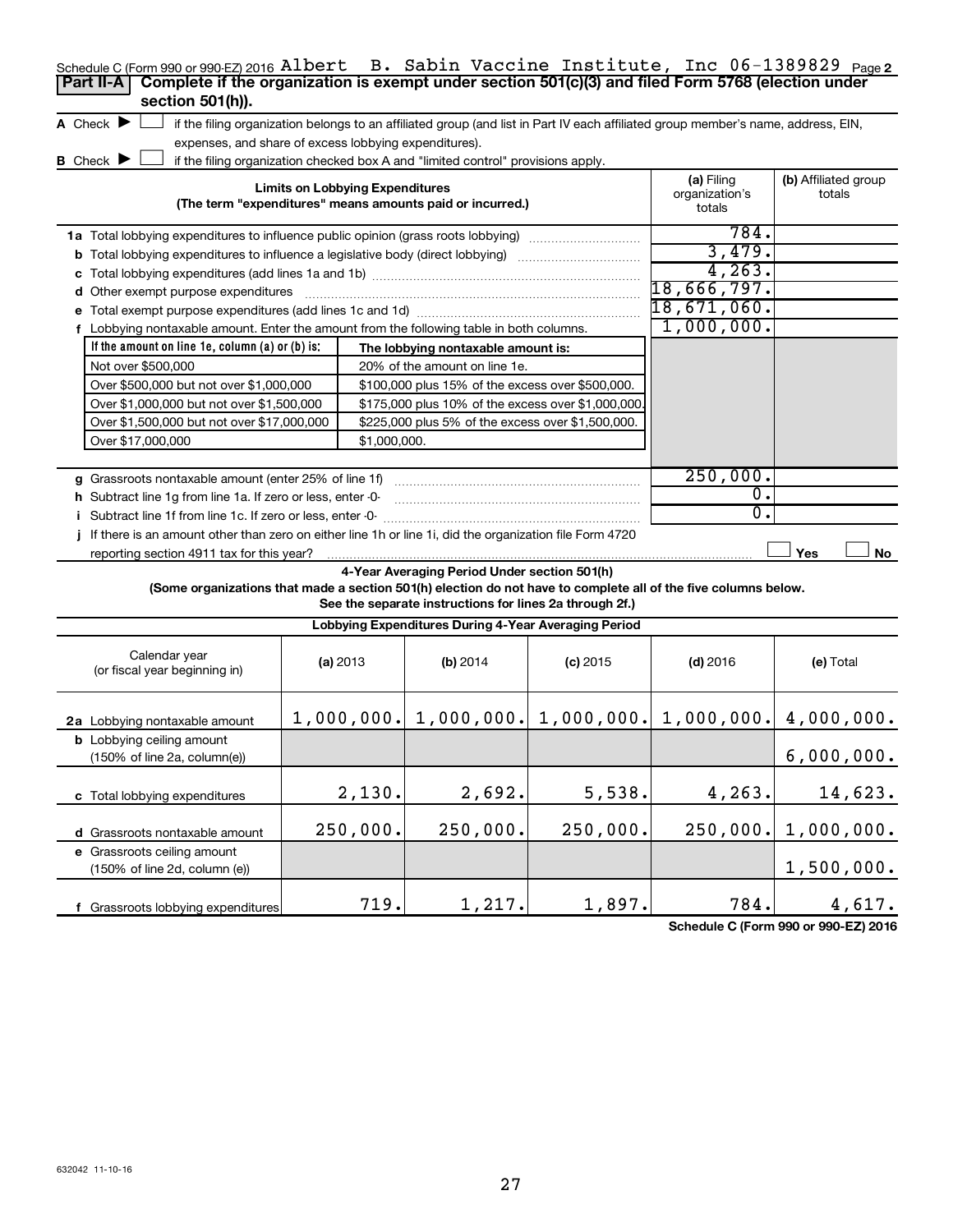| Schedule C (Form 990 or 990-EZ) 2016 Albert B. Sabin Vaccine Institute, Inc 06-1389829 Page2<br>Complete if the organization is exempt under section 501(c)(3) and filed Form 5768 (election under<br>Part II-A<br>section 501(h)). |                                        |                                                                                  |            |                                                                                                                                   |                                |
|-------------------------------------------------------------------------------------------------------------------------------------------------------------------------------------------------------------------------------------|----------------------------------------|----------------------------------------------------------------------------------|------------|-----------------------------------------------------------------------------------------------------------------------------------|--------------------------------|
| A Check $\blacktriangleright$                                                                                                                                                                                                       |                                        |                                                                                  |            | if the filing organization belongs to an affiliated group (and list in Part IV each affiliated group member's name, address, EIN, |                                |
| expenses, and share of excess lobbying expenditures).                                                                                                                                                                               |                                        |                                                                                  |            |                                                                                                                                   |                                |
| <b>B</b> Check $\blacktriangleright$                                                                                                                                                                                                |                                        | if the filing organization checked box A and "limited control" provisions apply. |            |                                                                                                                                   |                                |
|                                                                                                                                                                                                                                     | <b>Limits on Lobbying Expenditures</b> | (The term "expenditures" means amounts paid or incurred.)                        |            | (a) Filing<br>organization's<br>totals                                                                                            | (b) Affiliated group<br>totals |
|                                                                                                                                                                                                                                     |                                        |                                                                                  |            | 784.                                                                                                                              |                                |
| 1a Total lobbying expenditures to influence public opinion (grass roots lobbying)                                                                                                                                                   |                                        |                                                                                  |            | 3,479.                                                                                                                            |                                |
| <b>b</b> Total lobbying expenditures to influence a legislative body (direct lobbying)                                                                                                                                              |                                        |                                                                                  |            | 4,263.                                                                                                                            |                                |
| d Other exempt purpose expenditures                                                                                                                                                                                                 |                                        |                                                                                  |            | 18,666,797.                                                                                                                       |                                |
|                                                                                                                                                                                                                                     |                                        |                                                                                  |            | 18,671,060.                                                                                                                       |                                |
| f Lobbying nontaxable amount. Enter the amount from the following table in both columns.                                                                                                                                            |                                        |                                                                                  |            | 1,000,000.                                                                                                                        |                                |
| If the amount on line 1e, column $(a)$ or $(b)$ is:                                                                                                                                                                                 |                                        |                                                                                  |            |                                                                                                                                   |                                |
| Not over \$500,000                                                                                                                                                                                                                  |                                        | The lobbying nontaxable amount is:<br>20% of the amount on line 1e.              |            |                                                                                                                                   |                                |
| Over \$500,000 but not over \$1,000,000                                                                                                                                                                                             |                                        | \$100,000 plus 15% of the excess over \$500,000.                                 |            |                                                                                                                                   |                                |
| Over \$1,000,000 but not over \$1,500,000                                                                                                                                                                                           |                                        | \$175,000 plus 10% of the excess over \$1,000,000                                |            |                                                                                                                                   |                                |
| Over \$1,500,000 but not over \$17,000,000                                                                                                                                                                                          |                                        | \$225,000 plus 5% of the excess over \$1,500,000.                                |            |                                                                                                                                   |                                |
| Over \$17,000,000                                                                                                                                                                                                                   | \$1,000,000.                           |                                                                                  |            |                                                                                                                                   |                                |
|                                                                                                                                                                                                                                     |                                        |                                                                                  |            |                                                                                                                                   |                                |
| g Grassroots nontaxable amount (enter 25% of line 1f)                                                                                                                                                                               |                                        |                                                                                  |            | 250,000.                                                                                                                          |                                |
| h Subtract line 1q from line 1a. If zero or less, enter -0-                                                                                                                                                                         |                                        |                                                                                  |            | $\overline{0}$ .                                                                                                                  |                                |
| i Subtract line 1f from line 1c. If zero or less, enter -0-                                                                                                                                                                         |                                        |                                                                                  |            | 0.                                                                                                                                |                                |
| If there is an amount other than zero on either line 1h or line 1i, did the organization file Form 4720<br>Î.                                                                                                                       |                                        |                                                                                  |            |                                                                                                                                   |                                |
| reporting section 4911 tax for this year?                                                                                                                                                                                           |                                        |                                                                                  |            |                                                                                                                                   | Yes<br>No                      |
|                                                                                                                                                                                                                                     |                                        | 4-Year Averaging Period Under section 501(h)                                     |            |                                                                                                                                   |                                |
| (Some organizations that made a section 501(h) election do not have to complete all of the five columns below.                                                                                                                      |                                        | See the separate instructions for lines 2a through 2f.)                          |            |                                                                                                                                   |                                |
|                                                                                                                                                                                                                                     |                                        | Lobbying Expenditures During 4-Year Averaging Period                             |            |                                                                                                                                   |                                |
| Calendar year<br>(or fiscal year beginning in)                                                                                                                                                                                      | (a) 2013                               | (b) 2014                                                                         | $(c)$ 2015 | $(d)$ 2016                                                                                                                        | (e) Total                      |
| 2a Lobbying nontaxable amount                                                                                                                                                                                                       |                                        | $1,000,000.$ $1,000,000.$ $1,000,000.$                                           |            | 1,000,000.                                                                                                                        | 4,000,000.                     |
| <b>b</b> Lobbying ceiling amount<br>(150% of line 2a, column(e))                                                                                                                                                                    |                                        |                                                                                  |            |                                                                                                                                   | 6,000,000.                     |
| c Total lobbying expenditures                                                                                                                                                                                                       | 2,130.                                 | 2,692.                                                                           | 5,538.     | 4,263.                                                                                                                            | 14,623.                        |
|                                                                                                                                                                                                                                     | 250,000.                               | 250,000.                                                                         | 250,000.   | 250,000.                                                                                                                          | 1,000,000.                     |
| d Grassroots nontaxable amount<br>e Grassroots ceiling amount                                                                                                                                                                       |                                        |                                                                                  |            |                                                                                                                                   |                                |
| (150% of line 2d, column (e))                                                                                                                                                                                                       |                                        |                                                                                  |            |                                                                                                                                   | 1,500,000.                     |
| f Grassroots lobbying expenditures                                                                                                                                                                                                  | 719.                                   | 1,217.                                                                           | 1,897.     | 784.                                                                                                                              | 4,617.                         |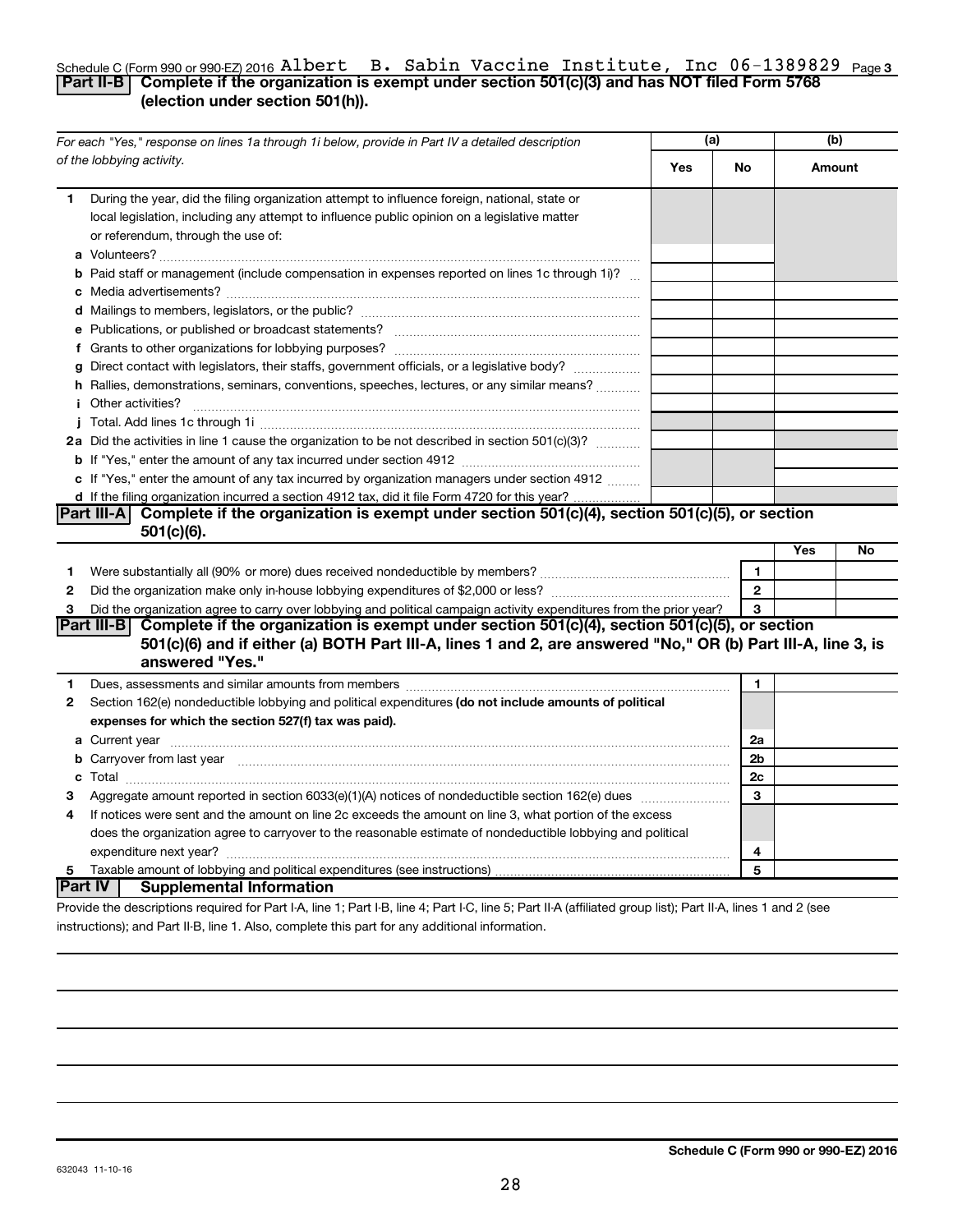#### Schedule C (Form 990 or 990-EZ) 2016 AL**Dert B. Sabin Vaccine Institute, Inc 06-**1389829 <sub>Page</sub> 3 **Part II-B Complete if the organization is exempt under section 501(c)(3) and has NOT filed Form 5768 (election under section 501(h)).** Albert B. Sabin Vaccine Institute, Inc 06-1389829

|    | For each "Yes," response on lines 1a through 1i below, provide in Part IV a detailed description                                                                                                                                    | (a) |                | (b)    |    |
|----|-------------------------------------------------------------------------------------------------------------------------------------------------------------------------------------------------------------------------------------|-----|----------------|--------|----|
|    | of the lobbying activity.                                                                                                                                                                                                           | Yes | No             | Amount |    |
| 1  | During the year, did the filing organization attempt to influence foreign, national, state or<br>local legislation, including any attempt to influence public opinion on a legislative matter<br>or referendum, through the use of: |     |                |        |    |
|    | <b>b</b> Paid staff or management (include compensation in expenses reported on lines 1c through 1i)?                                                                                                                               |     |                |        |    |
|    |                                                                                                                                                                                                                                     |     |                |        |    |
|    |                                                                                                                                                                                                                                     |     |                |        |    |
|    |                                                                                                                                                                                                                                     |     |                |        |    |
|    | g Direct contact with legislators, their staffs, government officials, or a legislative body?                                                                                                                                       |     |                |        |    |
|    | h Rallies, demonstrations, seminars, conventions, speeches, lectures, or any similar means?                                                                                                                                         |     |                |        |    |
|    | <i>i</i> Other activities?                                                                                                                                                                                                          |     |                |        |    |
|    |                                                                                                                                                                                                                                     |     |                |        |    |
|    | 2a Did the activities in line 1 cause the organization to be not described in section 501(c)(3)?                                                                                                                                    |     |                |        |    |
|    |                                                                                                                                                                                                                                     |     |                |        |    |
|    | c If "Yes," enter the amount of any tax incurred by organization managers under section 4912                                                                                                                                        |     |                |        |    |
|    | d If the filing organization incurred a section 4912 tax, did it file Form 4720 for this year?                                                                                                                                      |     |                |        |    |
|    | Part III-A Complete if the organization is exempt under section 501(c)(4), section 501(c)(5), or section                                                                                                                            |     |                |        |    |
|    | $501(c)(6)$ .                                                                                                                                                                                                                       |     |                |        |    |
|    |                                                                                                                                                                                                                                     |     |                | Yes    | No |
| 1  |                                                                                                                                                                                                                                     |     | $\mathbf{1}$   |        |    |
| 2  |                                                                                                                                                                                                                                     |     | $\mathbf{2}$   |        |    |
| 3  | Did the organization agree to carry over lobbying and political campaign activity expenditures from the prior year?                                                                                                                 |     | 3              |        |    |
|    | Complete if the organization is exempt under section 501(c)(4), section 501(c)(5), or section<br>Part III-B                                                                                                                         |     |                |        |    |
|    | 501(c)(6) and if either (a) BOTH Part III-A, lines 1 and 2, are answered "No," OR (b) Part III-A, line 3, is<br>answered "Yes."                                                                                                     |     |                |        |    |
| 1. | Dues, assessments and similar amounts from members [111] [12] matter and stream and similar amounts from members [11] matter and similar amounts from members [11] matter and stream and stream and stream and stream and stre      |     | 1              |        |    |
| 2  | Section 162(e) nondeductible lobbying and political expenditures (do not include amounts of political                                                                                                                               |     |                |        |    |
|    | expenses for which the section 527(f) tax was paid).                                                                                                                                                                                |     |                |        |    |
|    |                                                                                                                                                                                                                                     |     | 2a             |        |    |
|    | b Carryover from last year manufactured and content to content the content of the content of the content of the content of the content of the content of the content of the content of the content of the content of the conte      |     | 2 <sub>b</sub> |        |    |
|    |                                                                                                                                                                                                                                     |     | 2c             |        |    |
| З  |                                                                                                                                                                                                                                     |     | 3              |        |    |
| 4  | If notices were sent and the amount on line 2c exceeds the amount on line 3, what portion of the excess                                                                                                                             |     |                |        |    |
|    | does the organization agree to carryover to the reasonable estimate of nondeductible lobbying and political                                                                                                                         |     |                |        |    |
|    |                                                                                                                                                                                                                                     |     | 4              |        |    |
| 5  |                                                                                                                                                                                                                                     |     | 5              |        |    |
|    | Part IV  <br><b>Supplemental Information</b>                                                                                                                                                                                        |     |                |        |    |
|    | Provide the descriptions required for Part I-A, line 1; Part I-B, line 4; Part I-C, line 5; Part II-A (affiliated group list); Part II-A, lines 1 and 2 (see                                                                        |     |                |        |    |

instructions); and Part II-B, line 1. Also, complete this part for any additional information.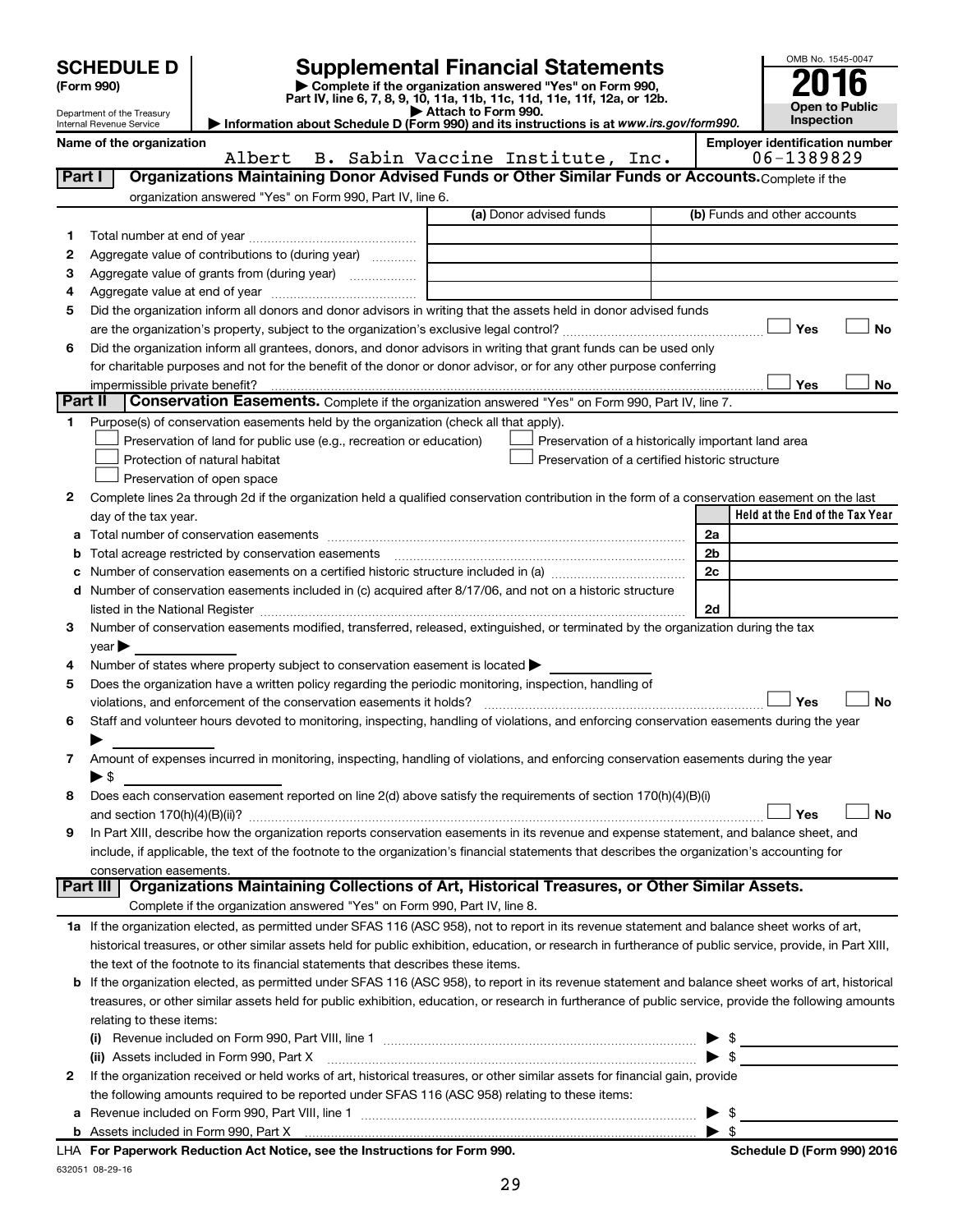|         | <b>SCHEDULE D</b>                                      |                                                                                                                                               |  |                     | <b>Supplemental Financial Statements</b>                                 |                                                    |                          | OMB No. 1545-0047                                                                                                                                         |
|---------|--------------------------------------------------------|-----------------------------------------------------------------------------------------------------------------------------------------------|--|---------------------|--------------------------------------------------------------------------|----------------------------------------------------|--------------------------|-----------------------------------------------------------------------------------------------------------------------------------------------------------|
|         | (Form 990)                                             |                                                                                                                                               |  |                     | Complete if the organization answered "Yes" on Form 990,                 |                                                    |                          |                                                                                                                                                           |
|         |                                                        |                                                                                                                                               |  |                     | Part IV, line 6, 7, 8, 9, 10, 11a, 11b, 11c, 11d, 11e, 11f, 12a, or 12b. |                                                    |                          | Open to Public                                                                                                                                            |
|         | Department of the Treasury<br>Internal Revenue Service | Information about Schedule D (Form 990) and its instructions is at www.irs.gov/form990.                                                       |  | Attach to Form 990. |                                                                          |                                                    |                          | Inspection                                                                                                                                                |
|         | Name of the organization                               |                                                                                                                                               |  |                     |                                                                          |                                                    |                          | <b>Employer identification number</b>                                                                                                                     |
|         |                                                        | Albert                                                                                                                                        |  |                     | B. Sabin Vaccine Institute, Inc.                                         |                                                    |                          | 06-1389829                                                                                                                                                |
| Part I  |                                                        | Organizations Maintaining Donor Advised Funds or Other Similar Funds or Accounts. Complete if the                                             |  |                     |                                                                          |                                                    |                          |                                                                                                                                                           |
|         |                                                        | organization answered "Yes" on Form 990, Part IV, line 6.                                                                                     |  |                     |                                                                          |                                                    |                          |                                                                                                                                                           |
|         |                                                        |                                                                                                                                               |  |                     | (a) Donor advised funds                                                  |                                                    |                          | (b) Funds and other accounts                                                                                                                              |
| 1       |                                                        |                                                                                                                                               |  |                     |                                                                          |                                                    |                          |                                                                                                                                                           |
| 2       |                                                        | Aggregate value of contributions to (during year)                                                                                             |  |                     |                                                                          |                                                    |                          |                                                                                                                                                           |
| З       |                                                        |                                                                                                                                               |  |                     |                                                                          |                                                    |                          |                                                                                                                                                           |
| 4       |                                                        |                                                                                                                                               |  |                     |                                                                          |                                                    |                          |                                                                                                                                                           |
| 5       |                                                        | Did the organization inform all donors and donor advisors in writing that the assets held in donor advised funds                              |  |                     |                                                                          |                                                    |                          | Yes<br><b>No</b>                                                                                                                                          |
| 6       |                                                        | Did the organization inform all grantees, donors, and donor advisors in writing that grant funds can be used only                             |  |                     |                                                                          |                                                    |                          |                                                                                                                                                           |
|         |                                                        | for charitable purposes and not for the benefit of the donor or donor advisor, or for any other purpose conferring                            |  |                     |                                                                          |                                                    |                          |                                                                                                                                                           |
|         | impermissible private benefit?                         |                                                                                                                                               |  |                     |                                                                          |                                                    |                          | Yes<br>No                                                                                                                                                 |
| Part II |                                                        | Conservation Easements. Complete if the organization answered "Yes" on Form 990, Part IV, line 7.                                             |  |                     |                                                                          |                                                    |                          |                                                                                                                                                           |
| 1       |                                                        | Purpose(s) of conservation easements held by the organization (check all that apply).                                                         |  |                     |                                                                          |                                                    |                          |                                                                                                                                                           |
|         |                                                        | Preservation of land for public use (e.g., recreation or education)                                                                           |  |                     |                                                                          | Preservation of a historically important land area |                          |                                                                                                                                                           |
|         |                                                        | Protection of natural habitat                                                                                                                 |  |                     |                                                                          | Preservation of a certified historic structure     |                          |                                                                                                                                                           |
|         |                                                        | Preservation of open space                                                                                                                    |  |                     |                                                                          |                                                    |                          |                                                                                                                                                           |
| 2       |                                                        |                                                                                                                                               |  |                     |                                                                          |                                                    |                          | Complete lines 2a through 2d if the organization held a qualified conservation contribution in the form of a conservation easement on the last            |
|         | day of the tax year.                                   |                                                                                                                                               |  |                     |                                                                          |                                                    |                          | Held at the End of the Tax Year                                                                                                                           |
| а       |                                                        |                                                                                                                                               |  |                     |                                                                          |                                                    | 2a                       |                                                                                                                                                           |
|         |                                                        | Total acreage restricted by conservation easements manufactured acreage restricted by conservation easements                                  |  |                     |                                                                          |                                                    | 2 <sub>b</sub>           |                                                                                                                                                           |
|         |                                                        | Number of conservation easements on a certified historic structure included in (a) manufacture included in (a)                                |  |                     |                                                                          |                                                    | 2c                       |                                                                                                                                                           |
| d       |                                                        | Number of conservation easements included in (c) acquired after 8/17/06, and not on a historic structure                                      |  |                     |                                                                          |                                                    |                          |                                                                                                                                                           |
|         |                                                        |                                                                                                                                               |  |                     |                                                                          |                                                    | 2d                       |                                                                                                                                                           |
| 3       |                                                        | Number of conservation easements modified, transferred, released, extinguished, or terminated by the organization during the tax              |  |                     |                                                                          |                                                    |                          |                                                                                                                                                           |
|         | $\vee$ ear $\blacktriangleright$                       | Number of states where property subject to conservation easement is located >                                                                 |  |                     |                                                                          |                                                    |                          |                                                                                                                                                           |
| 4<br>5  |                                                        | Does the organization have a written policy regarding the periodic monitoring, inspection, handling of                                        |  |                     |                                                                          |                                                    |                          |                                                                                                                                                           |
|         |                                                        | violations, and enforcement of the conservation easements it holds?                                                                           |  |                     |                                                                          |                                                    |                          | <b>No</b><br>Yes                                                                                                                                          |
|         |                                                        | Staff and volunteer hours devoted to monitoring, inspecting, handling of violations, and enforcing conservation easements during the year     |  |                     |                                                                          |                                                    |                          |                                                                                                                                                           |
|         |                                                        |                                                                                                                                               |  |                     |                                                                          |                                                    |                          |                                                                                                                                                           |
| 7       |                                                        | Amount of expenses incurred in monitoring, inspecting, handling of violations, and enforcing conservation easements during the year           |  |                     |                                                                          |                                                    |                          |                                                                                                                                                           |
|         | $\blacktriangleright$ \$                               |                                                                                                                                               |  |                     |                                                                          |                                                    |                          |                                                                                                                                                           |
| 8       |                                                        | Does each conservation easement reported on line 2(d) above satisfy the requirements of section 170(h)(4)(B)(i)                               |  |                     |                                                                          |                                                    |                          |                                                                                                                                                           |
|         |                                                        |                                                                                                                                               |  |                     |                                                                          |                                                    |                          | Yes<br><b>No</b>                                                                                                                                          |
| 9       |                                                        | In Part XIII, describe how the organization reports conservation easements in its revenue and expense statement, and balance sheet, and       |  |                     |                                                                          |                                                    |                          |                                                                                                                                                           |
|         |                                                        | include, if applicable, the text of the footnote to the organization's financial statements that describes the organization's accounting for  |  |                     |                                                                          |                                                    |                          |                                                                                                                                                           |
|         | conservation easements.                                |                                                                                                                                               |  |                     |                                                                          |                                                    |                          |                                                                                                                                                           |
|         | Part III                                               | Organizations Maintaining Collections of Art, Historical Treasures, or Other Similar Assets.                                                  |  |                     |                                                                          |                                                    |                          |                                                                                                                                                           |
|         |                                                        | Complete if the organization answered "Yes" on Form 990, Part IV, line 8.                                                                     |  |                     |                                                                          |                                                    |                          |                                                                                                                                                           |
|         |                                                        | 1a If the organization elected, as permitted under SFAS 116 (ASC 958), not to report in its revenue statement and balance sheet works of art, |  |                     |                                                                          |                                                    |                          |                                                                                                                                                           |
|         |                                                        | the text of the footnote to its financial statements that describes these items.                                                              |  |                     |                                                                          |                                                    |                          | historical treasures, or other similar assets held for public exhibition, education, or research in furtherance of public service, provide, in Part XIII, |
|         |                                                        |                                                                                                                                               |  |                     |                                                                          |                                                    |                          | If the organization elected, as permitted under SFAS 116 (ASC 958), to report in its revenue statement and balance sheet works of art, historical         |
| b       |                                                        |                                                                                                                                               |  |                     |                                                                          |                                                    |                          | treasures, or other similar assets held for public exhibition, education, or research in furtherance of public service, provide the following amounts     |
|         | relating to these items:                               |                                                                                                                                               |  |                     |                                                                          |                                                    |                          |                                                                                                                                                           |
|         |                                                        |                                                                                                                                               |  |                     |                                                                          |                                                    |                          |                                                                                                                                                           |
|         |                                                        |                                                                                                                                               |  |                     |                                                                          |                                                    |                          |                                                                                                                                                           |
| 2       |                                                        | If the organization received or held works of art, historical treasures, or other similar assets for financial gain, provide                  |  |                     |                                                                          |                                                    |                          |                                                                                                                                                           |
|         |                                                        | the following amounts required to be reported under SFAS 116 (ASC 958) relating to these items:                                               |  |                     |                                                                          |                                                    |                          |                                                                                                                                                           |
| а       |                                                        |                                                                                                                                               |  |                     |                                                                          |                                                    | $\blacktriangleright$ \$ |                                                                                                                                                           |
|         |                                                        |                                                                                                                                               |  |                     |                                                                          |                                                    | $\blacktriangleright$ \$ |                                                                                                                                                           |

632051 08-29-16 **For Paperwork Reduction Act Notice, see the Instructions for Form 990. Schedule D (Form 990) 2016** LHA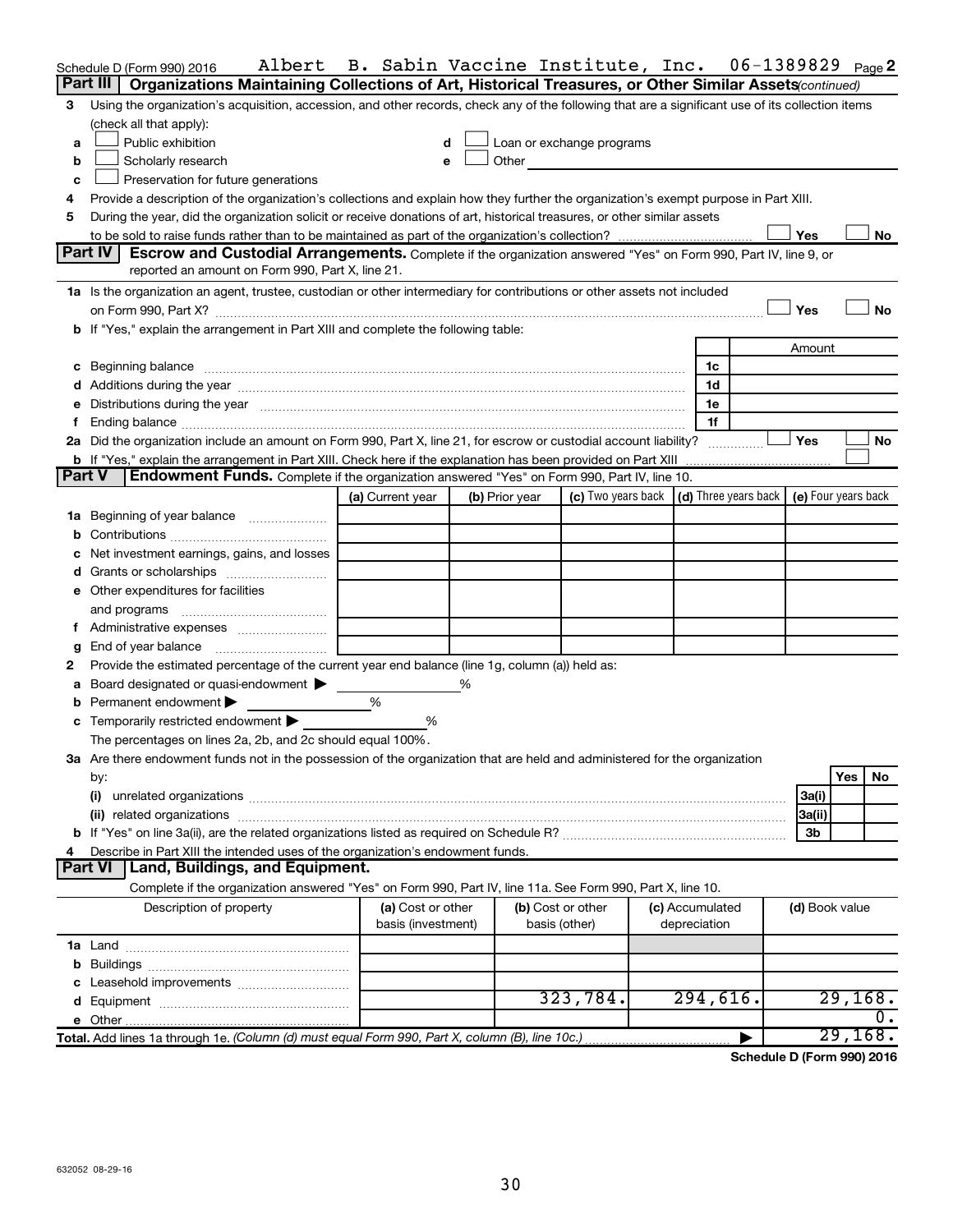|    | Albert<br>Schedule D (Form 990) 2016                                                                                                                                                                                           | B. Sabin Vaccine Institute, Inc.        |   |                |                                                                                                                                                                                                                               |                                 |                | $06 - 1389829$ Page 2 |
|----|--------------------------------------------------------------------------------------------------------------------------------------------------------------------------------------------------------------------------------|-----------------------------------------|---|----------------|-------------------------------------------------------------------------------------------------------------------------------------------------------------------------------------------------------------------------------|---------------------------------|----------------|-----------------------|
|    | Part III<br>Organizations Maintaining Collections of Art, Historical Treasures, or Other Similar Assets (continued)                                                                                                            |                                         |   |                |                                                                                                                                                                                                                               |                                 |                |                       |
| 3  | Using the organization's acquisition, accession, and other records, check any of the following that are a significant use of its collection items                                                                              |                                         |   |                |                                                                                                                                                                                                                               |                                 |                |                       |
|    | (check all that apply):                                                                                                                                                                                                        |                                         |   |                |                                                                                                                                                                                                                               |                                 |                |                       |
| a  | Public exhibition                                                                                                                                                                                                              | d                                       |   |                | Loan or exchange programs                                                                                                                                                                                                     |                                 |                |                       |
| b  | Scholarly research                                                                                                                                                                                                             | e                                       |   |                | Other and the contract of the contract of the contract of the contract of the contract of the contract of the contract of the contract of the contract of the contract of the contract of the contract of the contract of the |                                 |                |                       |
| c  | Preservation for future generations                                                                                                                                                                                            |                                         |   |                |                                                                                                                                                                                                                               |                                 |                |                       |
| 4  | Provide a description of the organization's collections and explain how they further the organization's exempt purpose in Part XIII.                                                                                           |                                         |   |                |                                                                                                                                                                                                                               |                                 |                |                       |
| 5  | During the year, did the organization solicit or receive donations of art, historical treasures, or other similar assets                                                                                                       |                                         |   |                |                                                                                                                                                                                                                               |                                 |                |                       |
|    |                                                                                                                                                                                                                                |                                         |   |                |                                                                                                                                                                                                                               |                                 | Yes            | No                    |
|    | Part IV<br>Escrow and Custodial Arrangements. Complete if the organization answered "Yes" on Form 990, Part IV, line 9, or                                                                                                     |                                         |   |                |                                                                                                                                                                                                                               |                                 |                |                       |
|    | reported an amount on Form 990, Part X, line 21.                                                                                                                                                                               |                                         |   |                |                                                                                                                                                                                                                               |                                 |                |                       |
|    | 1a Is the organization an agent, trustee, custodian or other intermediary for contributions or other assets not included                                                                                                       |                                         |   |                |                                                                                                                                                                                                                               |                                 |                |                       |
|    |                                                                                                                                                                                                                                |                                         |   |                |                                                                                                                                                                                                                               |                                 | Yes            | No                    |
|    | b If "Yes," explain the arrangement in Part XIII and complete the following table:                                                                                                                                             |                                         |   |                |                                                                                                                                                                                                                               |                                 |                |                       |
|    |                                                                                                                                                                                                                                |                                         |   |                |                                                                                                                                                                                                                               | 1c                              | Amount         |                       |
|    | c Beginning balance measurements and the contract of Beginning balance measurements are all the contract of the contract of the contract of the contract of the contract of the contract of the contract of the contract of th |                                         |   |                |                                                                                                                                                                                                                               | 1d                              |                |                       |
|    | e Distributions during the year manufactured and continuum and contact the year manufactured and contact the year manufactured and contact the year manufactured and contact the year manufactured and contact the year manufa |                                         |   |                |                                                                                                                                                                                                                               | 1e                              |                |                       |
|    |                                                                                                                                                                                                                                |                                         |   |                |                                                                                                                                                                                                                               | 1f                              |                |                       |
|    | 2a Did the organization include an amount on Form 990, Part X, line 21, for escrow or custodial account liability?                                                                                                             |                                         |   |                |                                                                                                                                                                                                                               |                                 | Yes            | No                    |
|    | <b>b</b> If "Yes," explain the arrangement in Part XIII. Check here if the explanation has been provided on Part XIII                                                                                                          |                                         |   |                |                                                                                                                                                                                                                               |                                 |                |                       |
|    | <b>Part V</b><br><b>Endowment Funds.</b> Complete if the organization answered "Yes" on Form 990, Part IV, line 10.                                                                                                            |                                         |   |                |                                                                                                                                                                                                                               |                                 |                |                       |
|    |                                                                                                                                                                                                                                | (a) Current year                        |   | (b) Prior year | (c) Two years back   (d) Three years back   (e) Four years back                                                                                                                                                               |                                 |                |                       |
| ٦а | Beginning of year balance                                                                                                                                                                                                      |                                         |   |                |                                                                                                                                                                                                                               |                                 |                |                       |
| b  |                                                                                                                                                                                                                                |                                         |   |                |                                                                                                                                                                                                                               |                                 |                |                       |
|    | Net investment earnings, gains, and losses                                                                                                                                                                                     |                                         |   |                |                                                                                                                                                                                                                               |                                 |                |                       |
|    |                                                                                                                                                                                                                                |                                         |   |                |                                                                                                                                                                                                                               |                                 |                |                       |
|    | e Other expenditures for facilities                                                                                                                                                                                            |                                         |   |                |                                                                                                                                                                                                                               |                                 |                |                       |
|    | and programs                                                                                                                                                                                                                   |                                         |   |                |                                                                                                                                                                                                                               |                                 |                |                       |
| Ť. |                                                                                                                                                                                                                                |                                         |   |                |                                                                                                                                                                                                                               |                                 |                |                       |
| g  | End of year balance                                                                                                                                                                                                            |                                         |   |                |                                                                                                                                                                                                                               |                                 |                |                       |
| 2  | Provide the estimated percentage of the current year end balance (line 1g, column (a)) held as:                                                                                                                                |                                         |   |                |                                                                                                                                                                                                                               |                                 |                |                       |
| а  | Board designated or quasi-endowment                                                                                                                                                                                            |                                         | ℅ |                |                                                                                                                                                                                                                               |                                 |                |                       |
| b  | Permanent endowment                                                                                                                                                                                                            | %                                       |   |                |                                                                                                                                                                                                                               |                                 |                |                       |
|    | c Temporarily restricted endowment $\blacktriangleright$                                                                                                                                                                       | %                                       |   |                |                                                                                                                                                                                                                               |                                 |                |                       |
|    | The percentages on lines 2a, 2b, and 2c should equal 100%.                                                                                                                                                                     |                                         |   |                |                                                                                                                                                                                                                               |                                 |                |                       |
|    | 3a Are there endowment funds not in the possession of the organization that are held and administered for the organization                                                                                                     |                                         |   |                |                                                                                                                                                                                                                               |                                 |                |                       |
|    | by:                                                                                                                                                                                                                            |                                         |   |                |                                                                                                                                                                                                                               |                                 |                | Yes<br>No             |
|    | (i)                                                                                                                                                                                                                            |                                         |   |                |                                                                                                                                                                                                                               |                                 | 3a(i)          |                       |
|    |                                                                                                                                                                                                                                |                                         |   |                |                                                                                                                                                                                                                               |                                 | 3a(ii)         |                       |
|    |                                                                                                                                                                                                                                |                                         |   |                |                                                                                                                                                                                                                               |                                 | 3b             |                       |
| 4  | Describe in Part XIII the intended uses of the organization's endowment funds.                                                                                                                                                 |                                         |   |                |                                                                                                                                                                                                                               |                                 |                |                       |
|    | Land, Buildings, and Equipment.<br>Part VI                                                                                                                                                                                     |                                         |   |                |                                                                                                                                                                                                                               |                                 |                |                       |
|    | Complete if the organization answered "Yes" on Form 990, Part IV, line 11a. See Form 990, Part X, line 10.                                                                                                                     |                                         |   |                |                                                                                                                                                                                                                               |                                 |                |                       |
|    | Description of property                                                                                                                                                                                                        | (a) Cost or other<br>basis (investment) |   |                | (b) Cost or other                                                                                                                                                                                                             | (c) Accumulated<br>depreciation | (d) Book value |                       |
|    |                                                                                                                                                                                                                                |                                         |   |                | basis (other)                                                                                                                                                                                                                 |                                 |                |                       |
|    |                                                                                                                                                                                                                                |                                         |   |                |                                                                                                                                                                                                                               |                                 |                |                       |
|    |                                                                                                                                                                                                                                |                                         |   |                |                                                                                                                                                                                                                               |                                 |                |                       |
|    |                                                                                                                                                                                                                                |                                         |   |                | 323,784.                                                                                                                                                                                                                      | 294,616.                        |                | 29,168.               |
|    |                                                                                                                                                                                                                                |                                         |   |                |                                                                                                                                                                                                                               |                                 |                | 0.                    |
|    | Total. Add lines 1a through 1e. (Column (d) must equal Form 990, Part X, column (B), line 10c.)                                                                                                                                |                                         |   |                |                                                                                                                                                                                                                               |                                 |                | 29,168.               |

**Schedule D (Form 990) 2016**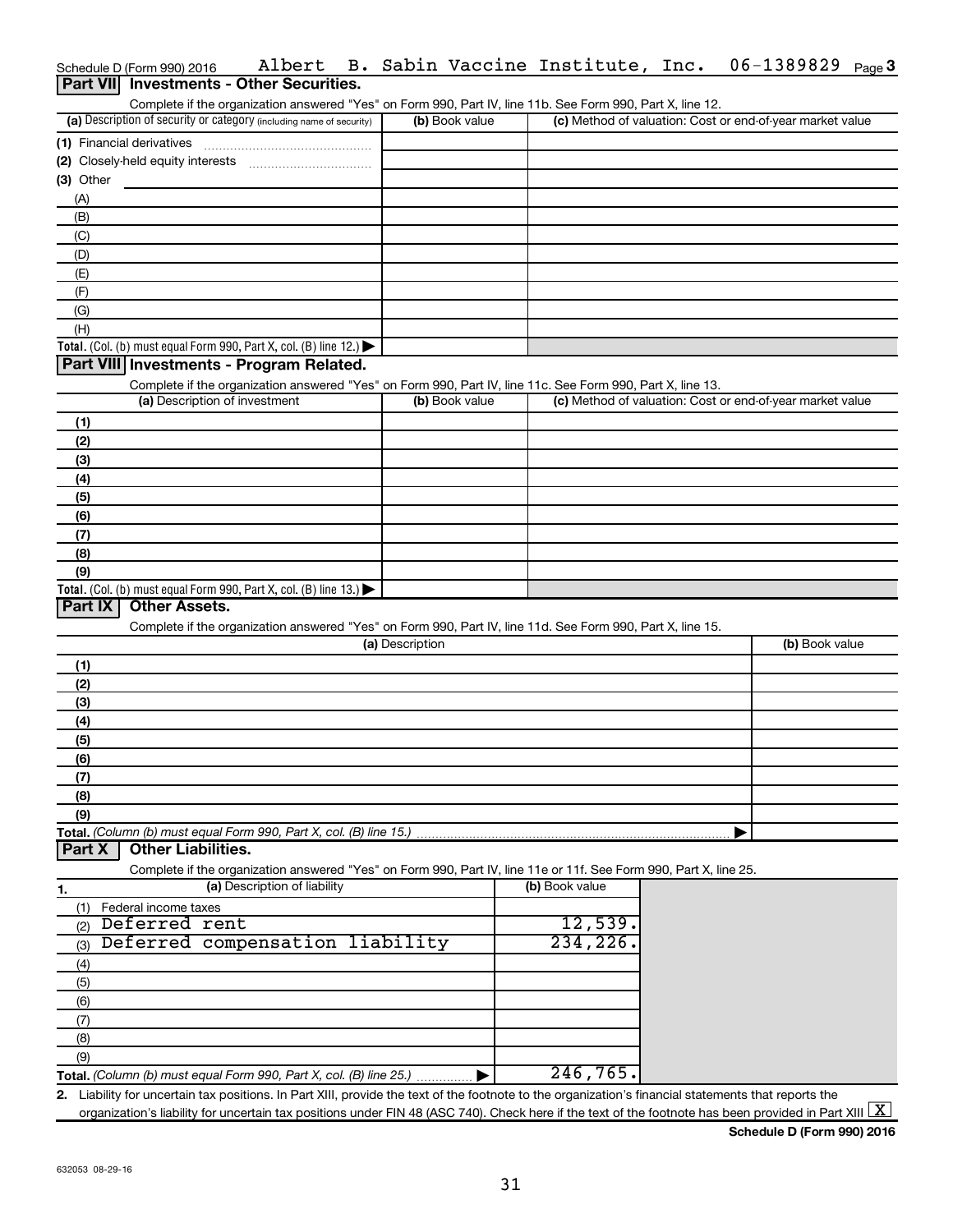| <b>Investments - Other Securities.</b><br><b>Part VIII</b><br>Complete if the organization answered "Yes" on Form 990, Part IV, line 11b. See Form 990, Part X, line 12.<br>(a) Description of security or category (including name of security)<br>(b) Book value<br>(c) Method of valuation: Cost or end-of-year market value<br>(1) Financial derivatives<br>$(3)$ Other<br>(A)<br>(B)<br>(C)<br>(D)<br>(E)<br>(F)<br>(G)<br>(H)<br>Total. (Col. (b) must equal Form 990, Part X, col. (B) line 12.) $\blacktriangleright$<br>Part VIII Investments - Program Related.<br>Complete if the organization answered "Yes" on Form 990, Part IV, line 11c. See Form 990, Part X, line 13.<br>(a) Description of investment<br>(c) Method of valuation: Cost or end-of-year market value<br>(b) Book value<br>(1)<br>(2)<br>(3)<br>(4)<br>(5)<br>(6)<br>(7)<br>(8)<br>(9)<br>Total. (Col. (b) must equal Form 990, Part X, col. (B) line 13.)<br>Part IX<br><b>Other Assets.</b><br>Complete if the organization answered "Yes" on Form 990, Part IV, line 11d. See Form 990, Part X, line 15.<br>(a) Description<br>(b) Book value<br>(1)<br>(2)<br>(3)<br>(4)<br>(5)<br>(6)<br>(7)<br>(8)<br>(9)<br>Total. (Column (b) must equal Form 990, Part X, col. (B) line 15.)<br><b>Other Liabilities.</b><br>Part X<br>Complete if the organization answered "Yes" on Form 990, Part IV, line 11e or 11f. See Form 990, Part X, line 25.<br>(a) Description of liability<br>(b) Book value<br>(1)<br>Federal income taxes<br>12,539.<br>Deferred rent<br>(2)<br>234,226.<br>Deferred compensation liability<br>(3)<br>(4)<br>(5)<br>(6)<br>(7)<br>(8)<br>(9)<br>246,765.<br>2. Liability for uncertain tax positions. In Part XIII, provide the text of the footnote to the organization's financial statements that reports the<br>organization's liability for uncertain tax positions under FIN 48 (ASC 740). Check here if the text of the footnote has been provided in Part XIII $\vert X \vert$ |    | Schedule D (Form 990) 2016 | Albert |  | B. Sabin Vaccine Institute, Inc. | 06-1389829 | Page 3 |
|-------------------------------------------------------------------------------------------------------------------------------------------------------------------------------------------------------------------------------------------------------------------------------------------------------------------------------------------------------------------------------------------------------------------------------------------------------------------------------------------------------------------------------------------------------------------------------------------------------------------------------------------------------------------------------------------------------------------------------------------------------------------------------------------------------------------------------------------------------------------------------------------------------------------------------------------------------------------------------------------------------------------------------------------------------------------------------------------------------------------------------------------------------------------------------------------------------------------------------------------------------------------------------------------------------------------------------------------------------------------------------------------------------------------------------------------------------------------------------------------------------------------------------------------------------------------------------------------------------------------------------------------------------------------------------------------------------------------------------------------------------------------------------------------------------------------------------------------------------------------------------------------------------------------------------------------------------------------------------------------------|----|----------------------------|--------|--|----------------------------------|------------|--------|
|                                                                                                                                                                                                                                                                                                                                                                                                                                                                                                                                                                                                                                                                                                                                                                                                                                                                                                                                                                                                                                                                                                                                                                                                                                                                                                                                                                                                                                                                                                                                                                                                                                                                                                                                                                                                                                                                                                                                                                                                 |    |                            |        |  |                                  |            |        |
|                                                                                                                                                                                                                                                                                                                                                                                                                                                                                                                                                                                                                                                                                                                                                                                                                                                                                                                                                                                                                                                                                                                                                                                                                                                                                                                                                                                                                                                                                                                                                                                                                                                                                                                                                                                                                                                                                                                                                                                                 |    |                            |        |  |                                  |            |        |
|                                                                                                                                                                                                                                                                                                                                                                                                                                                                                                                                                                                                                                                                                                                                                                                                                                                                                                                                                                                                                                                                                                                                                                                                                                                                                                                                                                                                                                                                                                                                                                                                                                                                                                                                                                                                                                                                                                                                                                                                 |    |                            |        |  |                                  |            |        |
|                                                                                                                                                                                                                                                                                                                                                                                                                                                                                                                                                                                                                                                                                                                                                                                                                                                                                                                                                                                                                                                                                                                                                                                                                                                                                                                                                                                                                                                                                                                                                                                                                                                                                                                                                                                                                                                                                                                                                                                                 |    |                            |        |  |                                  |            |        |
|                                                                                                                                                                                                                                                                                                                                                                                                                                                                                                                                                                                                                                                                                                                                                                                                                                                                                                                                                                                                                                                                                                                                                                                                                                                                                                                                                                                                                                                                                                                                                                                                                                                                                                                                                                                                                                                                                                                                                                                                 |    |                            |        |  |                                  |            |        |
|                                                                                                                                                                                                                                                                                                                                                                                                                                                                                                                                                                                                                                                                                                                                                                                                                                                                                                                                                                                                                                                                                                                                                                                                                                                                                                                                                                                                                                                                                                                                                                                                                                                                                                                                                                                                                                                                                                                                                                                                 |    |                            |        |  |                                  |            |        |
|                                                                                                                                                                                                                                                                                                                                                                                                                                                                                                                                                                                                                                                                                                                                                                                                                                                                                                                                                                                                                                                                                                                                                                                                                                                                                                                                                                                                                                                                                                                                                                                                                                                                                                                                                                                                                                                                                                                                                                                                 |    |                            |        |  |                                  |            |        |
|                                                                                                                                                                                                                                                                                                                                                                                                                                                                                                                                                                                                                                                                                                                                                                                                                                                                                                                                                                                                                                                                                                                                                                                                                                                                                                                                                                                                                                                                                                                                                                                                                                                                                                                                                                                                                                                                                                                                                                                                 |    |                            |        |  |                                  |            |        |
|                                                                                                                                                                                                                                                                                                                                                                                                                                                                                                                                                                                                                                                                                                                                                                                                                                                                                                                                                                                                                                                                                                                                                                                                                                                                                                                                                                                                                                                                                                                                                                                                                                                                                                                                                                                                                                                                                                                                                                                                 |    |                            |        |  |                                  |            |        |
|                                                                                                                                                                                                                                                                                                                                                                                                                                                                                                                                                                                                                                                                                                                                                                                                                                                                                                                                                                                                                                                                                                                                                                                                                                                                                                                                                                                                                                                                                                                                                                                                                                                                                                                                                                                                                                                                                                                                                                                                 |    |                            |        |  |                                  |            |        |
|                                                                                                                                                                                                                                                                                                                                                                                                                                                                                                                                                                                                                                                                                                                                                                                                                                                                                                                                                                                                                                                                                                                                                                                                                                                                                                                                                                                                                                                                                                                                                                                                                                                                                                                                                                                                                                                                                                                                                                                                 |    |                            |        |  |                                  |            |        |
|                                                                                                                                                                                                                                                                                                                                                                                                                                                                                                                                                                                                                                                                                                                                                                                                                                                                                                                                                                                                                                                                                                                                                                                                                                                                                                                                                                                                                                                                                                                                                                                                                                                                                                                                                                                                                                                                                                                                                                                                 |    |                            |        |  |                                  |            |        |
|                                                                                                                                                                                                                                                                                                                                                                                                                                                                                                                                                                                                                                                                                                                                                                                                                                                                                                                                                                                                                                                                                                                                                                                                                                                                                                                                                                                                                                                                                                                                                                                                                                                                                                                                                                                                                                                                                                                                                                                                 |    |                            |        |  |                                  |            |        |
|                                                                                                                                                                                                                                                                                                                                                                                                                                                                                                                                                                                                                                                                                                                                                                                                                                                                                                                                                                                                                                                                                                                                                                                                                                                                                                                                                                                                                                                                                                                                                                                                                                                                                                                                                                                                                                                                                                                                                                                                 |    |                            |        |  |                                  |            |        |
|                                                                                                                                                                                                                                                                                                                                                                                                                                                                                                                                                                                                                                                                                                                                                                                                                                                                                                                                                                                                                                                                                                                                                                                                                                                                                                                                                                                                                                                                                                                                                                                                                                                                                                                                                                                                                                                                                                                                                                                                 |    |                            |        |  |                                  |            |        |
|                                                                                                                                                                                                                                                                                                                                                                                                                                                                                                                                                                                                                                                                                                                                                                                                                                                                                                                                                                                                                                                                                                                                                                                                                                                                                                                                                                                                                                                                                                                                                                                                                                                                                                                                                                                                                                                                                                                                                                                                 |    |                            |        |  |                                  |            |        |
|                                                                                                                                                                                                                                                                                                                                                                                                                                                                                                                                                                                                                                                                                                                                                                                                                                                                                                                                                                                                                                                                                                                                                                                                                                                                                                                                                                                                                                                                                                                                                                                                                                                                                                                                                                                                                                                                                                                                                                                                 |    |                            |        |  |                                  |            |        |
|                                                                                                                                                                                                                                                                                                                                                                                                                                                                                                                                                                                                                                                                                                                                                                                                                                                                                                                                                                                                                                                                                                                                                                                                                                                                                                                                                                                                                                                                                                                                                                                                                                                                                                                                                                                                                                                                                                                                                                                                 |    |                            |        |  |                                  |            |        |
|                                                                                                                                                                                                                                                                                                                                                                                                                                                                                                                                                                                                                                                                                                                                                                                                                                                                                                                                                                                                                                                                                                                                                                                                                                                                                                                                                                                                                                                                                                                                                                                                                                                                                                                                                                                                                                                                                                                                                                                                 |    |                            |        |  |                                  |            |        |
|                                                                                                                                                                                                                                                                                                                                                                                                                                                                                                                                                                                                                                                                                                                                                                                                                                                                                                                                                                                                                                                                                                                                                                                                                                                                                                                                                                                                                                                                                                                                                                                                                                                                                                                                                                                                                                                                                                                                                                                                 |    |                            |        |  |                                  |            |        |
|                                                                                                                                                                                                                                                                                                                                                                                                                                                                                                                                                                                                                                                                                                                                                                                                                                                                                                                                                                                                                                                                                                                                                                                                                                                                                                                                                                                                                                                                                                                                                                                                                                                                                                                                                                                                                                                                                                                                                                                                 |    |                            |        |  |                                  |            |        |
|                                                                                                                                                                                                                                                                                                                                                                                                                                                                                                                                                                                                                                                                                                                                                                                                                                                                                                                                                                                                                                                                                                                                                                                                                                                                                                                                                                                                                                                                                                                                                                                                                                                                                                                                                                                                                                                                                                                                                                                                 |    |                            |        |  |                                  |            |        |
|                                                                                                                                                                                                                                                                                                                                                                                                                                                                                                                                                                                                                                                                                                                                                                                                                                                                                                                                                                                                                                                                                                                                                                                                                                                                                                                                                                                                                                                                                                                                                                                                                                                                                                                                                                                                                                                                                                                                                                                                 |    |                            |        |  |                                  |            |        |
|                                                                                                                                                                                                                                                                                                                                                                                                                                                                                                                                                                                                                                                                                                                                                                                                                                                                                                                                                                                                                                                                                                                                                                                                                                                                                                                                                                                                                                                                                                                                                                                                                                                                                                                                                                                                                                                                                                                                                                                                 |    |                            |        |  |                                  |            |        |
|                                                                                                                                                                                                                                                                                                                                                                                                                                                                                                                                                                                                                                                                                                                                                                                                                                                                                                                                                                                                                                                                                                                                                                                                                                                                                                                                                                                                                                                                                                                                                                                                                                                                                                                                                                                                                                                                                                                                                                                                 |    |                            |        |  |                                  |            |        |
|                                                                                                                                                                                                                                                                                                                                                                                                                                                                                                                                                                                                                                                                                                                                                                                                                                                                                                                                                                                                                                                                                                                                                                                                                                                                                                                                                                                                                                                                                                                                                                                                                                                                                                                                                                                                                                                                                                                                                                                                 |    |                            |        |  |                                  |            |        |
|                                                                                                                                                                                                                                                                                                                                                                                                                                                                                                                                                                                                                                                                                                                                                                                                                                                                                                                                                                                                                                                                                                                                                                                                                                                                                                                                                                                                                                                                                                                                                                                                                                                                                                                                                                                                                                                                                                                                                                                                 |    |                            |        |  |                                  |            |        |
|                                                                                                                                                                                                                                                                                                                                                                                                                                                                                                                                                                                                                                                                                                                                                                                                                                                                                                                                                                                                                                                                                                                                                                                                                                                                                                                                                                                                                                                                                                                                                                                                                                                                                                                                                                                                                                                                                                                                                                                                 |    |                            |        |  |                                  |            |        |
|                                                                                                                                                                                                                                                                                                                                                                                                                                                                                                                                                                                                                                                                                                                                                                                                                                                                                                                                                                                                                                                                                                                                                                                                                                                                                                                                                                                                                                                                                                                                                                                                                                                                                                                                                                                                                                                                                                                                                                                                 |    |                            |        |  |                                  |            |        |
|                                                                                                                                                                                                                                                                                                                                                                                                                                                                                                                                                                                                                                                                                                                                                                                                                                                                                                                                                                                                                                                                                                                                                                                                                                                                                                                                                                                                                                                                                                                                                                                                                                                                                                                                                                                                                                                                                                                                                                                                 |    |                            |        |  |                                  |            |        |
|                                                                                                                                                                                                                                                                                                                                                                                                                                                                                                                                                                                                                                                                                                                                                                                                                                                                                                                                                                                                                                                                                                                                                                                                                                                                                                                                                                                                                                                                                                                                                                                                                                                                                                                                                                                                                                                                                                                                                                                                 |    |                            |        |  |                                  |            |        |
|                                                                                                                                                                                                                                                                                                                                                                                                                                                                                                                                                                                                                                                                                                                                                                                                                                                                                                                                                                                                                                                                                                                                                                                                                                                                                                                                                                                                                                                                                                                                                                                                                                                                                                                                                                                                                                                                                                                                                                                                 |    |                            |        |  |                                  |            |        |
|                                                                                                                                                                                                                                                                                                                                                                                                                                                                                                                                                                                                                                                                                                                                                                                                                                                                                                                                                                                                                                                                                                                                                                                                                                                                                                                                                                                                                                                                                                                                                                                                                                                                                                                                                                                                                                                                                                                                                                                                 |    |                            |        |  |                                  |            |        |
|                                                                                                                                                                                                                                                                                                                                                                                                                                                                                                                                                                                                                                                                                                                                                                                                                                                                                                                                                                                                                                                                                                                                                                                                                                                                                                                                                                                                                                                                                                                                                                                                                                                                                                                                                                                                                                                                                                                                                                                                 |    |                            |        |  |                                  |            |        |
|                                                                                                                                                                                                                                                                                                                                                                                                                                                                                                                                                                                                                                                                                                                                                                                                                                                                                                                                                                                                                                                                                                                                                                                                                                                                                                                                                                                                                                                                                                                                                                                                                                                                                                                                                                                                                                                                                                                                                                                                 |    |                            |        |  |                                  |            |        |
|                                                                                                                                                                                                                                                                                                                                                                                                                                                                                                                                                                                                                                                                                                                                                                                                                                                                                                                                                                                                                                                                                                                                                                                                                                                                                                                                                                                                                                                                                                                                                                                                                                                                                                                                                                                                                                                                                                                                                                                                 |    |                            |        |  |                                  |            |        |
|                                                                                                                                                                                                                                                                                                                                                                                                                                                                                                                                                                                                                                                                                                                                                                                                                                                                                                                                                                                                                                                                                                                                                                                                                                                                                                                                                                                                                                                                                                                                                                                                                                                                                                                                                                                                                                                                                                                                                                                                 |    |                            |        |  |                                  |            |        |
|                                                                                                                                                                                                                                                                                                                                                                                                                                                                                                                                                                                                                                                                                                                                                                                                                                                                                                                                                                                                                                                                                                                                                                                                                                                                                                                                                                                                                                                                                                                                                                                                                                                                                                                                                                                                                                                                                                                                                                                                 |    |                            |        |  |                                  |            |        |
|                                                                                                                                                                                                                                                                                                                                                                                                                                                                                                                                                                                                                                                                                                                                                                                                                                                                                                                                                                                                                                                                                                                                                                                                                                                                                                                                                                                                                                                                                                                                                                                                                                                                                                                                                                                                                                                                                                                                                                                                 |    |                            |        |  |                                  |            |        |
|                                                                                                                                                                                                                                                                                                                                                                                                                                                                                                                                                                                                                                                                                                                                                                                                                                                                                                                                                                                                                                                                                                                                                                                                                                                                                                                                                                                                                                                                                                                                                                                                                                                                                                                                                                                                                                                                                                                                                                                                 |    |                            |        |  |                                  |            |        |
|                                                                                                                                                                                                                                                                                                                                                                                                                                                                                                                                                                                                                                                                                                                                                                                                                                                                                                                                                                                                                                                                                                                                                                                                                                                                                                                                                                                                                                                                                                                                                                                                                                                                                                                                                                                                                                                                                                                                                                                                 |    |                            |        |  |                                  |            |        |
|                                                                                                                                                                                                                                                                                                                                                                                                                                                                                                                                                                                                                                                                                                                                                                                                                                                                                                                                                                                                                                                                                                                                                                                                                                                                                                                                                                                                                                                                                                                                                                                                                                                                                                                                                                                                                                                                                                                                                                                                 |    |                            |        |  |                                  |            |        |
|                                                                                                                                                                                                                                                                                                                                                                                                                                                                                                                                                                                                                                                                                                                                                                                                                                                                                                                                                                                                                                                                                                                                                                                                                                                                                                                                                                                                                                                                                                                                                                                                                                                                                                                                                                                                                                                                                                                                                                                                 |    |                            |        |  |                                  |            |        |
|                                                                                                                                                                                                                                                                                                                                                                                                                                                                                                                                                                                                                                                                                                                                                                                                                                                                                                                                                                                                                                                                                                                                                                                                                                                                                                                                                                                                                                                                                                                                                                                                                                                                                                                                                                                                                                                                                                                                                                                                 | 1. |                            |        |  |                                  |            |        |
|                                                                                                                                                                                                                                                                                                                                                                                                                                                                                                                                                                                                                                                                                                                                                                                                                                                                                                                                                                                                                                                                                                                                                                                                                                                                                                                                                                                                                                                                                                                                                                                                                                                                                                                                                                                                                                                                                                                                                                                                 |    |                            |        |  |                                  |            |        |
|                                                                                                                                                                                                                                                                                                                                                                                                                                                                                                                                                                                                                                                                                                                                                                                                                                                                                                                                                                                                                                                                                                                                                                                                                                                                                                                                                                                                                                                                                                                                                                                                                                                                                                                                                                                                                                                                                                                                                                                                 |    |                            |        |  |                                  |            |        |
|                                                                                                                                                                                                                                                                                                                                                                                                                                                                                                                                                                                                                                                                                                                                                                                                                                                                                                                                                                                                                                                                                                                                                                                                                                                                                                                                                                                                                                                                                                                                                                                                                                                                                                                                                                                                                                                                                                                                                                                                 |    |                            |        |  |                                  |            |        |
|                                                                                                                                                                                                                                                                                                                                                                                                                                                                                                                                                                                                                                                                                                                                                                                                                                                                                                                                                                                                                                                                                                                                                                                                                                                                                                                                                                                                                                                                                                                                                                                                                                                                                                                                                                                                                                                                                                                                                                                                 |    |                            |        |  |                                  |            |        |
|                                                                                                                                                                                                                                                                                                                                                                                                                                                                                                                                                                                                                                                                                                                                                                                                                                                                                                                                                                                                                                                                                                                                                                                                                                                                                                                                                                                                                                                                                                                                                                                                                                                                                                                                                                                                                                                                                                                                                                                                 |    |                            |        |  |                                  |            |        |
|                                                                                                                                                                                                                                                                                                                                                                                                                                                                                                                                                                                                                                                                                                                                                                                                                                                                                                                                                                                                                                                                                                                                                                                                                                                                                                                                                                                                                                                                                                                                                                                                                                                                                                                                                                                                                                                                                                                                                                                                 |    |                            |        |  |                                  |            |        |
|                                                                                                                                                                                                                                                                                                                                                                                                                                                                                                                                                                                                                                                                                                                                                                                                                                                                                                                                                                                                                                                                                                                                                                                                                                                                                                                                                                                                                                                                                                                                                                                                                                                                                                                                                                                                                                                                                                                                                                                                 |    |                            |        |  |                                  |            |        |
|                                                                                                                                                                                                                                                                                                                                                                                                                                                                                                                                                                                                                                                                                                                                                                                                                                                                                                                                                                                                                                                                                                                                                                                                                                                                                                                                                                                                                                                                                                                                                                                                                                                                                                                                                                                                                                                                                                                                                                                                 |    |                            |        |  |                                  |            |        |
|                                                                                                                                                                                                                                                                                                                                                                                                                                                                                                                                                                                                                                                                                                                                                                                                                                                                                                                                                                                                                                                                                                                                                                                                                                                                                                                                                                                                                                                                                                                                                                                                                                                                                                                                                                                                                                                                                                                                                                                                 |    |                            |        |  |                                  |            |        |
|                                                                                                                                                                                                                                                                                                                                                                                                                                                                                                                                                                                                                                                                                                                                                                                                                                                                                                                                                                                                                                                                                                                                                                                                                                                                                                                                                                                                                                                                                                                                                                                                                                                                                                                                                                                                                                                                                                                                                                                                 |    |                            |        |  |                                  |            |        |
|                                                                                                                                                                                                                                                                                                                                                                                                                                                                                                                                                                                                                                                                                                                                                                                                                                                                                                                                                                                                                                                                                                                                                                                                                                                                                                                                                                                                                                                                                                                                                                                                                                                                                                                                                                                                                                                                                                                                                                                                 |    |                            |        |  |                                  |            |        |

**Schedule D (Form 990) 2016**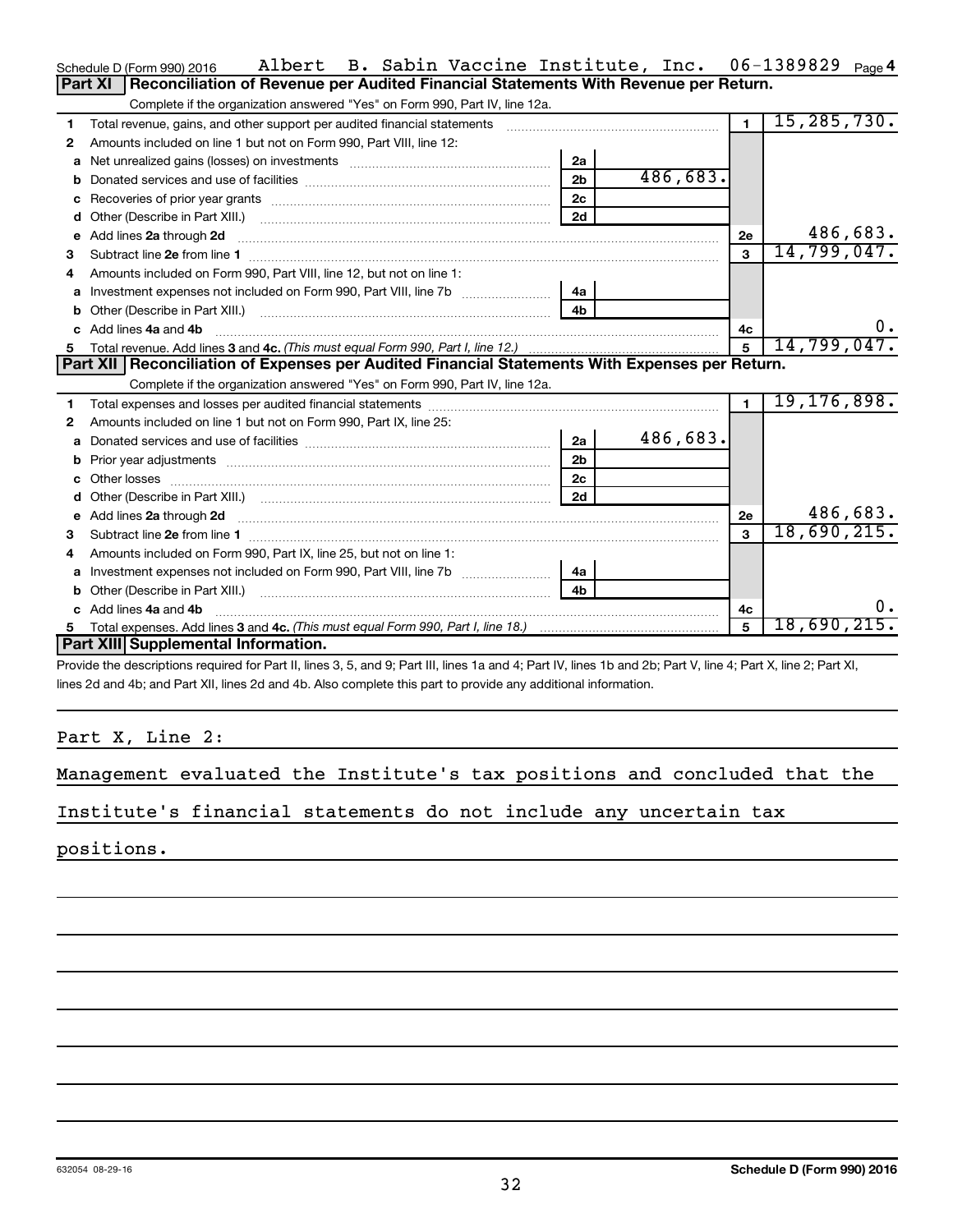|    | Albert B. Sabin Vaccine Institute, Inc. 06-1389829 Page 4<br>Schedule D (Form 990) 2016                                                                                                                                             |                |          |                |               |
|----|-------------------------------------------------------------------------------------------------------------------------------------------------------------------------------------------------------------------------------------|----------------|----------|----------------|---------------|
|    | Reconciliation of Revenue per Audited Financial Statements With Revenue per Return.<br>Part XI                                                                                                                                      |                |          |                |               |
|    | Complete if the organization answered "Yes" on Form 990, Part IV, line 12a.                                                                                                                                                         |                |          |                |               |
| 1  | Total revenue, gains, and other support per audited financial statements [[[[[[[[[[[[[[[[[[[[[[[[[]]]]]]]]]]]                                                                                                                       |                |          | $\overline{1}$ | 15, 285, 730. |
| 2  | Amounts included on line 1 but not on Form 990, Part VIII, line 12:                                                                                                                                                                 |                |          |                |               |
| a  | Net unrealized gains (losses) on investments [11] [11] Net unrealized gains (losses) on investments [11] [12]                                                                                                                       | 2a             |          |                |               |
|    |                                                                                                                                                                                                                                     | 2 <sub>b</sub> | 486,683. |                |               |
| c  |                                                                                                                                                                                                                                     | 2c             |          |                |               |
| d  | Other (Describe in Part XIII.) <b>Construction Contract Construction</b> Chemical Construction Chemical Chemical Chemical Chemical Chemical Chemical Chemical Chemical Chemical Chemical Chemical Chemical Chemical Chemical Chemic | 2d             |          |                |               |
| e  | Add lines 2a through 2d                                                                                                                                                                                                             |                |          | 2е             | 486,683.      |
| з  |                                                                                                                                                                                                                                     |                |          | $\mathbf{3}$   | 14,799,047.   |
| 4  | Amounts included on Form 990, Part VIII, line 12, but not on line 1:                                                                                                                                                                |                |          |                |               |
|    |                                                                                                                                                                                                                                     | 4a             |          |                |               |
| b  |                                                                                                                                                                                                                                     | 4 <sub>h</sub> |          |                |               |
| c. | Add lines 4a and 4b                                                                                                                                                                                                                 |                |          | 4c             | $0$ .         |
|    |                                                                                                                                                                                                                                     |                |          | 5              | 14,799,047.   |
|    |                                                                                                                                                                                                                                     |                |          |                |               |
|    | Part XII   Reconciliation of Expenses per Audited Financial Statements With Expenses per Return.                                                                                                                                    |                |          |                |               |
|    | Complete if the organization answered "Yes" on Form 990, Part IV, line 12a.                                                                                                                                                         |                |          |                |               |
| 1  |                                                                                                                                                                                                                                     |                |          | $\blacksquare$ | 19, 176, 898. |
| 2  | Amounts included on line 1 but not on Form 990, Part IX, line 25:                                                                                                                                                                   |                |          |                |               |
| a  |                                                                                                                                                                                                                                     | 2a             | 486,683. |                |               |
| b  |                                                                                                                                                                                                                                     | 2 <sub>b</sub> |          |                |               |
| C. |                                                                                                                                                                                                                                     | 2 <sub>c</sub> |          |                |               |
| d  |                                                                                                                                                                                                                                     | 2d             |          |                |               |
|    | Add lines 2a through 2d <b>must be a constructed as the constant of the constant of the constant of the construction</b>                                                                                                            |                |          | 2е             | 486,683.      |
| 3  |                                                                                                                                                                                                                                     |                |          | $\mathbf{3}$   | 18,690,215.   |
| 4  | Amounts included on Form 990, Part IX, line 25, but not on line 1:                                                                                                                                                                  |                |          |                |               |
|    | Investment expenses not included on Form 990, Part VIII, line 7b [                                                                                                                                                                  | 4a             |          |                |               |
| b  |                                                                                                                                                                                                                                     | 4 <sub>b</sub> |          |                |               |
| c. | Add lines 4a and 4b                                                                                                                                                                                                                 |                |          | 4c             |               |
|    | Part XIII Supplemental Information.                                                                                                                                                                                                 |                |          | 5              | 18,690,215.   |

Provide the descriptions required for Part II, lines 3, 5, and 9; Part III, lines 1a and 4; Part IV, lines 1b and 2b; Part V, line 4; Part X, line 2; Part XI, lines 2d and 4b; and Part XII, lines 2d and 4b. Also complete this part to provide any additional information.

## Part X, Line 2:

|  | Management evaluated the Institute's tax positions and concluded that the |  |  |  |
|--|---------------------------------------------------------------------------|--|--|--|
|  |                                                                           |  |  |  |

Institute's financial statements do not include any uncertain tax

positions.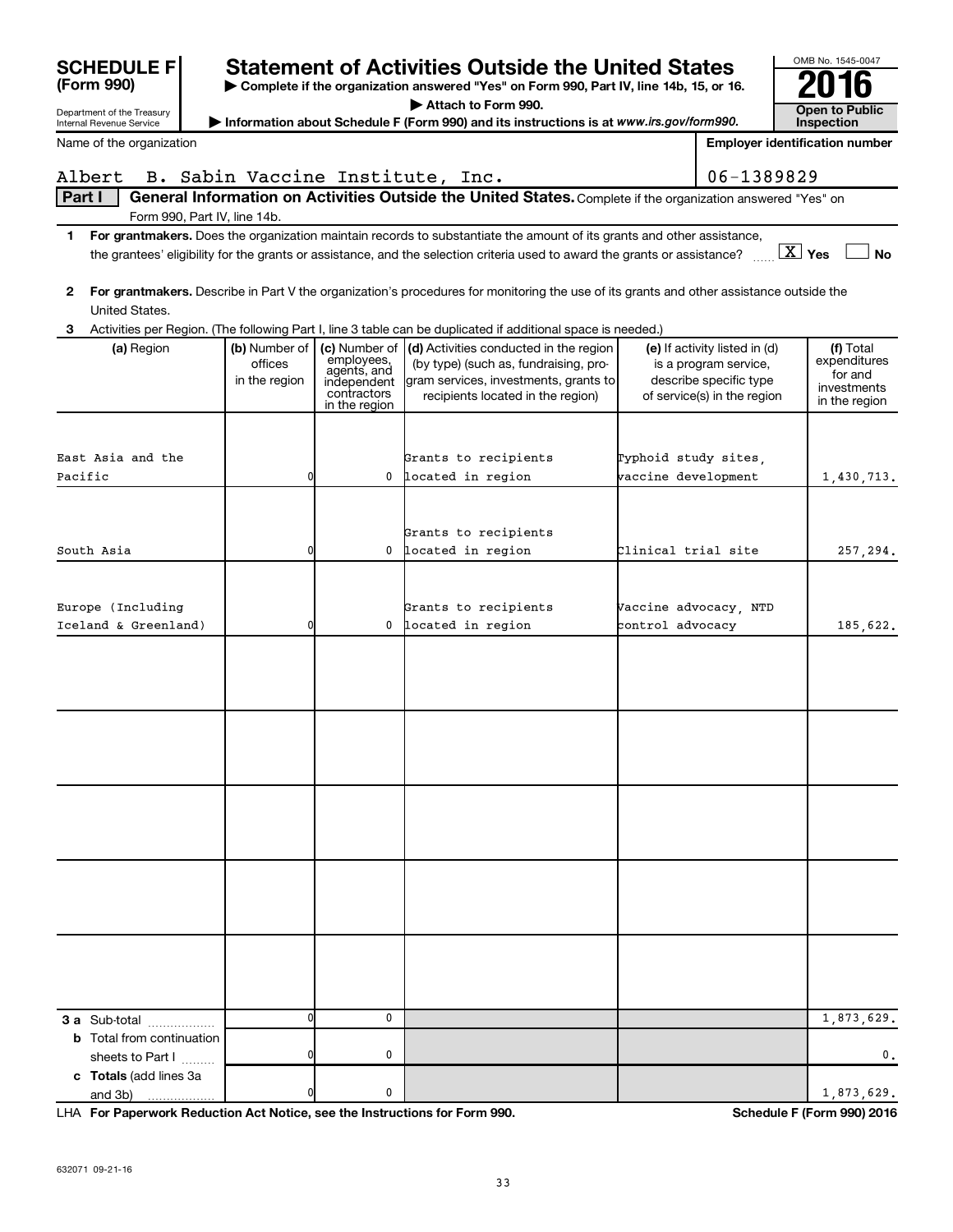| <b>SCHEDULE F</b>                                      |               |                               | <b>Statement of Activities Outside the United States</b>                                                                                                                                                                                             |                      |                                                       | OMB No. 1545-0047                     |
|--------------------------------------------------------|---------------|-------------------------------|------------------------------------------------------------------------------------------------------------------------------------------------------------------------------------------------------------------------------------------------------|----------------------|-------------------------------------------------------|---------------------------------------|
| (Form 990)                                             |               |                               | Complete if the organization answered "Yes" on Form 990, Part IV, line 14b, 15, or 16.                                                                                                                                                               |                      |                                                       |                                       |
|                                                        |               |                               | Attach to Form 990.                                                                                                                                                                                                                                  |                      |                                                       |                                       |
| Department of the Treasury<br>Internal Revenue Service |               |                               | Information about Schedule F (Form 990) and its instructions is at www.irs.gov/form990.                                                                                                                                                              |                      |                                                       | <b>Open to Public</b><br>Inspection   |
| Name of the organization                               |               |                               |                                                                                                                                                                                                                                                      |                      |                                                       | <b>Employer identification number</b> |
| Albert                                                 |               |                               | B. Sabin Vaccine Institute, Inc.                                                                                                                                                                                                                     |                      | 06-1389829                                            |                                       |
| Part I                                                 |               |                               | General Information on Activities Outside the United States. Complete if the organization answered "Yes" on                                                                                                                                          |                      |                                                       |                                       |
| Form 990, Part IV, line 14b.                           |               |                               |                                                                                                                                                                                                                                                      |                      |                                                       |                                       |
| 1                                                      |               |                               | For grantmakers. Does the organization maintain records to substantiate the amount of its grants and other assistance,<br>the grantees' eligibility for the grants or assistance, and the selection criteria used to award the grants or assistance? |                      |                                                       | $\boxed{\text{X}}$ Yes<br><b>No</b>   |
| 2                                                      |               |                               | For grantmakers. Describe in Part V the organization's procedures for monitoring the use of its grants and other assistance outside the                                                                                                              |                      |                                                       |                                       |
| United States.                                         |               |                               |                                                                                                                                                                                                                                                      |                      |                                                       |                                       |
| 3                                                      |               |                               | Activities per Region. (The following Part I, line 3 table can be duplicated if additional space is needed.)                                                                                                                                         |                      |                                                       |                                       |
| (a) Region                                             | (b) Number of | (c) Number of  <br>employees, | (d) Activities conducted in the region                                                                                                                                                                                                               |                      | (e) If activity listed in (d)                         | (f) Total                             |
|                                                        | offices       | agents, and                   | (by type) (such as, fundraising, pro-                                                                                                                                                                                                                |                      | is a program service,                                 | expenditures<br>for and               |
|                                                        | in the region | independent<br>contractors    | gram services, investments, grants to                                                                                                                                                                                                                |                      | describe specific type<br>of service(s) in the region | investments                           |
|                                                        |               | in the region                 | recipients located in the region)                                                                                                                                                                                                                    |                      |                                                       | in the region                         |
|                                                        |               |                               |                                                                                                                                                                                                                                                      |                      |                                                       |                                       |
| East Asia and the                                      |               |                               | Grants to recipients                                                                                                                                                                                                                                 | Typhoid study sites, |                                                       |                                       |
| Pacific                                                | 0             | $\mathbf 0$                   | located in region                                                                                                                                                                                                                                    | vaccine development  |                                                       | 1,430,713.                            |
|                                                        |               |                               |                                                                                                                                                                                                                                                      |                      |                                                       |                                       |
|                                                        |               |                               |                                                                                                                                                                                                                                                      |                      |                                                       |                                       |
|                                                        |               |                               | Grants to recipients                                                                                                                                                                                                                                 |                      |                                                       |                                       |
| South Asia                                             | 0             | $\mathbf 0$                   | located in region                                                                                                                                                                                                                                    | Clinical trial site  |                                                       | 257,294.                              |
|                                                        |               |                               |                                                                                                                                                                                                                                                      |                      |                                                       |                                       |
|                                                        |               |                               |                                                                                                                                                                                                                                                      |                      |                                                       |                                       |
| Europe (Including                                      |               |                               | Grants to recipients                                                                                                                                                                                                                                 |                      | Vaccine advocacy, NTD                                 |                                       |
| Iceland & Greenland)                                   | 0             |                               | 0 located in region                                                                                                                                                                                                                                  | control advocacy     |                                                       | 185,622.                              |
|                                                        |               |                               |                                                                                                                                                                                                                                                      |                      |                                                       |                                       |
|                                                        |               |                               |                                                                                                                                                                                                                                                      |                      |                                                       |                                       |
|                                                        |               |                               |                                                                                                                                                                                                                                                      |                      |                                                       |                                       |
|                                                        |               |                               |                                                                                                                                                                                                                                                      |                      |                                                       |                                       |
|                                                        |               |                               |                                                                                                                                                                                                                                                      |                      |                                                       |                                       |
|                                                        |               |                               |                                                                                                                                                                                                                                                      |                      |                                                       |                                       |
|                                                        |               |                               |                                                                                                                                                                                                                                                      |                      |                                                       |                                       |
|                                                        |               |                               |                                                                                                                                                                                                                                                      |                      |                                                       |                                       |
|                                                        |               |                               |                                                                                                                                                                                                                                                      |                      |                                                       |                                       |
|                                                        |               |                               |                                                                                                                                                                                                                                                      |                      |                                                       |                                       |
|                                                        |               |                               |                                                                                                                                                                                                                                                      |                      |                                                       |                                       |
|                                                        |               |                               |                                                                                                                                                                                                                                                      |                      |                                                       |                                       |
|                                                        |               |                               |                                                                                                                                                                                                                                                      |                      |                                                       |                                       |
|                                                        |               |                               |                                                                                                                                                                                                                                                      |                      |                                                       |                                       |
|                                                        |               |                               |                                                                                                                                                                                                                                                      |                      |                                                       |                                       |
|                                                        |               |                               |                                                                                                                                                                                                                                                      |                      |                                                       |                                       |
|                                                        |               |                               |                                                                                                                                                                                                                                                      |                      |                                                       |                                       |
|                                                        |               |                               |                                                                                                                                                                                                                                                      |                      |                                                       |                                       |
| 3 a Sub-total                                          | 01            | 0                             |                                                                                                                                                                                                                                                      |                      |                                                       | 1,873,629.                            |
| <b>b</b> Total from continuation                       |               |                               |                                                                                                                                                                                                                                                      |                      |                                                       |                                       |
| sheets to Part I                                       |               | 0                             |                                                                                                                                                                                                                                                      |                      |                                                       | 0.                                    |
| c Totals (add lines 3a                                 |               |                               |                                                                                                                                                                                                                                                      |                      |                                                       |                                       |
| and 3b)                                                |               | 0                             |                                                                                                                                                                                                                                                      |                      |                                                       | 1,873,629.                            |

**For Paperwork Reduction Act Notice, see the Instructions for Form 990. Schedule F (Form 990) 2016** LHA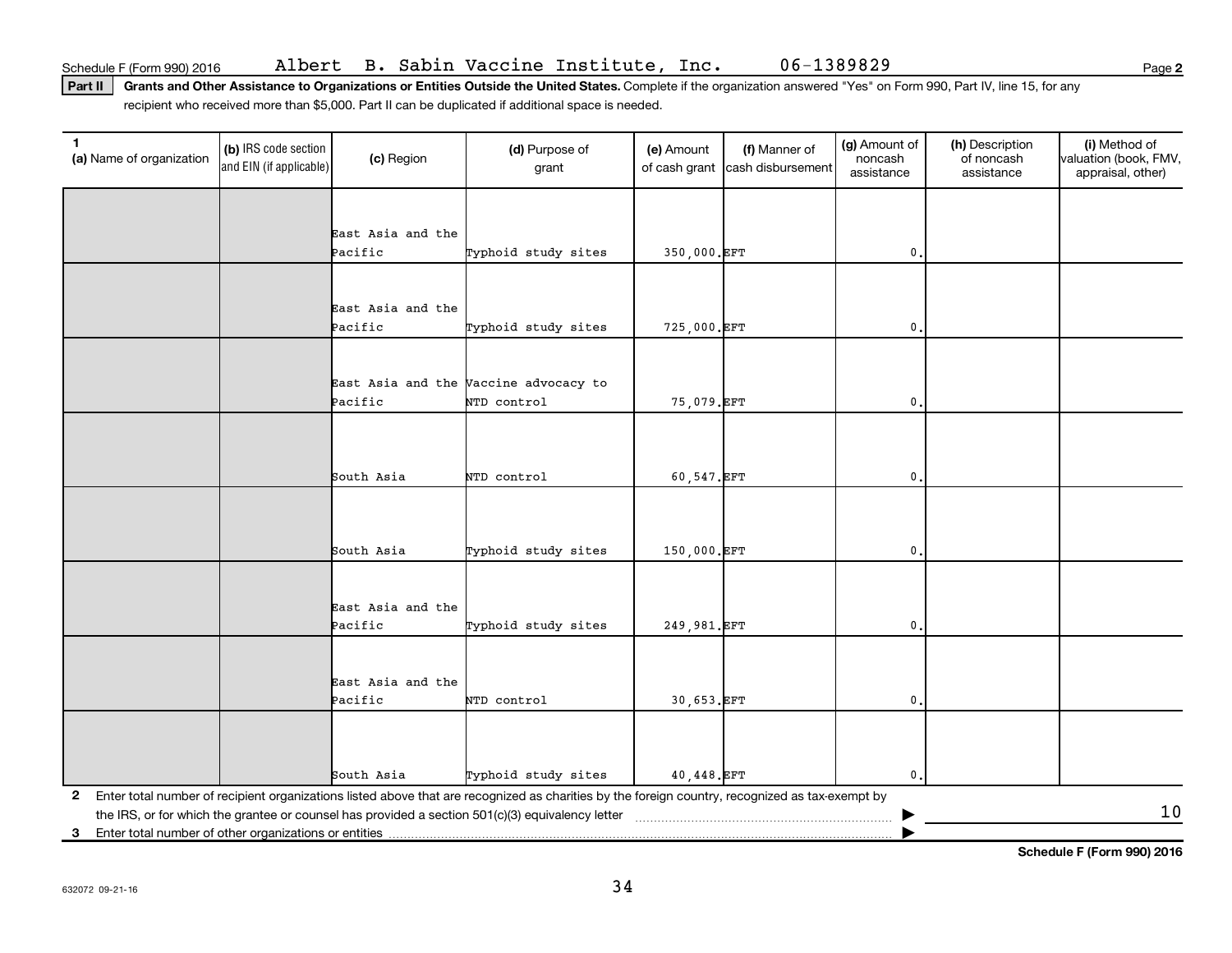Part II | Grants and Other Assistance to Organizations or Entities Outside the United States. Complete if the organization answered "Yes" on Form 990, Part IV, line 15, for any recipient who received more than \$5,000. Part II can be duplicated if additional space is needed.

| $\mathbf{1}$<br>(a) Name of organization                   | (b) IRS code section<br>and EIN (if applicable) | (c) Region                   | (d) Purpose of<br>grant                                                                                                                         | (e) Amount<br>of cash grant | (f) Manner of<br>cash disbursement | (g) Amount of<br>noncash<br>assistance | (h) Description<br>of noncash<br>assistance | (i) Method of<br>valuation (book, FMV,<br>appraisal, other) |
|------------------------------------------------------------|-------------------------------------------------|------------------------------|-------------------------------------------------------------------------------------------------------------------------------------------------|-----------------------------|------------------------------------|----------------------------------------|---------------------------------------------|-------------------------------------------------------------|
|                                                            |                                                 |                              |                                                                                                                                                 |                             |                                    |                                        |                                             |                                                             |
|                                                            |                                                 | East Asia and the            |                                                                                                                                                 |                             |                                    |                                        |                                             |                                                             |
|                                                            |                                                 | Pacific                      | Typhoid study sites                                                                                                                             | 350,000.EFT                 |                                    | $\mathbf{0}$ .                         |                                             |                                                             |
|                                                            |                                                 |                              |                                                                                                                                                 |                             |                                    |                                        |                                             |                                                             |
|                                                            |                                                 |                              |                                                                                                                                                 |                             |                                    |                                        |                                             |                                                             |
|                                                            |                                                 | East Asia and the            |                                                                                                                                                 |                             |                                    |                                        |                                             |                                                             |
|                                                            |                                                 | Pacific                      | Typhoid study sites                                                                                                                             | 725,000.EFT                 |                                    | $\mathbf{0}$ .                         |                                             |                                                             |
|                                                            |                                                 |                              |                                                                                                                                                 |                             |                                    |                                        |                                             |                                                             |
|                                                            |                                                 |                              | East Asia and the Vaccine advocacy to                                                                                                           |                             |                                    |                                        |                                             |                                                             |
|                                                            |                                                 | Pacific                      | NTD control                                                                                                                                     | 75,079.EFT                  |                                    | $\mathfrak o$ .                        |                                             |                                                             |
|                                                            |                                                 |                              |                                                                                                                                                 |                             |                                    |                                        |                                             |                                                             |
|                                                            |                                                 |                              |                                                                                                                                                 |                             |                                    |                                        |                                             |                                                             |
|                                                            |                                                 | South Asia                   | NTD control                                                                                                                                     | 60,547. EFT                 |                                    | $\mathbf{0}$                           |                                             |                                                             |
|                                                            |                                                 |                              |                                                                                                                                                 |                             |                                    |                                        |                                             |                                                             |
|                                                            |                                                 |                              |                                                                                                                                                 |                             |                                    |                                        |                                             |                                                             |
|                                                            |                                                 |                              |                                                                                                                                                 |                             |                                    |                                        |                                             |                                                             |
|                                                            |                                                 | South Asia                   | Typhoid study sites                                                                                                                             | 150,000.EFT                 |                                    | $\mathbf 0$ .                          |                                             |                                                             |
|                                                            |                                                 |                              |                                                                                                                                                 |                             |                                    |                                        |                                             |                                                             |
|                                                            |                                                 |                              |                                                                                                                                                 |                             |                                    |                                        |                                             |                                                             |
|                                                            |                                                 | East Asia and the<br>Pacific | Typhoid study sites                                                                                                                             | 249,981.EFT                 |                                    | $\mathbf{0}$ .                         |                                             |                                                             |
|                                                            |                                                 |                              |                                                                                                                                                 |                             |                                    |                                        |                                             |                                                             |
|                                                            |                                                 |                              |                                                                                                                                                 |                             |                                    |                                        |                                             |                                                             |
|                                                            |                                                 | East Asia and the            |                                                                                                                                                 |                             |                                    |                                        |                                             |                                                             |
|                                                            |                                                 | Pacific                      | NTD control                                                                                                                                     | 30,653.EFT                  |                                    | $\mathbf{0}$ .                         |                                             |                                                             |
|                                                            |                                                 |                              |                                                                                                                                                 |                             |                                    |                                        |                                             |                                                             |
|                                                            |                                                 |                              |                                                                                                                                                 |                             |                                    |                                        |                                             |                                                             |
|                                                            |                                                 | South Asia                   | Typhoid study sites                                                                                                                             | 40,448.EFT                  |                                    | $\mathbf{0}$ .                         |                                             |                                                             |
| 2                                                          |                                                 |                              | Enter total number of recipient organizations listed above that are recognized as charities by the foreign country, recognized as tax-exempt by |                             |                                    |                                        |                                             |                                                             |
|                                                            |                                                 |                              | the IRS, or for which the grantee or counsel has provided a section 501(c)(3) equivalency letter                                                |                             |                                    |                                        |                                             | $10$                                                        |
| Enter total number of other organizations or entities<br>3 |                                                 |                              |                                                                                                                                                 |                             |                                    |                                        |                                             |                                                             |

**Schedule F (Form 990) 2016**

**2**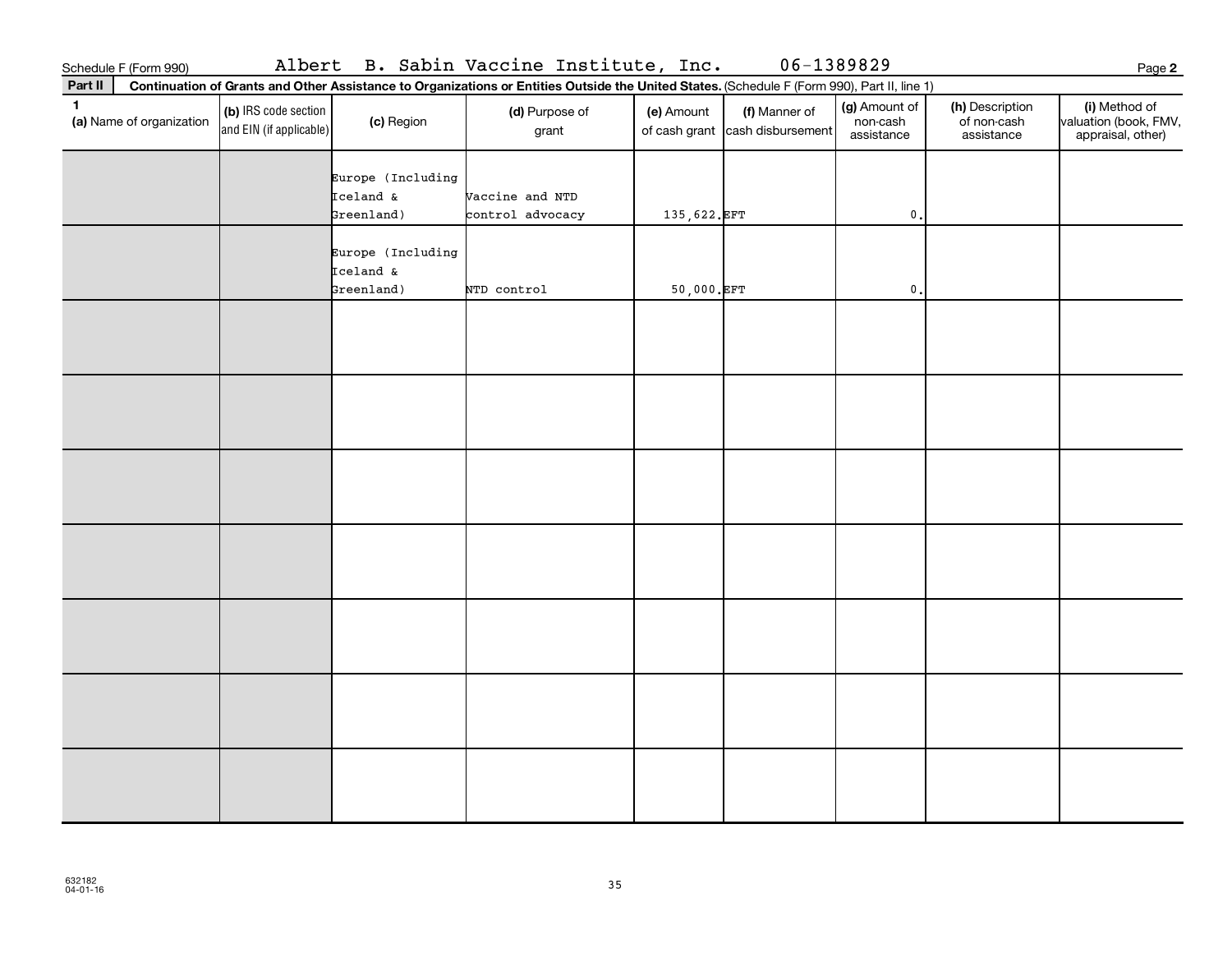| Schedule F (Form 990)    | Albert                                            |                                              | B. Sabin Vaccine Institute, Inc.                                                                                                             |                             | 06-1389829                         |                                         |                                              | Page                                                      |
|--------------------------|---------------------------------------------------|----------------------------------------------|----------------------------------------------------------------------------------------------------------------------------------------------|-----------------------------|------------------------------------|-----------------------------------------|----------------------------------------------|-----------------------------------------------------------|
| Part II                  |                                                   |                                              | Continuation of Grants and Other Assistance to Organizations or Entities Outside the United States. (Schedule F (Form 990), Part II, line 1) |                             |                                    |                                         |                                              |                                                           |
| (a) Name of organization | (b) IRS code section  <br>and EIN (if applicable) | (c) Region                                   | (d) Purpose of<br>grant                                                                                                                      | (e) Amount<br>of cash grant | (f) Manner of<br>cash disbursement | (g) Amount of<br>non-cash<br>assistance | (h) Description<br>of non-cash<br>assistance | (i) Method of<br>valuation (book, FM<br>appraisal, other) |
|                          |                                                   | Europe (Including<br>Iceland &<br>Greenland) | Vaccine and NTD<br>control advocacy                                                                                                          | 135,622.EFT                 |                                    | 0.                                      |                                              |                                                           |
|                          |                                                   | Europe (Including<br>Iceland &<br>Greenland) | NTD control                                                                                                                                  | 50,000. EFT                 |                                    | 0.                                      |                                              |                                                           |
|                          |                                                   |                                              |                                                                                                                                              |                             |                                    |                                         |                                              |                                                           |
|                          |                                                   |                                              |                                                                                                                                              |                             |                                    |                                         |                                              |                                                           |
|                          |                                                   |                                              |                                                                                                                                              |                             |                                    |                                         |                                              |                                                           |

|  | preenrand)                                   | concror advocacy | T99,022. PFI  | ັ∪ ∙            |  |
|--|----------------------------------------------|------------------|---------------|-----------------|--|
|  | Europe (Including<br>Iceland &<br>Greenland) | NTD control      | $50,000.$ EFT | $\mathfrak o$ . |  |
|  |                                              |                  |               |                 |  |
|  |                                              |                  |               |                 |  |
|  |                                              |                  |               |                 |  |
|  |                                              |                  |               |                 |  |
|  |                                              |                  |               |                 |  |
|  |                                              |                  |               |                 |  |
|  |                                              |                  |               |                 |  |
|  |                                              |                  |               |                 |  |

**2**

Method of valuation (book, FMV, appraisal, other)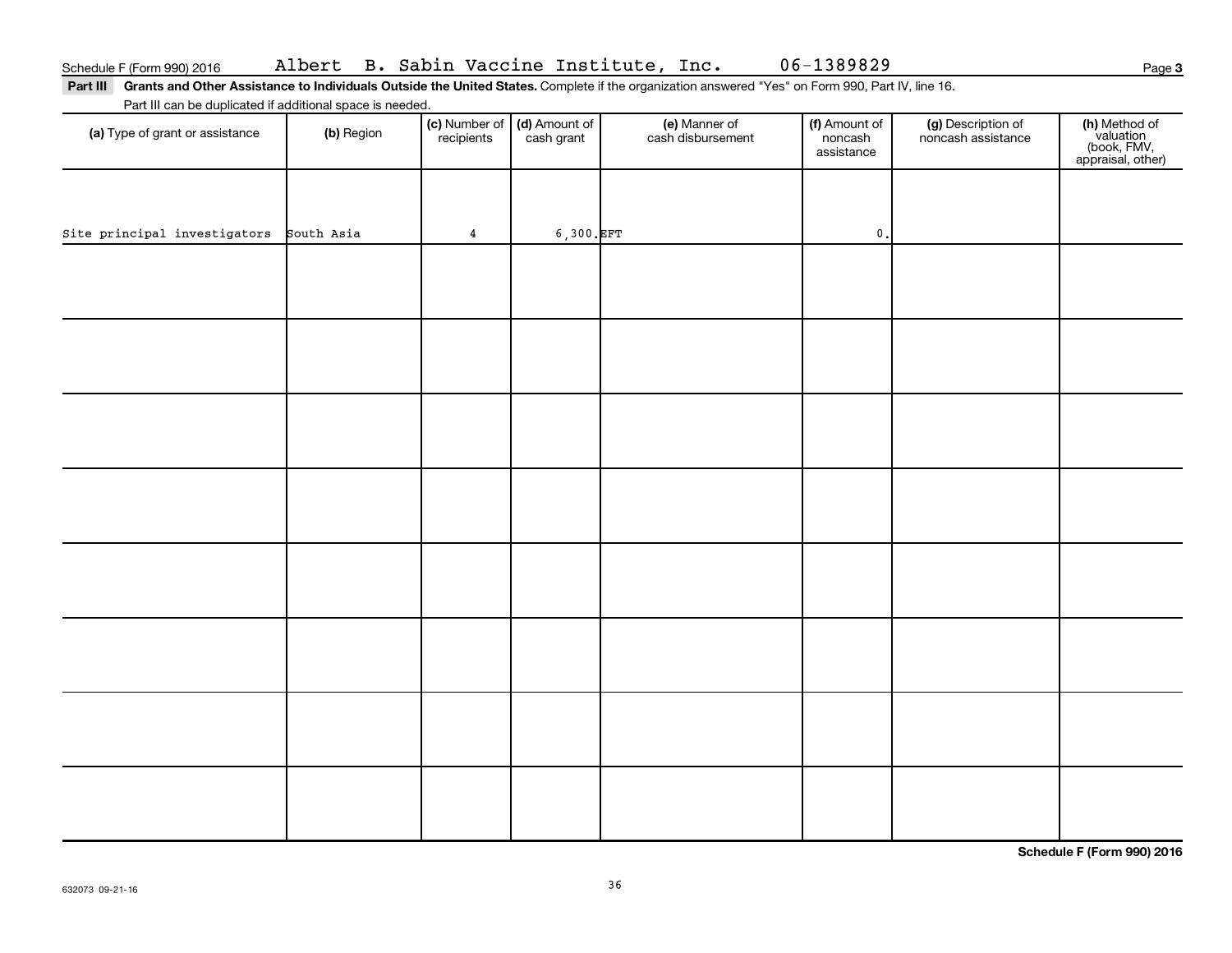**3**

Part III Grants and Other Assistance to Individuals Outside the United States. Complete if the organization answered "Yes" on Form 990, Part IV, line 16. Part III can be duplicated if additional space is needed.

| r art in car be depiled to additional space is necessary.<br>(a) Type of grant or assistance | (b) Region | recipients              | (c) Number of (d) Amount of<br>cash grant | (e) Manner of<br>cash disbursement | (f) Amount of<br>noncash<br>assistance | (g) Description of<br>noncash assistance | (h) Method of<br>valuation<br>(book, FMV,<br>appraisal, other) |
|----------------------------------------------------------------------------------------------|------------|-------------------------|-------------------------------------------|------------------------------------|----------------------------------------|------------------------------------------|----------------------------------------------------------------|
|                                                                                              |            |                         |                                           |                                    |                                        |                                          |                                                                |
| Site principal investigators South Asia                                                      |            | $\overline{\mathbf{4}}$ | $6,300.$ EFT                              |                                    | $\mathfrak o$ .                        |                                          |                                                                |
|                                                                                              |            |                         |                                           |                                    |                                        |                                          |                                                                |
|                                                                                              |            |                         |                                           |                                    |                                        |                                          |                                                                |
|                                                                                              |            |                         |                                           |                                    |                                        |                                          |                                                                |
|                                                                                              |            |                         |                                           |                                    |                                        |                                          |                                                                |
|                                                                                              |            |                         |                                           |                                    |                                        |                                          |                                                                |
|                                                                                              |            |                         |                                           |                                    |                                        |                                          |                                                                |
|                                                                                              |            |                         |                                           |                                    |                                        |                                          |                                                                |
|                                                                                              |            |                         |                                           |                                    |                                        |                                          |                                                                |
|                                                                                              |            |                         |                                           |                                    |                                        |                                          |                                                                |
|                                                                                              |            |                         |                                           |                                    |                                        |                                          |                                                                |
|                                                                                              |            |                         |                                           |                                    |                                        |                                          |                                                                |
|                                                                                              |            |                         |                                           |                                    |                                        |                                          |                                                                |
|                                                                                              |            |                         |                                           |                                    |                                        |                                          |                                                                |
|                                                                                              |            |                         |                                           |                                    |                                        |                                          |                                                                |
|                                                                                              |            |                         |                                           |                                    |                                        |                                          |                                                                |
|                                                                                              |            |                         |                                           |                                    |                                        |                                          |                                                                |

**Schedule F (Form 990) 2016**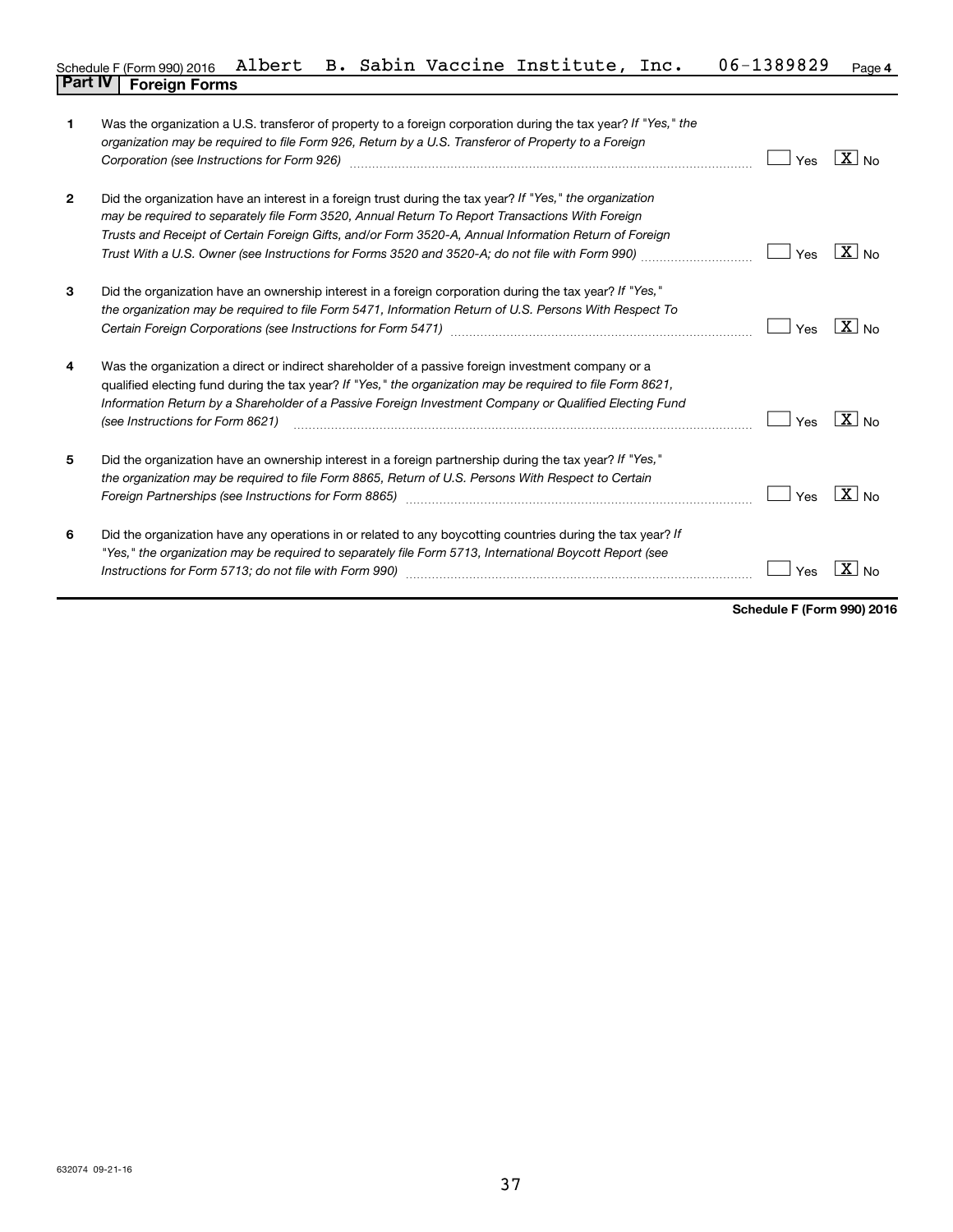#### **4** Schedule F (Form 990) 2016 Albert B. Sabin Vaccine Institute, Inc. 06-1389829 <sub>Page</sub> **Part IV F** (Form 990) 2016 *i*<br>**Part IV Foreign Forms**

| 1              | Was the organization a U.S. transferor of property to a foreign corporation during the tax year? If "Yes," the<br>organization may be required to file Form 926, Return by a U.S. Transferor of Property to a Foreign                                                                                                                                          | Yes | $\overline{X}$ No |
|----------------|----------------------------------------------------------------------------------------------------------------------------------------------------------------------------------------------------------------------------------------------------------------------------------------------------------------------------------------------------------------|-----|-------------------|
| $\overline{2}$ | Did the organization have an interest in a foreign trust during the tax year? If "Yes," the organization<br>may be required to separately file Form 3520, Annual Return To Report Transactions With Foreign<br>Trusts and Receipt of Certain Foreign Gifts, and/or Form 3520-A, Annual Information Return of Foreign                                           | Yes | $X _{\text{No}}$  |
| 3              | Did the organization have an ownership interest in a foreign corporation during the tax year? If "Yes,"<br>the organization may be required to file Form 5471, Information Return of U.S. Persons With Respect To<br>Certain Foreign Corporations (see Instructions for Form 5471) [11] [12] Certain Foreign Corporations (see Instructions for Form 5471)     | Yes | $X _{N_Q}$        |
| 4              | Was the organization a direct or indirect shareholder of a passive foreign investment company or a<br>qualified electing fund during the tax year? If "Yes," the organization may be required to file Form 8621,<br>Information Return by a Shareholder of a Passive Foreign Investment Company or Qualified Electing Fund<br>(see Instructions for Form 8621) | Yes | $X _{N_Q}$        |
| 5              | Did the organization have an ownership interest in a foreign partnership during the tax year? If "Yes,"<br>the organization may be required to file Form 8865, Return of U.S. Persons With Respect to Certain<br>Foreign Partnerships (see Instructions for Form 8865)                                                                                         | Yes | $X _{N_Q}$        |
| 6              | Did the organization have any operations in or related to any boycotting countries during the tax year? If<br>"Yes," the organization may be required to separately file Form 5713, International Boycott Report (see                                                                                                                                          | Yes | No                |

**Schedule F (Form 990) 2016**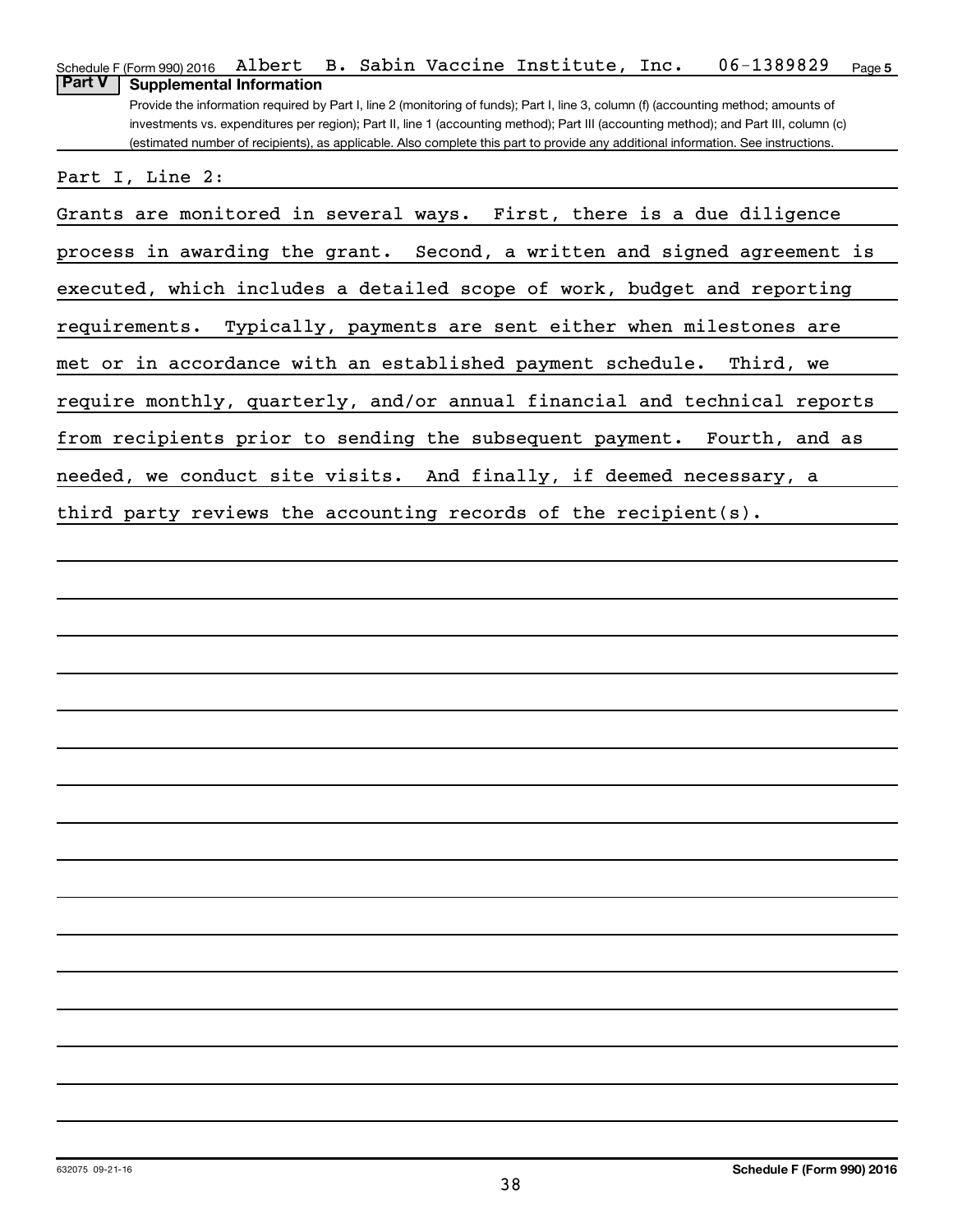|        |                                                                 |  |  |  |  | Schedule F (Form 990) 2016 Albert B. Sabin Vaccine Institute, Inc.  |  | 06-1389829                                                                                                                            | Page 5 |
|--------|-----------------------------------------------------------------|--|--|--|--|---------------------------------------------------------------------|--|---------------------------------------------------------------------------------------------------------------------------------------|--------|
| Part V | <b>Supplemental Information</b>                                 |  |  |  |  |                                                                     |  |                                                                                                                                       |        |
|        |                                                                 |  |  |  |  |                                                                     |  | Provide the information required by Part I, line 2 (monitoring of funds); Part I, line 3, column (f) (accounting method; amounts of   |        |
|        |                                                                 |  |  |  |  |                                                                     |  | investments vs. expenditures per region); Part II, line 1 (accounting method); Part III (accounting method); and Part III, column (c) |        |
|        |                                                                 |  |  |  |  |                                                                     |  | (estimated number of recipients), as applicable. Also complete this part to provide any additional information. See instructions.     |        |
|        | Part I, Line 2:                                                 |  |  |  |  |                                                                     |  |                                                                                                                                       |        |
|        |                                                                 |  |  |  |  |                                                                     |  | Grants are monitored in several ways. First, there is a due diligence                                                                 |        |
|        |                                                                 |  |  |  |  |                                                                     |  | process in awarding the grant. Second, a written and signed agreement is                                                              |        |
|        |                                                                 |  |  |  |  |                                                                     |  | executed, which includes a detailed scope of work, budget and reporting                                                               |        |
|        |                                                                 |  |  |  |  |                                                                     |  | requirements. Typically, payments are sent either when milestones are                                                                 |        |
|        |                                                                 |  |  |  |  | met or in accordance with an established payment schedule.          |  | Third, we                                                                                                                             |        |
|        |                                                                 |  |  |  |  |                                                                     |  | require monthly, quarterly, and/or annual financial and technical reports                                                             |        |
|        |                                                                 |  |  |  |  |                                                                     |  | from recipients prior to sending the subsequent payment. Fourth, and as                                                               |        |
|        |                                                                 |  |  |  |  | needed, we conduct site visits. And finally, if deemed necessary, a |  |                                                                                                                                       |        |
|        | third party reviews the accounting records of the recipient(s). |  |  |  |  |                                                                     |  |                                                                                                                                       |        |
|        |                                                                 |  |  |  |  |                                                                     |  |                                                                                                                                       |        |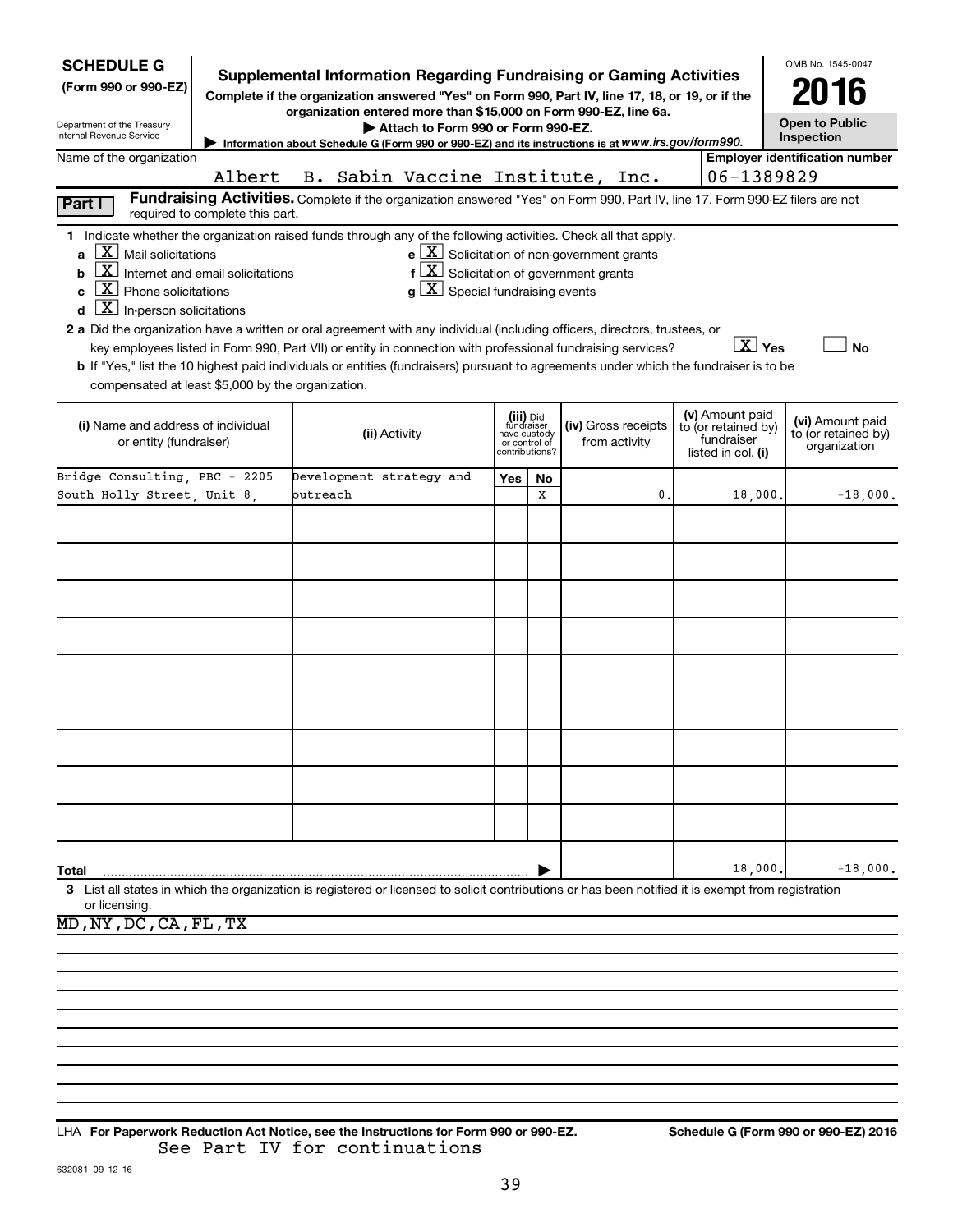| <b>SCHEDULE G</b>                                                                                                                                                                                                                                                                                                                                                                                                                                                                                                                                                                                                                                                                                                                           | <b>Supplemental Information Regarding Fundraising or Gaming Activities</b>                        |                                                                                                       |                         |                                                 |                                                              |                                                                            | OMB No. 1545-0047                                       |
|---------------------------------------------------------------------------------------------------------------------------------------------------------------------------------------------------------------------------------------------------------------------------------------------------------------------------------------------------------------------------------------------------------------------------------------------------------------------------------------------------------------------------------------------------------------------------------------------------------------------------------------------------------------------------------------------------------------------------------------------|---------------------------------------------------------------------------------------------------|-------------------------------------------------------------------------------------------------------|-------------------------|-------------------------------------------------|--------------------------------------------------------------|----------------------------------------------------------------------------|---------------------------------------------------------|
| (Form 990 or 990-EZ)                                                                                                                                                                                                                                                                                                                                                                                                                                                                                                                                                                                                                                                                                                                        | Complete if the organization answered "Yes" on Form 990, Part IV, line 17, 18, or 19, or if the   |                                                                                                       |                         |                                                 |                                                              |                                                                            |                                                         |
| Department of the Treasury                                                                                                                                                                                                                                                                                                                                                                                                                                                                                                                                                                                                                                                                                                                  | organization entered more than \$15,000 on Form 990-EZ, line 6a.                                  | Attach to Form 990 or Form 990-EZ.                                                                    |                         |                                                 |                                                              |                                                                            | <b>Open to Public</b>                                   |
| Internal Revenue Service                                                                                                                                                                                                                                                                                                                                                                                                                                                                                                                                                                                                                                                                                                                    | Information about Schedule G (Form 990 or 990-EZ) and its instructions is at WWW.irs.gov/form990. |                                                                                                       |                         |                                                 |                                                              |                                                                            | Inspection                                              |
| Name of the organization<br>Albert                                                                                                                                                                                                                                                                                                                                                                                                                                                                                                                                                                                                                                                                                                          |                                                                                                   |                                                                                                       |                         |                                                 |                                                              |                                                                            | <b>Employer identification number</b><br>06-1389829     |
| Fundraising Activities. Complete if the organization answered "Yes" on Form 990, Part IV, line 17. Form 990-EZ filers are not                                                                                                                                                                                                                                                                                                                                                                                                                                                                                                                                                                                                               |                                                                                                   |                                                                                                       |                         |                                                 | B. Sabin Vaccine Institute, Inc.                             |                                                                            |                                                         |
| Part I<br>required to complete this part.                                                                                                                                                                                                                                                                                                                                                                                                                                                                                                                                                                                                                                                                                                   |                                                                                                   |                                                                                                       |                         |                                                 |                                                              |                                                                            |                                                         |
| 1 Indicate whether the organization raised funds through any of the following activities. Check all that apply.<br>$X$ Mail solicitations<br>a<br>$\underline{\mathbf{X}}$ Internet and email solicitations<br>b<br>$X$ Phone solicitations<br>с<br>$\underline{X}$ In-person solicitations<br>d<br>2 a Did the organization have a written or oral agreement with any individual (including officers, directors, trustees, or<br>key employees listed in Form 990, Part VII) or entity in connection with professional fundraising services?<br>b If "Yes," list the 10 highest paid individuals or entities (fundraisers) pursuant to agreements under which the fundraiser is to be<br>compensated at least \$5,000 by the organization. |                                                                                                   | $f\left[\frac{X}{X}\right]$ Solicitation of government grants<br>$g\mid X$ Special fundraising events |                         |                                                 | $e$ $\boxed{\text{X}}$ Solicitation of non-government grants | $X \times$                                                                 | <b>No</b>                                               |
| (i) Name and address of individual<br>or entity (fundraiser)                                                                                                                                                                                                                                                                                                                                                                                                                                                                                                                                                                                                                                                                                | (ii) Activity                                                                                     |                                                                                                       | (iii) Did<br>fundraiser | have custody<br>or control of<br>contributions? | (iv) Gross receipts<br>from activity                         | (v) Amount paid<br>to (or retained by)<br>fundraiser<br>listed in col. (i) | (vi) Amount paid<br>to (or retained by)<br>organization |
| Bridge Consulting, PBC - 2205                                                                                                                                                                                                                                                                                                                                                                                                                                                                                                                                                                                                                                                                                                               | Development strategy and                                                                          |                                                                                                       | Yes                     | <b>No</b>                                       |                                                              |                                                                            |                                                         |
| South Holly Street, Unit 8,                                                                                                                                                                                                                                                                                                                                                                                                                                                                                                                                                                                                                                                                                                                 | butreach                                                                                          |                                                                                                       |                         | X                                               | 0.                                                           | 18,000                                                                     | $-18,000.$                                              |
|                                                                                                                                                                                                                                                                                                                                                                                                                                                                                                                                                                                                                                                                                                                                             |                                                                                                   |                                                                                                       |                         |                                                 |                                                              |                                                                            |                                                         |
|                                                                                                                                                                                                                                                                                                                                                                                                                                                                                                                                                                                                                                                                                                                                             |                                                                                                   |                                                                                                       |                         |                                                 |                                                              |                                                                            |                                                         |
|                                                                                                                                                                                                                                                                                                                                                                                                                                                                                                                                                                                                                                                                                                                                             |                                                                                                   |                                                                                                       |                         |                                                 |                                                              |                                                                            |                                                         |
|                                                                                                                                                                                                                                                                                                                                                                                                                                                                                                                                                                                                                                                                                                                                             |                                                                                                   |                                                                                                       |                         |                                                 |                                                              |                                                                            |                                                         |
|                                                                                                                                                                                                                                                                                                                                                                                                                                                                                                                                                                                                                                                                                                                                             |                                                                                                   |                                                                                                       |                         |                                                 |                                                              |                                                                            |                                                         |
|                                                                                                                                                                                                                                                                                                                                                                                                                                                                                                                                                                                                                                                                                                                                             |                                                                                                   |                                                                                                       |                         |                                                 |                                                              |                                                                            |                                                         |
|                                                                                                                                                                                                                                                                                                                                                                                                                                                                                                                                                                                                                                                                                                                                             |                                                                                                   |                                                                                                       |                         |                                                 |                                                              |                                                                            |                                                         |
|                                                                                                                                                                                                                                                                                                                                                                                                                                                                                                                                                                                                                                                                                                                                             |                                                                                                   |                                                                                                       |                         |                                                 |                                                              |                                                                            |                                                         |
|                                                                                                                                                                                                                                                                                                                                                                                                                                                                                                                                                                                                                                                                                                                                             |                                                                                                   |                                                                                                       |                         |                                                 |                                                              |                                                                            |                                                         |
|                                                                                                                                                                                                                                                                                                                                                                                                                                                                                                                                                                                                                                                                                                                                             |                                                                                                   |                                                                                                       |                         |                                                 |                                                              |                                                                            |                                                         |
|                                                                                                                                                                                                                                                                                                                                                                                                                                                                                                                                                                                                                                                                                                                                             |                                                                                                   |                                                                                                       |                         |                                                 |                                                              |                                                                            |                                                         |
|                                                                                                                                                                                                                                                                                                                                                                                                                                                                                                                                                                                                                                                                                                                                             |                                                                                                   |                                                                                                       |                         |                                                 |                                                              |                                                                            |                                                         |
|                                                                                                                                                                                                                                                                                                                                                                                                                                                                                                                                                                                                                                                                                                                                             |                                                                                                   |                                                                                                       |                         |                                                 |                                                              |                                                                            |                                                         |
| Total                                                                                                                                                                                                                                                                                                                                                                                                                                                                                                                                                                                                                                                                                                                                       |                                                                                                   |                                                                                                       |                         |                                                 |                                                              | 18,000                                                                     | $-18,000.$                                              |
| 3 List all states in which the organization is registered or licensed to solicit contributions or has been notified it is exempt from registration<br>or licensing.                                                                                                                                                                                                                                                                                                                                                                                                                                                                                                                                                                         |                                                                                                   |                                                                                                       |                         |                                                 |                                                              |                                                                            |                                                         |
| MD, NY, DC, CA, FL, TX                                                                                                                                                                                                                                                                                                                                                                                                                                                                                                                                                                                                                                                                                                                      |                                                                                                   |                                                                                                       |                         |                                                 |                                                              |                                                                            |                                                         |

632081 09-12-16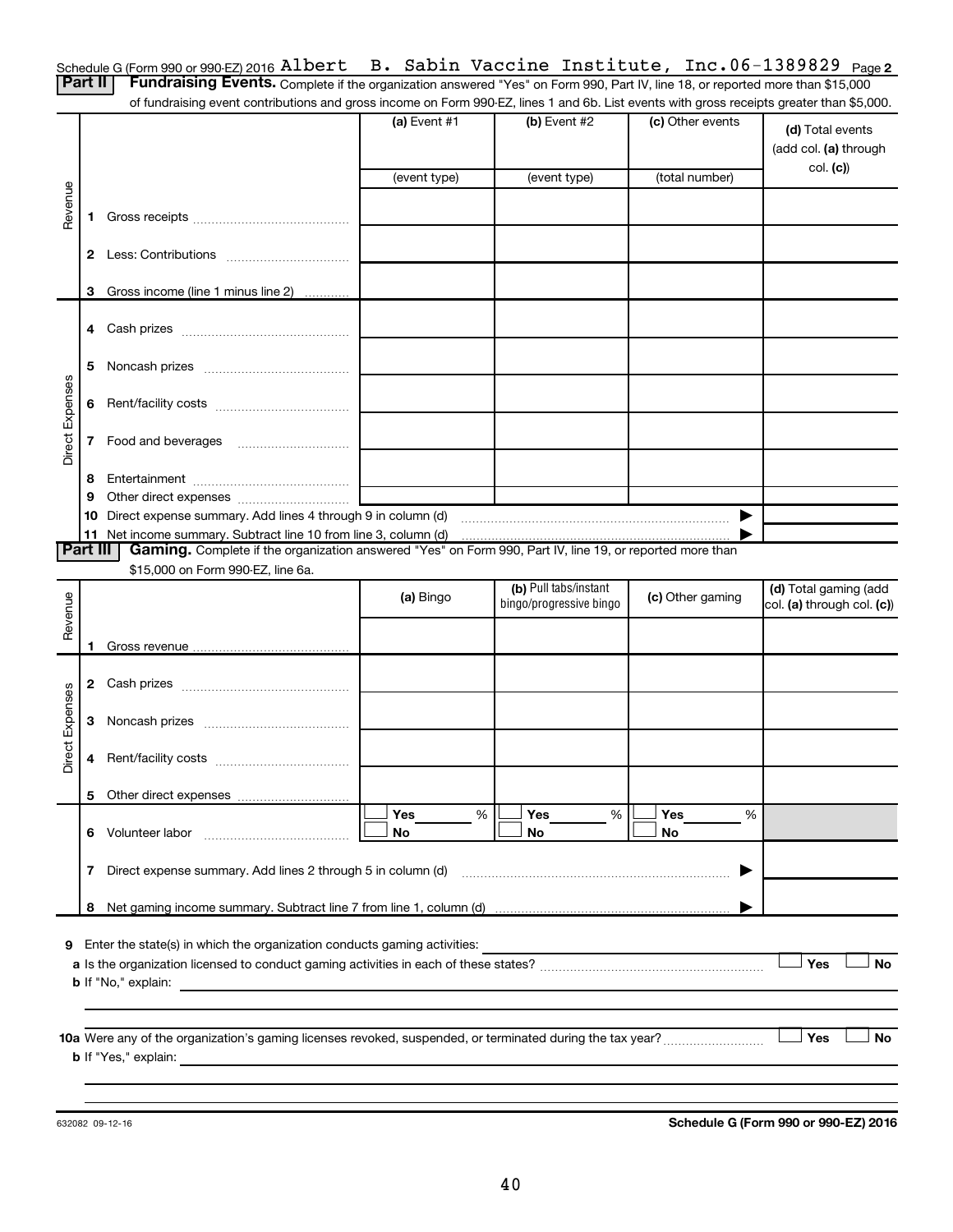| Schedule G (Form 990 or 990-EZ) 2016 Albert B. Sabin Vaccine Institute, Inc. $06-1389829$ Page 2 |  |  |  |
|--------------------------------------------------------------------------------------------------|--|--|--|
|                                                                                                  |  |  |  |

Part II | Fundraising Events. Complete if the organization answered "Yes" on Form 990, Part IV, line 18, or reported more than \$15,000 of fundraising event contributions and gross income on Form 990-EZ, lines 1 and 6b. List events with gross receipts greater than \$5,000.

|                 |    | and only over the communities of a group information is only over EE, in looking to the world with group receipto group. Than $\phi$ o,ook. |                |                         |                  |                                                       |
|-----------------|----|---------------------------------------------------------------------------------------------------------------------------------------------|----------------|-------------------------|------------------|-------------------------------------------------------|
|                 |    |                                                                                                                                             | (a) Event $#1$ | (b) Event #2            | (c) Other events | (d) Total events<br>(add col. (a) through<br>col. (c) |
|                 |    |                                                                                                                                             | (event type)   | (event type)            | (total number)   |                                                       |
| Revenue         | 1. |                                                                                                                                             |                |                         |                  |                                                       |
|                 |    |                                                                                                                                             |                |                         |                  |                                                       |
|                 |    | 3 Gross income (line 1 minus line 2)                                                                                                        |                |                         |                  |                                                       |
|                 |    |                                                                                                                                             |                |                         |                  |                                                       |
|                 | 5  |                                                                                                                                             |                |                         |                  |                                                       |
|                 | 6  |                                                                                                                                             |                |                         |                  |                                                       |
| Direct Expenses | 7  | Food and beverages                                                                                                                          |                |                         |                  |                                                       |
|                 | 8  |                                                                                                                                             |                |                         |                  |                                                       |
|                 | 9  |                                                                                                                                             |                |                         |                  |                                                       |
|                 |    |                                                                                                                                             |                |                         |                  |                                                       |
| <b>Part III</b> |    | Gaming. Complete if the organization answered "Yes" on Form 990, Part IV, line 19, or reported more than                                    |                |                         |                  |                                                       |
|                 |    | \$15,000 on Form 990-EZ, line 6a.                                                                                                           |                |                         |                  |                                                       |
|                 |    |                                                                                                                                             | (a) Bingo      | (b) Pull tabs/instant   | (c) Other gaming | (d) Total gaming (add                                 |
| Revenue         |    |                                                                                                                                             |                | bingo/progressive bingo |                  | col. (a) through col. (c))                            |
|                 |    |                                                                                                                                             |                |                         |                  |                                                       |
|                 |    |                                                                                                                                             |                |                         |                  |                                                       |
|                 |    |                                                                                                                                             |                |                         |                  |                                                       |
| Direct Expenses | 3  |                                                                                                                                             |                |                         |                  |                                                       |
|                 | 4  |                                                                                                                                             |                |                         |                  |                                                       |
|                 |    |                                                                                                                                             |                |                         |                  |                                                       |
|                 |    |                                                                                                                                             | Yes<br>%       | Yes<br>%                | Yes<br>%         |                                                       |
|                 |    | 6 Volunteer labor                                                                                                                           | No             | No                      | No               |                                                       |
|                 | 7  | Direct expense summary. Add lines 2 through 5 in column (d)                                                                                 |                |                         |                  |                                                       |
|                 | 8  |                                                                                                                                             |                |                         |                  |                                                       |
|                 |    | 9 Enter the state(s) in which the organization conducts gaming activities:                                                                  |                |                         |                  |                                                       |
|                 |    |                                                                                                                                             |                |                         |                  | Yes<br><b>No</b>                                      |
|                 |    | <b>b</b> If "No," explain:                                                                                                                  |                |                         |                  |                                                       |
|                 |    |                                                                                                                                             |                |                         |                  |                                                       |
|                 |    |                                                                                                                                             |                |                         |                  |                                                       |
|                 |    | <b>b</b> If "Yes," explain:                                                                                                                 |                |                         |                  | Yes<br>No                                             |
|                 |    |                                                                                                                                             |                |                         |                  |                                                       |
|                 |    |                                                                                                                                             |                |                         |                  |                                                       |

632082 09-12-16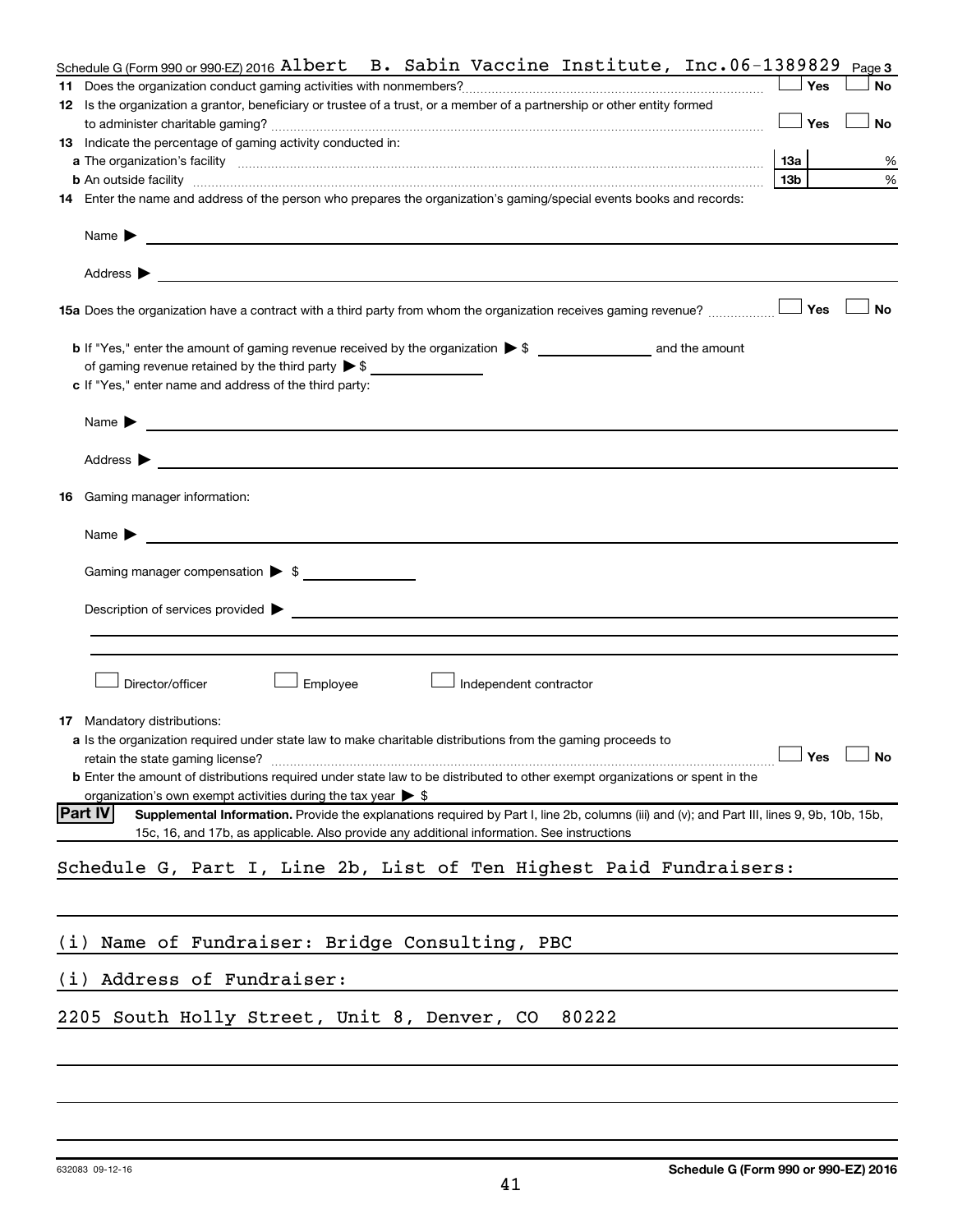|     | Schedule G (Form 990 or 990-EZ) 2016 Albert B. Sabin Vaccine Institute, Inc.06-1389829                                                                                                                                         |                        | Page 3    |
|-----|--------------------------------------------------------------------------------------------------------------------------------------------------------------------------------------------------------------------------------|------------------------|-----------|
|     |                                                                                                                                                                                                                                | Yes                    | No        |
|     | 12 Is the organization a grantor, beneficiary or trustee of a trust, or a member of a partnership or other entity formed                                                                                                       |                        |           |
|     |                                                                                                                                                                                                                                | Yes                    | <b>No</b> |
|     | 13 Indicate the percentage of gaming activity conducted in:                                                                                                                                                                    |                        |           |
|     |                                                                                                                                                                                                                                | 13а<br>13 <sub>b</sub> | %<br>%    |
|     | 14 Enter the name and address of the person who prepares the organization's gaming/special events books and records:                                                                                                           |                        |           |
|     |                                                                                                                                                                                                                                |                        |           |
|     | Name $\blacktriangleright$<br><u> 1989 - Johann Barn, mars et al. (b. 1989)</u>                                                                                                                                                |                        |           |
|     |                                                                                                                                                                                                                                |                        |           |
|     | Address $\blacktriangleright$<br>and the control of the control of the control of the control of the control of the control of the control of the                                                                              |                        |           |
|     | 15a Does the organization have a contract with a third party from whom the organization receives gaming revenue?                                                                                                               | Yes                    | <b>No</b> |
|     |                                                                                                                                                                                                                                |                        |           |
|     | of gaming revenue retained by the third party $\triangleright$ \$                                                                                                                                                              |                        |           |
|     | c If "Yes," enter name and address of the third party:                                                                                                                                                                         |                        |           |
|     |                                                                                                                                                                                                                                |                        |           |
|     | Name $\blacktriangleright$<br><u> 1980 - Andrea Andrew Maria (h. 1980).</u>                                                                                                                                                    |                        |           |
|     | Address $\blacktriangleright$                                                                                                                                                                                                  |                        |           |
|     |                                                                                                                                                                                                                                |                        |           |
|     | <b>16</b> Gaming manager information:                                                                                                                                                                                          |                        |           |
|     |                                                                                                                                                                                                                                |                        |           |
|     | Name $\blacktriangleright$<br><u> 1989 - John Stein, Amerikaansk politiker (</u>                                                                                                                                               |                        |           |
|     |                                                                                                                                                                                                                                |                        |           |
|     | Gaming manager compensation > \$                                                                                                                                                                                               |                        |           |
|     | Description of services provided > The Communication of the Communication of services provided > The Communication of the Communication of the Communication of the Communication of the Communication of the Communication of |                        |           |
|     |                                                                                                                                                                                                                                |                        |           |
|     |                                                                                                                                                                                                                                |                        |           |
|     |                                                                                                                                                                                                                                |                        |           |
|     | Director/officer<br>Employee<br>Independent contractor                                                                                                                                                                         |                        |           |
|     | 17 Mandatory distributions:                                                                                                                                                                                                    |                        |           |
|     | a Is the organization required under state law to make charitable distributions from the gaming proceeds to                                                                                                                    |                        |           |
|     | retain the state gaming license?                                                                                                                                                                                               | $\Box$ Yes $\Box$ No   |           |
|     | <b>b</b> Enter the amount of distributions required under state law to be distributed to other exempt organizations or spent in the                                                                                            |                        |           |
|     | organization's own exempt activities during the tax year $\triangleright$ \$                                                                                                                                                   |                        |           |
|     | <b>Part IV</b><br>Supplemental Information. Provide the explanations required by Part I, line 2b, columns (iii) and (v); and Part III, lines 9, 9b, 10b, 15b,                                                                  |                        |           |
|     | 15c, 16, and 17b, as applicable. Also provide any additional information. See instructions                                                                                                                                     |                        |           |
|     | Schedule G, Part I, Line 2b, List of Ten Highest Paid Fundraisers:                                                                                                                                                             |                        |           |
|     |                                                                                                                                                                                                                                |                        |           |
|     |                                                                                                                                                                                                                                |                        |           |
|     |                                                                                                                                                                                                                                |                        |           |
| (i) | Name of Fundraiser: Bridge Consulting, PBC                                                                                                                                                                                     |                        |           |
|     |                                                                                                                                                                                                                                |                        |           |
| (i) | Address of Fundraiser:                                                                                                                                                                                                         |                        |           |
|     | South Holly Street, Unit 8, Denver, CO<br>80222<br>2205                                                                                                                                                                        |                        |           |
|     |                                                                                                                                                                                                                                |                        |           |
|     |                                                                                                                                                                                                                                |                        |           |
|     |                                                                                                                                                                                                                                |                        |           |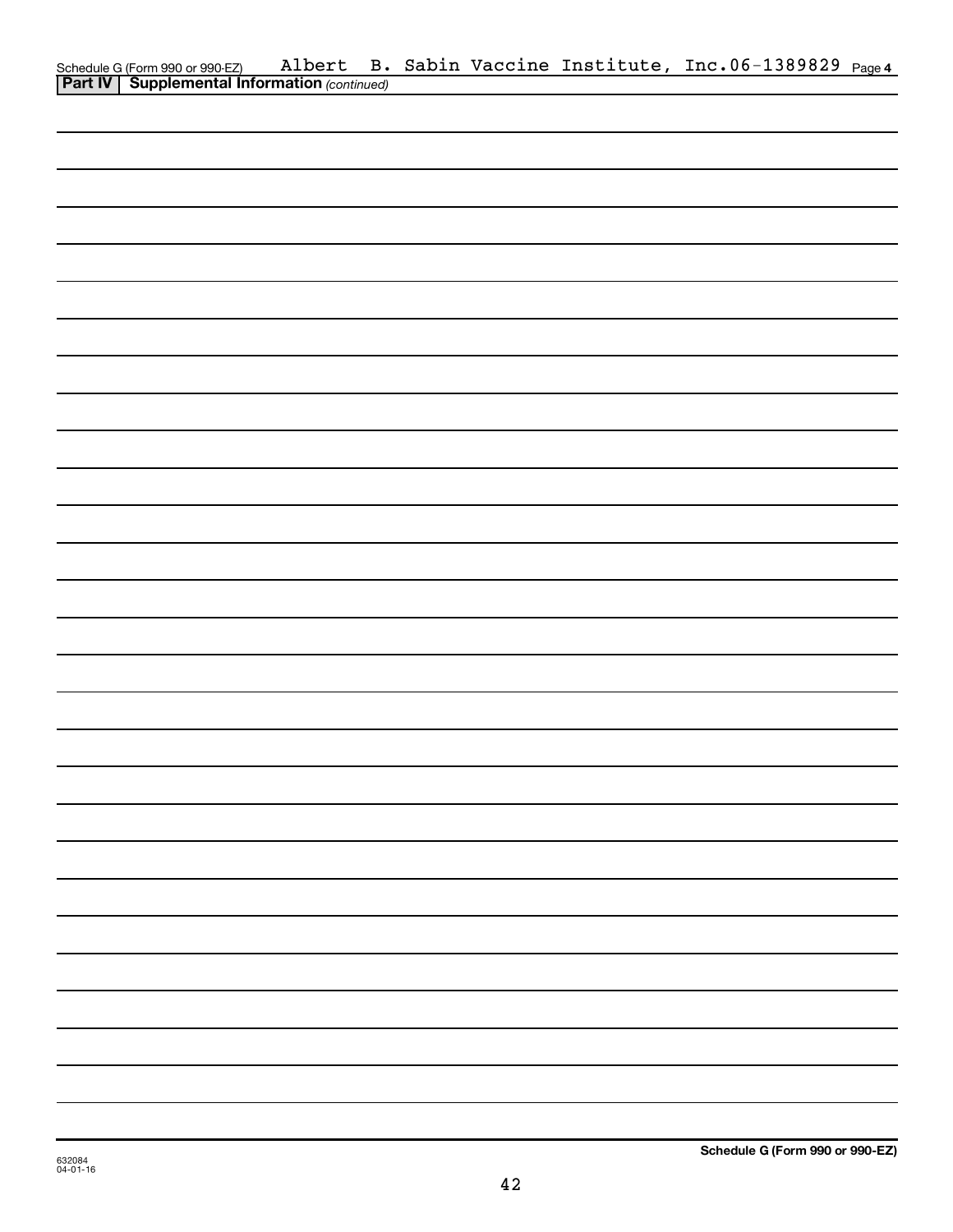| Schedule G (Form 990 or 990-EZ) Albert B.<br><b>Part IV   Supplemental Information</b> (continued) |  |  |  | Albert B. Sabin Vaccine Institute, Inc.06-1389829 Page4 |  |
|----------------------------------------------------------------------------------------------------|--|--|--|---------------------------------------------------------|--|
|                                                                                                    |  |  |  |                                                         |  |
|                                                                                                    |  |  |  |                                                         |  |
|                                                                                                    |  |  |  |                                                         |  |
|                                                                                                    |  |  |  |                                                         |  |
|                                                                                                    |  |  |  |                                                         |  |
|                                                                                                    |  |  |  |                                                         |  |
|                                                                                                    |  |  |  |                                                         |  |
|                                                                                                    |  |  |  |                                                         |  |
|                                                                                                    |  |  |  |                                                         |  |
|                                                                                                    |  |  |  |                                                         |  |
|                                                                                                    |  |  |  |                                                         |  |
|                                                                                                    |  |  |  |                                                         |  |
|                                                                                                    |  |  |  |                                                         |  |
|                                                                                                    |  |  |  |                                                         |  |
|                                                                                                    |  |  |  |                                                         |  |
|                                                                                                    |  |  |  |                                                         |  |
|                                                                                                    |  |  |  |                                                         |  |
|                                                                                                    |  |  |  |                                                         |  |
|                                                                                                    |  |  |  |                                                         |  |
|                                                                                                    |  |  |  |                                                         |  |
|                                                                                                    |  |  |  |                                                         |  |
|                                                                                                    |  |  |  |                                                         |  |
|                                                                                                    |  |  |  |                                                         |  |
|                                                                                                    |  |  |  |                                                         |  |
|                                                                                                    |  |  |  |                                                         |  |
|                                                                                                    |  |  |  |                                                         |  |
|                                                                                                    |  |  |  |                                                         |  |
|                                                                                                    |  |  |  |                                                         |  |
|                                                                                                    |  |  |  |                                                         |  |
|                                                                                                    |  |  |  |                                                         |  |
|                                                                                                    |  |  |  |                                                         |  |
|                                                                                                    |  |  |  |                                                         |  |
|                                                                                                    |  |  |  |                                                         |  |
|                                                                                                    |  |  |  |                                                         |  |
|                                                                                                    |  |  |  |                                                         |  |
|                                                                                                    |  |  |  |                                                         |  |
|                                                                                                    |  |  |  |                                                         |  |
|                                                                                                    |  |  |  |                                                         |  |
|                                                                                                    |  |  |  |                                                         |  |
|                                                                                                    |  |  |  |                                                         |  |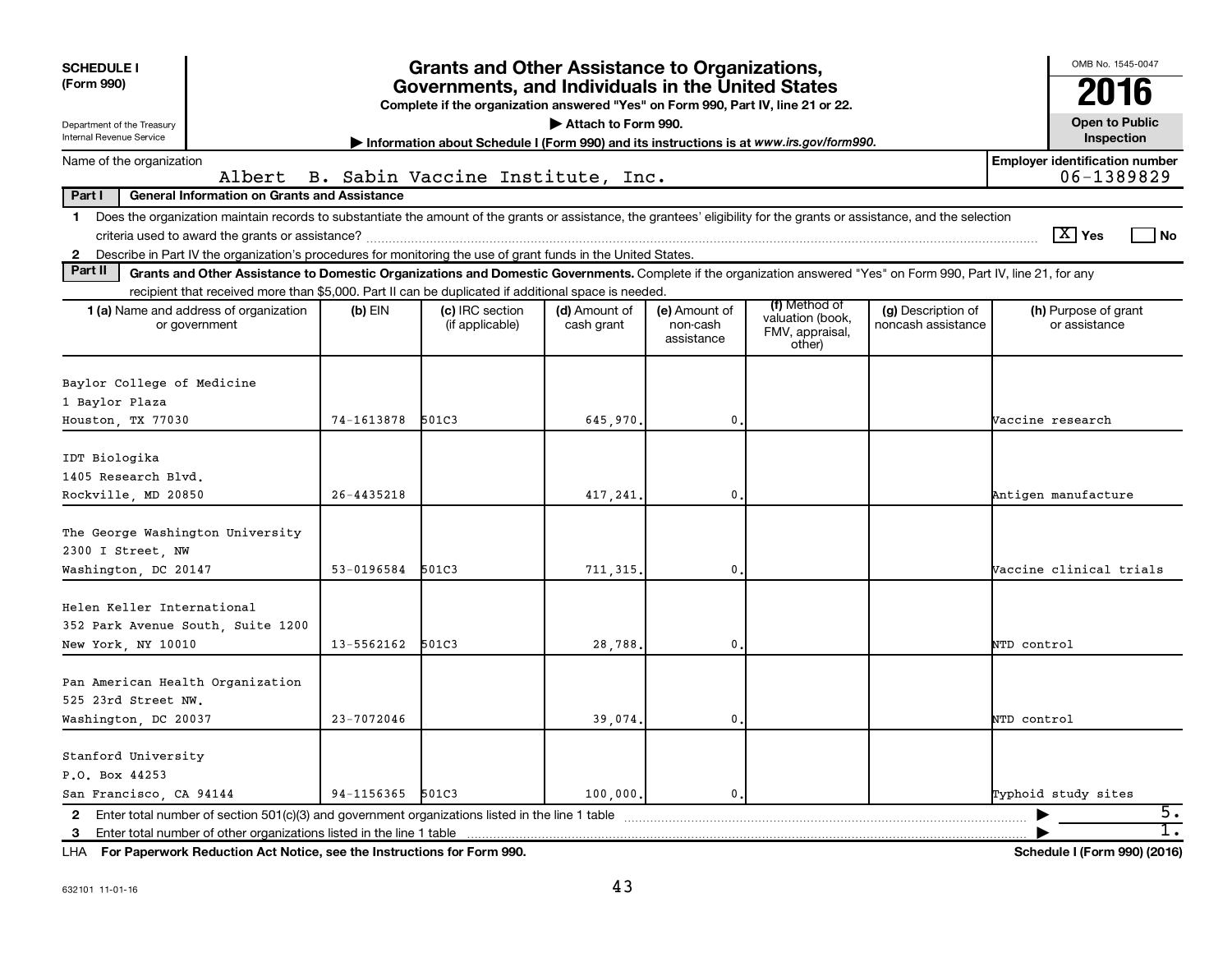| <b>SCHEDULE I</b><br>(Form 990)<br>Department of the Treasury<br>Internal Revenue Service                                                                                                                                                                                                                                 | <b>Grants and Other Assistance to Organizations,</b><br>Governments, and Individuals in the United States<br>Complete if the organization answered "Yes" on Form 990, Part IV, line 21 or 22.<br>Attach to Form 990.<br>Information about Schedule I (Form 990) and its instructions is at www.irs.gov/form990. |                                    |                             |                                         |                                               |                                          |                                                     |  |  |  |
|---------------------------------------------------------------------------------------------------------------------------------------------------------------------------------------------------------------------------------------------------------------------------------------------------------------------------|-----------------------------------------------------------------------------------------------------------------------------------------------------------------------------------------------------------------------------------------------------------------------------------------------------------------|------------------------------------|-----------------------------|-----------------------------------------|-----------------------------------------------|------------------------------------------|-----------------------------------------------------|--|--|--|
| Name of the organization<br>Albert                                                                                                                                                                                                                                                                                        |                                                                                                                                                                                                                                                                                                                 | B. Sabin Vaccine Institute, Inc.   |                             |                                         |                                               |                                          | <b>Employer identification number</b><br>06-1389829 |  |  |  |
| Part I<br><b>General Information on Grants and Assistance</b>                                                                                                                                                                                                                                                             |                                                                                                                                                                                                                                                                                                                 |                                    |                             |                                         |                                               |                                          |                                                     |  |  |  |
| Does the organization maintain records to substantiate the amount of the grants or assistance, the grantees' eligibility for the grants or assistance, and the selection<br>$\mathbf{1}$<br>Describe in Part IV the organization's procedures for monitoring the use of grant funds in the United States.<br>$\mathbf{2}$ |                                                                                                                                                                                                                                                                                                                 |                                    |                             |                                         |                                               |                                          | $\lceil \text{X} \rceil$ Yes<br>  No                |  |  |  |
| Part II<br>Grants and Other Assistance to Domestic Organizations and Domestic Governments. Complete if the organization answered "Yes" on Form 990, Part IV, line 21, for any                                                                                                                                             |                                                                                                                                                                                                                                                                                                                 |                                    |                             |                                         |                                               |                                          |                                                     |  |  |  |
| recipient that received more than \$5,000. Part II can be duplicated if additional space is needed                                                                                                                                                                                                                        |                                                                                                                                                                                                                                                                                                                 |                                    |                             |                                         | (f) Method of                                 |                                          |                                                     |  |  |  |
| 1 (a) Name and address of organization<br>or government                                                                                                                                                                                                                                                                   | $(b)$ EIN                                                                                                                                                                                                                                                                                                       | (c) IRC section<br>(if applicable) | (d) Amount of<br>cash grant | (e) Amount of<br>non-cash<br>assistance | valuation (book,<br>FMV, appraisal,<br>other) | (g) Description of<br>noncash assistance | (h) Purpose of grant<br>or assistance               |  |  |  |
| Baylor College of Medicine<br>1 Baylor Plaza<br>Houston, TX 77030                                                                                                                                                                                                                                                         | 74-1613878                                                                                                                                                                                                                                                                                                      | 501C3                              | 645,970.                    | $\mathbf 0$ .                           |                                               |                                          | Vaccine research                                    |  |  |  |
| IDT Biologika<br>1405 Research Blvd.<br>Rockville, MD 20850                                                                                                                                                                                                                                                               | $26 - 4435218$                                                                                                                                                                                                                                                                                                  |                                    | 417.241.                    | 0.                                      |                                               |                                          | Antigen manufacture                                 |  |  |  |
| The George Washington University<br>2300 I Street, NW<br>Washington, DC 20147                                                                                                                                                                                                                                             | 53-0196584                                                                                                                                                                                                                                                                                                      | 501C3                              | 711, 315.                   | 0                                       |                                               |                                          | Vaccine clinical trials                             |  |  |  |
| Helen Keller International<br>352 Park Avenue South, Suite 1200<br>New York, NY 10010                                                                                                                                                                                                                                     | 13-5562162                                                                                                                                                                                                                                                                                                      | 501C3                              | 28,788.                     | 0                                       |                                               |                                          | NTD control                                         |  |  |  |
| Pan American Health Organization<br>525 23rd Street NW.<br>Washington, DC 20037                                                                                                                                                                                                                                           | $23 - 7072046$                                                                                                                                                                                                                                                                                                  |                                    | 39,074.                     | $\mathbf{0}$ .                          |                                               |                                          | NTD control                                         |  |  |  |
| Stanford University<br>P.O. Box 44253<br>San Francisco, CA 94144                                                                                                                                                                                                                                                          | 94-1156365                                                                                                                                                                                                                                                                                                      | 501C3                              | 100,000.                    | $\mathbf{0}$ .                          |                                               |                                          | Typhoid study sites                                 |  |  |  |
| 2 Enter total number of section $501(c)(3)$ and government organizations listed in the line 1 table<br>3 Enter total number of other organizations listed in the line 1 table                                                                                                                                             |                                                                                                                                                                                                                                                                                                                 |                                    |                             |                                         |                                               |                                          | 5.<br>$\overline{1}$ .                              |  |  |  |

**For Paperwork Reduction Act Notice, see the Instructions for Form 990. Schedule I (Form 990) (2016)** LHA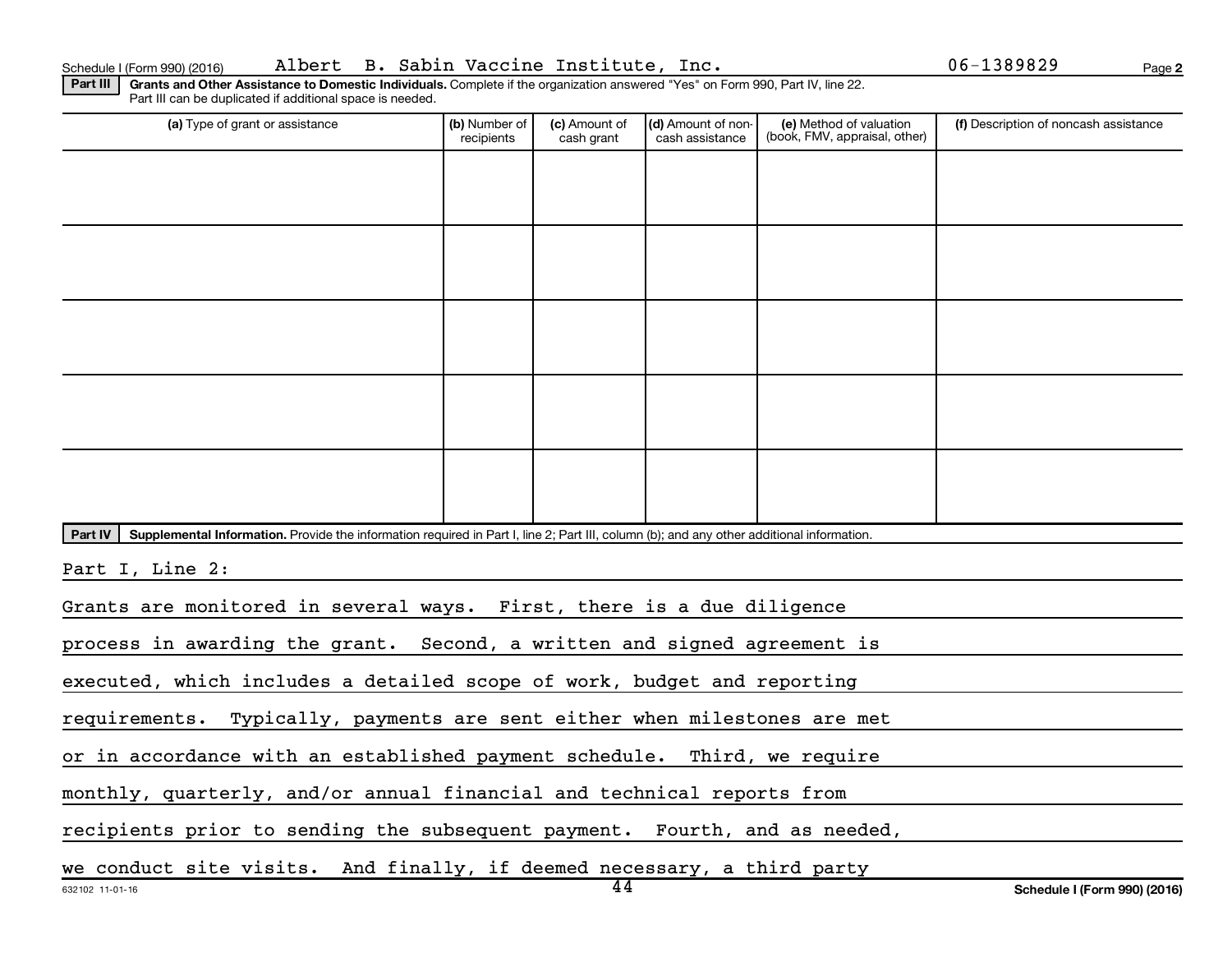**2**

Part III | Grants and Other Assistance to Domestic Individuals. Complete if the organization answered "Yes" on Form 990, Part IV, line 22. Part III can be duplicated if additional space is needed.

| (a) Type of grant or assistance                                                                                                                      | (b) Number of<br>recipients | (c) Amount of<br>cash grant | (d) Amount of non-<br>cash assistance | (e) Method of valuation<br>(book, FMV, appraisal, other) | (f) Description of noncash assistance |  |  |  |  |
|------------------------------------------------------------------------------------------------------------------------------------------------------|-----------------------------|-----------------------------|---------------------------------------|----------------------------------------------------------|---------------------------------------|--|--|--|--|
|                                                                                                                                                      |                             |                             |                                       |                                                          |                                       |  |  |  |  |
|                                                                                                                                                      |                             |                             |                                       |                                                          |                                       |  |  |  |  |
|                                                                                                                                                      |                             |                             |                                       |                                                          |                                       |  |  |  |  |
|                                                                                                                                                      |                             |                             |                                       |                                                          |                                       |  |  |  |  |
|                                                                                                                                                      |                             |                             |                                       |                                                          |                                       |  |  |  |  |
|                                                                                                                                                      |                             |                             |                                       |                                                          |                                       |  |  |  |  |
|                                                                                                                                                      |                             |                             |                                       |                                                          |                                       |  |  |  |  |
|                                                                                                                                                      |                             |                             |                                       |                                                          |                                       |  |  |  |  |
|                                                                                                                                                      |                             |                             |                                       |                                                          |                                       |  |  |  |  |
|                                                                                                                                                      |                             |                             |                                       |                                                          |                                       |  |  |  |  |
|                                                                                                                                                      |                             |                             |                                       |                                                          |                                       |  |  |  |  |
| Part IV<br>Supplemental Information. Provide the information required in Part I, line 2; Part III, column (b); and any other additional information. |                             |                             |                                       |                                                          |                                       |  |  |  |  |
| Part I, Line 2:                                                                                                                                      |                             |                             |                                       |                                                          |                                       |  |  |  |  |
| Grants are monitored in several ways. First, there is a due diligence                                                                                |                             |                             |                                       |                                                          |                                       |  |  |  |  |
| process in awarding the grant. Second, a written and signed agreement is                                                                             |                             |                             |                                       |                                                          |                                       |  |  |  |  |
| executed, which includes a detailed scope of work, budget and reporting                                                                              |                             |                             |                                       |                                                          |                                       |  |  |  |  |
| requirements.                                                                                                                                        |                             |                             |                                       |                                                          |                                       |  |  |  |  |
| Typically, payments are sent either when milestones are met<br>or in accordance with an established payment schedule. Third, we require              |                             |                             |                                       |                                                          |                                       |  |  |  |  |
| monthly, quarterly, and/or annual financial and technical reports from                                                                               |                             |                             |                                       |                                                          |                                       |  |  |  |  |
|                                                                                                                                                      |                             |                             |                                       |                                                          |                                       |  |  |  |  |
| recipients prior to sending the subsequent payment. Fourth, and as needed,                                                                           |                             |                             |                                       |                                                          |                                       |  |  |  |  |
| we conduct site visits. And finally, if deemed necessary, a third party                                                                              |                             |                             |                                       |                                                          |                                       |  |  |  |  |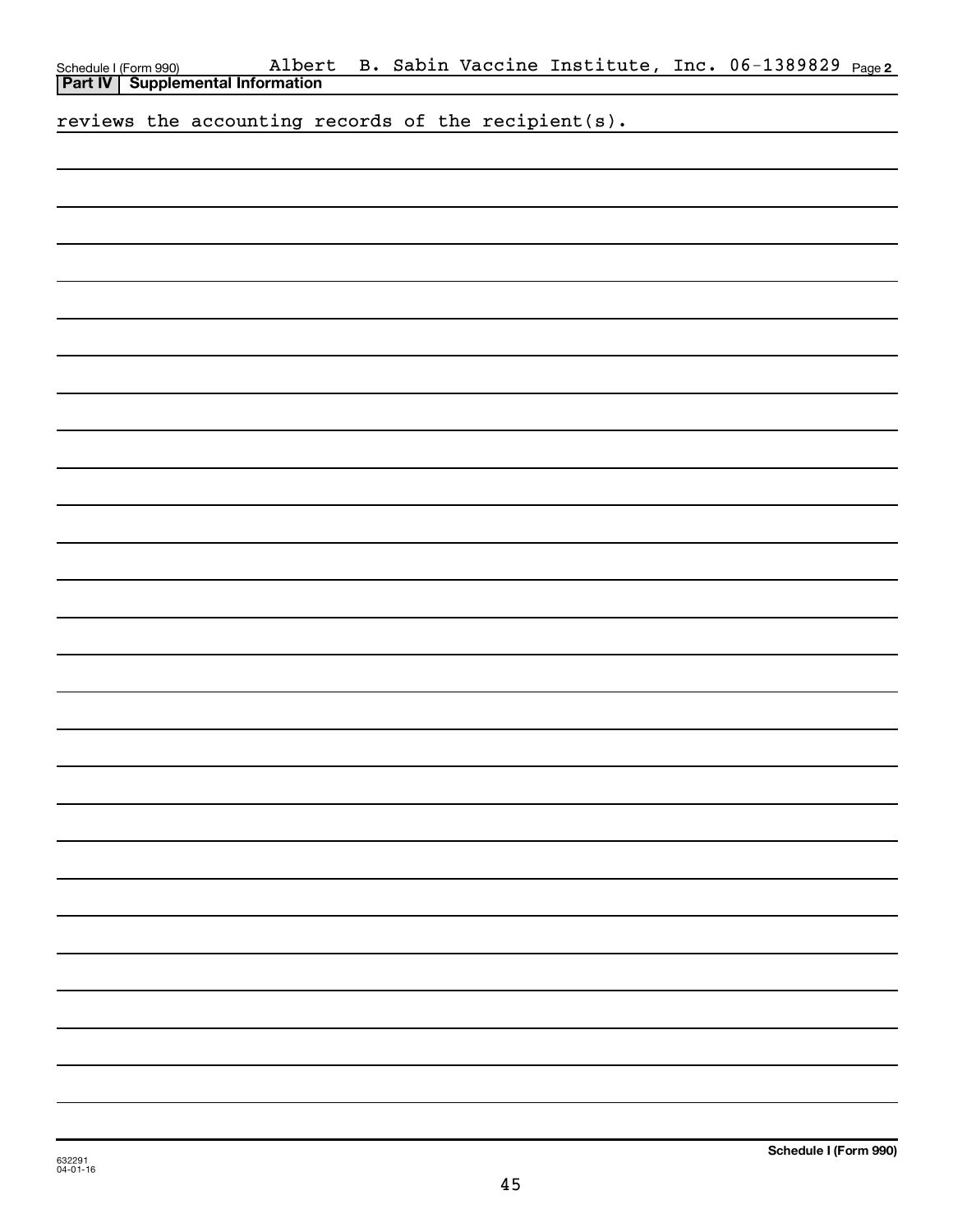|  | Schedule I (Form 990) Alber<br><b>Part IV   Supplemental Information</b> | Albert |  |  | B. Sabin Vaccine Institute, Inc. 06-1389829 Page2 |  |
|--|--------------------------------------------------------------------------|--------|--|--|---------------------------------------------------|--|
|  |                                                                          |        |  |  |                                                   |  |
|  | reviews the accounting records of the recipient(s).                      |        |  |  |                                                   |  |
|  |                                                                          |        |  |  |                                                   |  |
|  |                                                                          |        |  |  |                                                   |  |
|  |                                                                          |        |  |  |                                                   |  |
|  |                                                                          |        |  |  |                                                   |  |
|  |                                                                          |        |  |  |                                                   |  |
|  |                                                                          |        |  |  |                                                   |  |
|  |                                                                          |        |  |  |                                                   |  |
|  |                                                                          |        |  |  |                                                   |  |
|  |                                                                          |        |  |  |                                                   |  |
|  |                                                                          |        |  |  |                                                   |  |
|  |                                                                          |        |  |  |                                                   |  |
|  |                                                                          |        |  |  |                                                   |  |
|  |                                                                          |        |  |  |                                                   |  |
|  |                                                                          |        |  |  |                                                   |  |
|  |                                                                          |        |  |  |                                                   |  |
|  |                                                                          |        |  |  |                                                   |  |
|  |                                                                          |        |  |  |                                                   |  |
|  |                                                                          |        |  |  |                                                   |  |
|  |                                                                          |        |  |  |                                                   |  |
|  |                                                                          |        |  |  |                                                   |  |
|  |                                                                          |        |  |  |                                                   |  |
|  |                                                                          |        |  |  |                                                   |  |
|  |                                                                          |        |  |  |                                                   |  |
|  |                                                                          |        |  |  |                                                   |  |
|  |                                                                          |        |  |  |                                                   |  |
|  |                                                                          |        |  |  |                                                   |  |
|  |                                                                          |        |  |  |                                                   |  |
|  |                                                                          |        |  |  |                                                   |  |
|  |                                                                          |        |  |  |                                                   |  |
|  |                                                                          |        |  |  |                                                   |  |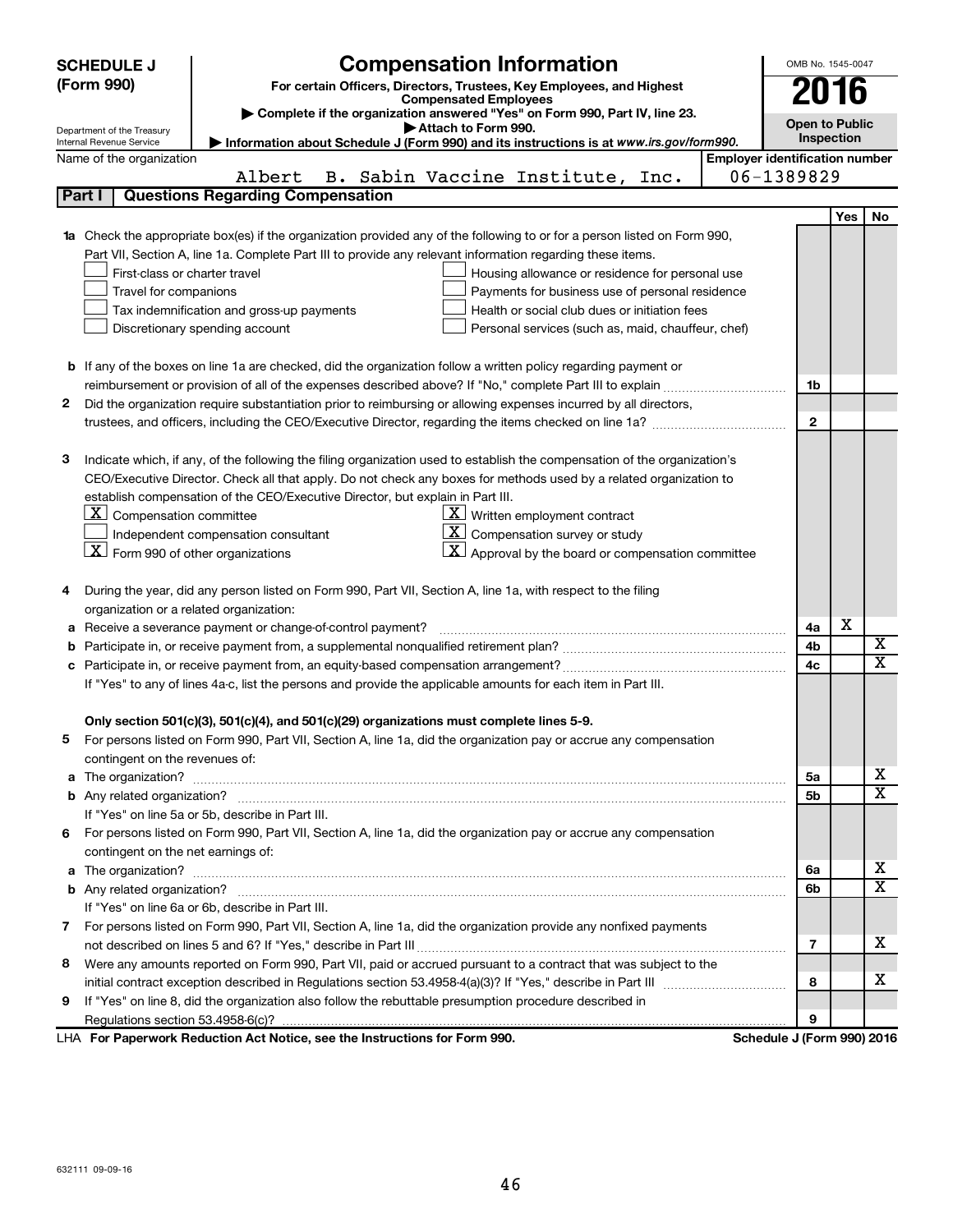|    | <b>SCHEDULE J</b>                                                                                              | <b>Compensation Information</b>                                                                                                                                                                               |                                       | OMB No. 1545-0047          |     |                         |  |
|----|----------------------------------------------------------------------------------------------------------------|---------------------------------------------------------------------------------------------------------------------------------------------------------------------------------------------------------------|---------------------------------------|----------------------------|-----|-------------------------|--|
|    | (Form 990)                                                                                                     | For certain Officers, Directors, Trustees, Key Employees, and Highest                                                                                                                                         |                                       | 2016                       |     |                         |  |
|    |                                                                                                                | <b>Compensated Employees</b>                                                                                                                                                                                  |                                       |                            |     |                         |  |
|    | Department of the Treasury                                                                                     | Complete if the organization answered "Yes" on Form 990, Part IV, line 23.<br>Attach to Form 990.                                                                                                             |                                       | <b>Open to Public</b>      |     |                         |  |
|    | Internal Revenue Service                                                                                       | Information about Schedule J (Form 990) and its instructions is at www.irs.gov/form990.                                                                                                                       |                                       | Inspection                 |     |                         |  |
|    | Name of the organization                                                                                       |                                                                                                                                                                                                               | <b>Employer identification number</b> |                            |     |                         |  |
|    |                                                                                                                | B. Sabin Vaccine Institute, Inc.<br>Albert                                                                                                                                                                    |                                       | 06-1389829                 |     |                         |  |
|    | Part I                                                                                                         | <b>Questions Regarding Compensation</b>                                                                                                                                                                       |                                       |                            |     |                         |  |
|    |                                                                                                                |                                                                                                                                                                                                               |                                       |                            | Yes | No                      |  |
| 1a |                                                                                                                | Check the appropriate box(es) if the organization provided any of the following to or for a person listed on Form 990,                                                                                        |                                       |                            |     |                         |  |
|    |                                                                                                                | Part VII, Section A, line 1a. Complete Part III to provide any relevant information regarding these items.                                                                                                    |                                       |                            |     |                         |  |
|    | First-class or charter travel                                                                                  | Housing allowance or residence for personal use                                                                                                                                                               |                                       |                            |     |                         |  |
|    | Travel for companions                                                                                          | Payments for business use of personal residence                                                                                                                                                               |                                       |                            |     |                         |  |
|    |                                                                                                                | Health or social club dues or initiation fees<br>Tax indemnification and gross-up payments                                                                                                                    |                                       |                            |     |                         |  |
|    |                                                                                                                | Discretionary spending account<br>Personal services (such as, maid, chauffeur, chef)                                                                                                                          |                                       |                            |     |                         |  |
|    |                                                                                                                |                                                                                                                                                                                                               |                                       |                            |     |                         |  |
|    |                                                                                                                | <b>b</b> If any of the boxes on line 1a are checked, did the organization follow a written policy regarding payment or                                                                                        |                                       |                            |     |                         |  |
|    |                                                                                                                |                                                                                                                                                                                                               |                                       | 1b                         |     |                         |  |
| 2  |                                                                                                                | Did the organization require substantiation prior to reimbursing or allowing expenses incurred by all directors,                                                                                              |                                       |                            |     |                         |  |
|    |                                                                                                                | trustees, and officers, including the CEO/Executive Director, regarding the items checked on line 1a?                                                                                                         |                                       | $\mathbf{2}$               |     |                         |  |
|    |                                                                                                                |                                                                                                                                                                                                               |                                       |                            |     |                         |  |
| з  |                                                                                                                | Indicate which, if any, of the following the filing organization used to establish the compensation of the organization's                                                                                     |                                       |                            |     |                         |  |
|    |                                                                                                                | CEO/Executive Director. Check all that apply. Do not check any boxes for methods used by a related organization to                                                                                            |                                       |                            |     |                         |  |
|    |                                                                                                                | establish compensation of the CEO/Executive Director, but explain in Part III.                                                                                                                                |                                       |                            |     |                         |  |
|    | $\underline{\mathbf{X}}$ Written employment contract<br>$\lfloor \underline{x} \rfloor$ Compensation committee |                                                                                                                                                                                                               |                                       |                            |     |                         |  |
|    |                                                                                                                | $ \mathbf{X} $ Compensation survey or study<br>Independent compensation consultant                                                                                                                            |                                       |                            |     |                         |  |
|    | $\lfloor x \rfloor$ Form 990 of other organizations                                                            | $\mathbf{X}$ Approval by the board or compensation committee                                                                                                                                                  |                                       |                            |     |                         |  |
|    |                                                                                                                |                                                                                                                                                                                                               |                                       |                            |     |                         |  |
| 4  |                                                                                                                | During the year, did any person listed on Form 990, Part VII, Section A, line 1a, with respect to the filing                                                                                                  |                                       |                            |     |                         |  |
|    | organization or a related organization:                                                                        |                                                                                                                                                                                                               |                                       |                            |     |                         |  |
| а  |                                                                                                                | Receive a severance payment or change-of-control payment?                                                                                                                                                     |                                       | 4a                         | х   | X                       |  |
| b  |                                                                                                                |                                                                                                                                                                                                               |                                       | 4b                         |     | $\overline{\text{x}}$   |  |
| c  |                                                                                                                |                                                                                                                                                                                                               |                                       | 4c                         |     |                         |  |
|    |                                                                                                                | If "Yes" to any of lines 4a-c, list the persons and provide the applicable amounts for each item in Part III.                                                                                                 |                                       |                            |     |                         |  |
|    |                                                                                                                |                                                                                                                                                                                                               |                                       |                            |     |                         |  |
|    |                                                                                                                | Only section 501(c)(3), 501(c)(4), and 501(c)(29) organizations must complete lines 5-9.<br>For persons listed on Form 990, Part VII, Section A, line 1a, did the organization pay or accrue any compensation |                                       |                            |     |                         |  |
|    |                                                                                                                |                                                                                                                                                                                                               |                                       |                            |     |                         |  |
|    | contingent on the revenues of:                                                                                 |                                                                                                                                                                                                               |                                       | 5а                         |     | х                       |  |
|    |                                                                                                                |                                                                                                                                                                                                               |                                       | 5b                         |     | $\overline{\mathbf{X}}$ |  |
|    |                                                                                                                | If "Yes" on line 5a or 5b, describe in Part III.                                                                                                                                                              |                                       |                            |     |                         |  |
|    |                                                                                                                | 6 For persons listed on Form 990, Part VII, Section A, line 1a, did the organization pay or accrue any compensation                                                                                           |                                       |                            |     |                         |  |
|    | contingent on the net earnings of:                                                                             |                                                                                                                                                                                                               |                                       |                            |     |                         |  |
|    |                                                                                                                |                                                                                                                                                                                                               |                                       | 6a                         |     | х                       |  |
|    |                                                                                                                |                                                                                                                                                                                                               |                                       | 6b                         |     | $\overline{\mathbf{X}}$ |  |
|    |                                                                                                                | If "Yes" on line 6a or 6b, describe in Part III.                                                                                                                                                              |                                       |                            |     |                         |  |
|    |                                                                                                                | 7 For persons listed on Form 990, Part VII, Section A, line 1a, did the organization provide any nonfixed payments                                                                                            |                                       |                            |     |                         |  |
|    |                                                                                                                |                                                                                                                                                                                                               |                                       | 7                          |     | х                       |  |
| 8. |                                                                                                                | Were any amounts reported on Form 990, Part VII, paid or accrued pursuant to a contract that was subject to the                                                                                               |                                       |                            |     |                         |  |
|    |                                                                                                                |                                                                                                                                                                                                               |                                       | 8                          |     | х                       |  |
| 9  |                                                                                                                | If "Yes" on line 8, did the organization also follow the rebuttable presumption procedure described in                                                                                                        |                                       |                            |     |                         |  |
|    |                                                                                                                |                                                                                                                                                                                                               |                                       | 9                          |     |                         |  |
|    |                                                                                                                | LHA For Paperwork Reduction Act Notice, see the Instructions for Form 990.                                                                                                                                    |                                       | Schedule J (Form 990) 2016 |     |                         |  |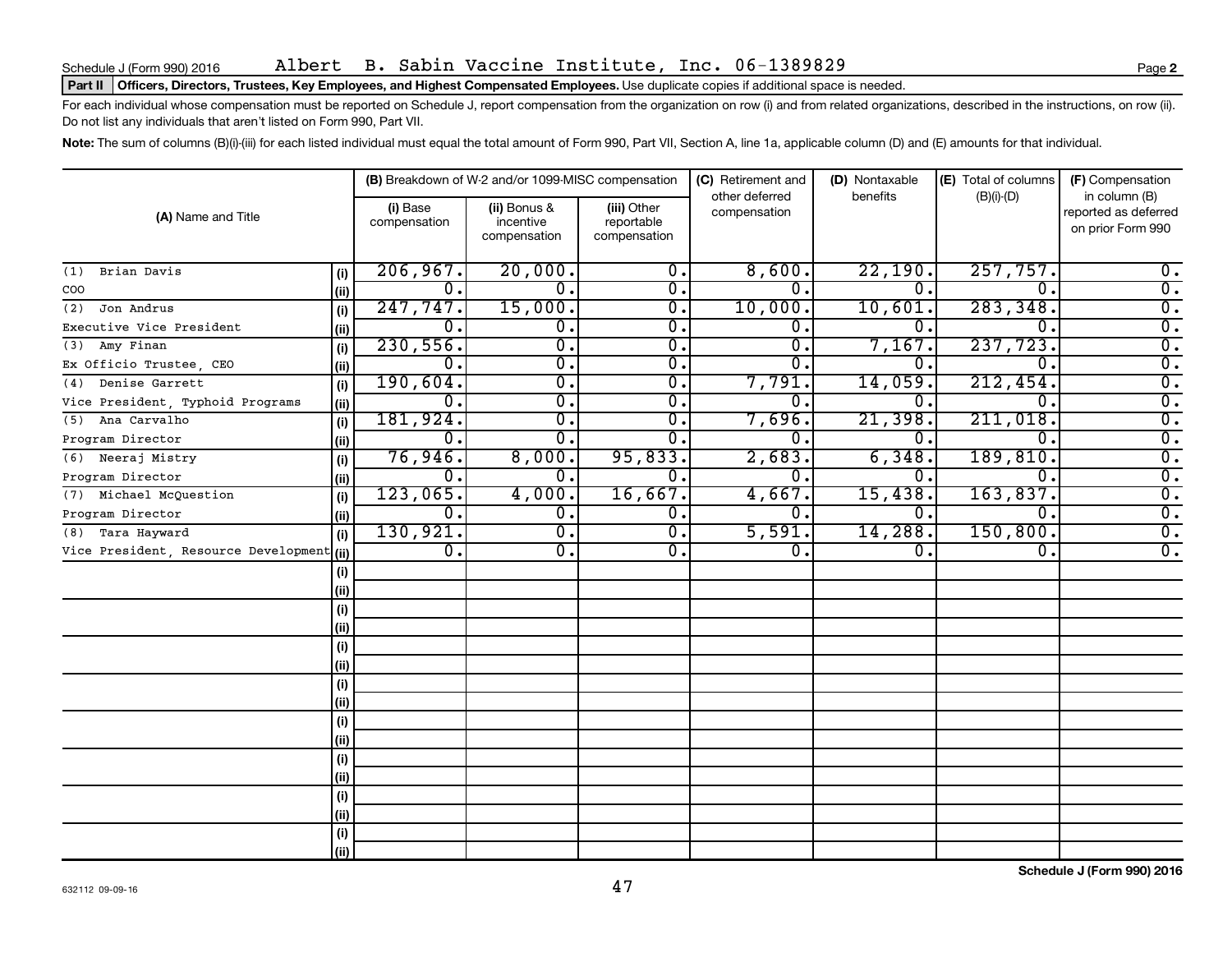#### Part II | Officers, Directors, Trustees, Key Employees, and Highest Compensated Employees. Use duplicate copies if additional space is needed.

For each individual whose compensation must be reported on Schedule J, report compensation from the organization on row (i) and from related organizations, described in the instructions, on row (ii). Do not list any individuals that aren't listed on Form 990, Part VII.

Note: The sum of columns (B)(i)-(iii) for each listed individual must equal the total amount of Form 990, Part VII, Section A, line 1a, applicable column (D) and (E) amounts for that individual.

|                                           |            |                          | (B) Breakdown of W-2 and/or 1099-MISC compensation |                                           | (C) Retirement and             | (D) Nontaxable | (E) Total of columns | (F) Compensation                                           |  |  |
|-------------------------------------------|------------|--------------------------|----------------------------------------------------|-------------------------------------------|--------------------------------|----------------|----------------------|------------------------------------------------------------|--|--|
| (A) Name and Title                        |            | (i) Base<br>compensation | (ii) Bonus &<br>incentive<br>compensation          | (iii) Other<br>reportable<br>compensation | other deferred<br>compensation | benefits       | $(B)(i)-(D)$         | in column (B)<br>reported as deferred<br>on prior Form 990 |  |  |
| Brian Davis<br>(1)                        | (i)        | 206, 967.                | 20,000.                                            | 0.                                        | 8,600.                         | 22,190         | 257,757.             | 0.                                                         |  |  |
| COO                                       | (ii)       | 0.                       | Ω.                                                 | 0.                                        | 0.                             | $\Omega$ .     | 0                    | $\overline{0}$ .                                           |  |  |
| (2)<br>Jon Andrus                         | (i)        | 247,747.                 | 15,000.                                            | 0.                                        | 10,000.                        | 10,601         | 283,348.             | $\overline{0}$ .                                           |  |  |
| Executive Vice President                  | (ii)       | 0.                       | 0.                                                 | 0.                                        | 0.                             | 0              | 0.                   | $\overline{0}$ .                                           |  |  |
| Amy Finan<br>(3)                          | (i)        | 230,556.                 | $\overline{0}$ .                                   | 0.                                        | 0.                             | 7,167.         | 237,723.             | $\overline{0}$ .                                           |  |  |
| Ex Officio Trustee, CEO                   | (ii)       | 0.                       | 0.                                                 | 0.                                        | 0.                             | 0              | $\Omega$ .           | $\overline{0}$ .                                           |  |  |
| Denise Garrett<br>(4)                     | (i)        | 190,604.                 | $\overline{0}$ .                                   | 0.                                        | 7,791.                         | 14,059         | 212,454.             | $\overline{0}$ .                                           |  |  |
| Vice President, Typhoid Programs          | (ii)       | 0.                       | 0.                                                 | 0.                                        | 0.                             | 0.             | 0.                   | $\overline{0}$ .                                           |  |  |
| Ana Carvalho<br>(5)                       | (i)        | 181,924.                 | 0.                                                 | 0.                                        | 7,696.                         | 21,398.        | 211,018.             | $\overline{0}$ .                                           |  |  |
| Program Director                          | (ii)       | 0.                       | $0$ .                                              | 0.                                        | 0.                             | 0              | 0.                   | $\overline{0}$ .                                           |  |  |
| Neeraj Mistry<br>(6)                      | (i)        | 76,946.                  | 8,000.                                             | 95,833.                                   | 2,683.                         | 6,348          | 189,810.             | $\overline{0}$ .                                           |  |  |
| Program Director                          | (i)        | 0.                       | 0.                                                 | 0.                                        | 0.                             | 0              | $\Omega$ .           | $\overline{0}$ .                                           |  |  |
| Michael McQuestion<br>(7)                 | (i)        | 123,065.                 | 4,000.                                             | 16,667.                                   | 4,667.                         | 15,438         | 163,837.             | $\overline{0}$ .                                           |  |  |
| Program Director                          | (ii)       | 0.                       | 0.                                                 | 0.                                        | 0.                             | $\Omega$ .     | 0.                   | $\overline{0}$ .                                           |  |  |
| Tara Hayward<br>(8)                       | (i)        | 130, 921.                | σ.                                                 | 0.                                        | 5,591.                         | 14,288.        | 150, 800.            | $\overline{0}$ .                                           |  |  |
| Vice President, Resource Development (ii) |            | $\overline{0}$ .         | $\overline{0}$ .                                   | $\mathbf{0}$ .                            | 0.                             | 0.             | 0.                   | $\overline{0}$ .                                           |  |  |
|                                           | (i)        |                          |                                                    |                                           |                                |                |                      |                                                            |  |  |
|                                           | (ii)       |                          |                                                    |                                           |                                |                |                      |                                                            |  |  |
|                                           | $(\sf{i})$ |                          |                                                    |                                           |                                |                |                      |                                                            |  |  |
|                                           | (ii)       |                          |                                                    |                                           |                                |                |                      |                                                            |  |  |
|                                           | (i)        |                          |                                                    |                                           |                                |                |                      |                                                            |  |  |
|                                           | (i)        |                          |                                                    |                                           |                                |                |                      |                                                            |  |  |
|                                           | (i)        |                          |                                                    |                                           |                                |                |                      |                                                            |  |  |
|                                           | (i)        |                          |                                                    |                                           |                                |                |                      |                                                            |  |  |
|                                           | (i)        |                          |                                                    |                                           |                                |                |                      |                                                            |  |  |
|                                           | (ii)       |                          |                                                    |                                           |                                |                |                      |                                                            |  |  |
|                                           | (i)        |                          |                                                    |                                           |                                |                |                      |                                                            |  |  |
|                                           | (ii)       |                          |                                                    |                                           |                                |                |                      |                                                            |  |  |
|                                           | (i)        |                          |                                                    |                                           |                                |                |                      |                                                            |  |  |
|                                           | (ii)       |                          |                                                    |                                           |                                |                |                      |                                                            |  |  |
|                                           | (i)        |                          |                                                    |                                           |                                |                |                      |                                                            |  |  |
|                                           | (ii)       |                          |                                                    |                                           |                                |                |                      |                                                            |  |  |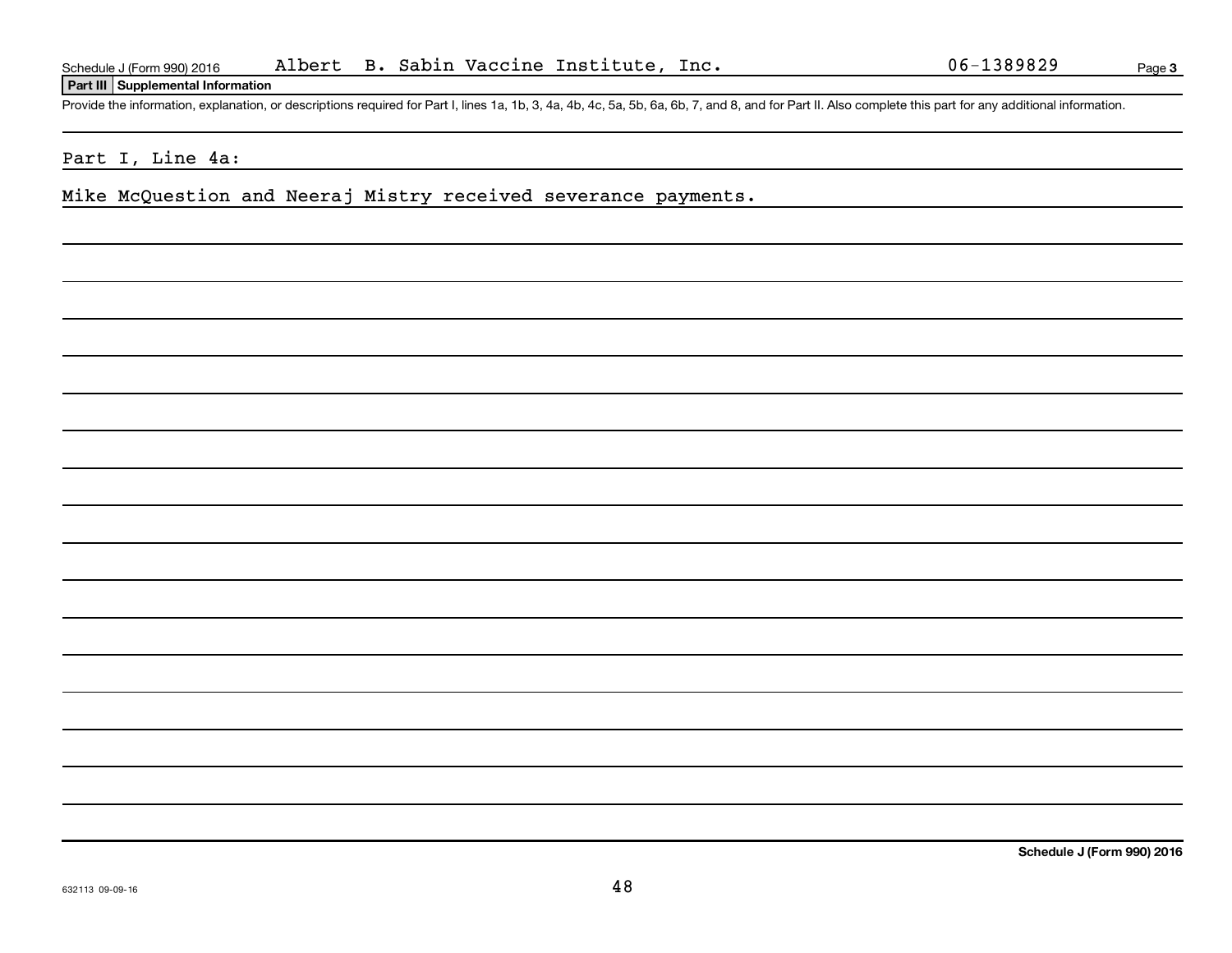**Part III Supplemental Information**

Provide the information, explanation, or descriptions required for Part I, lines 1a, 1b, 3, 4a, 4b, 4c, 5a, 5b, 6a, 6b, 7, and 8, and for Part II. Also complete this part for any additional information.

## Part I, Line 4a:

Mike McQuestion and Neeraj Mistry received severance payments.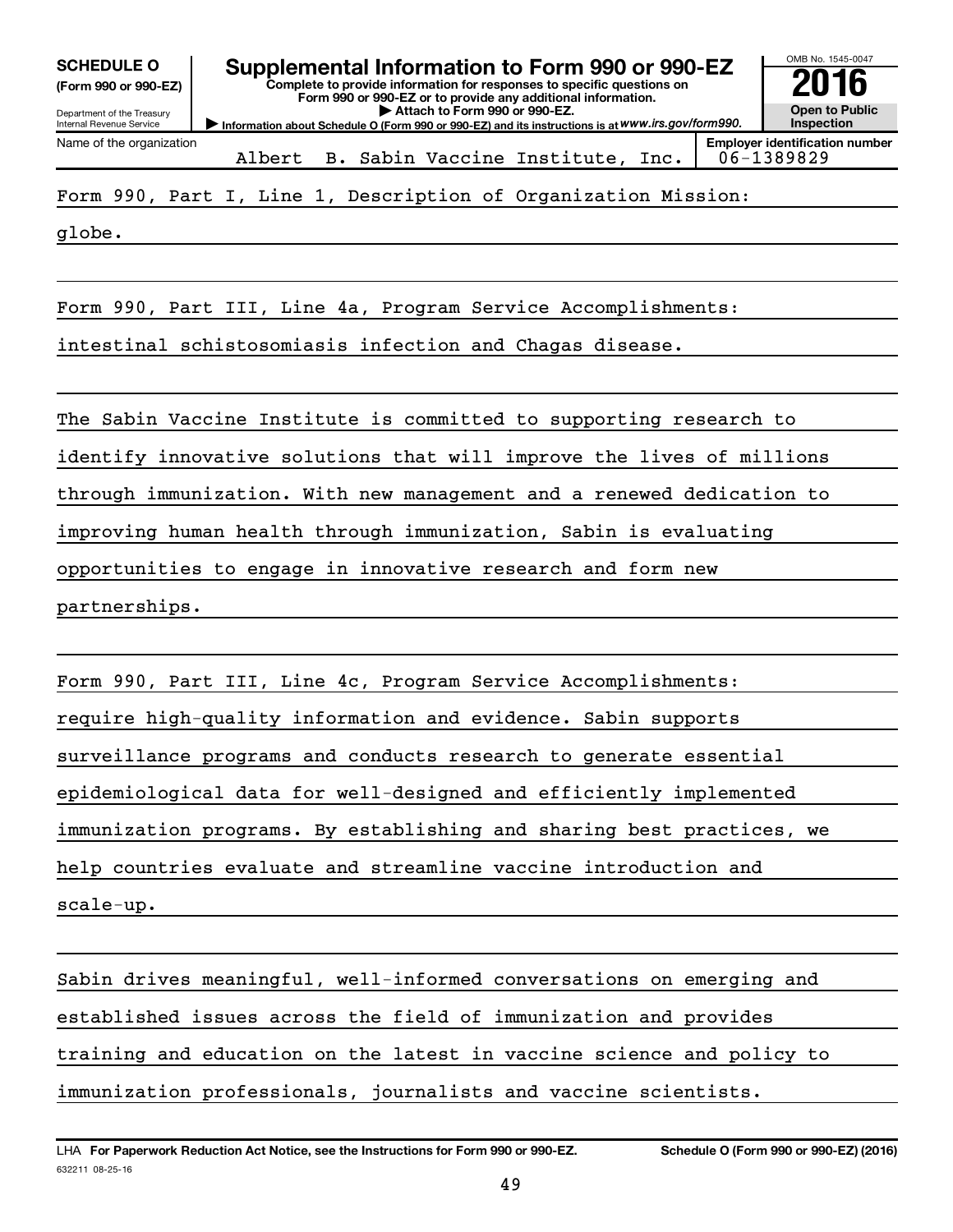| <b>SCHEDULE O</b><br>(Form 990 or 990-EZ)                                                                                  | Supplemental Information to Form 990 or 990-EZ     | OMB No. 1545-0047<br>2016 |                               |                                                                                                   |  |  |                                            |  |
|----------------------------------------------------------------------------------------------------------------------------|----------------------------------------------------|---------------------------|-------------------------------|---------------------------------------------------------------------------------------------------|--|--|--------------------------------------------|--|
| Department of the Treasury<br>Internal Revenue Service                                                                     |                                                    |                           | Attach to Form 990 or 990-EZ. | Information about Schedule O (Form 990 or 990-EZ) and its instructions is at WWW.irs.gov/form990. |  |  | <b>Open to Public</b><br><b>Inspection</b> |  |
| <b>Employer identification number</b><br>Name of the organization<br>Albert B. Sabin Vaccine Institute, Inc.<br>06-1389829 |                                                    |                           |                               |                                                                                                   |  |  |                                            |  |
| $F_{\sim r m}$ 000                                                                                                         | Part I Iino 1 Dogarintion of Organization Miggion: |                           |                               |                                                                                                   |  |  |                                            |  |

## Form 990, Part I, Line 1, Description of Organization Mission:

globe.

Form 990, Part III, Line 4a, Program Service Accomplishments:

intestinal schistosomiasis infection and Chagas disease.

The Sabin Vaccine Institute is committed to supporting research to

identify innovative solutions that will improve the lives of millions

through immunization. With new management and a renewed dedication to

improving human health through immunization, Sabin is evaluating

opportunities to engage in innovative research and form new

partnerships.

Form 990, Part III, Line 4c, Program Service Accomplishments:

require high-quality information and evidence. Sabin supports

surveillance programs and conducts research to generate essential

epidemiological data for well-designed and efficiently implemented

immunization programs. By establishing and sharing best practices, we

help countries evaluate and streamline vaccine introduction and

scale-up.

Sabin drives meaningful, well-informed conversations on emerging and established issues across the field of immunization and provides

training and education on the latest in vaccine science and policy to

immunization professionals, journalists and vaccine scientists.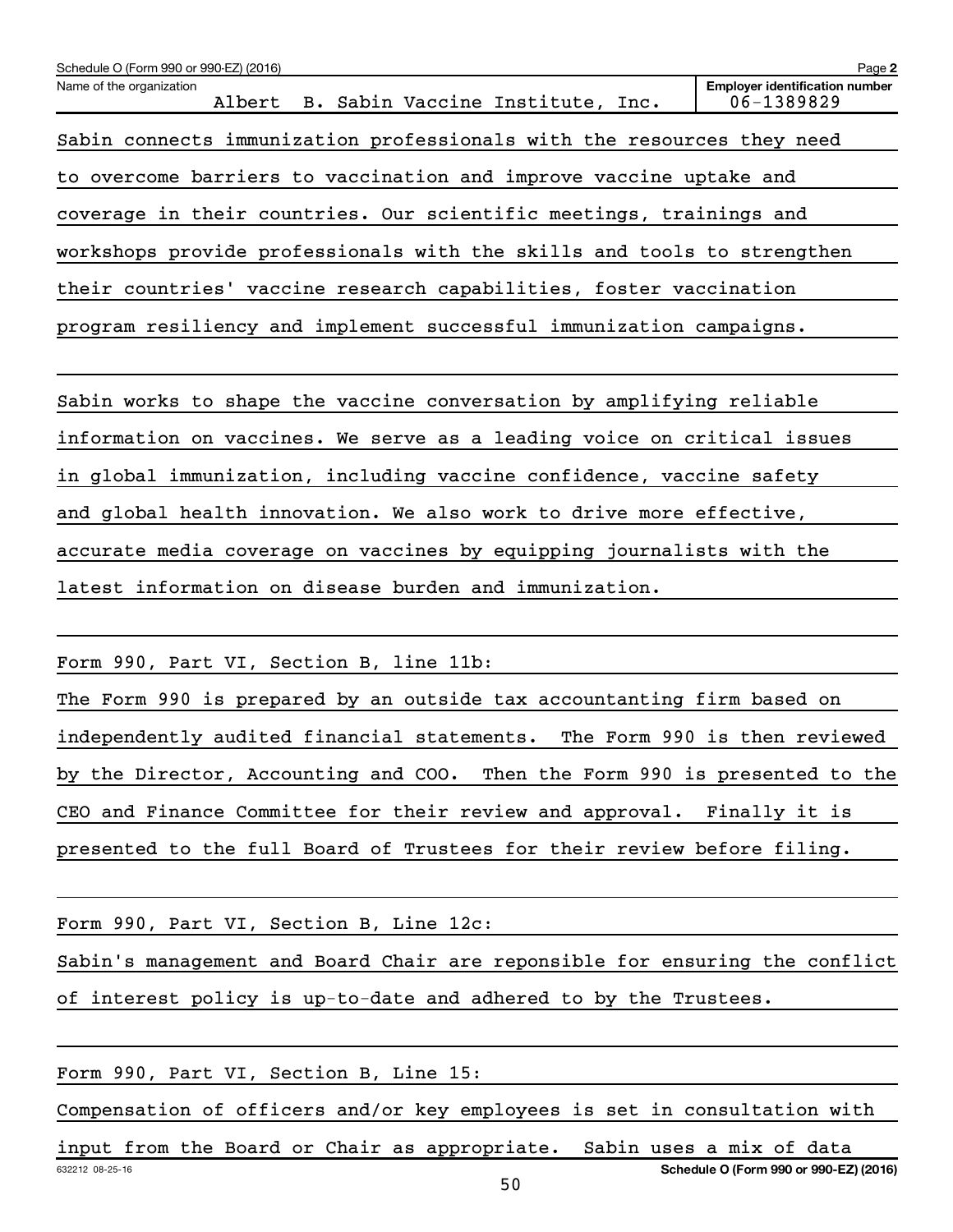| Schedule O (Form 990 or 990-EZ) (2016)                                  | Page 2                                              |
|-------------------------------------------------------------------------|-----------------------------------------------------|
| Name of the organization<br>Albert B. Sabin Vaccine Institute, Inc.     | <b>Employer identification number</b><br>06-1389829 |
| Sabin connects immunization professionals with the resources they need  |                                                     |
| to overcome barriers to vaccination and improve vaccine uptake and      |                                                     |
| coverage in their countries. Our scientific meetings, trainings and     |                                                     |
| workshops provide professionals with the skills and tools to strengthen |                                                     |
| their countries' vaccine research capabilities, foster vaccination      |                                                     |
| program resiliency and implement successful immunization campaigns.     |                                                     |
|                                                                         |                                                     |

Sabin works to shape the vaccine conversation by amplifying reliable information on vaccines. We serve as a leading voice on critical issues in global immunization, including vaccine confidence, vaccine safety and global health innovation. We also work to drive more effective, accurate media coverage on vaccines by equipping journalists with the latest information on disease burden and immunization.

Form 990, Part VI, Section B, line 11b:

The Form 990 is prepared by an outside tax accountanting firm based on independently audited financial statements. The Form 990 is then reviewed by the Director, Accounting and COO. Then the Form 990 is presented to the CEO and Finance Committee for their review and approval. Finally it is presented to the full Board of Trustees for their review before filing.

|  |  |  | Form 990, Part VI, Section B, Line 12c: |  |  |                                                                  |                                                                             |
|--|--|--|-----------------------------------------|--|--|------------------------------------------------------------------|-----------------------------------------------------------------------------|
|  |  |  |                                         |  |  |                                                                  | Sabin's management and Board Chair are reponsible for ensuring the conflict |
|  |  |  |                                         |  |  | of interest policy is up-to-date and adhered to by the Trustees. |                                                                             |
|  |  |  |                                         |  |  |                                                                  |                                                                             |

|                 |  | Form 990, Part VI, Section B, Line 15: |  |  |                                                                           |  |  |  |                                        |  |
|-----------------|--|----------------------------------------|--|--|---------------------------------------------------------------------------|--|--|--|----------------------------------------|--|
|                 |  |                                        |  |  | Compensation of officers and/or key employees is set in consultation with |  |  |  |                                        |  |
|                 |  |                                        |  |  | input from the Board or Chair as appropriate. Sabin uses a mix of data    |  |  |  |                                        |  |
| 632212 08-25-16 |  |                                        |  |  |                                                                           |  |  |  | Schedule O (Form 990 or 990-EZ) (2016) |  |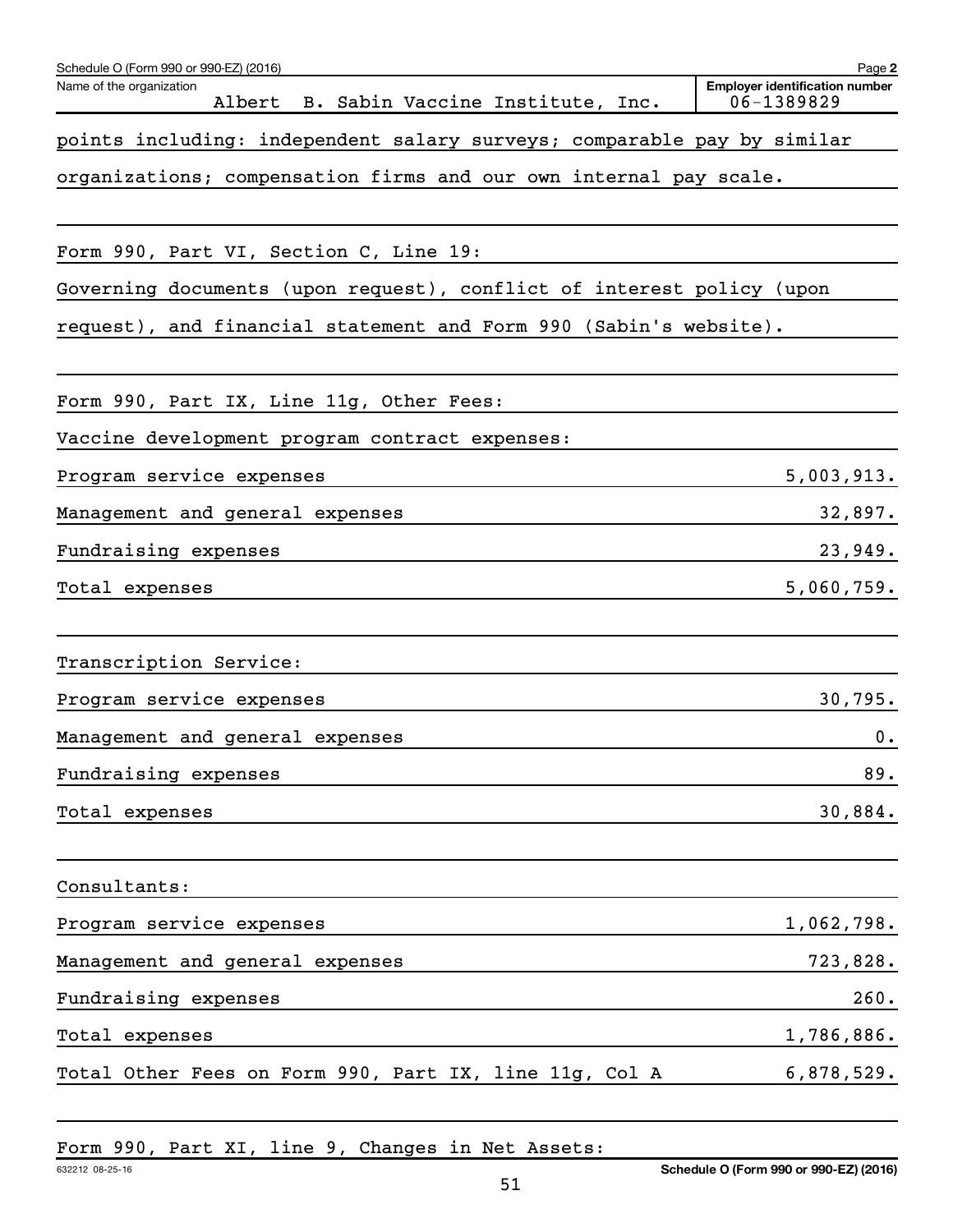| Schedule O (Form 990 or 990-EZ) (2016)                                  | Page 2                                              |
|-------------------------------------------------------------------------|-----------------------------------------------------|
| Name of the organization<br>Albert B. Sabin Vaccine Institute, Inc.     | <b>Employer identification number</b><br>06-1389829 |
| points including: independent salary surveys; comparable pay by similar |                                                     |
| organizations; compensation firms and our own internal pay scale.       |                                                     |
|                                                                         |                                                     |
| Form 990, Part VI, Section C, Line 19:                                  |                                                     |
| Governing documents (upon request), conflict of interest policy (upon   |                                                     |
| request), and financial statement and Form 990 (Sabin's website).       |                                                     |
|                                                                         |                                                     |
| Form 990, Part IX, Line 11g, Other Fees:                                |                                                     |
| Vaccine development program contract expenses:                          |                                                     |
| Program service expenses                                                | 5,003,913.                                          |
| Management and general expenses                                         | 32,897.                                             |
| Fundraising expenses                                                    | 23,949.                                             |
| Total expenses                                                          | 5,060,759.                                          |
|                                                                         |                                                     |
| Transcription Service:                                                  |                                                     |
| Program service expenses                                                | 30,795.                                             |
| Management and general expenses                                         | 0.                                                  |
| Fundraising expenses                                                    | 89.                                                 |
| Total expenses                                                          | 30,884.                                             |
|                                                                         |                                                     |
| Consultants:                                                            |                                                     |
| Program service expenses                                                | 1,062,798.                                          |
| Management and general expenses                                         | 723,828.                                            |
| Fundraising expenses                                                    | 260.                                                |
| Total expenses                                                          | 1,786,886.                                          |
| Total Other Fees on Form 990, Part IX, line 11g, Col A                  | 6,878,529.                                          |

Form 990, Part XI, line 9, Changes in Net Assets: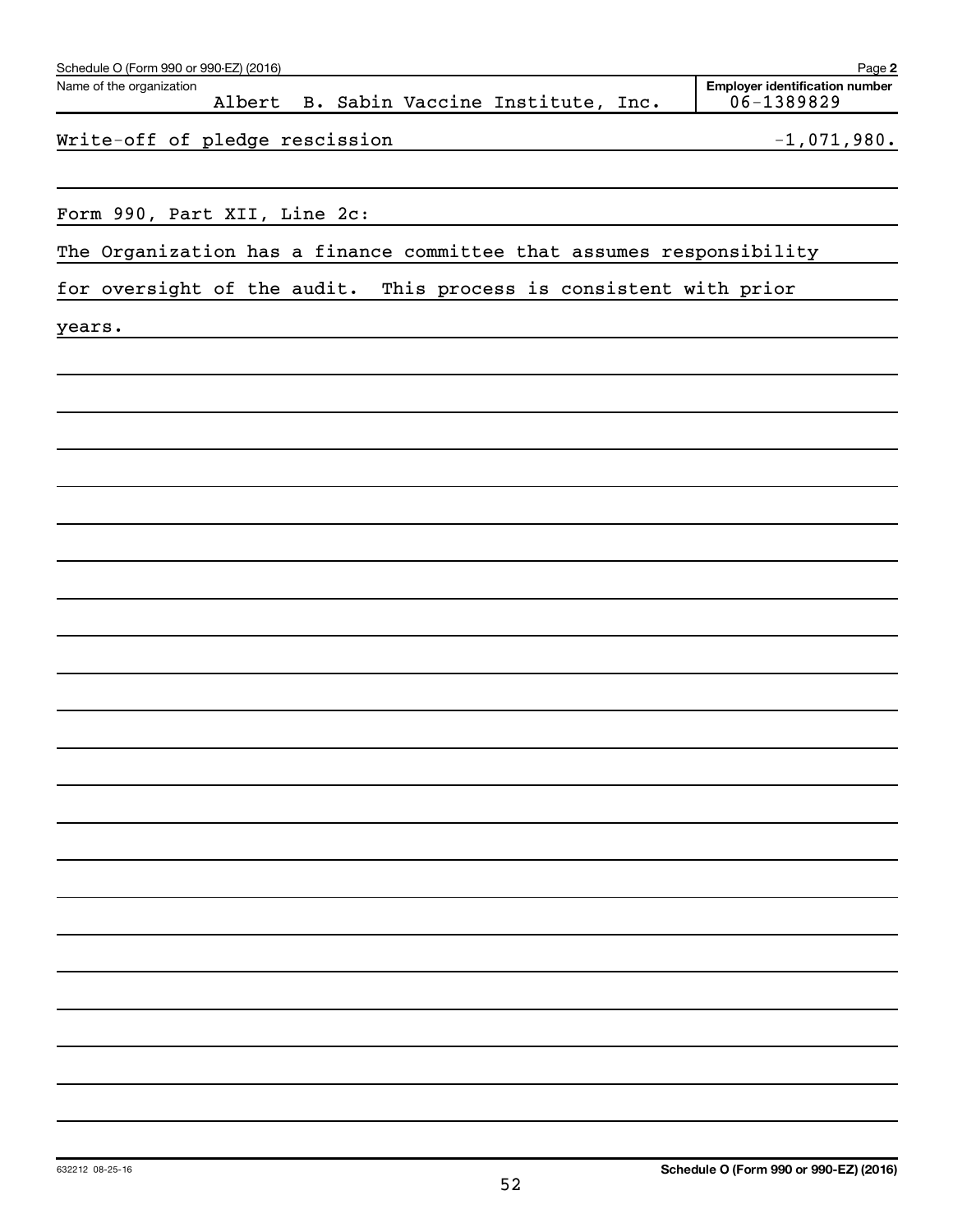| Schedule O (Form 990 or 990-EZ) (2016)                               | Page 2                                                  |
|----------------------------------------------------------------------|---------------------------------------------------------|
| Name of the organization<br>Albert B. Sabin Vaccine Institute, Inc.  | <b>Employer identification number</b><br>$06 - 1389829$ |
| Write-off of pledge rescission                                       | $-1,071,980.$                                           |
| Form 990, Part XII, Line 2c:                                         |                                                         |
| The Organization has a finance committee that assumes responsibility |                                                         |
| for oversight of the audit. This process is consistent with prior    |                                                         |
| years.                                                               |                                                         |
|                                                                      |                                                         |
|                                                                      |                                                         |
|                                                                      |                                                         |
|                                                                      |                                                         |
|                                                                      |                                                         |
|                                                                      |                                                         |
|                                                                      |                                                         |
|                                                                      |                                                         |
|                                                                      |                                                         |
|                                                                      |                                                         |
|                                                                      |                                                         |
|                                                                      |                                                         |
|                                                                      |                                                         |
|                                                                      |                                                         |
|                                                                      |                                                         |
|                                                                      |                                                         |
|                                                                      |                                                         |
|                                                                      |                                                         |
|                                                                      |                                                         |
|                                                                      |                                                         |
|                                                                      |                                                         |
|                                                                      |                                                         |
|                                                                      |                                                         |